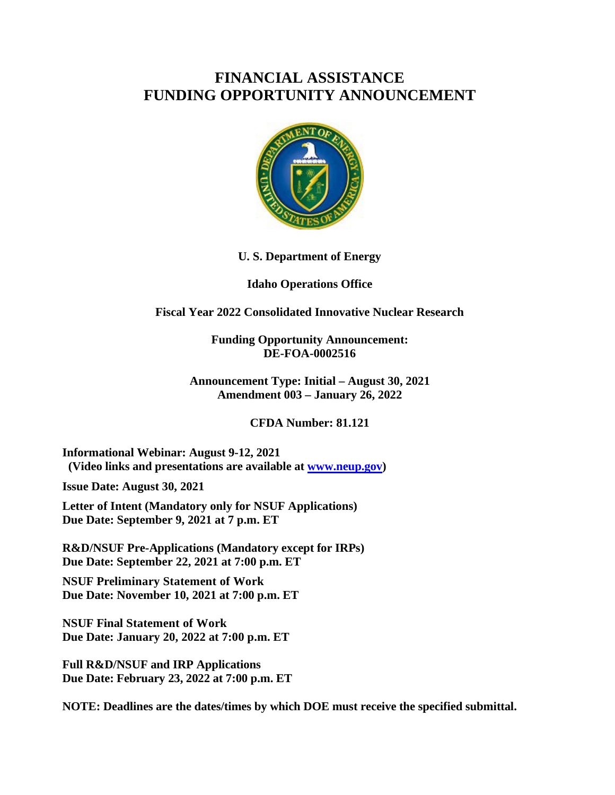# **FINANCIAL ASSISTANCE FUNDING OPPORTUNITY ANNOUNCEMENT**



#### **U. S. Department of Energy**

#### **Idaho Operations Office**

#### **Fiscal Year 2022 Consolidated Innovative Nuclear Research**

**Funding Opportunity Announcement: DE-FOA-0002516**

**Announcement Type: Initial – August 30, 2021 Amendment 003 – January 26, 2022**

**CFDA Number: 81.121**

**Informational Webinar: August 9-12, 2021 (Video links and presentations are available at [www.neup.gov\)](http://www.neup.gov/)**

**Issue Date: August 30, 2021**

**Letter of Intent (Mandatory only for NSUF Applications) Due Date: September 9, 2021 at 7 p.m. ET**

**R&D/NSUF Pre-Applications (Mandatory except for IRPs) Due Date: September 22, 2021 at 7:00 p.m. ET**

**NSUF Preliminary Statement of Work Due Date: November 10, 2021 at 7:00 p.m. ET**

**NSUF Final Statement of Work Due Date: January 20, 2022 at 7:00 p.m. ET**

**Full R&D/NSUF and IRP Applications Due Date: February 23, 2022 at 7:00 p.m. ET**

**NOTE: Deadlines are the dates/times by which DOE must receive the specified submittal.**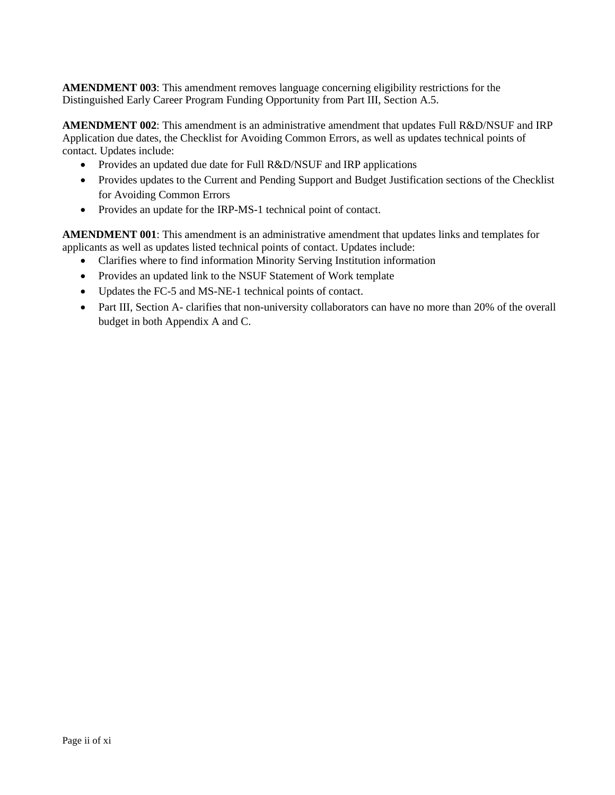**AMENDMENT 003**: This amendment removes language concerning eligibility restrictions for the Distinguished Early Career Program Funding Opportunity from Part III, Section A.5.

**AMENDMENT 002**: This amendment is an administrative amendment that updates Full R&D/NSUF and IRP Application due dates, the Checklist for Avoiding Common Errors, as well as updates technical points of contact. Updates include:

- Provides an updated due date for Full R&D/NSUF and IRP applications
- Provides updates to the Current and Pending Support and Budget Justification sections of the Checklist for Avoiding Common Errors
- Provides an update for the IRP-MS-1 technical point of contact.

**AMENDMENT 001**: This amendment is an administrative amendment that updates links and templates for applicants as well as updates listed technical points of contact. Updates include:

- Clarifies where to find information Minority Serving Institution information
- Provides an updated link to the NSUF Statement of Work template
- Updates the FC-5 and MS-NE-1 technical points of contact.
- Part III, Section A- clarifies that non-university collaborators can have no more than 20% of the overall budget in both Appendix A and C.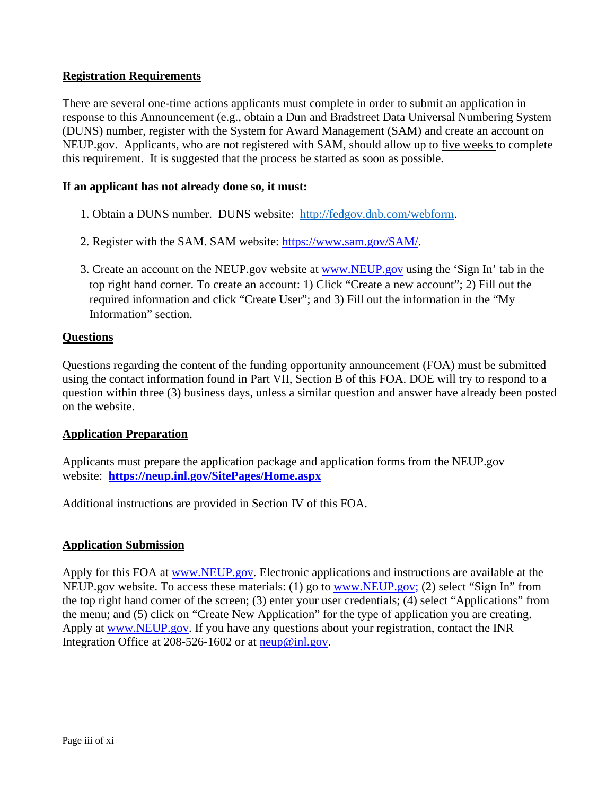#### **Registration Requirements**

There are several one-time actions applicants must complete in order to submit an application in response to this Announcement (e.g., obtain a Dun and Bradstreet Data Universal Numbering System (DUNS) number, register with the System for Award Management (SAM) and create an account on NEUP.gov. Applicants, who are not registered with SAM, should allow up to five weeks to complete this requirement. It is suggested that the process be started as soon as possible.

#### **If an applicant has not already done so, it must:**

- 1. Obtain a DUNS number. DUNS website: [http://fedgov.dnb.com/webform.](http://fedgov.dnb.com/webform)
- 2. Register with the SAM. SAM website: [https://www.sam.gov/SAM/.](https://www.sam.gov/SAM/)
- 3. Create an account on the NEUP.gov website at [www.NEUP.gov](http://www.neup.gov/) using the 'Sign In' tab in the top right hand corner. To create an account: 1) Click "Create a new account"; 2) Fill out the required information and click "Create User"; and 3) Fill out the information in the "My Information" section.

#### **Questions**

Questions regarding the content of the funding opportunity announcement (FOA) must be submitted using the contact information found in Part VII, Section B of this FOA. DOE will try to respond to a question within three (3) business days, unless a similar question and answer have already been posted on the website.

#### **Application Preparation**

Applicants must prepare the application package and application forms from the NEUP.gov website: **<https://neup.inl.gov/SitePages/Home.aspx>**

Additional instructions are provided in Section IV of this FOA.

#### **Application Submission**

Apply for this FOA at [www.NEUP.gov.](https://www.neup.gov/) Electronic applications and instructions are available at the NEUP.gov website. To access these materials: (1) go to [www.NEUP.gov;](https://www.neup.gov/) (2) select "Sign In" from the top right hand corner of the screen; (3) enter your user credentials; (4) select "Applications" from the menu; and (5) click on "Create New Application" for the type of application you are creating. Apply at [www.NEUP.gov.](https://www.neup.gov/) If you have any questions about your registration, contact the INR Integration Office at 208-526-1602 or at  $\frac{neup@inl.gov}{neun@inl.gov}$ .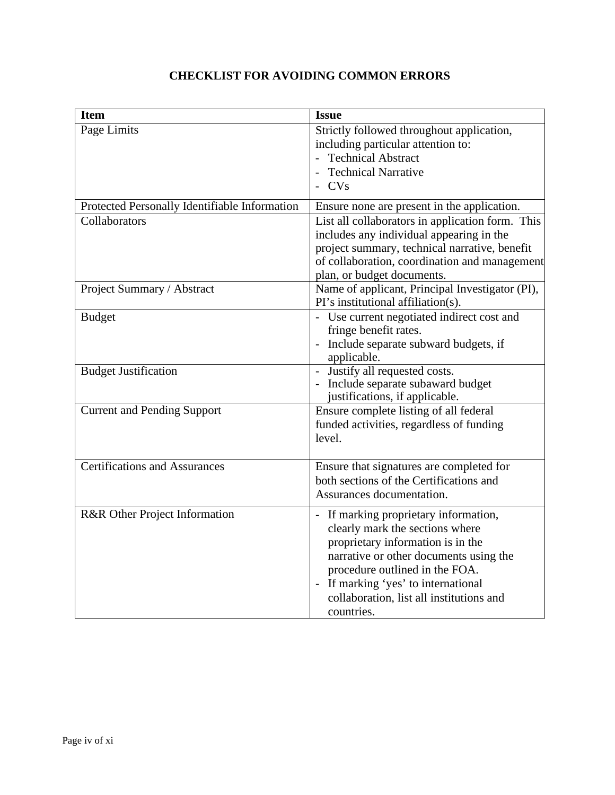| <b>Item</b>                                   | <b>Issue</b>                                                                                                                                                                                                                                                                               |
|-----------------------------------------------|--------------------------------------------------------------------------------------------------------------------------------------------------------------------------------------------------------------------------------------------------------------------------------------------|
| Page Limits                                   | Strictly followed throughout application,<br>including particular attention to:<br>- Technical Abstract<br><b>Technical Narrative</b>                                                                                                                                                      |
|                                               | $-CVs$                                                                                                                                                                                                                                                                                     |
| Protected Personally Identifiable Information | Ensure none are present in the application.                                                                                                                                                                                                                                                |
| Collaborators                                 | List all collaborators in application form. This<br>includes any individual appearing in the<br>project summary, technical narrative, benefit<br>of collaboration, coordination and management<br>plan, or budget documents.                                                               |
| Project Summary / Abstract                    | Name of applicant, Principal Investigator (PI),<br>PI's institutional affiliation(s).                                                                                                                                                                                                      |
| <b>Budget</b>                                 | - Use current negotiated indirect cost and<br>fringe benefit rates.<br>Include separate subward budgets, if<br>applicable.                                                                                                                                                                 |
| <b>Budget Justification</b>                   | - Justify all requested costs.<br>- Include separate subaward budget<br>justifications, if applicable.                                                                                                                                                                                     |
| <b>Current and Pending Support</b>            | Ensure complete listing of all federal<br>funded activities, regardless of funding<br>level.                                                                                                                                                                                               |
| <b>Certifications and Assurances</b>          | Ensure that signatures are completed for<br>both sections of the Certifications and<br>Assurances documentation.                                                                                                                                                                           |
| R&R Other Project Information                 | - If marking proprietary information,<br>clearly mark the sections where<br>proprietary information is in the<br>narrative or other documents using the<br>procedure outlined in the FOA.<br>- If marking 'yes' to international<br>collaboration, list all institutions and<br>countries. |

# **CHECKLIST FOR AVOIDING COMMON ERRORS**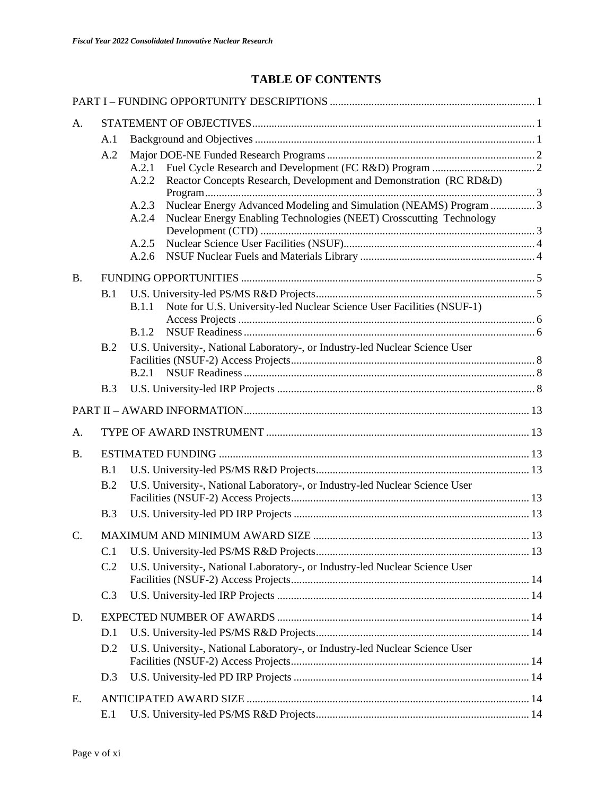# **TABLE OF CONTENTS**

| A.               |     |                                                                                       |  |
|------------------|-----|---------------------------------------------------------------------------------------|--|
|                  | A.1 |                                                                                       |  |
|                  | A.2 |                                                                                       |  |
|                  |     | A.2.1                                                                                 |  |
|                  |     | Reactor Concepts Research, Development and Demonstration (RC RD&D)<br>A.2.2           |  |
|                  |     | Nuclear Energy Advanced Modeling and Simulation (NEAMS) Program  3<br>A.2.3           |  |
|                  |     | Nuclear Energy Enabling Technologies (NEET) Crosscutting Technology<br>A.2.4          |  |
|                  |     | A.2.5                                                                                 |  |
|                  |     | A.2.6                                                                                 |  |
| <b>B.</b>        |     |                                                                                       |  |
|                  | B.1 |                                                                                       |  |
|                  |     | Note for U.S. University-led Nuclear Science User Facilities (NSUF-1)<br><b>B.1.1</b> |  |
|                  |     |                                                                                       |  |
|                  |     | <b>B.1.2</b>                                                                          |  |
|                  | B.2 | U.S. University-, National Laboratory-, or Industry-led Nuclear Science User          |  |
|                  |     |                                                                                       |  |
|                  |     | B.2.1                                                                                 |  |
|                  | B.3 |                                                                                       |  |
|                  |     |                                                                                       |  |
| A.               |     |                                                                                       |  |
| <b>B.</b>        |     |                                                                                       |  |
|                  | B.1 |                                                                                       |  |
|                  | B.2 | U.S. University-, National Laboratory-, or Industry-led Nuclear Science User          |  |
|                  |     |                                                                                       |  |
|                  | B.3 |                                                                                       |  |
| $\overline{C}$ . |     |                                                                                       |  |
|                  | C.1 |                                                                                       |  |
|                  | C.2 | U.S. University-, National Laboratory-, or Industry-led Nuclear Science User          |  |
|                  | C.3 |                                                                                       |  |
| D.               |     |                                                                                       |  |
|                  | D.1 |                                                                                       |  |
|                  | D.2 | U.S. University-, National Laboratory-, or Industry-led Nuclear Science User          |  |
|                  | D.3 |                                                                                       |  |
| Ε.               |     |                                                                                       |  |
|                  | E.1 |                                                                                       |  |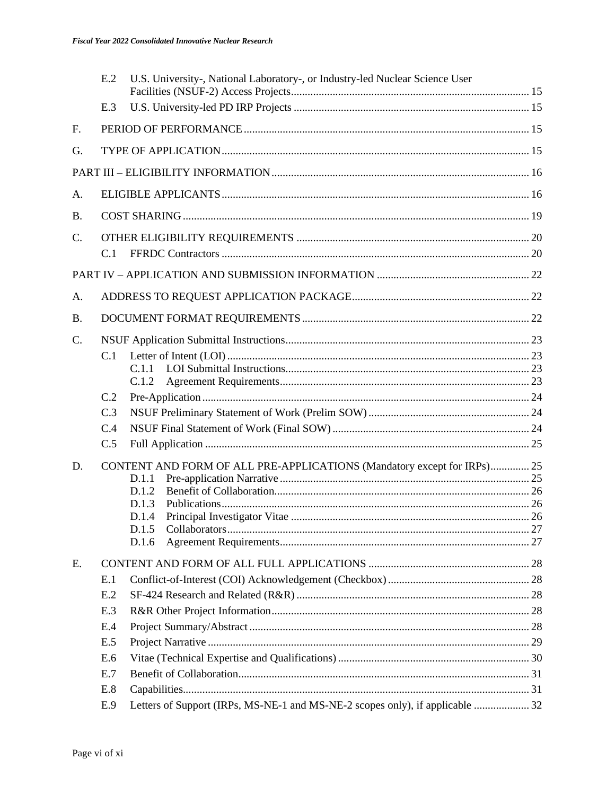|                 | E.2 | U.S. University-, National Laboratory-, or Industry-led Nuclear Science User  |  |
|-----------------|-----|-------------------------------------------------------------------------------|--|
|                 | E.3 |                                                                               |  |
| F.              |     |                                                                               |  |
| G.              |     |                                                                               |  |
|                 |     |                                                                               |  |
| A.              |     |                                                                               |  |
| <b>B.</b>       |     |                                                                               |  |
|                 |     |                                                                               |  |
| $\mathcal{C}$ . | C.1 |                                                                               |  |
|                 |     |                                                                               |  |
|                 |     |                                                                               |  |
| A.              |     |                                                                               |  |
| <b>B.</b>       |     |                                                                               |  |
| $\mathcal{C}$ . |     |                                                                               |  |
|                 |     |                                                                               |  |
|                 |     | C.1.1                                                                         |  |
|                 |     | C.1.2                                                                         |  |
|                 | C.2 |                                                                               |  |
|                 | C.3 |                                                                               |  |
|                 | C.4 |                                                                               |  |
|                 | C.5 |                                                                               |  |
| D.              |     | CONTENT AND FORM OF ALL PRE-APPLICATIONS (Mandatory except for IRPs) 25       |  |
|                 |     | D.1.1                                                                         |  |
|                 |     | D.1.2                                                                         |  |
|                 |     | D.1.3<br>D.1.4                                                                |  |
|                 |     | D.1.5                                                                         |  |
|                 |     | D.1.6                                                                         |  |
| E.              |     |                                                                               |  |
|                 | E.1 |                                                                               |  |
|                 | E.2 |                                                                               |  |
|                 | E.3 |                                                                               |  |
|                 | E.4 |                                                                               |  |
|                 | E.5 |                                                                               |  |
|                 | E.6 |                                                                               |  |
|                 | E.7 |                                                                               |  |
|                 | E.8 |                                                                               |  |
|                 | E.9 | Letters of Support (IRPs, MS-NE-1 and MS-NE-2 scopes only), if applicable  32 |  |
|                 |     |                                                                               |  |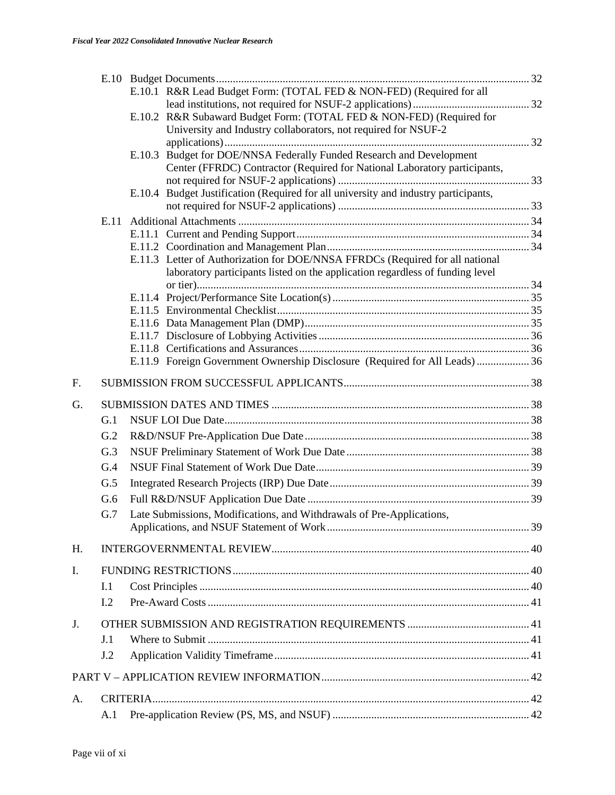|    |     | E.10.1 R&R Lead Budget Form: (TOTAL FED & NON-FED) (Required for all                |  |
|----|-----|-------------------------------------------------------------------------------------|--|
|    |     |                                                                                     |  |
|    |     | E.10.2 R&R Subaward Budget Form: (TOTAL FED & NON-FED) (Required for                |  |
|    |     | University and Industry collaborators, not required for NSUF-2                      |  |
|    |     | Budget for DOE/NNSA Federally Funded Research and Development<br>E.10.3             |  |
|    |     | Center (FFRDC) Contractor (Required for National Laboratory participants,           |  |
|    |     |                                                                                     |  |
|    |     | E.10.4 Budget Justification (Required for all university and industry participants, |  |
|    |     |                                                                                     |  |
|    |     |                                                                                     |  |
|    |     |                                                                                     |  |
|    |     | E.11.3 Letter of Authorization for DOE/NNSA FFRDCs (Required for all national       |  |
|    |     | laboratory participants listed on the application regardless of funding level       |  |
|    |     |                                                                                     |  |
|    |     |                                                                                     |  |
|    |     |                                                                                     |  |
|    |     |                                                                                     |  |
|    |     |                                                                                     |  |
|    |     |                                                                                     |  |
|    |     | E.11.9 Foreign Government Ownership Disclosure (Required for All Leads)  36         |  |
| F. |     |                                                                                     |  |
| G. |     |                                                                                     |  |
|    | G.1 |                                                                                     |  |
|    | G.2 |                                                                                     |  |
|    | G.3 |                                                                                     |  |
|    | G.4 |                                                                                     |  |
|    | G.5 |                                                                                     |  |
|    | G.6 |                                                                                     |  |
|    | G.7 | Late Submissions, Modifications, and Withdrawals of Pre-Applications,               |  |
|    |     |                                                                                     |  |
| Н. |     |                                                                                     |  |
| I. |     |                                                                                     |  |
|    | I.1 |                                                                                     |  |
|    | I.2 |                                                                                     |  |
|    |     |                                                                                     |  |
| J. |     |                                                                                     |  |
|    | J.1 |                                                                                     |  |
|    | J.2 |                                                                                     |  |
|    |     |                                                                                     |  |
| A. |     |                                                                                     |  |
|    | A.1 |                                                                                     |  |
|    |     |                                                                                     |  |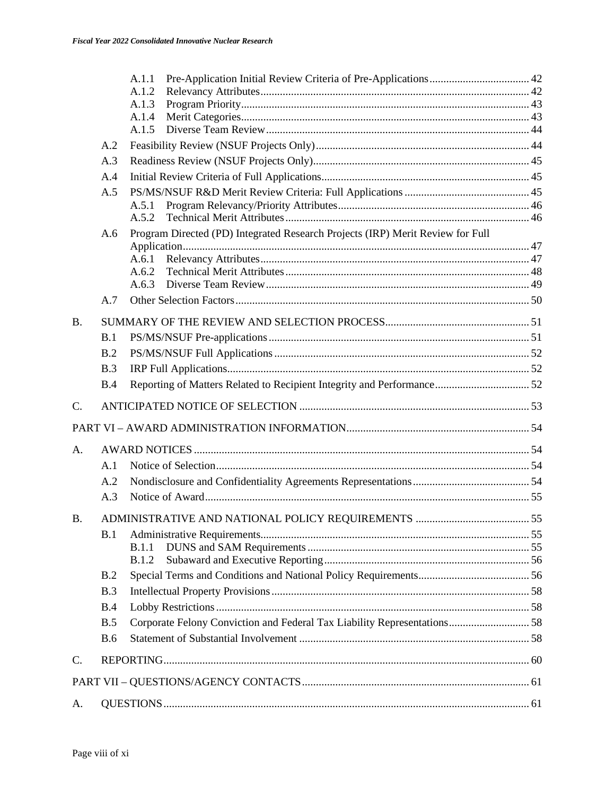|                 |            | A.1.1<br>A.1.2<br>A.1.3<br>A.1.4<br>A.1.5                                      |  |
|-----------------|------------|--------------------------------------------------------------------------------|--|
|                 | A.2        |                                                                                |  |
|                 | A.3        |                                                                                |  |
|                 | A.4        |                                                                                |  |
|                 | A.5        |                                                                                |  |
|                 |            | A.5.1<br>A.5.2                                                                 |  |
|                 | A.6        | Program Directed (PD) Integrated Research Projects (IRP) Merit Review for Full |  |
|                 |            |                                                                                |  |
|                 |            | A.6.1<br>A.6.2                                                                 |  |
|                 |            | A.6.3                                                                          |  |
|                 | A.7        |                                                                                |  |
| B.              |            |                                                                                |  |
|                 | B.1        |                                                                                |  |
|                 | B.2        |                                                                                |  |
|                 | B.3        |                                                                                |  |
|                 | B.4        |                                                                                |  |
| $\mathcal{C}$ . |            |                                                                                |  |
|                 |            |                                                                                |  |
| A.              |            |                                                                                |  |
|                 | A.1        |                                                                                |  |
|                 | A.2        |                                                                                |  |
|                 | A.3        |                                                                                |  |
| Β.              |            |                                                                                |  |
|                 | B.1        |                                                                                |  |
|                 |            | B.1.1                                                                          |  |
|                 |            | <b>B.1.2</b>                                                                   |  |
|                 | B.2        |                                                                                |  |
|                 | B.3        |                                                                                |  |
|                 | B.4        |                                                                                |  |
|                 | B.5        | Corporate Felony Conviction and Federal Tax Liability Representations 58       |  |
|                 | <b>B.6</b> |                                                                                |  |
| C.              |            |                                                                                |  |
|                 |            |                                                                                |  |
| А.              |            |                                                                                |  |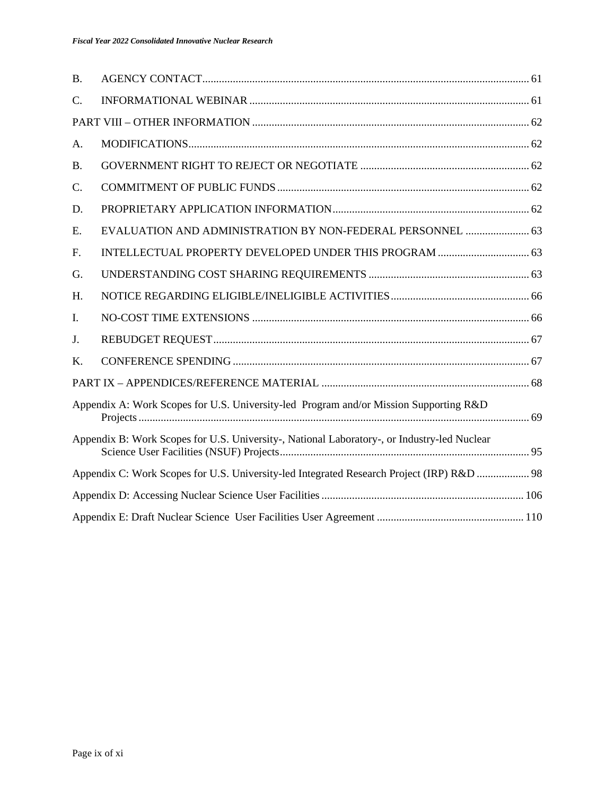| <b>B.</b> |                                                                                             |  |
|-----------|---------------------------------------------------------------------------------------------|--|
| C.        |                                                                                             |  |
|           |                                                                                             |  |
| A.        |                                                                                             |  |
| <b>B.</b> |                                                                                             |  |
| C.        |                                                                                             |  |
| D.        |                                                                                             |  |
| E.        | EVALUATION AND ADMINISTRATION BY NON-FEDERAL PERSONNEL  63                                  |  |
| F.        |                                                                                             |  |
| G.        |                                                                                             |  |
| H.        |                                                                                             |  |
| I.        |                                                                                             |  |
| J.        |                                                                                             |  |
| Κ.        |                                                                                             |  |
|           |                                                                                             |  |
|           | Appendix A: Work Scopes for U.S. University-led Program and/or Mission Supporting R&D       |  |
|           | Appendix B: Work Scopes for U.S. University-, National Laboratory-, or Industry-led Nuclear |  |
|           | Appendix C: Work Scopes for U.S. University-led Integrated Research Project (IRP) R&D  98   |  |
|           |                                                                                             |  |
|           |                                                                                             |  |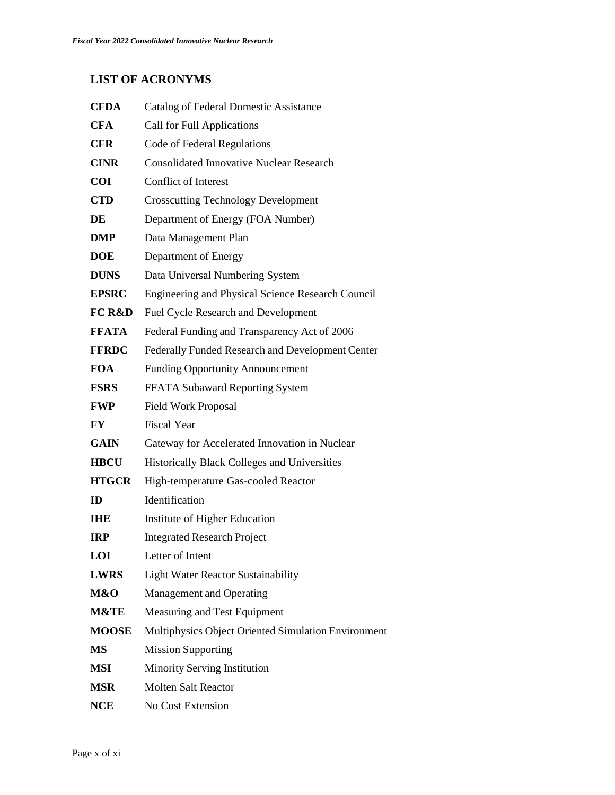# **LIST OF ACRONYMS**

| <b>CFDA</b>       | <b>Catalog of Federal Domestic Assistance</b>       |
|-------------------|-----------------------------------------------------|
| <b>CFA</b>        | <b>Call for Full Applications</b>                   |
| <b>CFR</b>        | Code of Federal Regulations                         |
| <b>CINR</b>       | <b>Consolidated Innovative Nuclear Research</b>     |
| <b>COI</b>        | <b>Conflict of Interest</b>                         |
| <b>CTD</b>        | <b>Crosscutting Technology Development</b>          |
| DE                | Department of Energy (FOA Number)                   |
| DMP               | Data Management Plan                                |
| <b>DOE</b>        | Department of Energy                                |
| <b>DUNS</b>       | Data Universal Numbering System                     |
| <b>EPSRC</b>      | Engineering and Physical Science Research Council   |
| <b>FC R&amp;D</b> | <b>Fuel Cycle Research and Development</b>          |
| <b>FFATA</b>      | Federal Funding and Transparency Act of 2006        |
| <b>FFRDC</b>      | Federally Funded Research and Development Center    |
| <b>FOA</b>        | <b>Funding Opportunity Announcement</b>             |
| <b>FSRS</b>       | FFATA Subaward Reporting System                     |
| <b>FWP</b>        | <b>Field Work Proposal</b>                          |
| FY                | <b>Fiscal Year</b>                                  |
| <b>GAIN</b>       | Gateway for Accelerated Innovation in Nuclear       |
| <b>HBCU</b>       | Historically Black Colleges and Universities        |
| <b>HTGCR</b>      | High-temperature Gas-cooled Reactor                 |
| ID                | Identification                                      |
| IHE               | Institute of Higher Education                       |
| <b>IRP</b>        | <b>Integrated Research Project</b>                  |
| LOI               | Letter of Intent                                    |
| <b>LWRS</b>       | <b>Light Water Reactor Sustainability</b>           |
| M&O               | <b>Management and Operating</b>                     |
| M&TE              | Measuring and Test Equipment                        |
| <b>MOOSE</b>      | Multiphysics Object Oriented Simulation Environment |
| MS                | <b>Mission Supporting</b>                           |
| MSI               | Minority Serving Institution                        |
| MSR               | <b>Molten Salt Reactor</b>                          |
| NCE               | No Cost Extension                                   |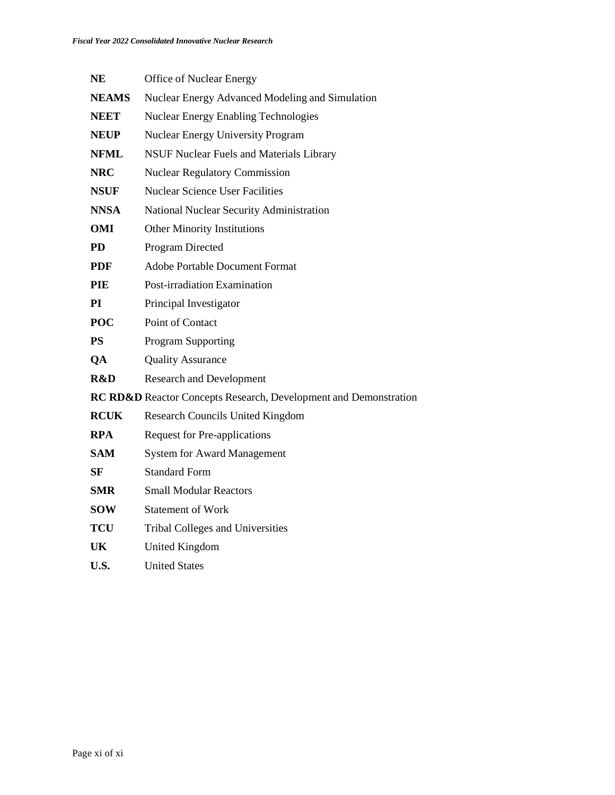| <b>NE</b>    | <b>Office of Nuclear Energy</b>                                  |
|--------------|------------------------------------------------------------------|
| <b>NEAMS</b> | Nuclear Energy Advanced Modeling and Simulation                  |
| <b>NEET</b>  | <b>Nuclear Energy Enabling Technologies</b>                      |
| <b>NEUP</b>  | <b>Nuclear Energy University Program</b>                         |
| <b>NFML</b>  | <b>NSUF Nuclear Fuels and Materials Library</b>                  |
| <b>NRC</b>   | <b>Nuclear Regulatory Commission</b>                             |
| <b>NSUF</b>  | <b>Nuclear Science User Facilities</b>                           |
| <b>NNSA</b>  | National Nuclear Security Administration                         |
| <b>OMI</b>   | <b>Other Minority Institutions</b>                               |
| <b>PD</b>    | Program Directed                                                 |
| <b>PDF</b>   | <b>Adobe Portable Document Format</b>                            |
| <b>PIE</b>   | Post-irradiation Examination                                     |
| PI           | Principal Investigator                                           |
| <b>POC</b>   | Point of Contact                                                 |
| <b>PS</b>    | <b>Program Supporting</b>                                        |
| QA           | <b>Quality Assurance</b>                                         |
| R&D          | <b>Research and Development</b>                                  |
|              | RC RD&D Reactor Concepts Research, Development and Demonstration |
| <b>RCUK</b>  | <b>Research Councils United Kingdom</b>                          |
| <b>RPA</b>   | <b>Request for Pre-applications</b>                              |
| <b>SAM</b>   | <b>System for Award Management</b>                               |
| SF           | <b>Standard Form</b>                                             |
| <b>SMR</b>   | <b>Small Modular Reactors</b>                                    |
| <b>SOW</b>   | <b>Statement of Work</b>                                         |
| <b>TCU</b>   | <b>Tribal Colleges and Universities</b>                          |
| UK           | United Kingdom                                                   |
| U.S.         | <b>United States</b>                                             |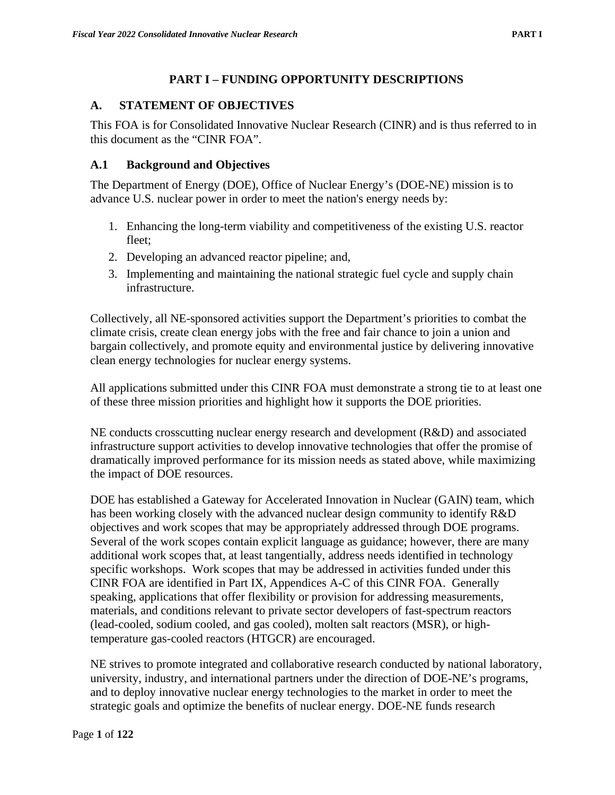### **PART I – FUNDING OPPORTUNITY DESCRIPTIONS**

### <span id="page-11-1"></span><span id="page-11-0"></span>**A. STATEMENT OF OBJECTIVES**

This FOA is for Consolidated Innovative Nuclear Research (CINR) and is thus referred to in this document as the "CINR FOA".

### <span id="page-11-2"></span>**A.1 Background and Objectives**

The Department of Energy (DOE), Office of Nuclear Energy's (DOE-NE) mission is to advance U.S. nuclear power in order to meet the nation's energy needs by:

- 1. Enhancing the long-term viability and competitiveness of the existing U.S. reactor fleet;
- 2. Developing an advanced reactor pipeline; and,
- 3. Implementing and maintaining the national strategic fuel cycle and supply chain infrastructure.

Collectively, all NE-sponsored activities support the Department's priorities to combat the climate crisis, create clean energy jobs with the free and fair chance to join a union and bargain collectively, and promote equity and environmental justice by delivering innovative clean energy technologies for nuclear energy systems.

All applications submitted under this CINR FOA must demonstrate a strong tie to at least one of these three mission priorities and highlight how it supports the DOE priorities.

NE conducts crosscutting nuclear energy research and development (R&D) and associated infrastructure support activities to develop innovative technologies that offer the promise of dramatically improved performance for its mission needs as stated above, while maximizing the impact of DOE resources.

DOE has established a Gateway for Accelerated Innovation in Nuclear (GAIN) team, which has been working closely with the advanced nuclear design community to identify R&D objectives and work scopes that may be appropriately addressed through DOE programs. Several of the work scopes contain explicit language as guidance; however, there are many additional work scopes that, at least tangentially, address needs identified in technology specific workshops. Work scopes that may be addressed in activities funded under this CINR FOA are identified in Part IX, Appendices A-C of this CINR FOA. Generally speaking, applications that offer flexibility or provision for addressing measurements, materials, and conditions relevant to private sector developers of fast-spectrum reactors (lead-cooled, sodium cooled, and gas cooled), molten salt reactors (MSR), or hightemperature gas-cooled reactors (HTGCR) are encouraged.

NE strives to promote integrated and collaborative research conducted by national laboratory, university, industry, and international partners under the direction of DOE-NE's programs, and to deploy innovative nuclear energy technologies to the market in order to meet the strategic goals and optimize the benefits of nuclear energy. DOE-NE funds research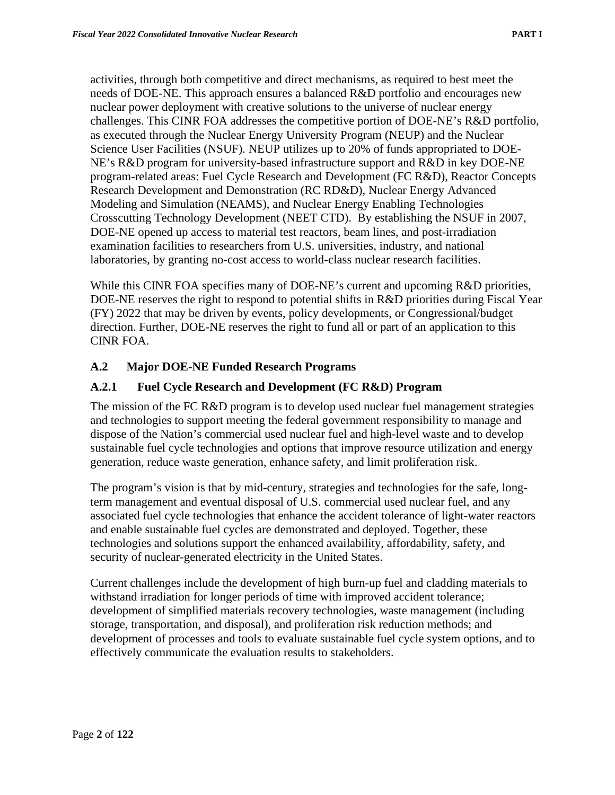activities, through both competitive and direct mechanisms, as required to best meet the needs of DOE-NE. This approach ensures a balanced R&D portfolio and encourages new nuclear power deployment with creative solutions to the universe of nuclear energy challenges. This CINR FOA addresses the competitive portion of DOE-NE's R&D portfolio, as executed through the Nuclear Energy University Program (NEUP) and the Nuclear Science User Facilities (NSUF). NEUP utilizes up to 20% of funds appropriated to DOE-NE's R&D program for university-based infrastructure support and R&D in key DOE-NE program-related areas: Fuel Cycle Research and Development (FC R&D), Reactor Concepts Research Development and Demonstration (RC RD&D), Nuclear Energy Advanced Modeling and Simulation (NEAMS), and Nuclear Energy Enabling Technologies Crosscutting Technology Development (NEET CTD). By establishing the NSUF in 2007, DOE-NE opened up access to material test reactors, beam lines, and post-irradiation examination facilities to researchers from U.S. universities, industry, and national laboratories, by granting no-cost access to world-class nuclear research facilities.

While this CINR FOA specifies many of DOE-NE's current and upcoming R&D priorities, DOE-NE reserves the right to respond to potential shifts in R&D priorities during Fiscal Year (FY) 2022 that may be driven by events, policy developments, or Congressional/budget direction. Further, DOE-NE reserves the right to fund all or part of an application to this CINR FOA.

### <span id="page-12-0"></span>**A.2 Major DOE-NE Funded Research Programs**

### <span id="page-12-1"></span>**A.2.1 Fuel Cycle Research and Development (FC R&D) Program**

The mission of the FC R&D program is to develop used nuclear fuel management strategies and technologies to support meeting the federal government responsibility to manage and dispose of the Nation's commercial used nuclear fuel and high-level waste and to develop sustainable fuel cycle technologies and options that improve resource utilization and energy generation, reduce waste generation, enhance safety, and limit proliferation risk.

The program's vision is that by mid-century, strategies and technologies for the safe, longterm management and eventual disposal of U.S. commercial used nuclear fuel, and any associated fuel cycle technologies that enhance the accident tolerance of light-water reactors and enable sustainable fuel cycles are demonstrated and deployed. Together, these technologies and solutions support the enhanced availability, affordability, safety, and security of nuclear-generated electricity in the United States.

Current challenges include the development of high burn-up fuel and cladding materials to withstand irradiation for longer periods of time with improved accident tolerance; development of simplified materials recovery technologies, waste management (including storage, transportation, and disposal), and proliferation risk reduction methods; and development of processes and tools to evaluate sustainable fuel cycle system options, and to effectively communicate the evaluation results to stakeholders.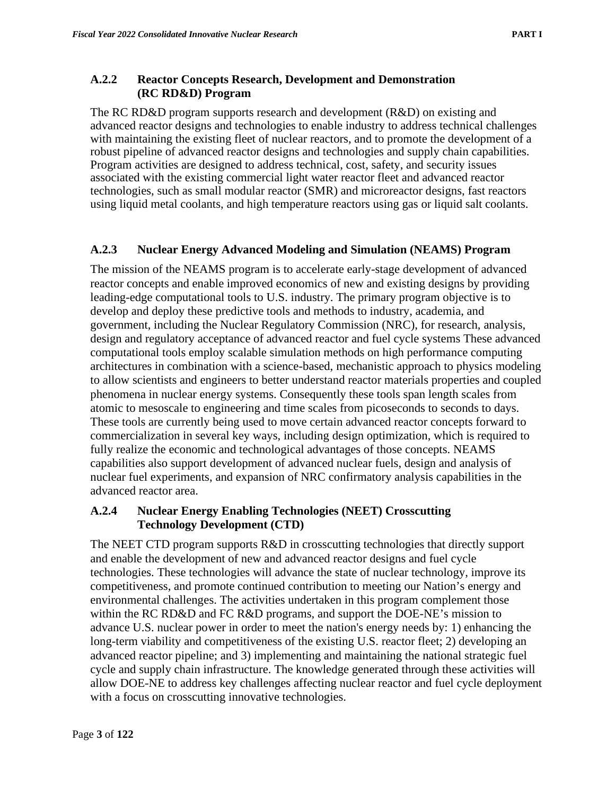### <span id="page-13-0"></span>**A.2.2 Reactor Concepts Research, Development and Demonstration (RC RD&D) Program**

The RC RD&D program supports research and development (R&D) on existing and advanced reactor designs and technologies to enable industry to address technical challenges with maintaining the existing fleet of nuclear reactors, and to promote the development of a robust pipeline of advanced reactor designs and technologies and supply chain capabilities. Program activities are designed to address technical, cost, safety, and security issues associated with the existing commercial light water reactor fleet and advanced reactor technologies, such as small modular reactor (SMR) and microreactor designs, fast reactors using liquid metal coolants, and high temperature reactors using gas or liquid salt coolants.

#### <span id="page-13-1"></span>**A.2.3 Nuclear Energy Advanced Modeling and Simulation (NEAMS) Program**

The mission of the NEAMS program is to accelerate early-stage development of advanced reactor concepts and enable improved economics of new and existing designs by providing leading-edge computational tools to U.S. industry. The primary program objective is to develop and deploy these predictive tools and methods to industry, academia, and government, including the Nuclear Regulatory Commission (NRC), for research, analysis, design and regulatory acceptance of advanced reactor and fuel cycle systems These advanced computational tools employ scalable simulation methods on high performance computing architectures in combination with a science-based, mechanistic approach to physics modeling to allow scientists and engineers to better understand reactor materials properties and coupled phenomena in nuclear energy systems. Consequently these tools span length scales from atomic to mesoscale to engineering and time scales from picoseconds to seconds to days. These tools are currently being used to move certain advanced reactor concepts forward to commercialization in several key ways, including design optimization, which is required to fully realize the economic and technological advantages of those concepts. NEAMS capabilities also support development of advanced nuclear fuels, design and analysis of nuclear fuel experiments, and expansion of NRC confirmatory analysis capabilities in the advanced reactor area.

#### <span id="page-13-2"></span>**A.2.4 Nuclear Energy Enabling Technologies (NEET) Crosscutting Technology Development (CTD)**

The NEET CTD program supports R&D in crosscutting technologies that directly support and enable the development of new and advanced reactor designs and fuel cycle technologies. These technologies will advance the state of nuclear technology, improve its competitiveness, and promote continued contribution to meeting our Nation's energy and environmental challenges. The activities undertaken in this program complement those within the RC RD&D and FC R&D programs, and support the DOE-NE's mission to advance U.S. nuclear power in order to meet the nation's energy needs by: 1) enhancing the long-term viability and competitiveness of the existing U.S. reactor fleet; 2) developing an advanced reactor pipeline; and 3) implementing and maintaining the national strategic fuel cycle and supply chain infrastructure. The knowledge generated through these activities will allow DOE-NE to address key challenges affecting nuclear reactor and fuel cycle deployment with a focus on crosscutting innovative technologies.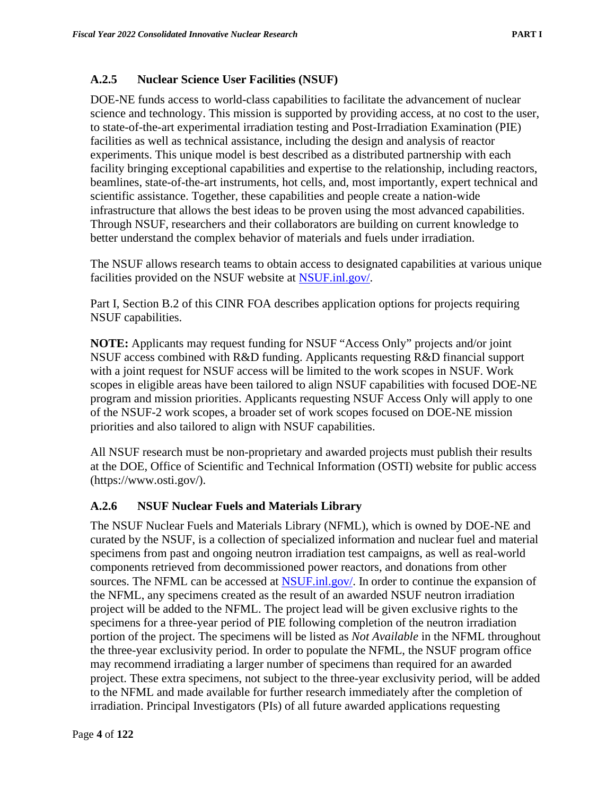### <span id="page-14-0"></span>**A.2.5 Nuclear Science User Facilities (NSUF)**

DOE-NE funds access to world-class capabilities to facilitate the advancement of nuclear science and technology. This mission is supported by providing access, at no cost to the user, to state-of-the-art experimental irradiation testing and Post-Irradiation Examination (PIE) facilities as well as technical assistance, including the design and analysis of reactor experiments. This unique model is best described as a distributed partnership with each facility bringing exceptional capabilities and expertise to the relationship, including reactors, beamlines, state-of-the-art instruments, hot cells, and, most importantly, expert technical and scientific assistance. Together, these capabilities and people create a nation-wide infrastructure that allows the best ideas to be proven using the most advanced capabilities. Through NSUF, researchers and their collaborators are building on current knowledge to better understand the complex behavior of materials and fuels under irradiation.

The NSUF allows research teams to obtain access to designated capabilities at various unique facilities provided on the NSUF website at [NSUF.inl.gov/.](https://nsuf.inl.gov/)

Part I, Section B.2 of this CINR FOA describes application options for projects requiring NSUF capabilities.

**NOTE:** Applicants may request funding for NSUF "Access Only" projects and/or joint NSUF access combined with R&D funding. Applicants requesting R&D financial support with a joint request for NSUF access will be limited to the work scopes in NSUF. Work scopes in eligible areas have been tailored to align NSUF capabilities with focused DOE-NE program and mission priorities. Applicants requesting NSUF Access Only will apply to one of the NSUF-2 work scopes, a broader set of work scopes focused on DOE-NE mission priorities and also tailored to align with NSUF capabilities.

All NSUF research must be non-proprietary and awarded projects must publish their results at the DOE, Office of Scientific and Technical Information (OSTI) website for public access (https://www.osti.gov/).

### <span id="page-14-1"></span>**A.2.6 NSUF Nuclear Fuels and Materials Library**

The NSUF Nuclear Fuels and Materials Library (NFML), which is owned by DOE-NE and curated by the NSUF, is a collection of specialized information and nuclear fuel and material specimens from past and ongoing neutron irradiation test campaigns, as well as real-world components retrieved from decommissioned power reactors, and donations from other sources. The NFML can be accessed at [NSUF.inl.gov/.](https://nsuf.inl.gov/) In order to continue the expansion of the NFML, any specimens created as the result of an awarded NSUF neutron irradiation project will be added to the NFML. The project lead will be given exclusive rights to the specimens for a three-year period of PIE following completion of the neutron irradiation portion of the project. The specimens will be listed as *Not Available* in the NFML throughout the three-year exclusivity period. In order to populate the NFML, the NSUF program office may recommend irradiating a larger number of specimens than required for an awarded project. These extra specimens, not subject to the three-year exclusivity period, will be added to the NFML and made available for further research immediately after the completion of irradiation. Principal Investigators (PIs) of all future awarded applications requesting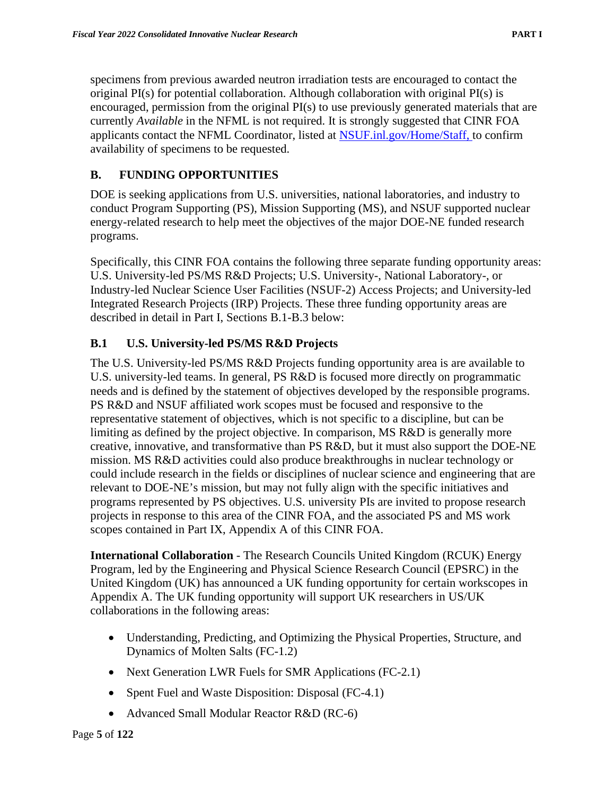specimens from previous awarded neutron irradiation tests are encouraged to contact the original PI(s) for potential collaboration. Although collaboration with original PI(s) is encouraged, permission from the original PI(s) to use previously generated materials that are currently *Available* in the NFML is not required. It is strongly suggested that CINR FOA applicants contact the NFML Coordinator, listed at [NSUF.inl.gov/Home/Staff,](https://nsuf.inl.gov/Home/Staff) to confirm availability of specimens to be requested.

### <span id="page-15-0"></span>**B. FUNDING OPPORTUNITIES**

DOE is seeking applications from U.S. universities, national laboratories, and industry to conduct Program Supporting (PS), Mission Supporting (MS), and NSUF supported nuclear energy-related research to help meet the objectives of the major DOE-NE funded research programs.

Specifically, this CINR FOA contains the following three separate funding opportunity areas: U.S. University-led PS/MS R&D Projects; U.S. University-, National Laboratory-, or Industry-led Nuclear Science User Facilities (NSUF-2) Access Projects; and University-led Integrated Research Projects (IRP) Projects. These three funding opportunity areas are described in detail in Part I, Sections B.1-B.3 below:

### <span id="page-15-1"></span>**B.1 U.S. University-led PS/MS R&D Projects**

The U.S. University-led PS/MS R&D Projects funding opportunity area is are available to U.S. university-led teams. In general, PS R&D is focused more directly on programmatic needs and is defined by the statement of objectives developed by the responsible programs. PS R&D and NSUF affiliated work scopes must be focused and responsive to the representative statement of objectives, which is not specific to a discipline, but can be limiting as defined by the project objective. In comparison, MS R&D is generally more creative, innovative, and transformative than PS R&D, but it must also support the DOE-NE mission. MS R&D activities could also produce breakthroughs in nuclear technology or could include research in the fields or disciplines of nuclear science and engineering that are relevant to DOE-NE's mission, but may not fully align with the specific initiatives and programs represented by PS objectives. U.S. university PIs are invited to propose research projects in response to this area of the CINR FOA, and the associated PS and MS work scopes contained in Part IX, Appendix A of this CINR FOA.

**International Collaboration** - The Research Councils United Kingdom (RCUK) Energy Program, led by the Engineering and Physical Science Research Council (EPSRC) in the United Kingdom (UK) has announced a UK funding opportunity for certain workscopes in Appendix A. The UK funding opportunity will support UK researchers in US/UK collaborations in the following areas:

- Understanding, Predicting, and Optimizing the Physical Properties, Structure, and Dynamics of Molten Salts (FC-1.2)
- Next Generation LWR Fuels for SMR Applications (FC-2.1)
- Spent Fuel and Waste Disposition: Disposal (FC-4.1)
- Advanced Small Modular Reactor R&D (RC-6)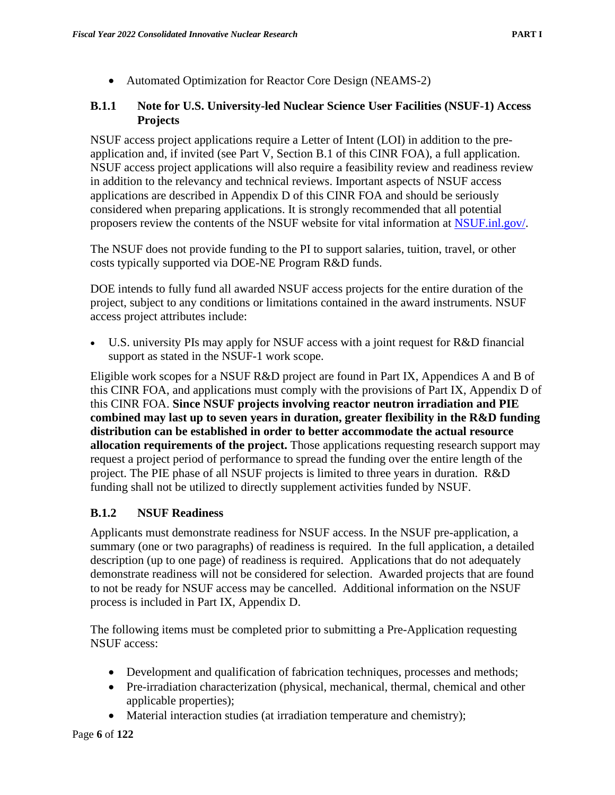• Automated Optimization for Reactor Core Design (NEAMS-2)

### <span id="page-16-0"></span>**B.1.1 Note for U.S. University-led Nuclear Science User Facilities (NSUF-1) Access Projects**

NSUF access project applications require a Letter of Intent (LOI) in addition to the preapplication and, if invited (see Part V, Section B.1 of this CINR FOA), a full application. NSUF access project applications will also require a feasibility review and readiness review in addition to the relevancy and technical reviews. Important aspects of NSUF access applications are described in Appendix D of this CINR FOA and should be seriously considered when preparing applications. It is strongly recommended that all potential proposers review the contents of the NSUF website for vital information at [NSUF.inl.gov/.](https://nsuf.inl.gov/)

The NSUF does not provide funding to the PI to support salaries, tuition, travel, or other costs typically supported via DOE-NE Program R&D funds.

DOE intends to fully fund all awarded NSUF access projects for the entire duration of the project, subject to any conditions or limitations contained in the award instruments. NSUF access project attributes include:

• U.S. university PIs may apply for NSUF access with a joint request for R&D financial support as stated in the NSUF-1 work scope.

Eligible work scopes for a NSUF R&D project are found in Part IX, Appendices A and B of this CINR FOA, and applications must comply with the provisions of Part IX, Appendix D of this CINR FOA. **Since NSUF projects involving reactor neutron irradiation and PIE combined may last up to seven years in duration, greater flexibility in the R&D funding distribution can be established in order to better accommodate the actual resource allocation requirements of the project.** Those applications requesting research support may request a project period of performance to spread the funding over the entire length of the project. The PIE phase of all NSUF projects is limited to three years in duration. R&D funding shall not be utilized to directly supplement activities funded by NSUF.

### <span id="page-16-1"></span>**B.1.2 NSUF Readiness**

Applicants must demonstrate readiness for NSUF access. In the NSUF pre-application, a summary (one or two paragraphs) of readiness is required. In the full application, a detailed description (up to one page) of readiness is required. Applications that do not adequately demonstrate readiness will not be considered for selection. Awarded projects that are found to not be ready for NSUF access may be cancelled. Additional information on the NSUF process is included in Part IX, Appendix D.

The following items must be completed prior to submitting a Pre-Application requesting NSUF access:

- Development and qualification of fabrication techniques, processes and methods;
- Pre-irradiation characterization (physical, mechanical, thermal, chemical and other applicable properties);
- Material interaction studies (at irradiation temperature and chemistry);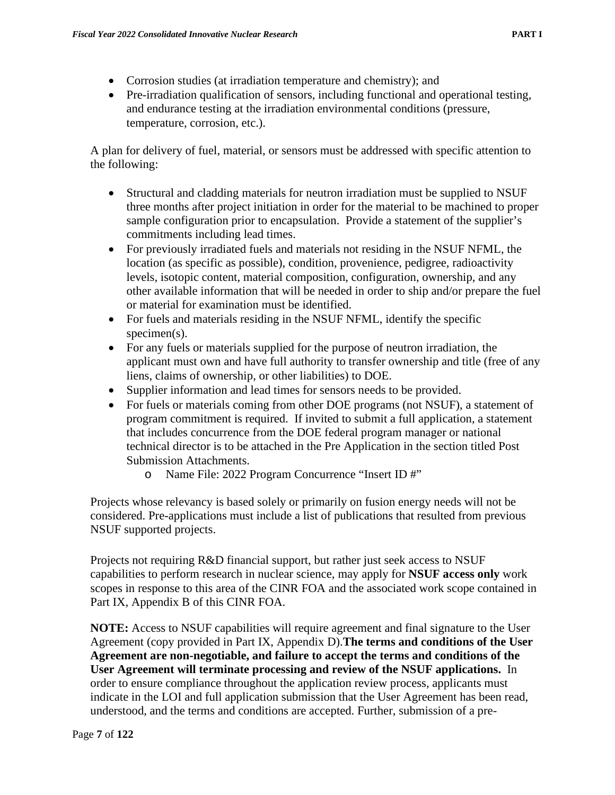- Corrosion studies (at irradiation temperature and chemistry); and
- Pre-irradiation qualification of sensors, including functional and operational testing, and endurance testing at the irradiation environmental conditions (pressure, temperature, corrosion, etc.).

A plan for delivery of fuel, material, or sensors must be addressed with specific attention to the following:

- Structural and cladding materials for neutron irradiation must be supplied to NSUF three months after project initiation in order for the material to be machined to proper sample configuration prior to encapsulation. Provide a statement of the supplier's commitments including lead times.
- For previously irradiated fuels and materials not residing in the NSUF NFML, the location (as specific as possible), condition, provenience, pedigree, radioactivity levels, isotopic content, material composition, configuration, ownership, and any other available information that will be needed in order to ship and/or prepare the fuel or material for examination must be identified.
- For fuels and materials residing in the NSUF NFML, identify the specific specimen(s).
- For any fuels or materials supplied for the purpose of neutron irradiation, the applicant must own and have full authority to transfer ownership and title (free of any liens, claims of ownership, or other liabilities) to DOE.
- Supplier information and lead times for sensors needs to be provided.
- For fuels or materials coming from other DOE programs (not NSUF), a statement of program commitment is required. If invited to submit a full application, a statement that includes concurrence from the DOE federal program manager or national technical director is to be attached in the Pre Application in the section titled Post Submission Attachments.
	- o Name File: 2022 Program Concurrence "Insert ID #"

Projects whose relevancy is based solely or primarily on fusion energy needs will not be considered. Pre-applications must include a list of publications that resulted from previous NSUF supported projects.

Projects not requiring R&D financial support, but rather just seek access to NSUF capabilities to perform research in nuclear science, may apply for **NSUF access only** work scopes in response to this area of the CINR FOA and the associated work scope contained in Part IX, Appendix B of this CINR FOA.

**NOTE:** Access to NSUF capabilities will require agreement and final signature to the User Agreement (copy provided in Part IX, Appendix D).**The terms and conditions of the User Agreement are non-negotiable, and failure to accept the terms and conditions of the User Agreement will terminate processing and review of the NSUF applications.** In order to ensure compliance throughout the application review process, applicants must indicate in the LOI and full application submission that the User Agreement has been read, understood, and the terms and conditions are accepted. Further, submission of a pre-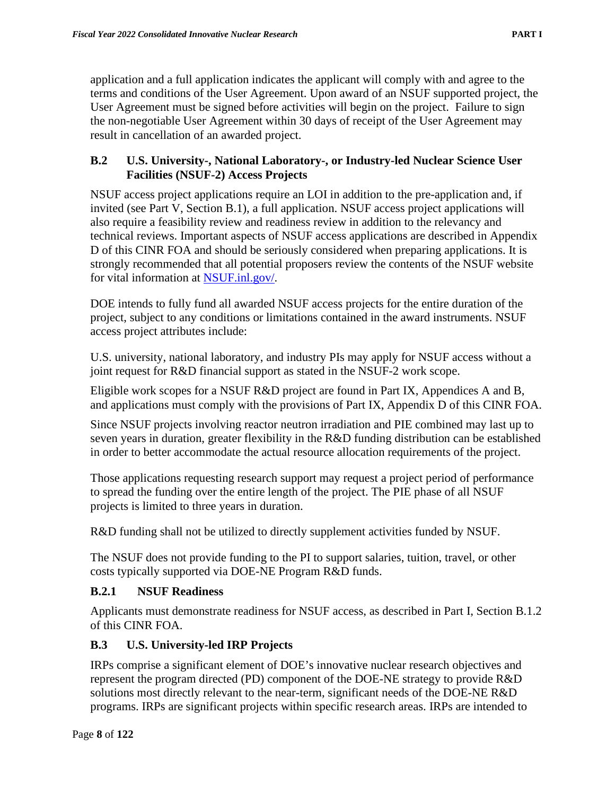application and a full application indicates the applicant will comply with and agree to the terms and conditions of the User Agreement. Upon award of an NSUF supported project, the User Agreement must be signed before activities will begin on the project. Failure to sign the non-negotiable User Agreement within 30 days of receipt of the User Agreement may result in cancellation of an awarded project.

### <span id="page-18-0"></span>**B.2 U.S. University-, National Laboratory-, or Industry-led Nuclear Science User Facilities (NSUF-2) Access Projects**

NSUF access project applications require an LOI in addition to the pre-application and, if invited (see Part V, Section B.1), a full application. NSUF access project applications will also require a feasibility review and readiness review in addition to the relevancy and technical reviews. Important aspects of NSUF access applications are described in Appendix D of this CINR FOA and should be seriously considered when preparing applications. It is strongly recommended that all potential proposers review the contents of the NSUF website for vital information at [NSUF.inl.gov/.](https://nsuf.inl.gov/)

DOE intends to fully fund all awarded NSUF access projects for the entire duration of the project, subject to any conditions or limitations contained in the award instruments. NSUF access project attributes include:

U.S. university, national laboratory, and industry PIs may apply for NSUF access without a joint request for R&D financial support as stated in the NSUF-2 work scope.

Eligible work scopes for a NSUF R&D project are found in Part IX, Appendices A and B, and applications must comply with the provisions of Part IX, Appendix D of this CINR FOA.

Since NSUF projects involving reactor neutron irradiation and PIE combined may last up to seven years in duration, greater flexibility in the R&D funding distribution can be established in order to better accommodate the actual resource allocation requirements of the project.

Those applications requesting research support may request a project period of performance to spread the funding over the entire length of the project. The PIE phase of all NSUF projects is limited to three years in duration.

R&D funding shall not be utilized to directly supplement activities funded by NSUF.

The NSUF does not provide funding to the PI to support salaries, tuition, travel, or other costs typically supported via DOE-NE Program R&D funds.

### <span id="page-18-1"></span>**B.2.1 NSUF Readiness**

Applicants must demonstrate readiness for NSUF access, as described in Part I, Section B.1.2 of this CINR FOA.

### <span id="page-18-2"></span>**B.3 U.S. University-led IRP Projects**

IRPs comprise a significant element of DOE's innovative nuclear research objectives and represent the program directed (PD) component of the DOE-NE strategy to provide R&D solutions most directly relevant to the near-term, significant needs of the DOE-NE R&D programs. IRPs are significant projects within specific research areas. IRPs are intended to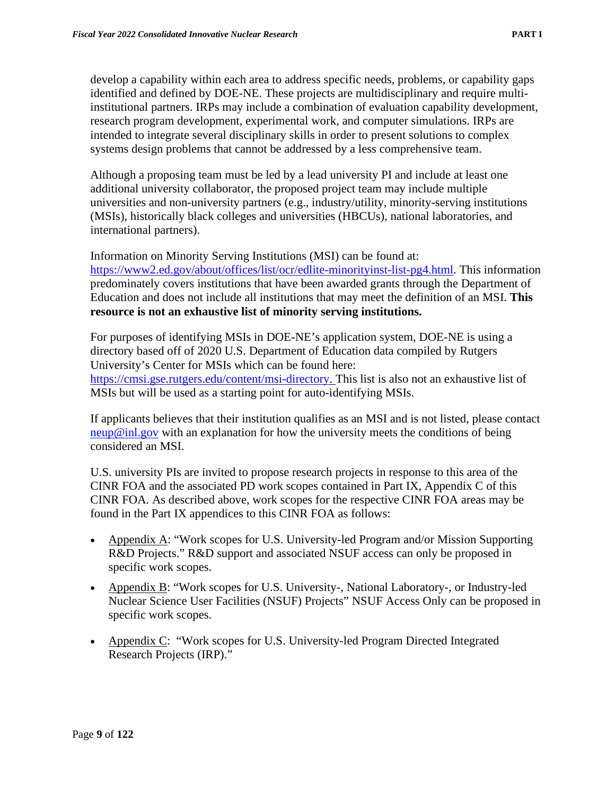develop a capability within each area to address specific needs, problems, or capability gaps identified and defined by DOE-NE. These projects are multidisciplinary and require multiinstitutional partners. IRPs may include a combination of evaluation capability development, research program development, experimental work, and computer simulations. IRPs are intended to integrate several disciplinary skills in order to present solutions to complex systems design problems that cannot be addressed by a less comprehensive team.

Although a proposing team must be led by a lead university PI and include at least one additional university collaborator, the proposed project team may include multiple universities and non-university partners (e.g., industry/utility, minority-serving institutions (MSIs), historically black colleges and universities (HBCUs), national laboratories, and international partners).

Information on Minority Serving Institutions (MSI) can be found at: [https://www2.ed.gov/about/offices/list/ocr/edlite-minorityinst-list-pg4.html.](https://www2.ed.gov/about/offices/list/ocr/edlite-minorityinst-list-pg4.html) This information predominately covers institutions that have been awarded grants through the Department of Education and does not include all institutions that may meet the definition of an MSI. **This resource is not an exhaustive list of minority serving institutions.** 

For purposes of identifying MSIs in DOE-NE's application system, DOE-NE is using a directory based off of 2020 U.S. Department of Education data compiled by Rutgers University's Center for MSIs which can be found here: [https://cmsi.gse.rutgers.edu/content/msi-directory.](https://cmsi.gse.rutgers.edu/content/msi-directory) This list is also not an exhaustive list of MSIs but will be used as a starting point for auto-identifying MSIs.

If applicants believes that their institution qualifies as an MSI and is not listed, please contact [neup@inl.gov](mailto:neup@inl.gov) with an explanation for how the university meets the conditions of being considered an MSI.

U.S. university PIs are invited to propose research projects in response to this area of the CINR FOA and the associated PD work scopes contained in Part IX, Appendix C of this CINR FOA. As described above, work scopes for the respective CINR FOA areas may be found in the Part IX appendices to this CINR FOA as follows:

- Appendix A: "Work scopes for U.S. University-led Program and/or Mission Supporting R&D Projects." R&D support and associated NSUF access can only be proposed in specific work scopes.
- Appendix B: "Work scopes for U.S. University-, National Laboratory-, or Industry-led Nuclear Science User Facilities (NSUF) Projects" NSUF Access Only can be proposed in specific work scopes.
- Appendix C: "Work scopes for U.S. University-led Program Directed Integrated Research Projects (IRP)."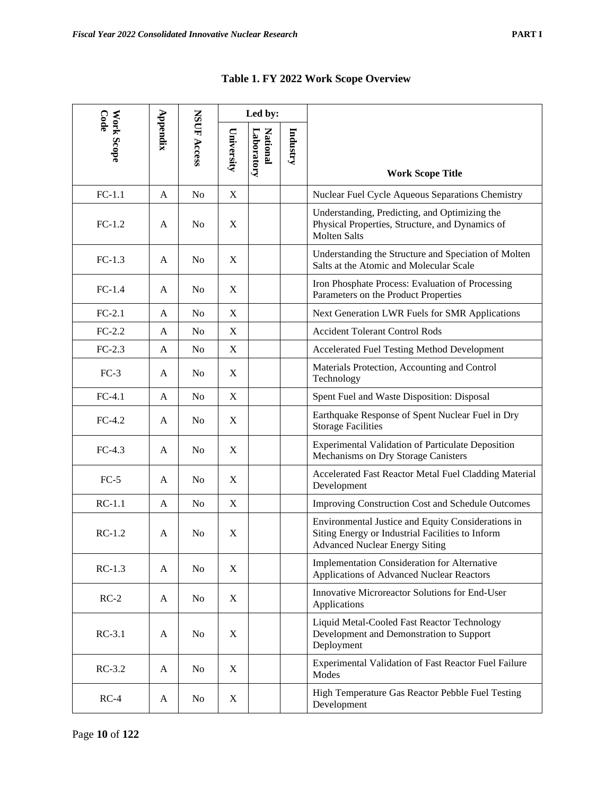| Code       |             |                |                           | Led by:                |          |                                                                                                                                                 |  |
|------------|-------------|----------------|---------------------------|------------------------|----------|-------------------------------------------------------------------------------------------------------------------------------------------------|--|
| Work Scope | $Ap$ pendix | NSUF Access    | University                | Laboratory<br>National | Industry | <b>Work Scope Title</b>                                                                                                                         |  |
| $FC-1.1$   | A           | No             | X                         |                        |          | Nuclear Fuel Cycle Aqueous Separations Chemistry                                                                                                |  |
| $FC-1.2$   | A           | N <sub>0</sub> | X                         |                        |          | Understanding, Predicting, and Optimizing the<br>Physical Properties, Structure, and Dynamics of<br><b>Molten Salts</b>                         |  |
| $FC-1.3$   | A           | N <sub>0</sub> | $\mathbf X$               |                        |          | Understanding the Structure and Speciation of Molten<br>Salts at the Atomic and Molecular Scale                                                 |  |
| $FC-1.4$   | A           | N <sub>0</sub> | X                         |                        |          | Iron Phosphate Process: Evaluation of Processing<br>Parameters on the Product Properties                                                        |  |
| $FC-2.1$   | A           | No             | $\mathbf X$               |                        |          | Next Generation LWR Fuels for SMR Applications                                                                                                  |  |
| $FC-2.2$   | A           | N <sub>0</sub> | $\mathbf X$               |                        |          | <b>Accident Tolerant Control Rods</b>                                                                                                           |  |
| $FC-2.3$   | A           | No             | $\mathbf X$               |                        |          | Accelerated Fuel Testing Method Development                                                                                                     |  |
| $FC-3$     | A           | N <sub>0</sub> | X                         |                        |          | Materials Protection, Accounting and Control<br>Technology                                                                                      |  |
| $FC-4.1$   | A           | No             | X                         |                        |          | Spent Fuel and Waste Disposition: Disposal                                                                                                      |  |
| $FC-4.2$   | A           | No             | X                         |                        |          | Earthquake Response of Spent Nuclear Fuel in Dry<br><b>Storage Facilities</b>                                                                   |  |
| $FC-4.3$   | A           | No             | $\mathbf X$               |                        |          | <b>Experimental Validation of Particulate Deposition</b><br>Mechanisms on Dry Storage Canisters                                                 |  |
| $FC-5$     | A           | No             | X                         |                        |          | Accelerated Fast Reactor Metal Fuel Cladding Material<br>Development                                                                            |  |
| $RC-1.1$   | A           | No             | $\boldsymbol{\mathrm{X}}$ |                        |          | <b>Improving Construction Cost and Schedule Outcomes</b>                                                                                        |  |
| $RC-1.2$   | A           | No             | X                         |                        |          | Environmental Justice and Equity Considerations in<br>Siting Energy or Industrial Facilities to Inform<br><b>Advanced Nuclear Energy Siting</b> |  |
| $RC-1.3$   | A           | N <sub>0</sub> | X                         |                        |          | Implementation Consideration for Alternative<br><b>Applications of Advanced Nuclear Reactors</b>                                                |  |
| $RC-2$     | A           | No             | X                         |                        |          | <b>Innovative Microreactor Solutions for End-User</b><br>Applications                                                                           |  |
| $RC-3.1$   | A           | N <sub>0</sub> | X                         |                        |          | Liquid Metal-Cooled Fast Reactor Technology<br>Development and Demonstration to Support<br>Deployment                                           |  |
| $RC-3.2$   | A           | No             | X                         |                        |          | Experimental Validation of Fast Reactor Fuel Failure<br>Modes                                                                                   |  |
| $RC-4$     | A           | N <sub>0</sub> | X                         |                        |          | High Temperature Gas Reactor Pebble Fuel Testing<br>Development                                                                                 |  |

# **Table 1. FY 2022 Work Scope Overview**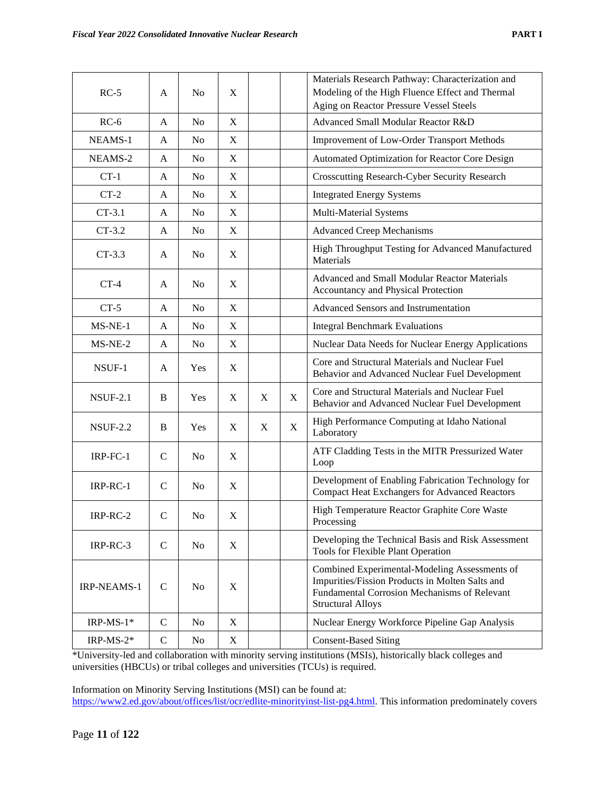|--|--|

| $RC-5$          | A            | N <sub>0</sub> | X                         |   |                                                                                                  | Materials Research Pathway: Characterization and<br>Modeling of the High Fluence Effect and Thermal<br>Aging on Reactor Pressure Vessel Steels                               |  |
|-----------------|--------------|----------------|---------------------------|---|--------------------------------------------------------------------------------------------------|------------------------------------------------------------------------------------------------------------------------------------------------------------------------------|--|
| $RC-6$          | A            | N <sub>0</sub> | X                         |   |                                                                                                  | Advanced Small Modular Reactor R&D                                                                                                                                           |  |
| NEAMS-1         | A            | No             | X                         |   |                                                                                                  | <b>Improvement of Low-Order Transport Methods</b>                                                                                                                            |  |
| NEAMS-2         | A            | No             | $\boldsymbol{\mathrm{X}}$ |   |                                                                                                  | Automated Optimization for Reactor Core Design                                                                                                                               |  |
| $CT-1$          | A            | No             | X                         |   |                                                                                                  | Crosscutting Research-Cyber Security Research                                                                                                                                |  |
| $CT-2$          | A            | No             | $\boldsymbol{\mathrm{X}}$ |   |                                                                                                  | <b>Integrated Energy Systems</b>                                                                                                                                             |  |
| $CT-3.1$        | A            | No             | X                         |   |                                                                                                  | Multi-Material Systems                                                                                                                                                       |  |
| $CT-3.2$        | A            | N <sub>0</sub> | $\boldsymbol{\mathrm{X}}$ |   |                                                                                                  | <b>Advanced Creep Mechanisms</b>                                                                                                                                             |  |
| $CT-3.3$        | A            | N <sub>0</sub> | $\boldsymbol{\mathrm{X}}$ |   |                                                                                                  | High Throughput Testing for Advanced Manufactured<br>Materials                                                                                                               |  |
| $CT-4$          | A            | N <sub>0</sub> | X                         |   |                                                                                                  | Advanced and Small Modular Reactor Materials<br>Accountancy and Physical Protection                                                                                          |  |
| $CT-5$          | A            | N <sub>0</sub> | $\mathbf X$               |   |                                                                                                  | Advanced Sensors and Instrumentation                                                                                                                                         |  |
| $MS-NE-1$       | A            | N <sub>0</sub> | $\mathbf X$               |   |                                                                                                  | <b>Integral Benchmark Evaluations</b>                                                                                                                                        |  |
| $MS-NE-2$       | A            | N <sub>0</sub> | $\boldsymbol{\mathrm{X}}$ |   |                                                                                                  | Nuclear Data Needs for Nuclear Energy Applications                                                                                                                           |  |
| NSUF-1          | A            | Yes            | X                         |   | Core and Structural Materials and Nuclear Fuel<br>Behavior and Advanced Nuclear Fuel Development |                                                                                                                                                                              |  |
| <b>NSUF-2.1</b> | B            | Yes            | X                         | X | X                                                                                                | Core and Structural Materials and Nuclear Fuel<br>Behavior and Advanced Nuclear Fuel Development                                                                             |  |
| <b>NSUF-2.2</b> | B            | Yes            | X                         | X | X                                                                                                | High Performance Computing at Idaho National<br>Laboratory                                                                                                                   |  |
| IRP-FC-1        | $\mathsf{C}$ | N <sub>0</sub> | X                         |   |                                                                                                  | ATF Cladding Tests in the MITR Pressurized Water<br>Loop                                                                                                                     |  |
| IRP-RC-1        | $\mathsf{C}$ | N <sub>0</sub> | X                         |   |                                                                                                  | Development of Enabling Fabrication Technology for<br><b>Compact Heat Exchangers for Advanced Reactors</b>                                                                   |  |
| IRP-RC-2        | $\mathsf{C}$ | No             | $\mathbf X$               |   |                                                                                                  | High Temperature Reactor Graphite Core Waste<br>Processing                                                                                                                   |  |
| IRP-RC-3        | $\mathbf C$  | No             | $\mathbf X$               |   |                                                                                                  | Developing the Technical Basis and Risk Assessment<br>Tools for Flexible Plant Operation                                                                                     |  |
| IRP-NEAMS-1     | $\mathbf C$  | N <sub>0</sub> | X                         |   |                                                                                                  | Combined Experimental-Modeling Assessments of<br>Impurities/Fission Products in Molten Salts and<br>Fundamental Corrosion Mechanisms of Relevant<br><b>Structural Alloys</b> |  |
| IRP-MS- $1*$    | $\mathsf{C}$ | No             | X                         |   |                                                                                                  | Nuclear Energy Workforce Pipeline Gap Analysis                                                                                                                               |  |
| IRP-MS- $2*$    | $\mathsf{C}$ | No             | X                         |   |                                                                                                  | <b>Consent-Based Siting</b>                                                                                                                                                  |  |

\*University-led and collaboration with minority serving institutions (MSIs), historically black colleges and universities (HBCUs) or tribal colleges and universities (TCUs) is required.

Information on Minority Serving Institutions (MSI) can be found at:

[https://www2.ed.gov/about/offices/list/ocr/edlite-minorityinst-list-pg4.html.](https://www2.ed.gov/about/offices/list/ocr/edlite-minorityinst-list-pg4.html) This information predominately covers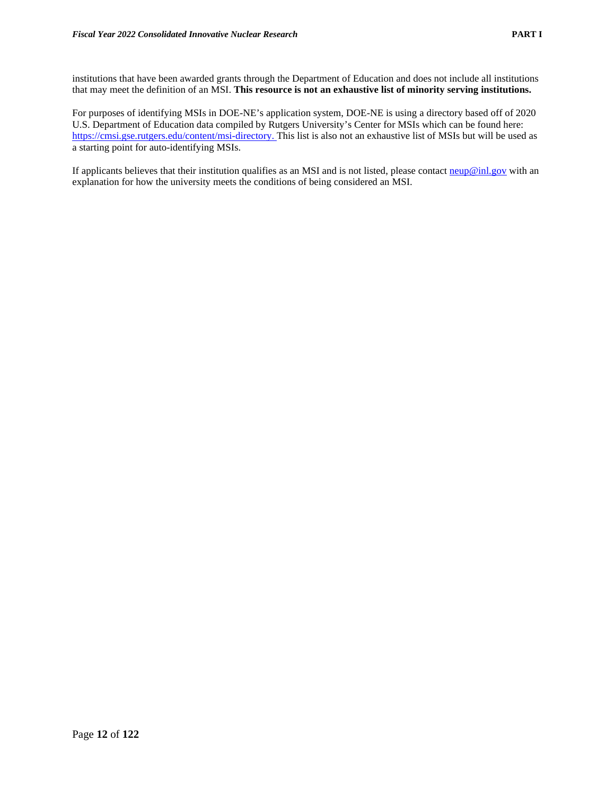institutions that have been awarded grants through the Department of Education and does not include all institutions that may meet the definition of an MSI. **This resource is not an exhaustive list of minority serving institutions.**

For purposes of identifying MSIs in DOE-NE's application system, DOE-NE is using a directory based off of 2020 U.S. Department of Education data compiled by Rutgers University's Center for MSIs which can be found here: [https://cmsi.gse.rutgers.edu/content/msi-directory.](https://cmsi.gse.rutgers.edu/content/msi-directory) This list is also not an exhaustive list of MSIs but will be used as a starting point for auto-identifying MSIs.

If applicants believes that their institution qualifies as an MSI and is not listed, please contact  $\frac{neup@inl.gov}{neum.gov}$  with an explanation for how the university meets the conditions of being considered an MSI.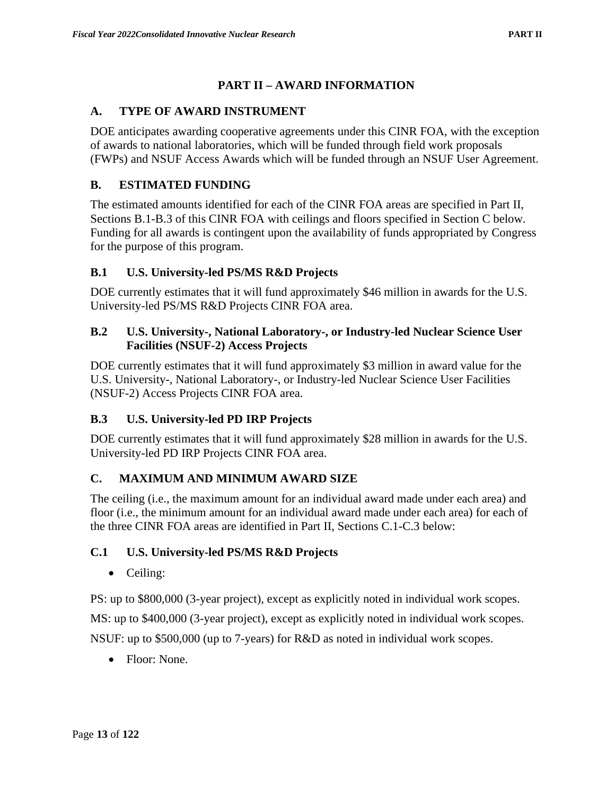# **PART II – AWARD INFORMATION**

### <span id="page-23-1"></span><span id="page-23-0"></span>**A. TYPE OF AWARD INSTRUMENT**

DOE anticipates awarding cooperative agreements under this CINR FOA, with the exception of awards to national laboratories, which will be funded through field work proposals (FWPs) and NSUF Access Awards which will be funded through an NSUF User Agreement.

### <span id="page-23-2"></span>**B. ESTIMATED FUNDING**

The estimated amounts identified for each of the CINR FOA areas are specified in Part II, Sections B.1-B.3 of this CINR FOA with ceilings and floors specified in Section C below. Funding for all awards is contingent upon the availability of funds appropriated by Congress for the purpose of this program.

### <span id="page-23-3"></span>**B.1 U.S. University-led PS/MS R&D Projects**

DOE currently estimates that it will fund approximately \$46 million in awards for the U.S. University-led PS/MS R&D Projects CINR FOA area.

#### <span id="page-23-4"></span>**B.2 U.S. University-, National Laboratory-, or Industry-led Nuclear Science User Facilities (NSUF-2) Access Projects**

DOE currently estimates that it will fund approximately \$3 million in award value for the U.S. University-, National Laboratory-, or Industry-led Nuclear Science User Facilities (NSUF-2) Access Projects CINR FOA area.

### <span id="page-23-5"></span>**B.3 U.S. University-led PD IRP Projects**

DOE currently estimates that it will fund approximately \$28 million in awards for the U.S. University-led PD IRP Projects CINR FOA area.

### <span id="page-23-6"></span>**C. MAXIMUM AND MINIMUM AWARD SIZE**

The ceiling (i.e., the maximum amount for an individual award made under each area) and floor (i.e., the minimum amount for an individual award made under each area) for each of the three CINR FOA areas are identified in Part II, Sections C.1-C.3 below:

### <span id="page-23-7"></span>**C.1 U.S. University-led PS/MS R&D Projects**

• Ceiling:

PS: up to \$800,000 (3-year project), except as explicitly noted in individual work scopes.

MS: up to \$400,000 (3-year project), except as explicitly noted in individual work scopes.

NSUF: up to \$500,000 (up to 7-years) for R&D as noted in individual work scopes.

• Floor: None.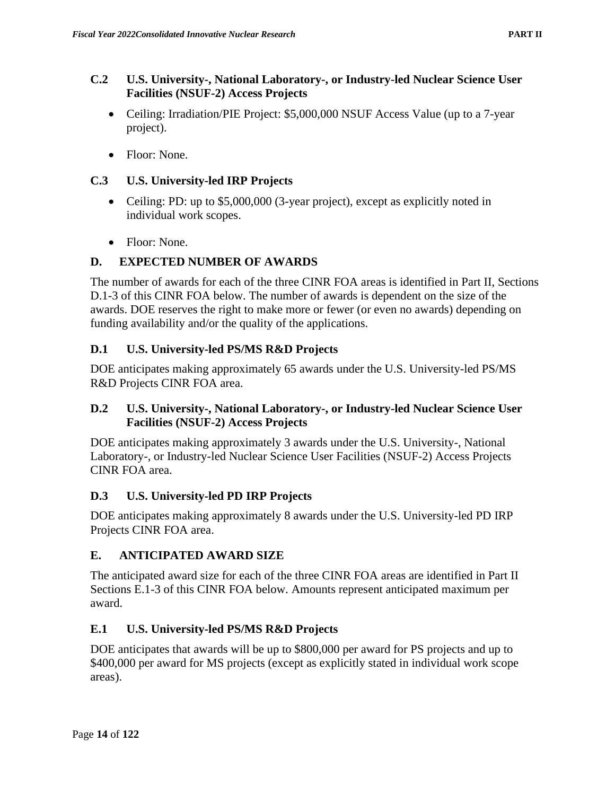### <span id="page-24-0"></span>**C.2 U.S. University-, National Laboratory-, or Industry-led Nuclear Science User Facilities (NSUF-2) Access Projects**

- Ceiling: Irradiation/PIE Project: \$5,000,000 NSUF Access Value (up to a 7-year project).
- Floor: None.

### <span id="page-24-1"></span>**C.3 U.S. University-led IRP Projects**

- Ceiling: PD: up to \$5,000,000 (3-year project), except as explicitly noted in individual work scopes.
- Floor: None.

# <span id="page-24-2"></span>**D. EXPECTED NUMBER OF AWARDS**

The number of awards for each of the three CINR FOA areas is identified in Part II, Sections D.1-3 of this CINR FOA below. The number of awards is dependent on the size of the awards. DOE reserves the right to make more or fewer (or even no awards) depending on funding availability and/or the quality of the applications.

# <span id="page-24-3"></span>**D.1 U.S. University-led PS/MS R&D Projects**

DOE anticipates making approximately 65 awards under the U.S. University-led PS/MS R&D Projects CINR FOA area.

### <span id="page-24-4"></span>**D.2 U.S. University-, National Laboratory-, or Industry-led Nuclear Science User Facilities (NSUF-2) Access Projects**

DOE anticipates making approximately 3 awards under the U.S. University-, National Laboratory-, or Industry-led Nuclear Science User Facilities (NSUF-2) Access Projects CINR FOA area.

### <span id="page-24-5"></span>**D.3 U.S. University-led PD IRP Projects**

DOE anticipates making approximately 8 awards under the U.S. University-led PD IRP Projects CINR FOA area.

### <span id="page-24-6"></span>**E. ANTICIPATED AWARD SIZE**

The anticipated award size for each of the three CINR FOA areas are identified in Part II Sections E.1-3 of this CINR FOA below. Amounts represent anticipated maximum per award.

### <span id="page-24-7"></span>**E.1 U.S. University-led PS/MS R&D Projects**

DOE anticipates that awards will be up to \$800,000 per award for PS projects and up to \$400,000 per award for MS projects (except as explicitly stated in individual work scope areas).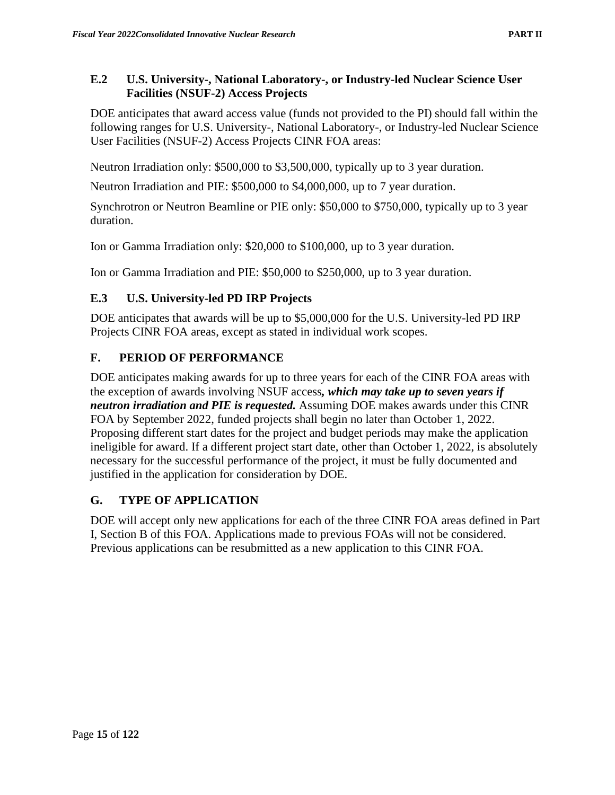<span id="page-25-0"></span>DOE anticipates that award access value (funds not provided to the PI) should fall within the following ranges for U.S. University-, National Laboratory-, or Industry-led Nuclear Science User Facilities (NSUF-2) Access Projects CINR FOA areas:

Neutron Irradiation only: \$500,000 to \$3,500,000, typically up to 3 year duration.

Neutron Irradiation and PIE: \$500,000 to \$4,000,000, up to 7 year duration.

Synchrotron or Neutron Beamline or PIE only: \$50,000 to \$750,000, typically up to 3 year duration.

Ion or Gamma Irradiation only: \$20,000 to \$100,000, up to 3 year duration.

Ion or Gamma Irradiation and PIE: \$50,000 to \$250,000, up to 3 year duration.

# <span id="page-25-1"></span>**E.3 U.S. University-led PD IRP Projects**

DOE anticipates that awards will be up to \$5,000,000 for the U.S. University-led PD IRP Projects CINR FOA areas, except as stated in individual work scopes.

# <span id="page-25-2"></span>**F. PERIOD OF PERFORMANCE**

DOE anticipates making awards for up to three years for each of the CINR FOA areas with the exception of awards involving NSUF access*, which may take up to seven years if neutron irradiation and PIE is requested.* Assuming DOE makes awards under this CINR FOA by September 2022, funded projects shall begin no later than October 1, 2022. Proposing different start dates for the project and budget periods may make the application ineligible for award. If a different project start date, other than October 1, 2022, is absolutely necessary for the successful performance of the project, it must be fully documented and justified in the application for consideration by DOE.

### <span id="page-25-3"></span>**G. TYPE OF APPLICATION**

DOE will accept only new applications for each of the three CINR FOA areas defined in Part I, Section B of this FOA. Applications made to previous FOAs will not be considered. Previous applications can be resubmitted as a new application to this CINR FOA.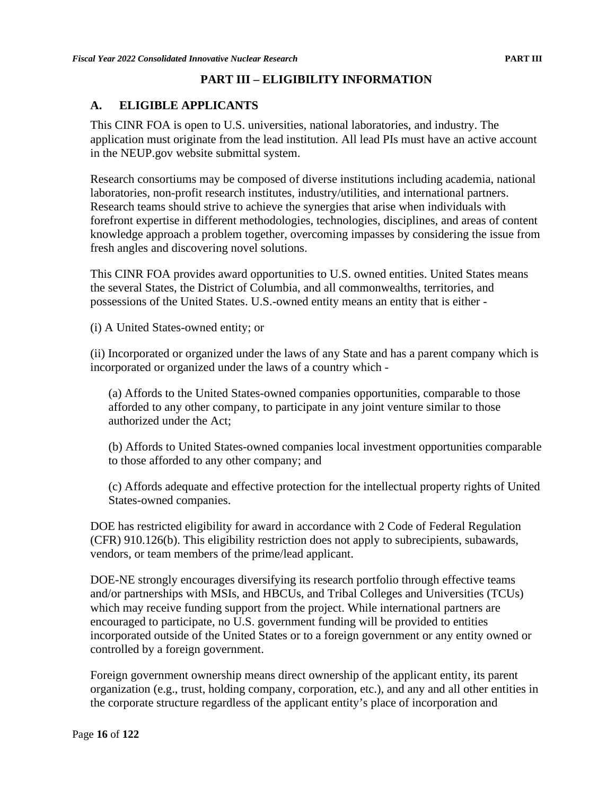### **PART III – ELIGIBILITY INFORMATION**

### <span id="page-26-1"></span><span id="page-26-0"></span>**A. ELIGIBLE APPLICANTS**

This CINR FOA is open to U.S. universities, national laboratories, and industry. The application must originate from the lead institution. All lead PIs must have an active account in the NEUP.gov website submittal system.

Research consortiums may be composed of diverse institutions including academia, national laboratories, non-profit research institutes, industry/utilities, and international partners. Research teams should strive to achieve the synergies that arise when individuals with forefront expertise in different methodologies, technologies, disciplines, and areas of content knowledge approach a problem together, overcoming impasses by considering the issue from fresh angles and discovering novel solutions.

This CINR FOA provides award opportunities to U.S. owned entities. United States means the several States, the District of Columbia, and all commonwealths, territories, and possessions of the United States. U.S.-owned entity means an entity that is either -

(i) A United States-owned entity; or

(ii) Incorporated or organized under the laws of any State and has a parent company which is incorporated or organized under the laws of a country which -

(a) Affords to the United States-owned companies opportunities, comparable to those afforded to any other company, to participate in any joint venture similar to those authorized under the Act;

(b) Affords to United States-owned companies local investment opportunities comparable to those afforded to any other company; and

(c) Affords adequate and effective protection for the intellectual property rights of United States-owned companies.

DOE has restricted eligibility for award in accordance with 2 Code of Federal Regulation (CFR) 910.126(b). This eligibility restriction does not apply to subrecipients, subawards, vendors, or team members of the prime/lead applicant.

DOE-NE strongly encourages diversifying its research portfolio through effective teams and/or partnerships with MSIs, and HBCUs, and Tribal Colleges and Universities (TCUs) which may receive funding support from the project. While international partners are encouraged to participate, no U.S. government funding will be provided to entities incorporated outside of the United States or to a foreign government or any entity owned or controlled by a foreign government.

Foreign government ownership means direct ownership of the applicant entity, its parent organization (e.g., trust, holding company, corporation, etc.), and any and all other entities in the corporate structure regardless of the applicant entity's place of incorporation and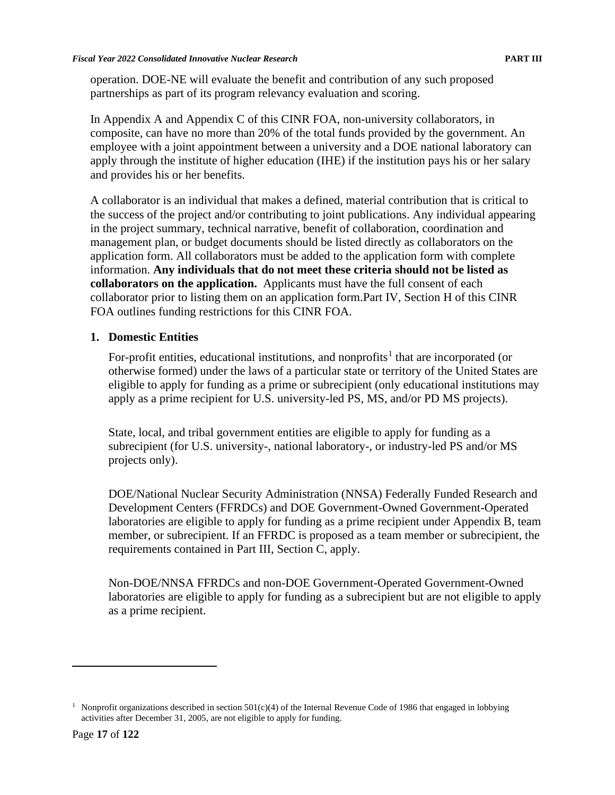operation. DOE-NE will evaluate the benefit and contribution of any such proposed partnerships as part of its program relevancy evaluation and scoring.

In Appendix A and Appendix C of this CINR FOA, non-university collaborators, in composite, can have no more than 20% of the total funds provided by the government. An employee with a joint appointment between a university and a DOE national laboratory can apply through the institute of higher education (IHE) if the institution pays his or her salary and provides his or her benefits.

A collaborator is an individual that makes a defined, material contribution that is critical to the success of the project and/or contributing to joint publications. Any individual appearing in the project summary, technical narrative, benefit of collaboration, coordination and management plan, or budget documents should be listed directly as collaborators on the application form. All collaborators must be added to the application form with complete information. **Any individuals that do not meet these criteria should not be listed as collaborators on the application.** Applicants must have the full consent of each collaborator prior to listing them on an application form.Part IV, Section H of this CINR FOA outlines funding restrictions for this CINR FOA.

### **1. Domestic Entities**

For-profit entities, educational institutions, and nonprofits<sup>[1](#page-27-0)</sup> that are incorporated (or otherwise formed) under the laws of a particular state or territory of the United States are eligible to apply for funding as a prime or subrecipient (only educational institutions may apply as a prime recipient for U.S. university-led PS, MS, and/or PD MS projects).

State, local, and tribal government entities are eligible to apply for funding as a subrecipient (for U.S. university-, national laboratory-, or industry-led PS and/or MS projects only).

DOE/National Nuclear Security Administration (NNSA) Federally Funded Research and Development Centers (FFRDCs) and DOE Government-Owned Government-Operated laboratories are eligible to apply for funding as a prime recipient under Appendix B, team member, or subrecipient. If an FFRDC is proposed as a team member or subrecipient, the requirements contained in Part III, Section C, apply.

Non-DOE/NNSA FFRDCs and non-DOE Government-Operated Government-Owned laboratories are eligible to apply for funding as a subrecipient but are not eligible to apply as a prime recipient.

<span id="page-27-0"></span><sup>&</sup>lt;sup>1</sup> Nonprofit organizations described in section  $501(c)(4)$  of the Internal Revenue Code of 1986 that engaged in lobbying activities after December 31, 2005, are not eligible to apply for funding.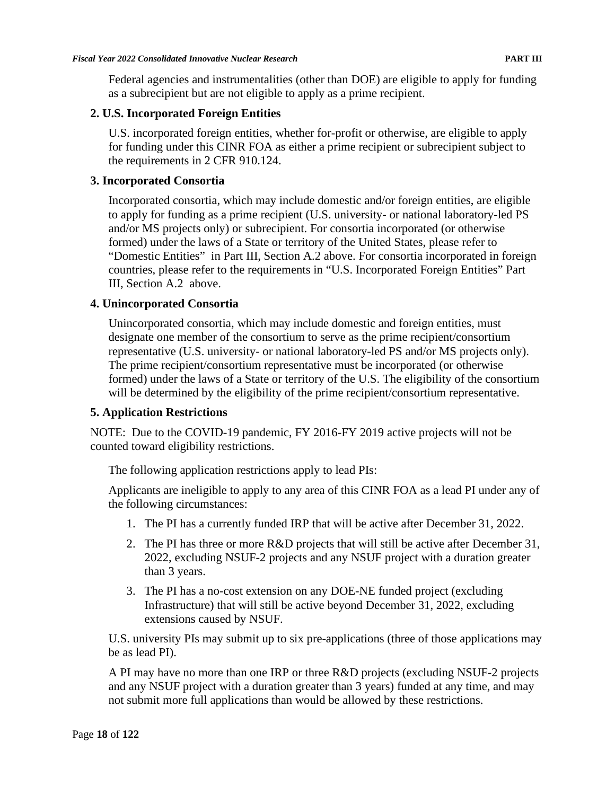Federal agencies and instrumentalities (other than DOE) are eligible to apply for funding as a subrecipient but are not eligible to apply as a prime recipient.

### **2. U.S. Incorporated Foreign Entities**

U.S. incorporated foreign entities, whether for-profit or otherwise, are eligible to apply for funding under this CINR FOA as either a prime recipient or subrecipient subject to the requirements in 2 CFR 910.124.

### **3. Incorporated Consortia**

Incorporated consortia, which may include domestic and/or foreign entities, are eligible to apply for funding as a prime recipient (U.S. university- or national laboratory-led PS and/or MS projects only) or subrecipient. For consortia incorporated (or otherwise formed) under the laws of a State or territory of the United States, please refer to "Domestic Entities" in Part III, Section A.2 above. For consortia incorporated in foreign countries, please refer to the requirements in "U.S. Incorporated Foreign Entities" Part III, Section A.2 above.

#### **4. Unincorporated Consortia**

Unincorporated consortia, which may include domestic and foreign entities, must designate one member of the consortium to serve as the prime recipient/consortium representative (U.S. university- or national laboratory-led PS and/or MS projects only). The prime recipient/consortium representative must be incorporated (or otherwise formed) under the laws of a State or territory of the U.S. The eligibility of the consortium will be determined by the eligibility of the prime recipient/consortium representative.

### **5. Application Restrictions**

NOTE: Due to the COVID-19 pandemic, FY 2016-FY 2019 active projects will not be counted toward eligibility restrictions.

The following application restrictions apply to lead PIs:

Applicants are ineligible to apply to any area of this CINR FOA as a lead PI under any of the following circumstances:

- 1. The PI has a currently funded IRP that will be active after December 31, 2022.
- 2. The PI has three or more R&D projects that will still be active after December 31, 2022, excluding NSUF-2 projects and any NSUF project with a duration greater than 3 years.
- 3. The PI has a no-cost extension on any DOE-NE funded project (excluding Infrastructure) that will still be active beyond December 31, 2022, excluding extensions caused by NSUF.

U.S. university PIs may submit up to six pre-applications (three of those applications may be as lead PI).

A PI may have no more than one IRP or three R&D projects (excluding NSUF-2 projects and any NSUF project with a duration greater than 3 years) funded at any time, and may not submit more full applications than would be allowed by these restrictions.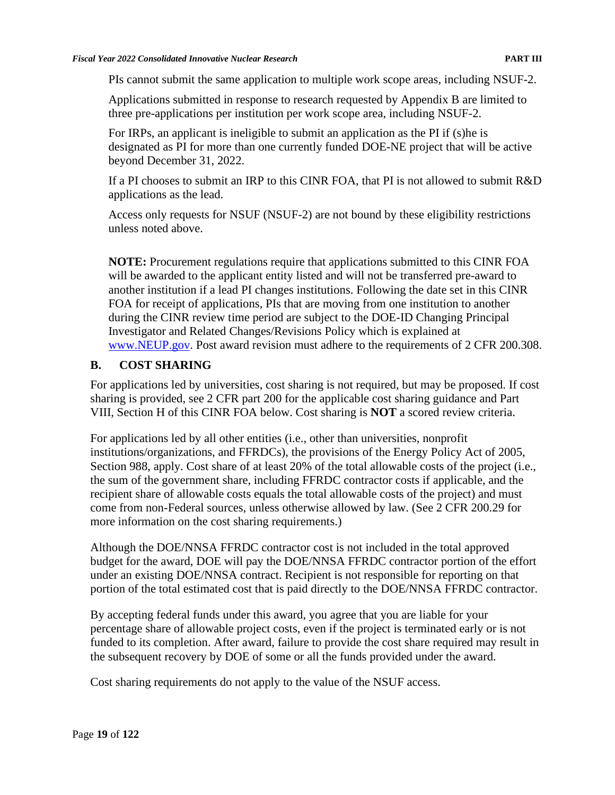PIs cannot submit the same application to multiple work scope areas, including NSUF-2.

Applications submitted in response to research requested by Appendix B are limited to three pre-applications per institution per work scope area, including NSUF-2.

For IRPs, an applicant is ineligible to submit an application as the PI if (s)he is designated as PI for more than one currently funded DOE-NE project that will be active beyond December 31, 2022.

If a PI chooses to submit an IRP to this CINR FOA, that PI is not allowed to submit R&D applications as the lead.

Access only requests for NSUF (NSUF-2) are not bound by these eligibility restrictions unless noted above.

**NOTE:** Procurement regulations require that applications submitted to this CINR FOA will be awarded to the applicant entity listed and will not be transferred pre-award to another institution if a lead PI changes institutions. Following the date set in this CINR FOA for receipt of applications, PIs that are moving from one institution to another during the CINR review time period are subject to the DOE-ID Changing Principal Investigator and Related Changes/Revisions Policy which is explained at [www.NEUP.gov.](https://neup.inl.gov/SitePages/Principal%20Investigators.aspx) Post award revision must adhere to the requirements of 2 CFR 200.308.

#### <span id="page-29-0"></span>**B. COST SHARING**

For applications led by universities, cost sharing is not required, but may be proposed. If cost sharing is provided, see 2 CFR part 200 for the applicable cost sharing guidance and Part VIII, Section H of this CINR FOA below. Cost sharing is **NOT** a scored review criteria.

For applications led by all other entities (i.e., other than universities, nonprofit institutions/organizations, and FFRDCs), the provisions of the Energy Policy Act of 2005, Section 988, apply. Cost share of at least 20% of the total allowable costs of the project (i.e., the sum of the government share, including FFRDC contractor costs if applicable, and the recipient share of allowable costs equals the total allowable costs of the project) and must come from non-Federal sources, unless otherwise allowed by law. (See 2 CFR 200.29 for more information on the cost sharing requirements.)

Although the DOE/NNSA FFRDC contractor cost is not included in the total approved budget for the award, DOE will pay the DOE/NNSA FFRDC contractor portion of the effort under an existing DOE/NNSA contract. Recipient is not responsible for reporting on that portion of the total estimated cost that is paid directly to the DOE/NNSA FFRDC contractor.

By accepting federal funds under this award, you agree that you are liable for your percentage share of allowable project costs, even if the project is terminated early or is not funded to its completion. After award, failure to provide the cost share required may result in the subsequent recovery by DOE of some or all the funds provided under the award.

Cost sharing requirements do not apply to the value of the NSUF access.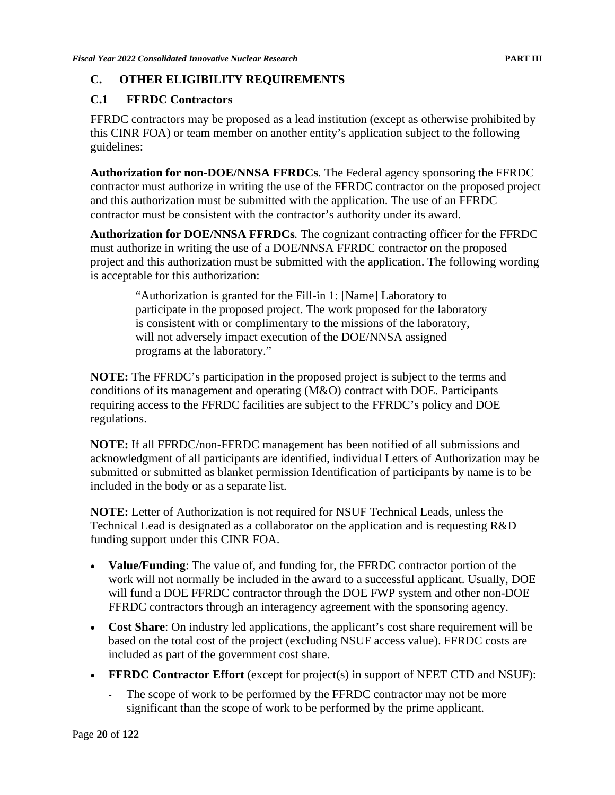### <span id="page-30-0"></span>**C. OTHER ELIGIBILITY REQUIREMENTS**

### <span id="page-30-1"></span>**C.1 FFRDC Contractors**

FFRDC contractors may be proposed as a lead institution (except as otherwise prohibited by this CINR FOA) or team member on another entity's application subject to the following guidelines:

**Authorization for non-DOE/NNSA FFRDCs***.* The Federal agency sponsoring the FFRDC contractor must authorize in writing the use of the FFRDC contractor on the proposed project and this authorization must be submitted with the application. The use of an FFRDC contractor must be consistent with the contractor's authority under its award.

**Authorization for DOE/NNSA FFRDCs***.* The cognizant contracting officer for the FFRDC must authorize in writing the use of a DOE/NNSA FFRDC contractor on the proposed project and this authorization must be submitted with the application. The following wording is acceptable for this authorization:

"Authorization is granted for the Fill-in 1: [Name] Laboratory to participate in the proposed project. The work proposed for the laboratory is consistent with or complimentary to the missions of the laboratory, will not adversely impact execution of the DOE/NNSA assigned programs at the laboratory."

**NOTE:** The FFRDC's participation in the proposed project is subject to the terms and conditions of its management and operating (M&O) contract with DOE. Participants requiring access to the FFRDC facilities are subject to the FFRDC's policy and DOE regulations.

**NOTE:** If all FFRDC/non-FFRDC management has been notified of all submissions and acknowledgment of all participants are identified, individual Letters of Authorization may be submitted or submitted as blanket permission Identification of participants by name is to be included in the body or as a separate list.

**NOTE:** Letter of Authorization is not required for NSUF Technical Leads, unless the Technical Lead is designated as a collaborator on the application and is requesting R&D funding support under this CINR FOA.

- **Value/Funding**: The value of, and funding for, the FFRDC contractor portion of the work will not normally be included in the award to a successful applicant. Usually, DOE will fund a DOE FFRDC contractor through the DOE FWP system and other non-DOE FFRDC contractors through an interagency agreement with the sponsoring agency.
- **Cost Share**: On industry led applications, the applicant's cost share requirement will be based on the total cost of the project (excluding NSUF access value). FFRDC costs are included as part of the government cost share.
- **FFRDC Contractor Effort** (except for project(s) in support of NEET CTD and NSUF):
	- The scope of work to be performed by the FFRDC contractor may not be more significant than the scope of work to be performed by the prime applicant.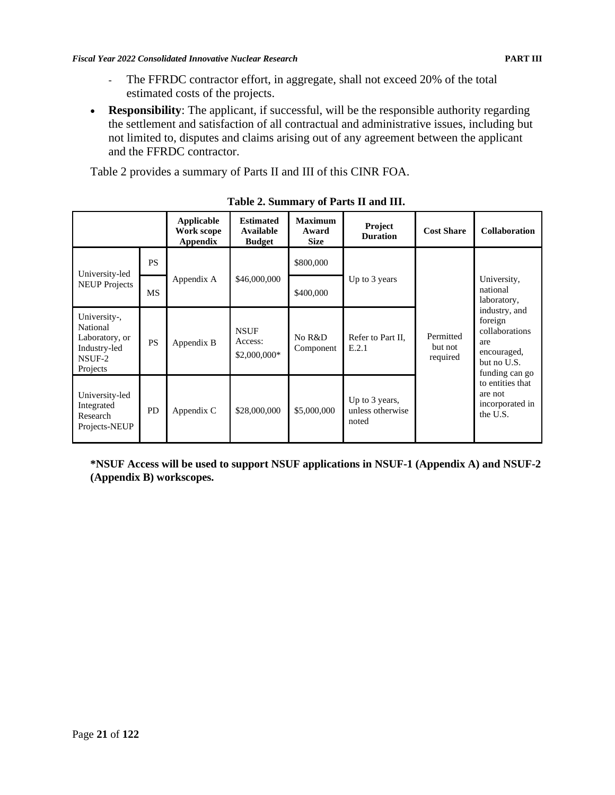- The FFRDC contractor effort, in aggregate, shall not exceed 20% of the total estimated costs of the projects.
- **Responsibility**: The applicant, if successful, will be the responsible authority regarding the settlement and satisfaction of all contractual and administrative issues, including but not limited to, disputes and claims arising out of any agreement between the applicant and the FFRDC contractor.

Table 2 provides a summary of Parts II and III of this CINR FOA.

|                                                                                  |           | Applicable<br>Work scope<br>Appendix | <b>Estimated</b><br>Available<br><b>Budget</b> | <b>Maximum</b><br>Award<br><b>Size</b> | Project<br><b>Duration</b>                  | <b>Cost Share</b>                | <b>Collaboration</b>                                                                                                                                                                                      |
|----------------------------------------------------------------------------------|-----------|--------------------------------------|------------------------------------------------|----------------------------------------|---------------------------------------------|----------------------------------|-----------------------------------------------------------------------------------------------------------------------------------------------------------------------------------------------------------|
| University-led                                                                   | <b>PS</b> |                                      | \$46,000,000                                   | \$800,000                              | Up to 3 years                               |                                  | University,<br>national<br>laboratory,<br>industry, and<br>foreign<br>collaborations<br>are<br>encouraged,<br>but no U.S.<br>funding can go<br>to entities that<br>are not<br>incorporated in<br>the U.S. |
| <b>NEUP Projects</b>                                                             | MS        | Appendix A                           |                                                | \$400,000                              |                                             |                                  |                                                                                                                                                                                                           |
| University-,<br>National<br>Laboratory, or<br>Industry-led<br>NSUF-2<br>Projects | <b>PS</b> | Appendix B                           | <b>NSUF</b><br>Access:<br>\$2,000,000*         | No R&D<br>Component                    | Refer to Part II.<br>E.2.1                  | Permitted<br>but not<br>required |                                                                                                                                                                                                           |
| University-led<br>Integrated<br>Research<br>Projects-NEUP                        | <b>PD</b> | Appendix C                           | \$28,000,000                                   | \$5,000,000                            | Up to 3 years,<br>unless otherwise<br>noted |                                  |                                                                                                                                                                                                           |

**Table 2. Summary of Parts II and III.**

**\*NSUF Access will be used to support NSUF applications in NSUF-1 (Appendix A) and NSUF-2 (Appendix B) workscopes.**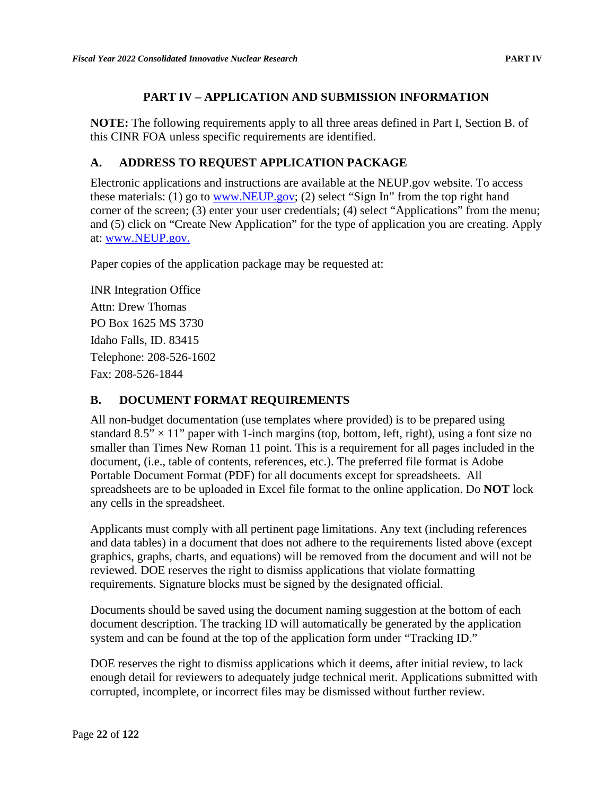### **PART IV – APPLICATION AND SUBMISSION INFORMATION**

<span id="page-32-0"></span>**NOTE:** The following requirements apply to all three areas defined in Part I, Section B. of this CINR FOA unless specific requirements are identified.

### <span id="page-32-1"></span>**A. ADDRESS TO REQUEST APPLICATION PACKAGE**

Electronic applications and instructions are available at the NEUP.gov website. To access these materials: (1) go to [www.NEUP.gov;](http://www.neup.gov/) (2) select "Sign In" from the top right hand corner of the screen; (3) enter your user credentials; (4) select "Applications" from the menu; and (5) click on "Create New Application" for the type of application you are creating. Apply at: [www.NEUP.gov.](http://www.neup.gov/)

Paper copies of the application package may be requested at:

INR Integration Office Attn: Drew Thomas PO Box 1625 MS 3730 Idaho Falls, ID. 83415 Telephone: 208-526-1602 Fax: 208-526-1844

#### <span id="page-32-2"></span>**B. DOCUMENT FORMAT REQUIREMENTS**

All non-budget documentation (use templates where provided) is to be prepared using standard  $8.5" \times 11"$  paper with 1-inch margins (top, bottom, left, right), using a font size no smaller than Times New Roman 11 point. This is a requirement for all pages included in the document, (i.e., table of contents, references, etc.). The preferred file format is Adobe Portable Document Format (PDF) for all documents except for spreadsheets. All spreadsheets are to be uploaded in Excel file format to the online application. Do **NOT** lock any cells in the spreadsheet.

Applicants must comply with all pertinent page limitations. Any text (including references and data tables) in a document that does not adhere to the requirements listed above (except graphics, graphs, charts, and equations) will be removed from the document and will not be reviewed. DOE reserves the right to dismiss applications that violate formatting requirements. Signature blocks must be signed by the designated official.

Documents should be saved using the document naming suggestion at the bottom of each document description. The tracking ID will automatically be generated by the application system and can be found at the top of the application form under "Tracking ID."

DOE reserves the right to dismiss applications which it deems, after initial review, to lack enough detail for reviewers to adequately judge technical merit. Applications submitted with corrupted, incomplete, or incorrect files may be dismissed without further review.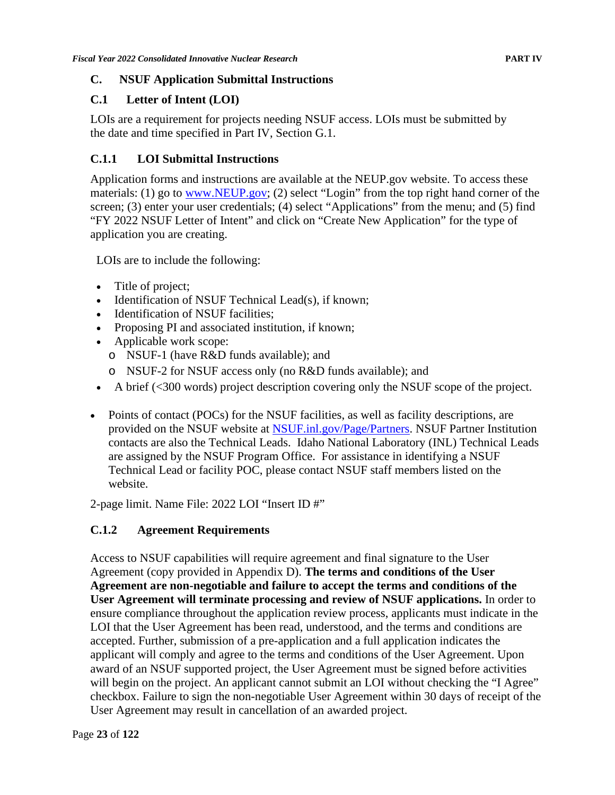### <span id="page-33-0"></span>**C. NSUF Application Submittal Instructions**

### <span id="page-33-1"></span>**C.1 Letter of Intent (LOI)**

LOIs are a requirement for projects needing NSUF access. LOIs must be submitted by the date and time specified in Part IV, Section G.1.

# <span id="page-33-2"></span>**C.1.1 LOI Submittal Instructions**

Application forms and instructions are available at the NEUP.gov website. To access these materials: (1) go to [www.NEUP.gov;](http://www.neup.gov/) (2) select "Login" from the top right hand corner of the screen; (3) enter your user credentials; (4) select "Applications" from the menu; and (5) find "FY 2022 NSUF Letter of Intent" and click on "Create New Application" for the type of application you are creating.

LOIs are to include the following:

- Title of project;
- Identification of NSUF Technical Lead(s), if known;
- Identification of NSUF facilities;
- Proposing PI and associated institution, if known;
- Applicable work scope:
	- o NSUF-1 (have R&D funds available); and
	- o NSUF-2 for NSUF access only (no R&D funds available); and
- A brief (<300 words) project description covering only the NSUF scope of the project.
- Points of contact (POCs) for the NSUF facilities, as well as facility descriptions, are provided on the NSUF website at [NSUF.inl.gov/Page/Partners.](https://nsuf.inl.gov/Page/Partners) NSUF Partner Institution contacts are also the Technical Leads. Idaho National Laboratory (INL) Technical Leads are assigned by the NSUF Program Office. For assistance in identifying a NSUF Technical Lead or facility POC, please contact NSUF staff members listed on the website.

2-page limit. Name File: 2022 LOI "Insert ID #"

# <span id="page-33-3"></span>**C.1.2 Agreement Requirements**

Access to NSUF capabilities will require agreement and final signature to the User Agreement (copy provided in Appendix D). **The terms and conditions of the User Agreement are non-negotiable and failure to accept the terms and conditions of the User Agreement will terminate processing and review of NSUF applications.** In order to ensure compliance throughout the application review process, applicants must indicate in the LOI that the User Agreement has been read, understood, and the terms and conditions are accepted. Further, submission of a pre-application and a full application indicates the applicant will comply and agree to the terms and conditions of the User Agreement. Upon award of an NSUF supported project, the User Agreement must be signed before activities will begin on the project. An applicant cannot submit an LOI without checking the "I Agree" checkbox. Failure to sign the non-negotiable User Agreement within 30 days of receipt of the User Agreement may result in cancellation of an awarded project.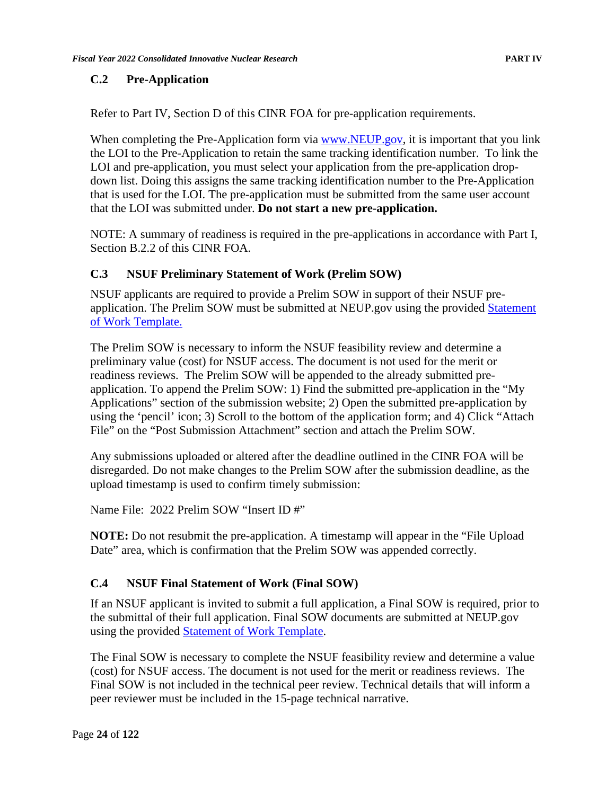#### <span id="page-34-0"></span>**C.2 Pre-Application**

Refer to Part IV, Section D of this CINR FOA for pre-application requirements.

When completing the Pre-Application form via [www.NEUP.gov,](http://www.neup.gov/) it is important that you link the LOI to the Pre-Application to retain the same tracking identification number. To link the LOI and pre-application, you must select your application from the pre-application dropdown list. Doing this assigns the same tracking identification number to the Pre-Application that is used for the LOI. The pre-application must be submitted from the same user account that the LOI was submitted under. **Do not start a new pre-application.**

NOTE: A summary of readiness is required in the pre-applications in accordance with Part I, Section B.2.2 of this CINR FOA.

#### <span id="page-34-1"></span>**C.3 NSUF Preliminary Statement of Work (Prelim SOW)**

NSUF applicants are required to provide a Prelim SOW in support of their NSUF preapplication. The Prelim SOW must be submitted at NEUP.gov using the provided Statement [of Work Template.](https://neup.inl.gov/SiteAssets/General%20Documents/Full_App_Documents/SOW%20Template%20FY22%20R8.docx)

The Prelim SOW is necessary to inform the NSUF feasibility review and determine a preliminary value (cost) for NSUF access. The document is not used for the merit or readiness reviews. The Prelim SOW will be appended to the already submitted preapplication. To append the Prelim SOW: 1) Find the submitted pre-application in the "My Applications" section of the submission website; 2) Open the submitted pre-application by using the 'pencil' icon; 3) Scroll to the bottom of the application form; and 4) Click "Attach File" on the "Post Submission Attachment" section and attach the Prelim SOW.

Any submissions uploaded or altered after the deadline outlined in the CINR FOA will be disregarded. Do not make changes to the Prelim SOW after the submission deadline, as the upload timestamp is used to confirm timely submission:

Name File: 2022 Prelim SOW "Insert ID #"

**NOTE:** Do not resubmit the pre-application. A timestamp will appear in the "File Upload Date" area, which is confirmation that the Prelim SOW was appended correctly.

### <span id="page-34-2"></span>**C.4 NSUF Final Statement of Work (Final SOW)**

If an NSUF applicant is invited to submit a full application, a Final SOW is required, prior to the submittal of their full application. Final SOW documents are submitted at NEUP.gov using the provided [Statement of Work Template.](https://neup.inl.gov/SiteAssets/General%20Documents/Full_App_Documents/SOW%20Template%20FY22%20R8.docx)

The Final SOW is necessary to complete the NSUF feasibility review and determine a value (cost) for NSUF access. The document is not used for the merit or readiness reviews. The Final SOW is not included in the technical peer review. Technical details that will inform a peer reviewer must be included in the 15-page technical narrative.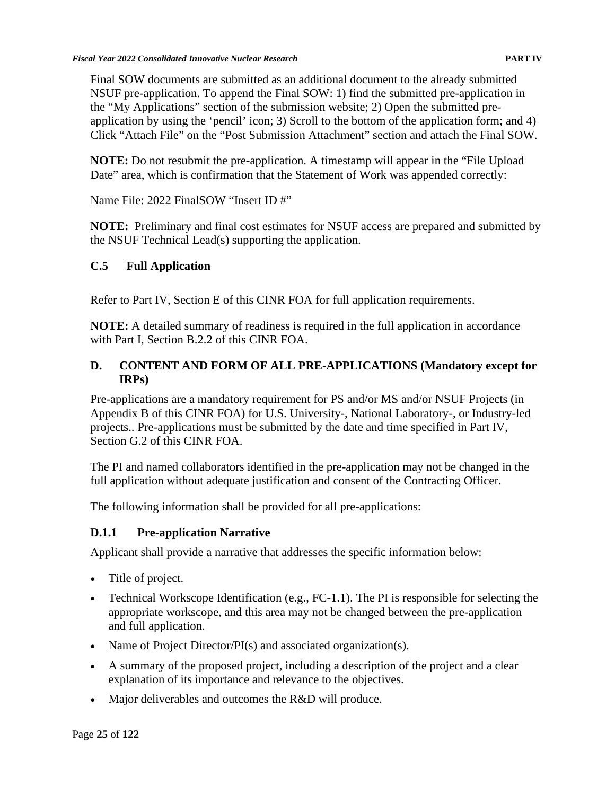Final SOW documents are submitted as an additional document to the already submitted NSUF pre-application. To append the Final SOW: 1) find the submitted pre-application in the "My Applications" section of the submission website; 2) Open the submitted preapplication by using the 'pencil' icon; 3) Scroll to the bottom of the application form; and 4) Click "Attach File" on the "Post Submission Attachment" section and attach the Final SOW.

**NOTE:** Do not resubmit the pre-application. A timestamp will appear in the "File Upload Date" area, which is confirmation that the Statement of Work was appended correctly:

Name File: 2022 FinalSOW "Insert ID #"

**NOTE:** Preliminary and final cost estimates for NSUF access are prepared and submitted by the NSUF Technical Lead(s) supporting the application.

### <span id="page-35-0"></span>**C.5 Full Application**

Refer to Part IV, Section E of this CINR FOA for full application requirements.

**NOTE:** A detailed summary of readiness is required in the full application in accordance with Part I, Section B.2.2 of this CINR FOA.

### <span id="page-35-1"></span>**D. CONTENT AND FORM OF ALL PRE-APPLICATIONS (Mandatory except for IRPs)**

Pre-applications are a mandatory requirement for PS and/or MS and/or NSUF Projects (in Appendix B of this CINR FOA) for U.S. University-, National Laboratory-, or Industry-led projects.. Pre-applications must be submitted by the date and time specified in Part IV, Section G.2 of this CINR FOA.

The PI and named collaborators identified in the pre-application may not be changed in the full application without adequate justification and consent of the Contracting Officer.

The following information shall be provided for all pre-applications:

### <span id="page-35-2"></span>**D.1.1 Pre-application Narrative**

Applicant shall provide a narrative that addresses the specific information below:

- Title of project.
- Technical Workscope Identification (e.g., FC-1.1). The PI is responsible for selecting the appropriate workscope, and this area may not be changed between the pre-application and full application.
- Name of Project Director/PI(s) and associated organization(s).
- A summary of the proposed project, including a description of the project and a clear explanation of its importance and relevance to the objectives.
- Major deliverables and outcomes the R&D will produce.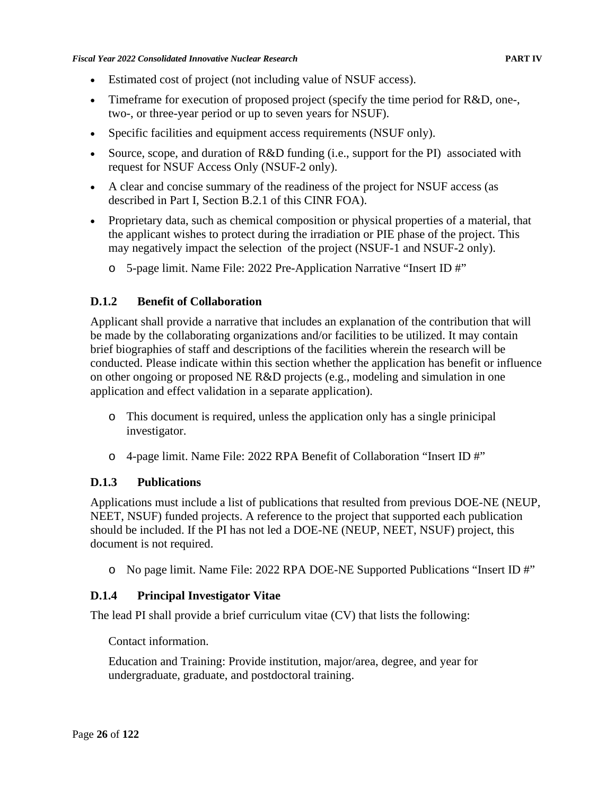- Estimated cost of project (not including value of NSUF access).
- Timeframe for execution of proposed project (specify the time period for R&D, one-, two-, or three-year period or up to seven years for NSUF).
- Specific facilities and equipment access requirements (NSUF only).
- Source, scope, and duration of R&D funding (i.e., support for the PI) associated with request for NSUF Access Only (NSUF-2 only).
- A clear and concise summary of the readiness of the project for NSUF access (as described in Part I, Section B.2.1 of this CINR FOA).
- Proprietary data, such as chemical composition or physical properties of a material, that the applicant wishes to protect during the irradiation or PIE phase of the project. This may negatively impact the selection of the project (NSUF-1 and NSUF-2 only).
	- o 5-page limit. Name File: 2022 Pre-Application Narrative "Insert ID #"

### **D.1.2 Benefit of Collaboration**

Applicant shall provide a narrative that includes an explanation of the contribution that will be made by the collaborating organizations and/or facilities to be utilized. It may contain brief biographies of staff and descriptions of the facilities wherein the research will be conducted. Please indicate within this section whether the application has benefit or influence on other ongoing or proposed NE R&D projects (e.g., modeling and simulation in one application and effect validation in a separate application).

- o This document is required, unless the application only has a single prinicipal investigator.
- o 4-page limit. Name File: 2022 RPA Benefit of Collaboration "Insert ID #"

#### **D.1.3 Publications**

Applications must include a list of publications that resulted from previous DOE-NE (NEUP, NEET, NSUF) funded projects. A reference to the project that supported each publication should be included. If the PI has not led a DOE-NE (NEUP, NEET, NSUF) project, this document is not required.

o No page limit. Name File: 2022 RPA DOE-NE Supported Publications "Insert ID #"

#### **D.1.4 Principal Investigator Vitae**

The lead PI shall provide a brief curriculum vitae (CV) that lists the following:

Contact information.

Education and Training: Provide institution, major/area, degree, and year for undergraduate, graduate, and postdoctoral training.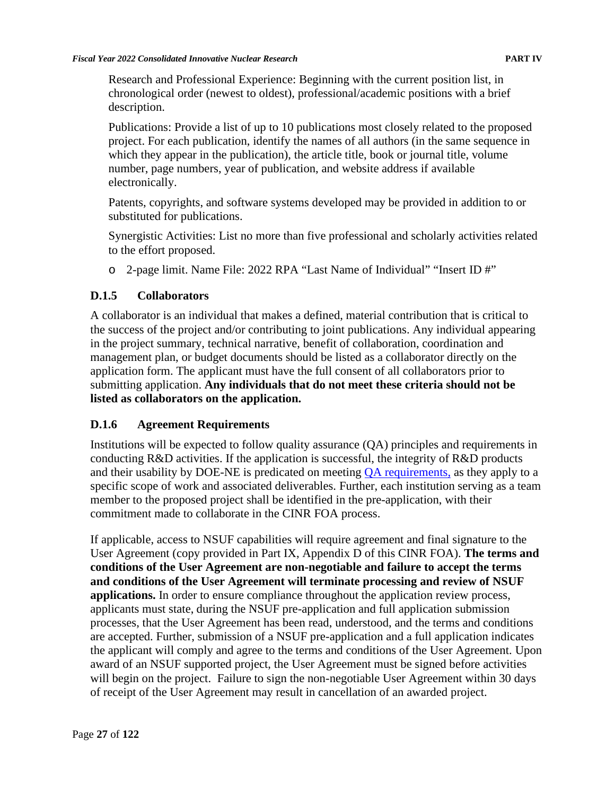Research and Professional Experience: Beginning with the current position list, in chronological order (newest to oldest), professional/academic positions with a brief description.

Publications: Provide a list of up to 10 publications most closely related to the proposed project. For each publication, identify the names of all authors (in the same sequence in which they appear in the publication), the article title, book or journal title, volume number, page numbers, year of publication, and website address if available electronically.

Patents, copyrights, and software systems developed may be provided in addition to or substituted for publications.

Synergistic Activities: List no more than five professional and scholarly activities related to the effort proposed.

o 2-page limit. Name File: 2022 RPA "Last Name of Individual" "Insert ID #"

### **D.1.5 Collaborators**

A collaborator is an individual that makes a defined, material contribution that is critical to the success of the project and/or contributing to joint publications. Any individual appearing in the project summary, technical narrative, benefit of collaboration, coordination and management plan, or budget documents should be listed as a collaborator directly on the application form. The applicant must have the full consent of all collaborators prior to submitting application. **Any individuals that do not meet these criteria should not be listed as collaborators on the application.**

### **D.1.6 Agreement Requirements**

Institutions will be expected to follow quality assurance (QA) principles and requirements in conducting R&D activities. If the application is successful, the integrity of R&D products and their usability by DOE-NE is predicated on meeting [QA requirements,](https://neup.inl.gov/SitePages/Related_Documents.aspx) as they apply to a specific scope of work and associated deliverables. Further, each institution serving as a team member to the proposed project shall be identified in the pre-application, with their commitment made to collaborate in the CINR FOA process.

If applicable, access to NSUF capabilities will require agreement and final signature to the User Agreement (copy provided in Part IX, Appendix D of this CINR FOA). **The terms and conditions of the User Agreement are non-negotiable and failure to accept the terms and conditions of the User Agreement will terminate processing and review of NSUF applications.** In order to ensure compliance throughout the application review process, applicants must state, during the NSUF pre-application and full application submission processes, that the User Agreement has been read, understood, and the terms and conditions are accepted. Further, submission of a NSUF pre-application and a full application indicates the applicant will comply and agree to the terms and conditions of the User Agreement. Upon award of an NSUF supported project, the User Agreement must be signed before activities will begin on the project. Failure to sign the non-negotiable User Agreement within 30 days of receipt of the User Agreement may result in cancellation of an awarded project.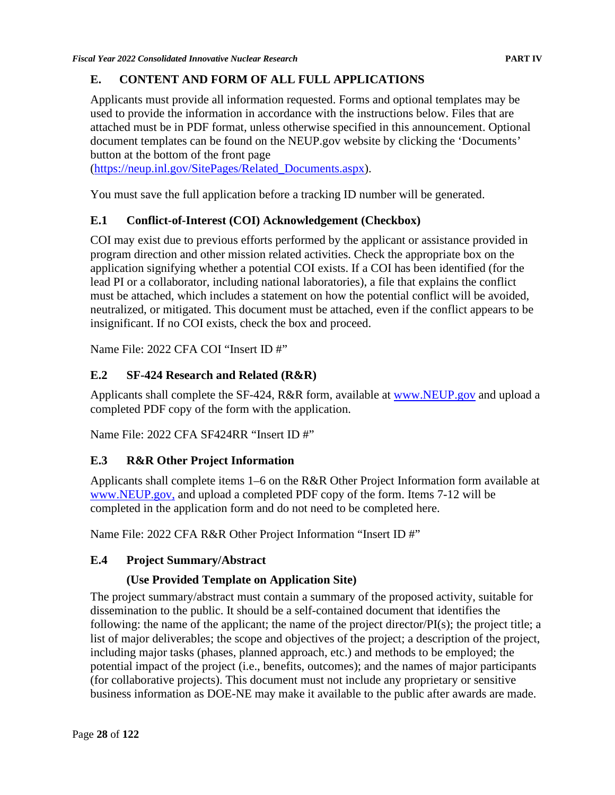# **E. CONTENT AND FORM OF ALL FULL APPLICATIONS**

Applicants must provide all information requested. Forms and optional templates may be used to provide the information in accordance with the instructions below. Files that are attached must be in PDF format, unless otherwise specified in this announcement. Optional document templates can be found on the NEUP.gov website by clicking the 'Documents' button at the bottom of the front page

[\(https://neup.inl.gov/SitePages/Related\\_Documents.aspx\)](https://neup.inl.gov/SitePages/Related_Documents.aspx).

You must save the full application before a tracking ID number will be generated.

# **E.1 Conflict-of-Interest (COI) Acknowledgement (Checkbox)**

COI may exist due to previous efforts performed by the applicant or assistance provided in program direction and other mission related activities. Check the appropriate box on the application signifying whether a potential COI exists. If a COI has been identified (for the lead PI or a collaborator, including national laboratories), a file that explains the conflict must be attached, which includes a statement on how the potential conflict will be avoided, neutralized, or mitigated. This document must be attached, even if the conflict appears to be insignificant. If no COI exists, check the box and proceed.

Name File: 2022 CFA COI "Insert ID #"

# **E.2 SF-424 Research and Related (R&R)**

Applicants shall complete the SF-424, R&R form, available at [www.NEUP.gov](http://www.neup.gov/) and upload a completed PDF copy of the form with the application.

Name File: 2022 CFA SF424RR "Insert ID #"

## **E.3 R&R Other Project Information**

Applicants shall complete items 1–6 on the R&R Other Project Information form available at [www.NEUP.gov,](http://www.neup.gov/) and upload a completed PDF copy of the form. Items 7-12 will be completed in the application form and do not need to be completed here.

Name File: 2022 CFA R&R Other Project Information "Insert ID #"

## **E.4 Project Summary/Abstract**

# **(Use Provided Template on Application Site)**

The project summary/abstract must contain a summary of the proposed activity, suitable for dissemination to the public. It should be a self-contained document that identifies the following: the name of the applicant; the name of the project director/PI(s); the project title; a list of major deliverables; the scope and objectives of the project; a description of the project, including major tasks (phases, planned approach, etc.) and methods to be employed; the potential impact of the project (i.e., benefits, outcomes); and the names of major participants (for collaborative projects). This document must not include any proprietary or sensitive business information as DOE-NE may make it available to the public after awards are made.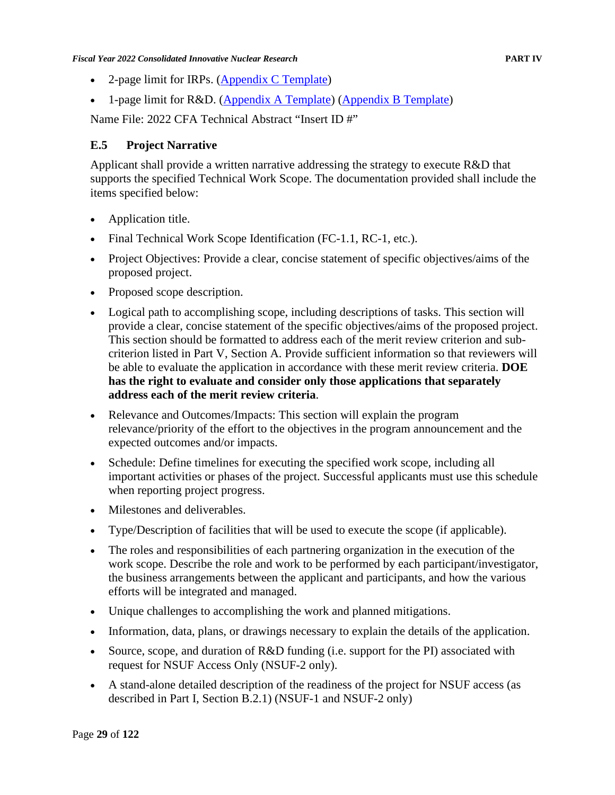- 2-page limit for IRPs. [\(Appendix C Template\)](https://neup.inl.gov/SiteAssets/General%20Documents/Full_App_Documents/Section_A_Template.docx)
- 1-page limit for R&D. [\(Appendix A Template\)](https://neup.inl.gov/SiteAssets/General%20Documents/Full_App_Documents/Section_A_Template.docx) [\(Appendix B Template\)](https://neup.inl.gov/SiteAssets/General%20Documents/Full_App_Documents/Section_B_Template.docx)

Name File: 2022 CFA Technical Abstract "Insert ID #"

#### **E.5 Project Narrative**

Applicant shall provide a written narrative addressing the strategy to execute R&D that supports the specified Technical Work Scope. The documentation provided shall include the items specified below:

- Application title.
- Final Technical Work Scope Identification (FC-1.1, RC-1, etc.).
- Project Objectives: Provide a clear, concise statement of specific objectives/aims of the proposed project.
- Proposed scope description.
- Logical path to accomplishing scope, including descriptions of tasks. This section will provide a clear, concise statement of the specific objectives/aims of the proposed project. This section should be formatted to address each of the merit review criterion and subcriterion listed in Part V, Section A. Provide sufficient information so that reviewers will be able to evaluate the application in accordance with these merit review criteria. **DOE has the right to evaluate and consider only those applications that separately address each of the merit review criteria**.
- Relevance and Outcomes/Impacts: This section will explain the program relevance/priority of the effort to the objectives in the program announcement and the expected outcomes and/or impacts.
- Schedule: Define timelines for executing the specified work scope, including all important activities or phases of the project. Successful applicants must use this schedule when reporting project progress.
- Milestones and deliverables.
- Type/Description of facilities that will be used to execute the scope (if applicable).
- The roles and responsibilities of each partnering organization in the execution of the work scope. Describe the role and work to be performed by each participant/investigator, the business arrangements between the applicant and participants, and how the various efforts will be integrated and managed.
- Unique challenges to accomplishing the work and planned mitigations.
- Information, data, plans, or drawings necessary to explain the details of the application.
- Source, scope, and duration of R&D funding (i.e. support for the PI) associated with request for NSUF Access Only (NSUF-2 only).
- A stand-alone detailed description of the readiness of the project for NSUF access (as described in Part I, Section B.2.1) (NSUF-1 and NSUF-2 only)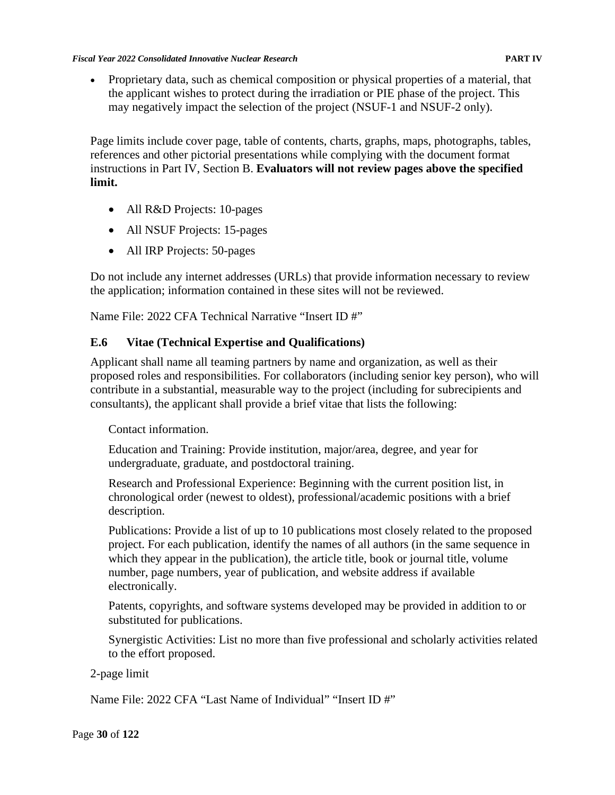• Proprietary data, such as chemical composition or physical properties of a material, that the applicant wishes to protect during the irradiation or PIE phase of the project. This may negatively impact the selection of the project (NSUF-1 and NSUF-2 only).

Page limits include cover page, table of contents, charts, graphs, maps, photographs, tables, references and other pictorial presentations while complying with the document format instructions in Part IV, Section B. **Evaluators will not review pages above the specified limit.**

- All R&D Projects: 10-pages
- All NSUF Projects: 15-pages
- All IRP Projects: 50-pages

Do not include any internet addresses (URLs) that provide information necessary to review the application; information contained in these sites will not be reviewed.

Name File: 2022 CFA Technical Narrative "Insert ID #"

### **E.6 Vitae (Technical Expertise and Qualifications)**

Applicant shall name all teaming partners by name and organization, as well as their proposed roles and responsibilities. For collaborators (including senior key person), who will contribute in a substantial, measurable way to the project (including for subrecipients and consultants), the applicant shall provide a brief vitae that lists the following:

#### Contact information.

Education and Training: Provide institution, major/area, degree, and year for undergraduate, graduate, and postdoctoral training.

Research and Professional Experience: Beginning with the current position list, in chronological order (newest to oldest), professional/academic positions with a brief description.

Publications: Provide a list of up to 10 publications most closely related to the proposed project. For each publication, identify the names of all authors (in the same sequence in which they appear in the publication), the article title, book or journal title, volume number, page numbers, year of publication, and website address if available electronically.

Patents, copyrights, and software systems developed may be provided in addition to or substituted for publications.

Synergistic Activities: List no more than five professional and scholarly activities related to the effort proposed.

### 2-page limit

Name File: 2022 CFA "Last Name of Individual" "Insert ID #"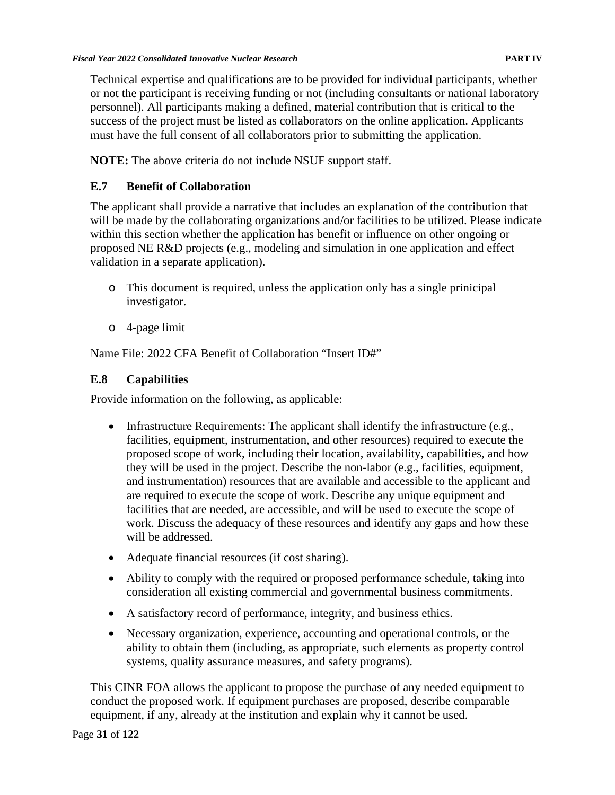Technical expertise and qualifications are to be provided for individual participants, whether or not the participant is receiving funding or not (including consultants or national laboratory personnel). All participants making a defined, material contribution that is critical to the success of the project must be listed as collaborators on the online application. Applicants must have the full consent of all collaborators prior to submitting the application.

**NOTE:** The above criteria do not include NSUF support staff.

# **E.7 Benefit of Collaboration**

The applicant shall provide a narrative that includes an explanation of the contribution that will be made by the collaborating organizations and/or facilities to be utilized. Please indicate within this section whether the application has benefit or influence on other ongoing or proposed NE R&D projects (e.g., modeling and simulation in one application and effect validation in a separate application).

- o This document is required, unless the application only has a single prinicipal investigator.
- o 4-page limit

Name File: 2022 CFA Benefit of Collaboration "Insert ID#"

# **E.8 Capabilities**

Provide information on the following, as applicable:

- Infrastructure Requirements: The applicant shall identify the infrastructure (e.g., facilities, equipment, instrumentation, and other resources) required to execute the proposed scope of work, including their location, availability, capabilities, and how they will be used in the project. Describe the non-labor (e.g., facilities, equipment, and instrumentation) resources that are available and accessible to the applicant and are required to execute the scope of work. Describe any unique equipment and facilities that are needed, are accessible, and will be used to execute the scope of work. Discuss the adequacy of these resources and identify any gaps and how these will be addressed.
- Adequate financial resources (if cost sharing).
- Ability to comply with the required or proposed performance schedule, taking into consideration all existing commercial and governmental business commitments.
- A satisfactory record of performance, integrity, and business ethics.
- Necessary organization, experience, accounting and operational controls, or the ability to obtain them (including, as appropriate, such elements as property control systems, quality assurance measures, and safety programs).

This CINR FOA allows the applicant to propose the purchase of any needed equipment to conduct the proposed work. If equipment purchases are proposed, describe comparable equipment, if any, already at the institution and explain why it cannot be used.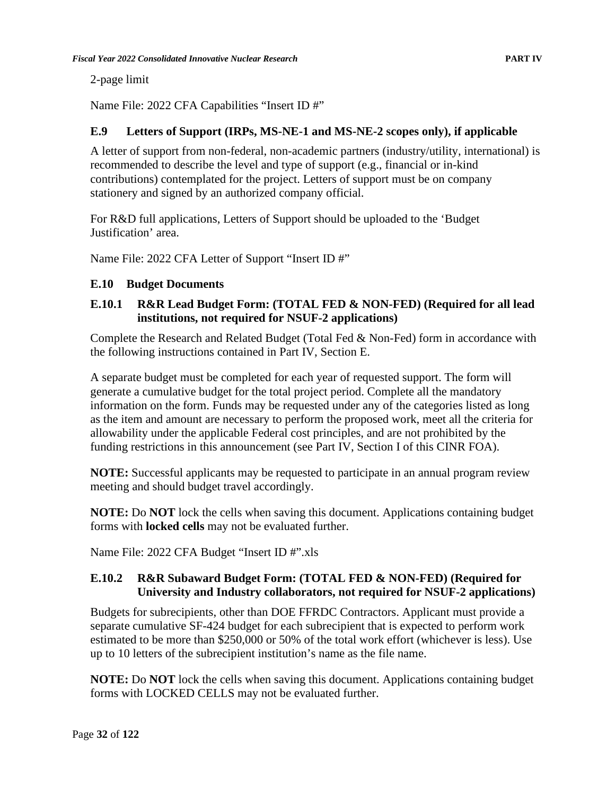2-page limit

Name File: 2022 CFA Capabilities "Insert ID #"

### **E.9 Letters of Support (IRPs, MS-NE-1 and MS-NE-2 scopes only), if applicable**

A letter of support from non-federal, non-academic partners (industry/utility, international) is recommended to describe the level and type of support (e.g., financial or in-kind contributions) contemplated for the project. Letters of support must be on company stationery and signed by an authorized company official.

For R&D full applications, Letters of Support should be uploaded to the 'Budget Justification' area.

Name File: 2022 CFA Letter of Support "Insert ID #"

### **E.10 Budget Documents**

### **E.10.1 R&R Lead Budget Form: (TOTAL FED & NON-FED) (Required for all lead institutions, not required for NSUF-2 applications)**

Complete the Research and Related Budget (Total Fed & Non-Fed) form in accordance with the following instructions contained in Part IV, Section E.

A separate budget must be completed for each year of requested support. The form will generate a cumulative budget for the total project period. Complete all the mandatory information on the form. Funds may be requested under any of the categories listed as long as the item and amount are necessary to perform the proposed work, meet all the criteria for allowability under the applicable Federal cost principles, and are not prohibited by the funding restrictions in this announcement (see Part IV, Section I of this CINR FOA).

**NOTE:** Successful applicants may be requested to participate in an annual program review meeting and should budget travel accordingly.

**NOTE:** Do **NOT** lock the cells when saving this document. Applications containing budget forms with **locked cells** may not be evaluated further.

Name File: 2022 CFA Budget "Insert ID #".xls

### **E.10.2 R&R Subaward Budget Form: (TOTAL FED & NON-FED) (Required for University and Industry collaborators, not required for NSUF-2 applications)**

Budgets for subrecipients, other than DOE FFRDC Contractors. Applicant must provide a separate cumulative SF-424 budget for each subrecipient that is expected to perform work estimated to be more than \$250,000 or 50% of the total work effort (whichever is less). Use up to 10 letters of the subrecipient institution's name as the file name.

**NOTE:** Do **NOT** lock the cells when saving this document. Applications containing budget forms with LOCKED CELLS may not be evaluated further.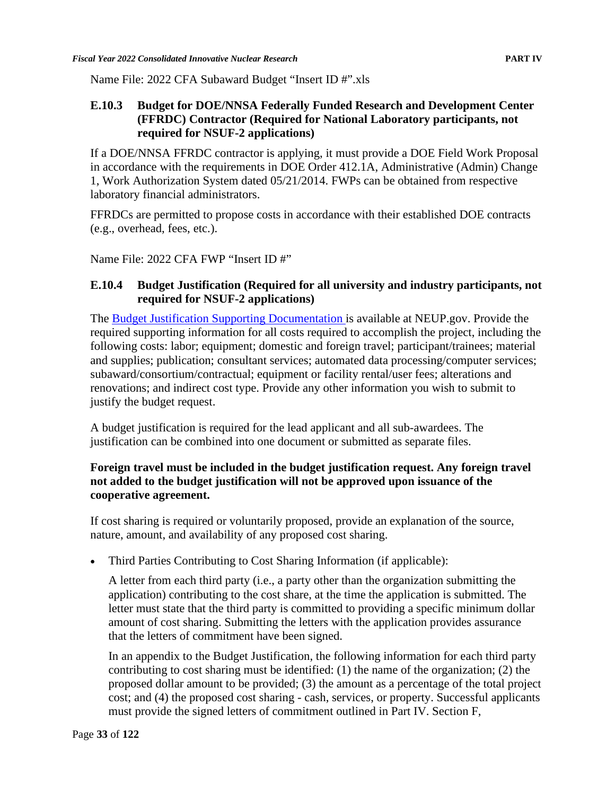Name File: 2022 CFA Subaward Budget "Insert ID #".xls

#### **E.10.3 Budget for DOE/NNSA Federally Funded Research and Development Center (FFRDC) Contractor (Required for National Laboratory participants, not required for NSUF-2 applications)**

If a DOE/NNSA FFRDC contractor is applying, it must provide a DOE Field Work Proposal in accordance with the requirements in DOE Order 412.1A, Administrative (Admin) Change 1, Work Authorization System dated 05/21/2014. FWPs can be obtained from respective laboratory financial administrators.

FFRDCs are permitted to propose costs in accordance with their established DOE contracts (e.g., overhead, fees, etc.).

Name File: 2022 CFA FWP "Insert ID #"

#### **E.10.4 Budget Justification (Required for all university and industry participants, not required for NSUF-2 applications)**

The [Budget Justification Supporting Documentation](https://neup.inl.gov/SiteAssets/AboutUs/RandDFullAppDocs/Budget%20Justification-FINAL_Rev1%20.pdf) is available at NEUP.gov. Provide the required supporting information for all costs required to accomplish the project, including the following costs: labor; equipment; domestic and foreign travel; participant/trainees; material and supplies; publication; consultant services; automated data processing/computer services; subaward/consortium/contractual; equipment or facility rental/user fees; alterations and renovations; and indirect cost type. Provide any other information you wish to submit to justify the budget request.

A budget justification is required for the lead applicant and all sub-awardees. The justification can be combined into one document or submitted as separate files.

#### **Foreign travel must be included in the budget justification request. Any foreign travel not added to the budget justification will not be approved upon issuance of the cooperative agreement.**

If cost sharing is required or voluntarily proposed, provide an explanation of the source, nature, amount, and availability of any proposed cost sharing.

• Third Parties Contributing to Cost Sharing Information (if applicable):

A letter from each third party (i.e., a party other than the organization submitting the application) contributing to the cost share, at the time the application is submitted. The letter must state that the third party is committed to providing a specific minimum dollar amount of cost sharing. Submitting the letters with the application provides assurance that the letters of commitment have been signed.

In an appendix to the Budget Justification, the following information for each third party contributing to cost sharing must be identified: (1) the name of the organization; (2) the proposed dollar amount to be provided; (3) the amount as a percentage of the total project cost; and (4) the proposed cost sharing - cash, services, or property. Successful applicants must provide the signed letters of commitment outlined in Part IV. Section F,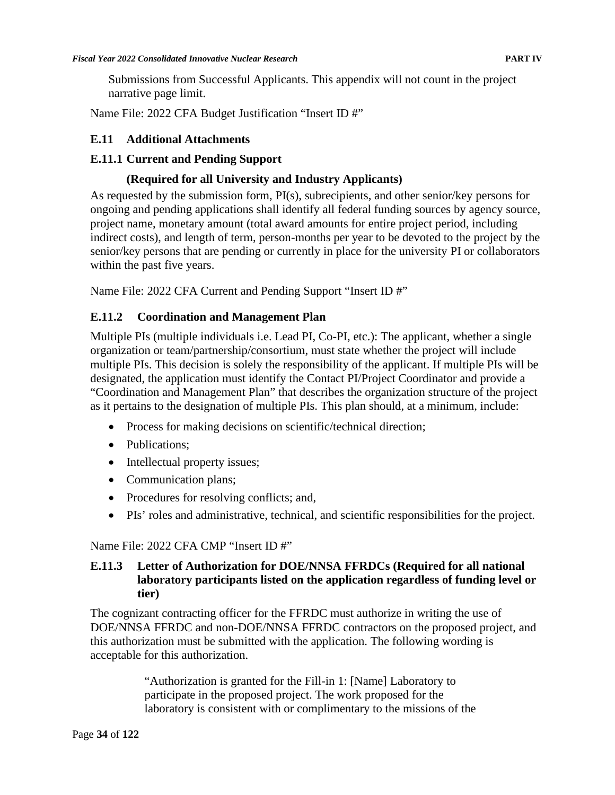Submissions from Successful Applicants. This appendix will not count in the project narrative page limit.

Name File: 2022 CFA Budget Justification "Insert ID #"

#### **E.11 Additional Attachments**

#### **E.11.1 Current and Pending Support**

#### **(Required for all University and Industry Applicants)**

As requested by the submission form, PI(s), subrecipients, and other senior/key persons for ongoing and pending applications shall identify all federal funding sources by agency source, project name, monetary amount (total award amounts for entire project period, including indirect costs), and length of term, person-months per year to be devoted to the project by the senior/key persons that are pending or currently in place for the university PI or collaborators within the past five years.

Name File: 2022 CFA Current and Pending Support "Insert ID #"

### **E.11.2 Coordination and Management Plan**

Multiple PIs (multiple individuals i.e. Lead PI, Co-PI, etc.): The applicant, whether a single organization or team/partnership/consortium, must state whether the project will include multiple PIs. This decision is solely the responsibility of the applicant. If multiple PIs will be designated, the application must identify the Contact PI/Project Coordinator and provide a "Coordination and Management Plan" that describes the organization structure of the project as it pertains to the designation of multiple PIs. This plan should, at a minimum, include:

- Process for making decisions on scientific/technical direction;
- Publications:
- Intellectual property issues;
- Communication plans;
- Procedures for resolving conflicts; and,
- PIs' roles and administrative, technical, and scientific responsibilities for the project.

### Name File: 2022 CFA CMP "Insert ID #"

#### **E.11.3 Letter of Authorization for DOE/NNSA FFRDCs (Required for all national laboratory participants listed on the application regardless of funding level or tier)**

The cognizant contracting officer for the FFRDC must authorize in writing the use of DOE/NNSA FFRDC and non-DOE/NNSA FFRDC contractors on the proposed project, and this authorization must be submitted with the application. The following wording is acceptable for this authorization.

> "Authorization is granted for the Fill-in 1: [Name] Laboratory to participate in the proposed project. The work proposed for the laboratory is consistent with or complimentary to the missions of the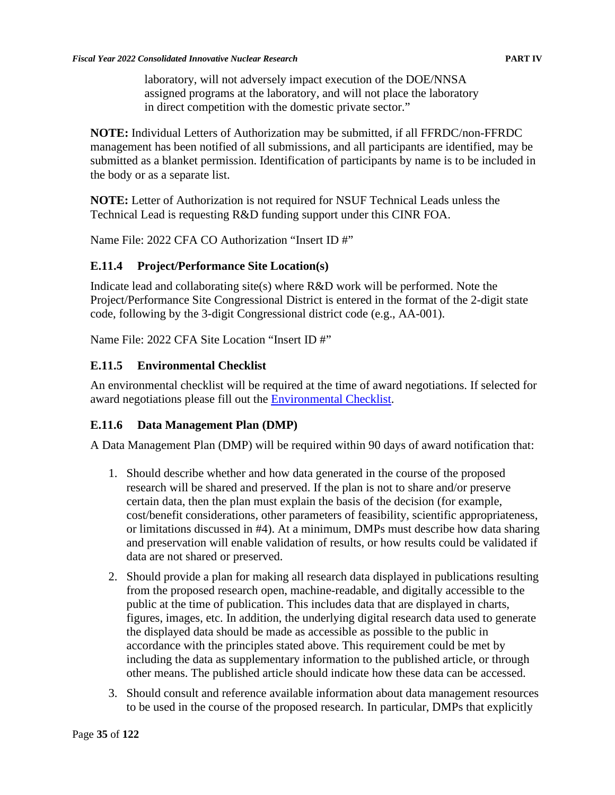laboratory, will not adversely impact execution of the DOE/NNSA assigned programs at the laboratory, and will not place the laboratory in direct competition with the domestic private sector."

**NOTE:** Individual Letters of Authorization may be submitted, if all FFRDC/non-FFRDC management has been notified of all submissions, and all participants are identified, may be submitted as a blanket permission. Identification of participants by name is to be included in the body or as a separate list.

**NOTE:** Letter of Authorization is not required for NSUF Technical Leads unless the Technical Lead is requesting R&D funding support under this CINR FOA.

Name File: 2022 CFA CO Authorization "Insert ID #"

#### **E.11.4 Project/Performance Site Location(s)**

Indicate lead and collaborating site(s) where  $R&D$  work will be performed. Note the Project/Performance Site Congressional District is entered in the format of the 2-digit state code, following by the 3-digit Congressional district code (e.g., AA-001).

Name File: 2022 CFA Site Location "Insert ID #"

### **E.11.5 Environmental Checklist**

An environmental checklist will be required at the time of award negotiations. If selected for award negotiations please fill out the [Environmental Checklist.](https://neup.inl.gov/SitePages/Related_Documents.aspx)

### **E.11.6 Data Management Plan (DMP)**

A Data Management Plan (DMP) will be required within 90 days of award notification that:

- 1. Should describe whether and how data generated in the course of the proposed research will be shared and preserved. If the plan is not to share and/or preserve certain data, then the plan must explain the basis of the decision (for example, cost/benefit considerations, other parameters of feasibility, scientific appropriateness, or limitations discussed in #4). At a minimum, DMPs must describe how data sharing and preservation will enable validation of results, or how results could be validated if data are not shared or preserved.
- 2. Should provide a plan for making all research data displayed in publications resulting from the proposed research open, machine-readable, and digitally accessible to the public at the time of publication. This includes data that are displayed in charts, figures, images, etc. In addition, the underlying digital research data used to generate the displayed data should be made as accessible as possible to the public in accordance with the principles stated above. This requirement could be met by including the data as supplementary information to the published article, or through other means. The published article should indicate how these data can be accessed.
- 3. Should consult and reference available information about data management resources to be used in the course of the proposed research. In particular, DMPs that explicitly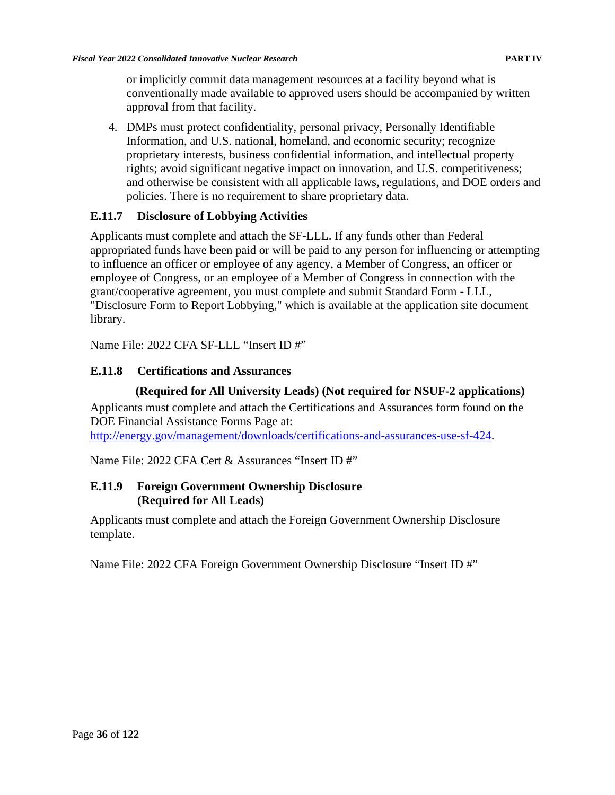or implicitly commit data management resources at a facility beyond what is conventionally made available to approved users should be accompanied by written approval from that facility.

4. DMPs must protect confidentiality, personal privacy, Personally Identifiable Information, and U.S. national, homeland, and economic security; recognize proprietary interests, business confidential information, and intellectual property rights; avoid significant negative impact on innovation, and U.S. competitiveness; and otherwise be consistent with all applicable laws, regulations, and DOE orders and policies. There is no requirement to share proprietary data.

## **E.11.7 Disclosure of Lobbying Activities**

Applicants must complete and attach the SF-LLL. If any funds other than Federal appropriated funds have been paid or will be paid to any person for influencing or attempting to influence an officer or employee of any agency, a Member of Congress, an officer or employee of Congress, or an employee of a Member of Congress in connection with the grant/cooperative agreement, you must complete and submit Standard Form - LLL, "Disclosure Form to Report Lobbying," which is available at the application site document library.

Name File: 2022 CFA SF-LLL "Insert ID #"

## **E.11.8 Certifications and Assurances**

### **(Required for All University Leads) (Not required for NSUF-2 applications)**

Applicants must complete and attach the Certifications and Assurances form found on the DOE Financial Assistance Forms Page at:

[http://energy.gov/management/downloads/certifications-and-assurances-use-sf-424.](http://energy.gov/management/downloads/certifications-and-assurances-use-sf-424)

Name File: 2022 CFA Cert & Assurances "Insert ID #"

### **E.11.9 Foreign Government Ownership Disclosure (Required for All Leads)**

Applicants must complete and attach the Foreign Government Ownership Disclosure template.

Name File: 2022 CFA Foreign Government Ownership Disclosure "Insert ID #"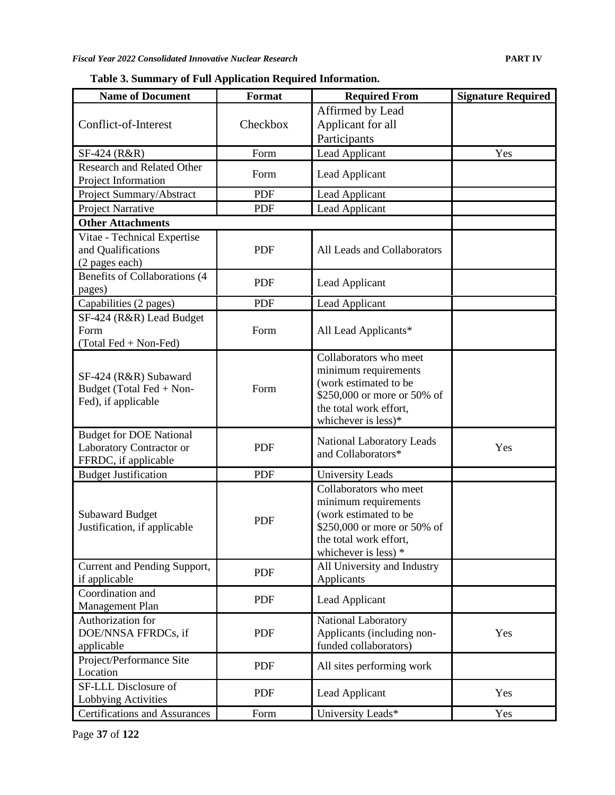**Table 3. Summary of Full Application Required Information.**

| <b>Name of Document</b>                                                            | Format     | <b>Required From</b>                                                                                                                                     | <b>Signature Required</b> |
|------------------------------------------------------------------------------------|------------|----------------------------------------------------------------------------------------------------------------------------------------------------------|---------------------------|
|                                                                                    |            | Affirmed by Lead                                                                                                                                         |                           |
| Conflict-of-Interest                                                               | Checkbox   | Applicant for all                                                                                                                                        |                           |
|                                                                                    |            | Participants                                                                                                                                             |                           |
| SF-424 (R&R)                                                                       | Form       | Lead Applicant                                                                                                                                           | Yes                       |
| <b>Research and Related Other</b>                                                  | Form       | Lead Applicant                                                                                                                                           |                           |
| Project Information                                                                |            |                                                                                                                                                          |                           |
| Project Summary/Abstract                                                           | <b>PDF</b> | Lead Applicant                                                                                                                                           |                           |
| Project Narrative                                                                  | <b>PDF</b> | Lead Applicant                                                                                                                                           |                           |
| <b>Other Attachments</b>                                                           |            |                                                                                                                                                          |                           |
| Vitae - Technical Expertise<br>and Qualifications<br>(2 pages each)                | <b>PDF</b> | All Leads and Collaborators                                                                                                                              |                           |
| Benefits of Collaborations (4<br>pages)                                            | <b>PDF</b> | Lead Applicant                                                                                                                                           |                           |
| Capabilities (2 pages)                                                             | <b>PDF</b> | Lead Applicant                                                                                                                                           |                           |
| SF-424 (R&R) Lead Budget<br>Form<br>(Total Fed + Non-Fed)                          | Form       | All Lead Applicants*                                                                                                                                     |                           |
| SF-424 (R&R) Subaward<br>Budget (Total Fed + Non-<br>Fed), if applicable           | Form       | Collaborators who meet<br>minimum requirements<br>(work estimated to be<br>\$250,000 or more or 50% of<br>the total work effort,<br>whichever is less)*  |                           |
| <b>Budget for DOE National</b><br>Laboratory Contractor or<br>FFRDC, if applicable | <b>PDF</b> | <b>National Laboratory Leads</b><br>and Collaborators*                                                                                                   | Yes                       |
| <b>Budget Justification</b>                                                        | <b>PDF</b> | <b>University Leads</b>                                                                                                                                  |                           |
| <b>Subaward Budget</b><br>Justification, if applicable                             | <b>PDF</b> | Collaborators who meet<br>minimum requirements<br>(work estimated to be<br>\$250,000 or more or 50% of<br>the total work effort,<br>whichever is less) * |                           |
| Current and Pending Support,<br>if applicable                                      | PDF        | All University and Industry<br>Applicants                                                                                                                |                           |
| Coordination and<br>Management Plan                                                | <b>PDF</b> | Lead Applicant                                                                                                                                           |                           |
| Authorization for<br>DOE/NNSA FFRDCs, if<br>applicable                             | <b>PDF</b> | National Laboratory<br>Applicants (including non-<br>funded collaborators)                                                                               | Yes                       |
| Project/Performance Site<br>Location                                               | PDF        | All sites performing work                                                                                                                                |                           |
| SF-LLL Disclosure of<br>Lobbying Activities                                        | <b>PDF</b> | Lead Applicant                                                                                                                                           | Yes                       |
| <b>Certifications and Assurances</b>                                               | Form       | University Leads*                                                                                                                                        | Yes                       |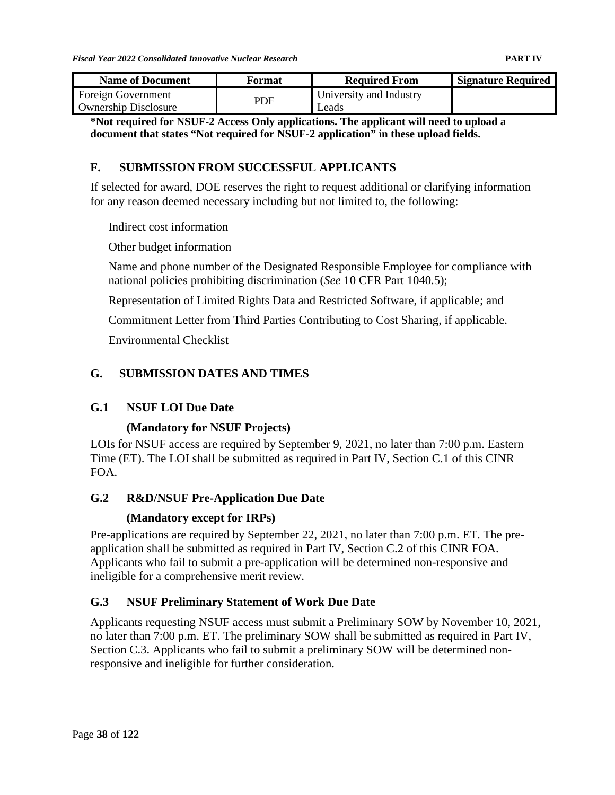| <b>Name of Document</b>                           | Format | <b>Required From</b>             | <b>Signature Required</b> |
|---------------------------------------------------|--------|----------------------------------|---------------------------|
| Foreign Government<br><b>Ownership Disclosure</b> | PDF    | University and Industry<br>Leads |                           |

**\*Not required for NSUF-2 Access Only applications. The applicant will need to upload a document that states "Not required for NSUF-2 application" in these upload fields.** 

### **F. SUBMISSION FROM SUCCESSFUL APPLICANTS**

If selected for award, DOE reserves the right to request additional or clarifying information for any reason deemed necessary including but not limited to, the following:

Indirect cost information

Other budget information

Name and phone number of the Designated Responsible Employee for compliance with national policies prohibiting discrimination (*See* 10 CFR Part 1040.5);

Representation of Limited Rights Data and Restricted Software, if applicable; and

Commitment Letter from Third Parties Contributing to Cost Sharing, if applicable.

Environmental Checklist

### **G. SUBMISSION DATES AND TIMES**

### **G.1 NSUF LOI Due Date**

### **(Mandatory for NSUF Projects)**

LOIs for NSUF access are required by September 9, 2021, no later than 7:00 p.m. Eastern Time (ET). The LOI shall be submitted as required in Part IV, Section C.1 of this CINR FOA.

### **G.2 R&D/NSUF Pre-Application Due Date**

### **(Mandatory except for IRPs)**

Pre-applications are required by September 22, 2021, no later than 7:00 p.m. ET. The preapplication shall be submitted as required in Part IV, Section C.2 of this CINR FOA. Applicants who fail to submit a pre-application will be determined non-responsive and ineligible for a comprehensive merit review.

### **G.3 NSUF Preliminary Statement of Work Due Date**

Applicants requesting NSUF access must submit a Preliminary SOW by November 10, 2021, no later than 7:00 p.m. ET. The preliminary SOW shall be submitted as required in Part IV, Section C.3. Applicants who fail to submit a preliminary SOW will be determined nonresponsive and ineligible for further consideration.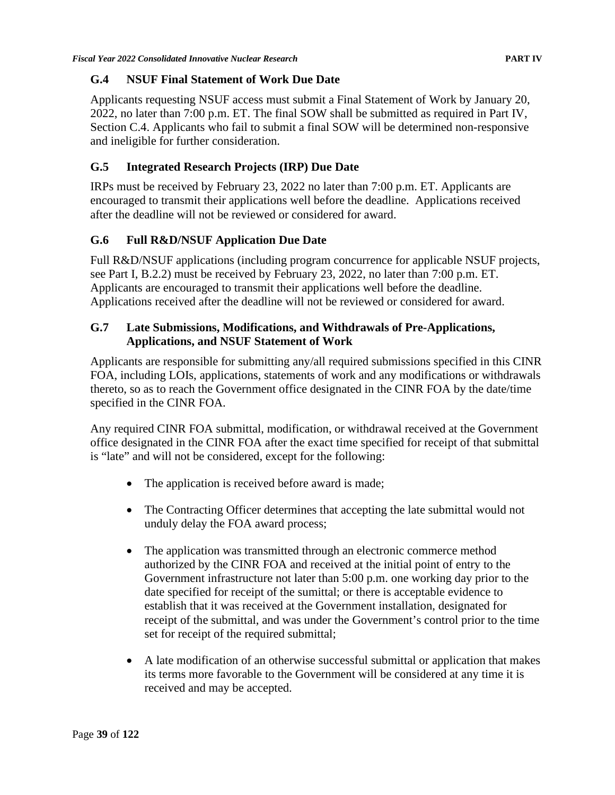#### **G.4 NSUF Final Statement of Work Due Date**

Applicants requesting NSUF access must submit a Final Statement of Work by January 20, 2022, no later than 7:00 p.m. ET. The final SOW shall be submitted as required in Part IV, Section C.4. Applicants who fail to submit a final SOW will be determined non-responsive and ineligible for further consideration.

### **G.5 Integrated Research Projects (IRP) Due Date**

IRPs must be received by February 23, 2022 no later than 7:00 p.m. ET. Applicants are encouraged to transmit their applications well before the deadline. Applications received after the deadline will not be reviewed or considered for award.

### **G.6 Full R&D/NSUF Application Due Date**

Full R&D/NSUF applications (including program concurrence for applicable NSUF projects, see Part I, B.2.2) must be received by February 23, 2022, no later than 7:00 p.m. ET. Applicants are encouraged to transmit their applications well before the deadline. Applications received after the deadline will not be reviewed or considered for award.

### **G.7 Late Submissions, Modifications, and Withdrawals of Pre-Applications, Applications, and NSUF Statement of Work**

Applicants are responsible for submitting any/all required submissions specified in this CINR FOA, including LOIs, applications, statements of work and any modifications or withdrawals thereto, so as to reach the Government office designated in the CINR FOA by the date/time specified in the CINR FOA.

Any required CINR FOA submittal, modification, or withdrawal received at the Government office designated in the CINR FOA after the exact time specified for receipt of that submittal is "late" and will not be considered, except for the following:

- The application is received before award is made;
- The Contracting Officer determines that accepting the late submittal would not unduly delay the FOA award process;
- The application was transmitted through an electronic commerce method authorized by the CINR FOA and received at the initial point of entry to the Government infrastructure not later than 5:00 p.m. one working day prior to the date specified for receipt of the sumittal; or there is acceptable evidence to establish that it was received at the Government installation, designated for receipt of the submittal, and was under the Government's control prior to the time set for receipt of the required submittal;
- A late modification of an otherwise successful submittal or application that makes its terms more favorable to the Government will be considered at any time it is received and may be accepted.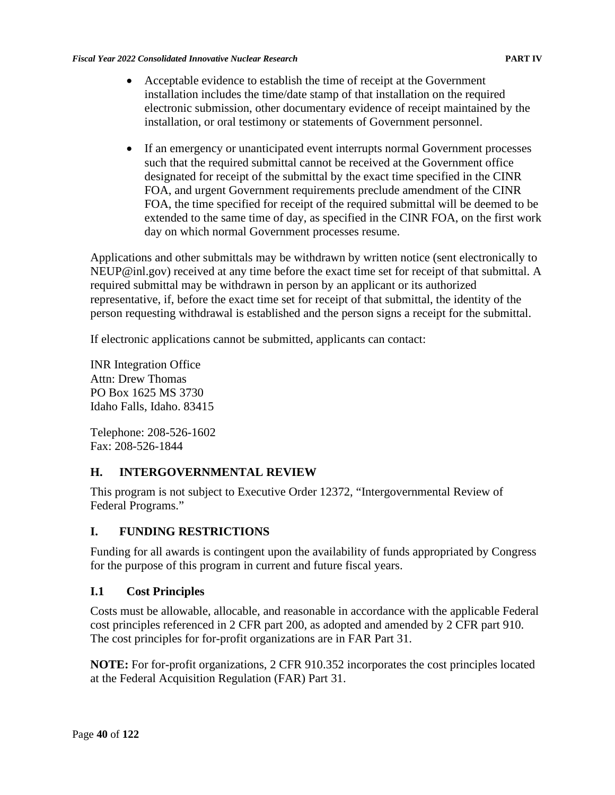- Acceptable evidence to establish the time of receipt at the Government installation includes the time/date stamp of that installation on the required electronic submission, other documentary evidence of receipt maintained by the installation, or oral testimony or statements of Government personnel.
- If an emergency or unanticipated event interrupts normal Government processes such that the required submittal cannot be received at the Government office designated for receipt of the submittal by the exact time specified in the CINR FOA, and urgent Government requirements preclude amendment of the CINR FOA, the time specified for receipt of the required submittal will be deemed to be extended to the same time of day, as specified in the CINR FOA, on the first work day on which normal Government processes resume.

Applications and other submittals may be withdrawn by written notice (sent electronically to [NEUP@inl.gov\)](mailto:NEUP@inl.gov) received at any time before the exact time set for receipt of that submittal. A required submittal may be withdrawn in person by an applicant or its authorized representative, if, before the exact time set for receipt of that submittal, the identity of the person requesting withdrawal is established and the person signs a receipt for the submittal.

If electronic applications cannot be submitted, applicants can contact:

INR Integration Office Attn: Drew Thomas PO Box 1625 MS 3730 Idaho Falls, Idaho. 83415

Telephone: 208-526-1602 Fax: 208-526-1844

## **H. INTERGOVERNMENTAL REVIEW**

This program is not subject to Executive Order 12372, "Intergovernmental Review of Federal Programs."

### **I. FUNDING RESTRICTIONS**

Funding for all awards is contingent upon the availability of funds appropriated by Congress for the purpose of this program in current and future fiscal years.

### **I.1 Cost Principles**

Costs must be allowable, allocable, and reasonable in accordance with the applicable Federal cost principles referenced in 2 CFR part 200, as adopted and amended by 2 CFR part 910. The cost principles for for-profit organizations are in FAR Part 31.

**NOTE:** For for-profit organizations, 2 CFR 910.352 incorporates the cost principles located at the Federal Acquisition Regulation (FAR) Part 31.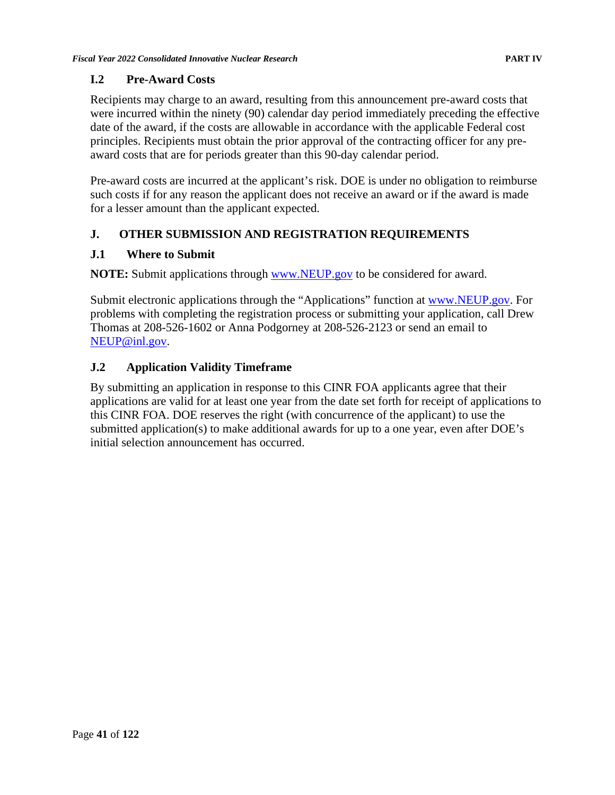### **I.2 Pre-Award Costs**

Recipients may charge to an award, resulting from this announcement pre-award costs that were incurred within the ninety (90) calendar day period immediately preceding the effective date of the award, if the costs are allowable in accordance with the applicable Federal cost principles. Recipients must obtain the prior approval of the contracting officer for any preaward costs that are for periods greater than this 90-day calendar period.

Pre-award costs are incurred at the applicant's risk. DOE is under no obligation to reimburse such costs if for any reason the applicant does not receive an award or if the award is made for a lesser amount than the applicant expected.

## **J. OTHER SUBMISSION AND REGISTRATION REQUIREMENTS**

### **J.1 Where to Submit**

**NOTE:** Submit applications through [www.NEUP.gov](http://www.neup.gov/) to be considered for award.

Submit electronic applications through the "Applications" function at [www.NEUP.gov.](http://www.neup.gov/) For problems with completing the registration process or submitting your application, call Drew Thomas at 208-526-1602 or Anna Podgorney at 208-526-2123 or send an email to [NEUP@inl.gov.](mailto:NEUP@inl.gov)

### **J.2 Application Validity Timeframe**

By submitting an application in response to this CINR FOA applicants agree that their applications are valid for at least one year from the date set forth for receipt of applications to this CINR FOA. DOE reserves the right (with concurrence of the applicant) to use the submitted application(s) to make additional awards for up to a one year, even after DOE's initial selection announcement has occurred.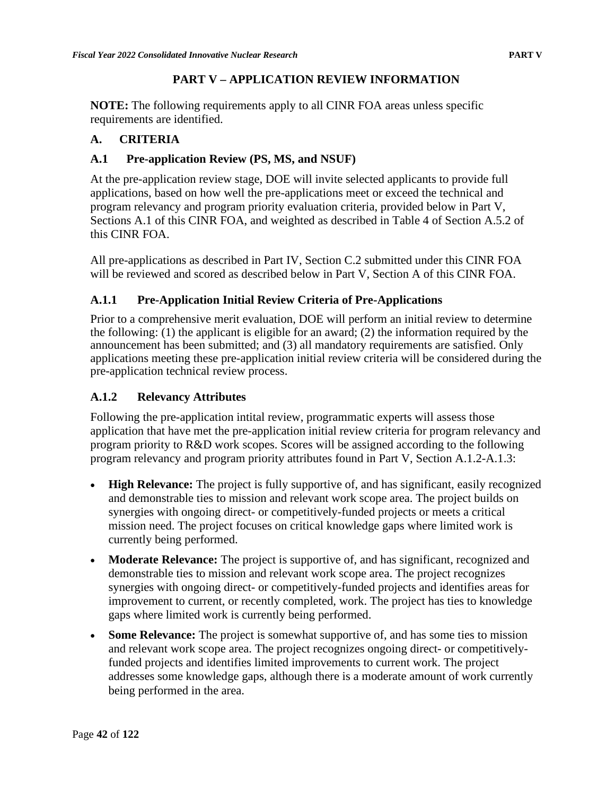### **PART V – APPLICATION REVIEW INFORMATION**

**NOTE:** The following requirements apply to all CINR FOA areas unless specific requirements are identified.

### **A. CRITERIA**

### **A.1 Pre-application Review (PS, MS, and NSUF)**

At the pre-application review stage, DOE will invite selected applicants to provide full applications, based on how well the pre-applications meet or exceed the technical and program relevancy and program priority evaluation criteria, provided below in Part V, Sections A.1 of this CINR FOA, and weighted as described in Table 4 of Section A.5.2 of this CINR FOA.

All pre-applications as described in Part IV, Section C.2 submitted under this CINR FOA will be reviewed and scored as described below in Part V, Section A of this CINR FOA.

## **A.1.1 Pre-Application Initial Review Criteria of Pre-Applications**

Prior to a comprehensive merit evaluation, DOE will perform an initial review to determine the following: (1) the applicant is eligible for an award; (2) the information required by the announcement has been submitted; and (3) all mandatory requirements are satisfied. Only applications meeting these pre-application initial review criteria will be considered during the pre-application technical review process.

### **A.1.2 Relevancy Attributes**

Following the pre-application intital review, programmatic experts will assess those application that have met the pre-application initial review criteria for program relevancy and program priority to R&D work scopes. Scores will be assigned according to the following program relevancy and program priority attributes found in Part V, Section A.1.2-A.1.3:

- **High Relevance:** The project is fully supportive of, and has significant, easily recognized and demonstrable ties to mission and relevant work scope area. The project builds on synergies with ongoing direct- or competitively-funded projects or meets a critical mission need. The project focuses on critical knowledge gaps where limited work is currently being performed.
- **Moderate Relevance:** The project is supportive of, and has significant, recognized and demonstrable ties to mission and relevant work scope area. The project recognizes synergies with ongoing direct- or competitively-funded projects and identifies areas for improvement to current, or recently completed, work. The project has ties to knowledge gaps where limited work is currently being performed.
- **Some Relevance:** The project is somewhat supportive of, and has some ties to mission and relevant work scope area. The project recognizes ongoing direct- or competitivelyfunded projects and identifies limited improvements to current work. The project addresses some knowledge gaps, although there is a moderate amount of work currently being performed in the area.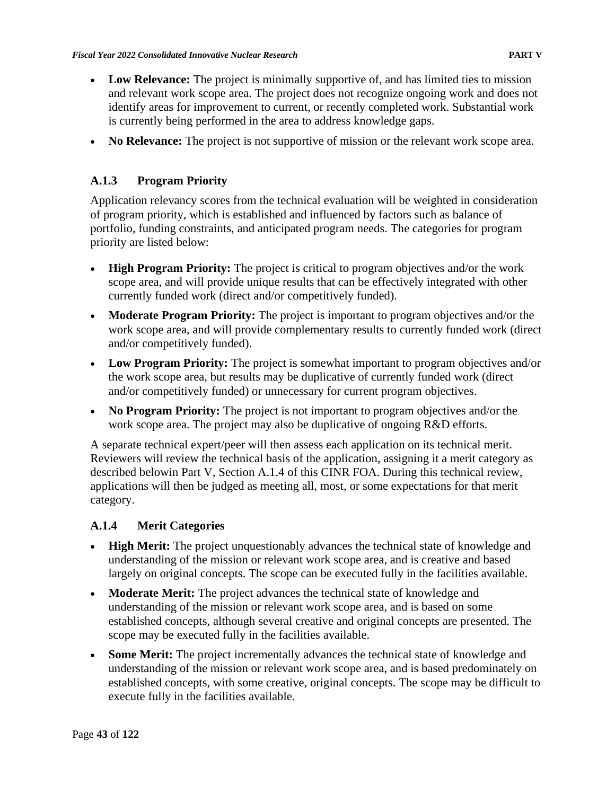- **Low Relevance:** The project is minimally supportive of, and has limited ties to mission and relevant work scope area. The project does not recognize ongoing work and does not identify areas for improvement to current, or recently completed work. Substantial work is currently being performed in the area to address knowledge gaps.
- **No Relevance:** The project is not supportive of mission or the relevant work scope area.

## **A.1.3 Program Priority**

Application relevancy scores from the technical evaluation will be weighted in consideration of program priority, which is established and influenced by factors such as balance of portfolio, funding constraints, and anticipated program needs. The categories for program priority are listed below:

- **High Program Priority:** The project is critical to program objectives and/or the work scope area, and will provide unique results that can be effectively integrated with other currently funded work (direct and/or competitively funded).
- **Moderate Program Priority:** The project is important to program objectives and/or the work scope area, and will provide complementary results to currently funded work (direct and/or competitively funded).
- Low Program Priority: The project is somewhat important to program objectives and/or the work scope area, but results may be duplicative of currently funded work (direct and/or competitively funded) or unnecessary for current program objectives.
- **No Program Priority:** The project is not important to program objectives and/or the work scope area. The project may also be duplicative of ongoing R&D efforts.

A separate technical expert/peer will then assess each application on its technical merit. Reviewers will review the technical basis of the application, assigning it a merit category as described belowin Part V, Section A.1.4 of this CINR FOA. During this technical review, applications will then be judged as meeting all, most, or some expectations for that merit category.

## **A.1.4 Merit Categories**

- **High Merit:** The project unquestionably advances the technical state of knowledge and understanding of the mission or relevant work scope area, and is creative and based largely on original concepts. The scope can be executed fully in the facilities available.
- **Moderate Merit:** The project advances the technical state of knowledge and understanding of the mission or relevant work scope area, and is based on some established concepts, although several creative and original concepts are presented. The scope may be executed fully in the facilities available.
- **Some Merit:** The project incrementally advances the technical state of knowledge and understanding of the mission or relevant work scope area, and is based predominately on established concepts, with some creative, original concepts. The scope may be difficult to execute fully in the facilities available.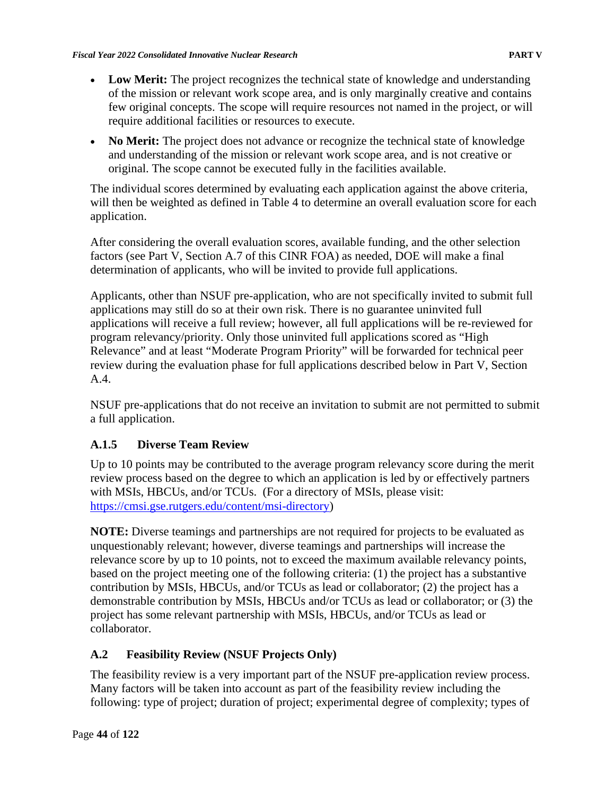- Low Merit: The project recognizes the technical state of knowledge and understanding of the mission or relevant work scope area, and is only marginally creative and contains few original concepts. The scope will require resources not named in the project, or will require additional facilities or resources to execute.
- **No Merit:** The project does not advance or recognize the technical state of knowledge and understanding of the mission or relevant work scope area, and is not creative or original. The scope cannot be executed fully in the facilities available.

The individual scores determined by evaluating each application against the above criteria, will then be weighted as defined in Table 4 to determine an overall evaluation score for each application.

After considering the overall evaluation scores, available funding, and the other selection factors (see Part V, Section A.7 of this CINR FOA) as needed, DOE will make a final determination of applicants, who will be invited to provide full applications.

Applicants, other than NSUF pre-application, who are not specifically invited to submit full applications may still do so at their own risk. There is no guarantee uninvited full applications will receive a full review; however, all full applications will be re-reviewed for program relevancy/priority. Only those uninvited full applications scored as "High Relevance" and at least "Moderate Program Priority" will be forwarded for technical peer review during the evaluation phase for full applications described below in Part V, Section A.4.

NSUF pre-applications that do not receive an invitation to submit are not permitted to submit a full application.

# **A.1.5 Diverse Team Review**

Up to 10 points may be contributed to the average program relevancy score during the merit review process based on the degree to which an application is led by or effectively partners with MSIs, HBCUs, and/or TCUs. (For a directory of MSIs, please visit: [https://cmsi.gse.rutgers.edu/content/msi-directory\)](https://cmsi.gse.rutgers.edu/content/msi-directory)

**NOTE:** Diverse teamings and partnerships are not required for projects to be evaluated as unquestionably relevant; however, diverse teamings and partnerships will increase the relevance score by up to 10 points, not to exceed the maximum available relevancy points, based on the project meeting one of the following criteria: (1) the project has a substantive contribution by MSIs, HBCUs, and/or TCUs as lead or collaborator; (2) the project has a demonstrable contribution by MSIs, HBCUs and/or TCUs as lead or collaborator; or (3) the project has some relevant partnership with MSIs, HBCUs, and/or TCUs as lead or collaborator.

# **A.2 Feasibility Review (NSUF Projects Only)**

The feasibility review is a very important part of the NSUF pre-application review process. Many factors will be taken into account as part of the feasibility review including the following: type of project; duration of project; experimental degree of complexity; types of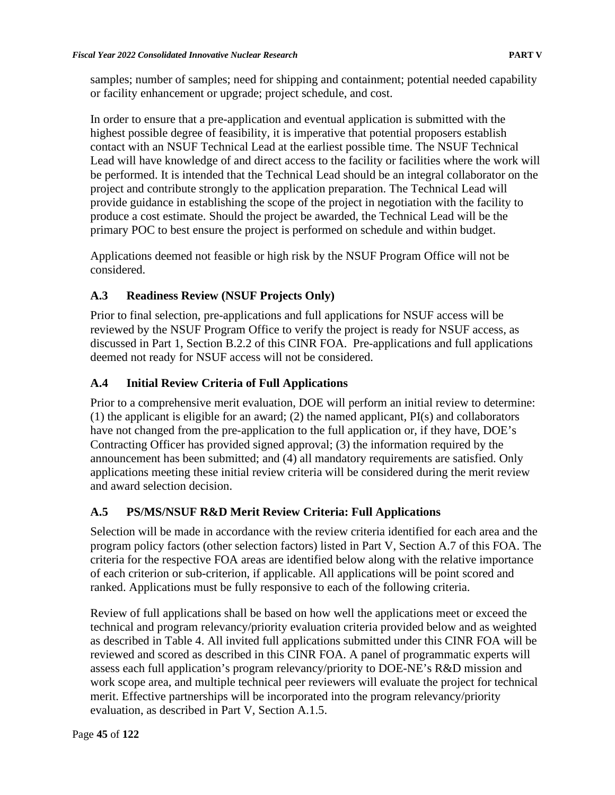samples; number of samples; need for shipping and containment; potential needed capability or facility enhancement or upgrade; project schedule, and cost.

In order to ensure that a pre-application and eventual application is submitted with the highest possible degree of feasibility, it is imperative that potential proposers establish contact with an NSUF Technical Lead at the earliest possible time. The NSUF Technical Lead will have knowledge of and direct access to the facility or facilities where the work will be performed. It is intended that the Technical Lead should be an integral collaborator on the project and contribute strongly to the application preparation. The Technical Lead will provide guidance in establishing the scope of the project in negotiation with the facility to produce a cost estimate. Should the project be awarded, the Technical Lead will be the primary POC to best ensure the project is performed on schedule and within budget.

Applications deemed not feasible or high risk by the NSUF Program Office will not be considered.

## **A.3 Readiness Review (NSUF Projects Only)**

Prior to final selection, pre-applications and full applications for NSUF access will be reviewed by the NSUF Program Office to verify the project is ready for NSUF access, as discussed in Part 1, Section B.2.2 of this CINR FOA. Pre-applications and full applications deemed not ready for NSUF access will not be considered.

# **A.4 Initial Review Criteria of Full Applications**

Prior to a comprehensive merit evaluation, DOE will perform an initial review to determine: (1) the applicant is eligible for an award; (2) the named applicant, PI(s) and collaborators have not changed from the pre-application to the full application or, if they have, DOE's Contracting Officer has provided signed approval; (3) the information required by the announcement has been submitted; and (4) all mandatory requirements are satisfied. Only applications meeting these initial review criteria will be considered during the merit review and award selection decision.

## **A.5 PS/MS/NSUF R&D Merit Review Criteria: Full Applications**

Selection will be made in accordance with the review criteria identified for each area and the program policy factors (other selection factors) listed in Part V, Section A.7 of this FOA. The criteria for the respective FOA areas are identified below along with the relative importance of each criterion or sub-criterion, if applicable. All applications will be point scored and ranked. Applications must be fully responsive to each of the following criteria.

Review of full applications shall be based on how well the applications meet or exceed the technical and program relevancy/priority evaluation criteria provided below and as weighted as described in Table 4. All invited full applications submitted under this CINR FOA will be reviewed and scored as described in this CINR FOA. A panel of programmatic experts will assess each full application's program relevancy/priority to DOE-NE's R&D mission and work scope area, and multiple technical peer reviewers will evaluate the project for technical merit. Effective partnerships will be incorporated into the program relevancy/priority evaluation, as described in Part V, Section A.1.5.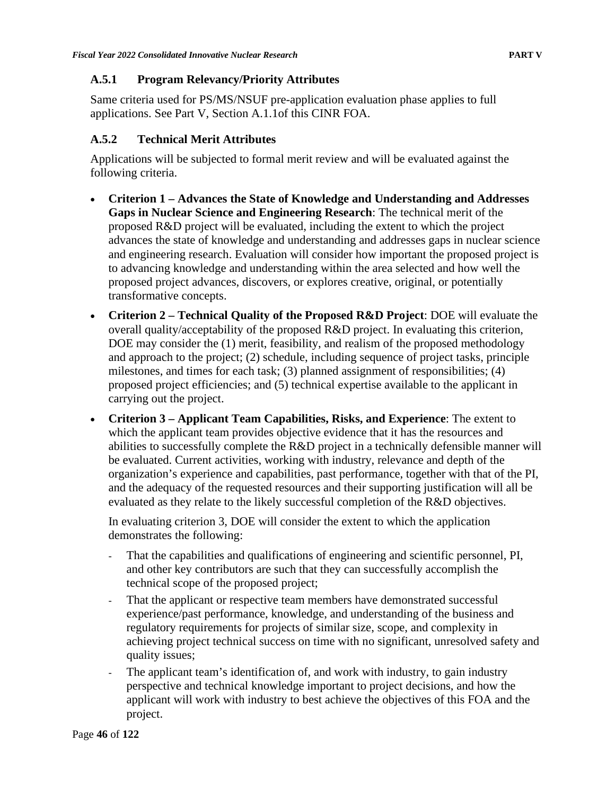### **A.5.1 Program Relevancy/Priority Attributes**

Same criteria used for PS/MS/NSUF pre-application evaluation phase applies to full applications. See Part V, Section A.1.1of this CINR FOA.

### **A.5.2 Technical Merit Attributes**

Applications will be subjected to formal merit review and will be evaluated against the following criteria.

- **Criterion 1 – Advances the State of Knowledge and Understanding and Addresses Gaps in Nuclear Science and Engineering Research**: The technical merit of the proposed R&D project will be evaluated, including the extent to which the project advances the state of knowledge and understanding and addresses gaps in nuclear science and engineering research. Evaluation will consider how important the proposed project is to advancing knowledge and understanding within the area selected and how well the proposed project advances, discovers, or explores creative, original, or potentially transformative concepts.
- **Criterion 2 – Technical Quality of the Proposed R&D Project**: DOE will evaluate the overall quality/acceptability of the proposed R&D project. In evaluating this criterion, DOE may consider the (1) merit, feasibility, and realism of the proposed methodology and approach to the project; (2) schedule, including sequence of project tasks, principle milestones, and times for each task; (3) planned assignment of responsibilities; (4) proposed project efficiencies; and (5) technical expertise available to the applicant in carrying out the project.
- **Criterion 3 – Applicant Team Capabilities, Risks, and Experience**: The extent to which the applicant team provides objective evidence that it has the resources and abilities to successfully complete the R&D project in a technically defensible manner will be evaluated. Current activities, working with industry, relevance and depth of the organization's experience and capabilities, past performance, together with that of the PI, and the adequacy of the requested resources and their supporting justification will all be evaluated as they relate to the likely successful completion of the R&D objectives.

In evaluating criterion 3, DOE will consider the extent to which the application demonstrates the following:

- That the capabilities and qualifications of engineering and scientific personnel, PI, and other key contributors are such that they can successfully accomplish the technical scope of the proposed project;
- That the applicant or respective team members have demonstrated successful experience/past performance, knowledge, and understanding of the business and regulatory requirements for projects of similar size, scope, and complexity in achieving project technical success on time with no significant, unresolved safety and quality issues;
- The applicant team's identification of, and work with industry, to gain industry perspective and technical knowledge important to project decisions, and how the applicant will work with industry to best achieve the objectives of this FOA and the project.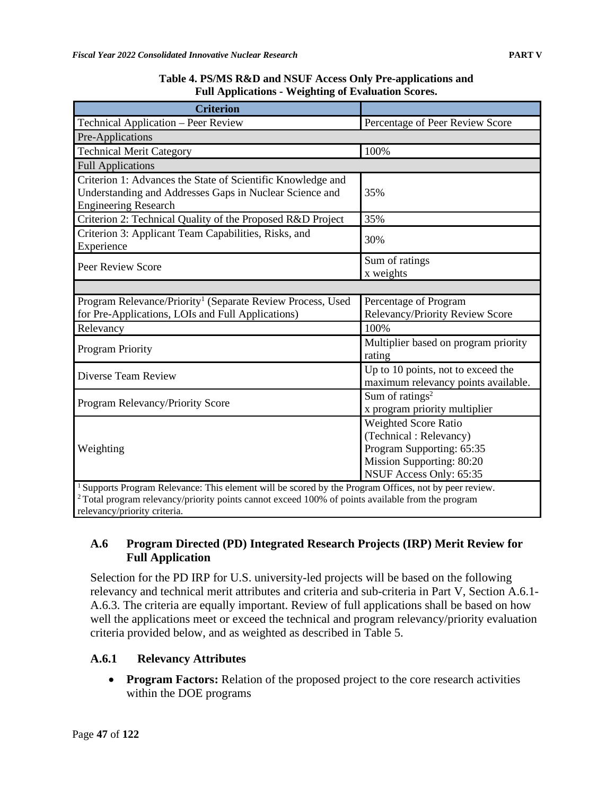| <b>Criterion</b>                                                                                                                                      |                                                                                                                                     |  |  |  |
|-------------------------------------------------------------------------------------------------------------------------------------------------------|-------------------------------------------------------------------------------------------------------------------------------------|--|--|--|
| Technical Application - Peer Review                                                                                                                   | Percentage of Peer Review Score                                                                                                     |  |  |  |
| Pre-Applications                                                                                                                                      |                                                                                                                                     |  |  |  |
| <b>Technical Merit Category</b>                                                                                                                       | 100%                                                                                                                                |  |  |  |
| <b>Full Applications</b>                                                                                                                              |                                                                                                                                     |  |  |  |
| Criterion 1: Advances the State of Scientific Knowledge and<br>Understanding and Addresses Gaps in Nuclear Science and<br><b>Engineering Research</b> | 35%                                                                                                                                 |  |  |  |
| Criterion 2: Technical Quality of the Proposed R&D Project                                                                                            | 35%                                                                                                                                 |  |  |  |
| Criterion 3: Applicant Team Capabilities, Risks, and<br>Experience                                                                                    | 30%                                                                                                                                 |  |  |  |
| Peer Review Score                                                                                                                                     | Sum of ratings<br>x weights                                                                                                         |  |  |  |
|                                                                                                                                                       |                                                                                                                                     |  |  |  |
| Program Relevance/Priority <sup>1</sup> (Separate Review Process, Used<br>for Pre-Applications, LOIs and Full Applications)                           | Percentage of Program<br>Relevancy/Priority Review Score                                                                            |  |  |  |
| Relevancy                                                                                                                                             | 100%                                                                                                                                |  |  |  |
| Program Priority                                                                                                                                      | Multiplier based on program priority<br>rating                                                                                      |  |  |  |
| Diverse Team Review                                                                                                                                   | Up to 10 points, not to exceed the<br>maximum relevancy points available.                                                           |  |  |  |
| Program Relevancy/Priority Score                                                                                                                      | Sum of ratings <sup>2</sup><br>x program priority multiplier                                                                        |  |  |  |
| Weighting                                                                                                                                             | Weighted Score Ratio<br>(Technical: Relevancy)<br>Program Supporting: 65:35<br>Mission Supporting: 80:20<br>NSUF Access Only: 65:35 |  |  |  |
| <sup>1</sup> Supports Program Relevance: This element will be scored by the Program Offices, not by peer review                                       |                                                                                                                                     |  |  |  |

**Table 4. PS/MS R&D and NSUF Access Only Pre-applications and Full Applications - Weighting of Evaluation Scores.**

m Relevance: This element will be scored by the Program Offices, not by peer review. <sup>2</sup> Total program relevancy/priority points cannot exceed 100% of points available from the program relevancy/priority criteria.

### **A.6 Program Directed (PD) Integrated Research Projects (IRP) Merit Review for Full Application**

Selection for the PD IRP for U.S. university-led projects will be based on the following relevancy and technical merit attributes and criteria and sub-criteria in Part V, Section A.6.1- A.6.3. The criteria are equally important. Review of full applications shall be based on how well the applications meet or exceed the technical and program relevancy/priority evaluation criteria provided below, and as weighted as described in Table 5.

## **A.6.1 Relevancy Attributes**

• **Program Factors:** Relation of the proposed project to the core research activities within the DOE programs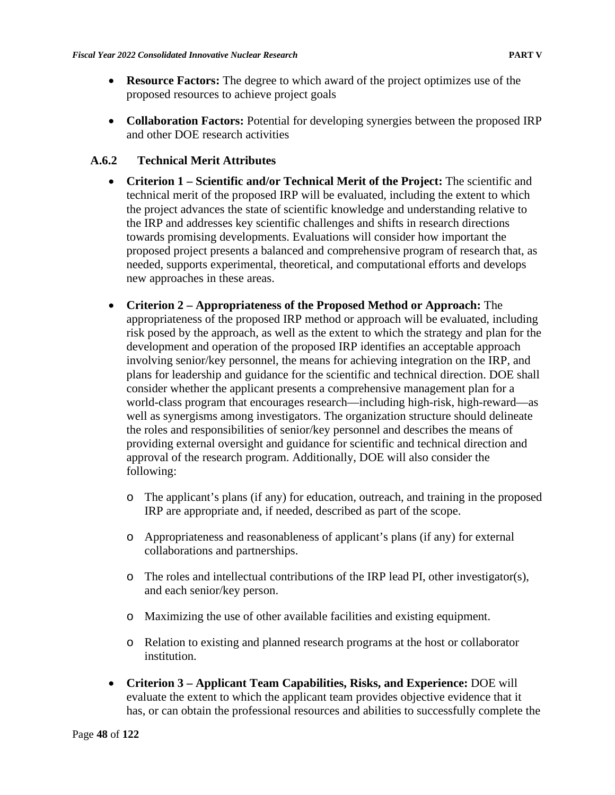- **Resource Factors:** The degree to which award of the project optimizes use of the proposed resources to achieve project goals
- **Collaboration Factors:** Potential for developing synergies between the proposed IRP and other DOE research activities

#### **A.6.2 Technical Merit Attributes**

- **Criterion 1 – Scientific and/or Technical Merit of the Project:** The scientific and technical merit of the proposed IRP will be evaluated, including the extent to which the project advances the state of scientific knowledge and understanding relative to the IRP and addresses key scientific challenges and shifts in research directions towards promising developments. Evaluations will consider how important the proposed project presents a balanced and comprehensive program of research that, as needed, supports experimental, theoretical, and computational efforts and develops new approaches in these areas.
- **Criterion 2 – Appropriateness of the Proposed Method or Approach:** The appropriateness of the proposed IRP method or approach will be evaluated, including risk posed by the approach, as well as the extent to which the strategy and plan for the development and operation of the proposed IRP identifies an acceptable approach involving senior/key personnel, the means for achieving integration on the IRP, and plans for leadership and guidance for the scientific and technical direction. DOE shall consider whether the applicant presents a comprehensive management plan for a world-class program that encourages research—including high-risk, high-reward—as well as synergisms among investigators. The organization structure should delineate the roles and responsibilities of senior/key personnel and describes the means of providing external oversight and guidance for scientific and technical direction and approval of the research program. Additionally, DOE will also consider the following:
	- o The applicant's plans (if any) for education, outreach, and training in the proposed IRP are appropriate and, if needed, described as part of the scope.
	- o Appropriateness and reasonableness of applicant's plans (if any) for external collaborations and partnerships.
	- $\circ$  The roles and intellectual contributions of the IRP lead PI, other investigator(s), and each senior/key person.
	- o Maximizing the use of other available facilities and existing equipment.
	- o Relation to existing and planned research programs at the host or collaborator institution.
- **Criterion 3 – Applicant Team Capabilities, Risks, and Experience:** DOE will evaluate the extent to which the applicant team provides objective evidence that it has, or can obtain the professional resources and abilities to successfully complete the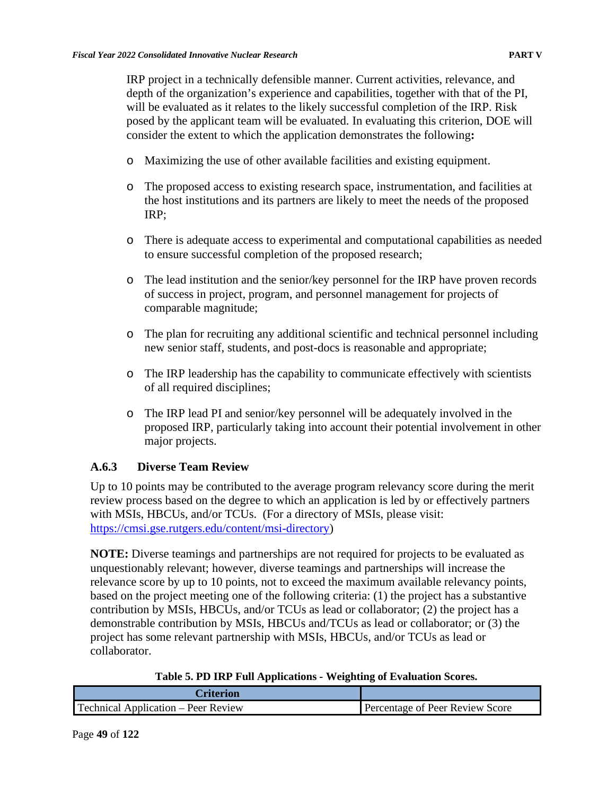IRP project in a technically defensible manner. Current activities, relevance, and depth of the organization's experience and capabilities, together with that of the PI, will be evaluated as it relates to the likely successful completion of the IRP. Risk posed by the applicant team will be evaluated. In evaluating this criterion, DOE will consider the extent to which the application demonstrates the following**:**

- o Maximizing the use of other available facilities and existing equipment.
- o The proposed access to existing research space, instrumentation, and facilities at the host institutions and its partners are likely to meet the needs of the proposed IRP;
- o There is adequate access to experimental and computational capabilities as needed to ensure successful completion of the proposed research;
- o The lead institution and the senior/key personnel for the IRP have proven records of success in project, program, and personnel management for projects of comparable magnitude;
- o The plan for recruiting any additional scientific and technical personnel including new senior staff, students, and post-docs is reasonable and appropriate;
- o The IRP leadership has the capability to communicate effectively with scientists of all required disciplines;
- o The IRP lead PI and senior/key personnel will be adequately involved in the proposed IRP, particularly taking into account their potential involvement in other major projects.

## **A.6.3 Diverse Team Review**

Up to 10 points may be contributed to the average program relevancy score during the merit review process based on the degree to which an application is led by or effectively partners with MSIs, HBCUs, and/or TCUs. (For a directory of MSIs, please visit: [https://cmsi.gse.rutgers.edu/content/msi-directory\)](https://cmsi.gse.rutgers.edu/content/msi-directory)

**NOTE:** Diverse teamings and partnerships are not required for projects to be evaluated as unquestionably relevant; however, diverse teamings and partnerships will increase the relevance score by up to 10 points, not to exceed the maximum available relevancy points, based on the project meeting one of the following criteria: (1) the project has a substantive contribution by MSIs, HBCUs, and/or TCUs as lead or collaborator; (2) the project has a demonstrable contribution by MSIs, HBCUs and/TCUs as lead or collaborator; or (3) the project has some relevant partnership with MSIs, HBCUs, and/or TCUs as lead or collaborator.

|  | Table 5. PD IRP Full Applications - Weighting of Evaluation Scores. |
|--|---------------------------------------------------------------------|
|--|---------------------------------------------------------------------|

| Criterion                                  |                                 |
|--------------------------------------------|---------------------------------|
| <b>Technical Application – Peer Review</b> | Percentage of Peer Review Score |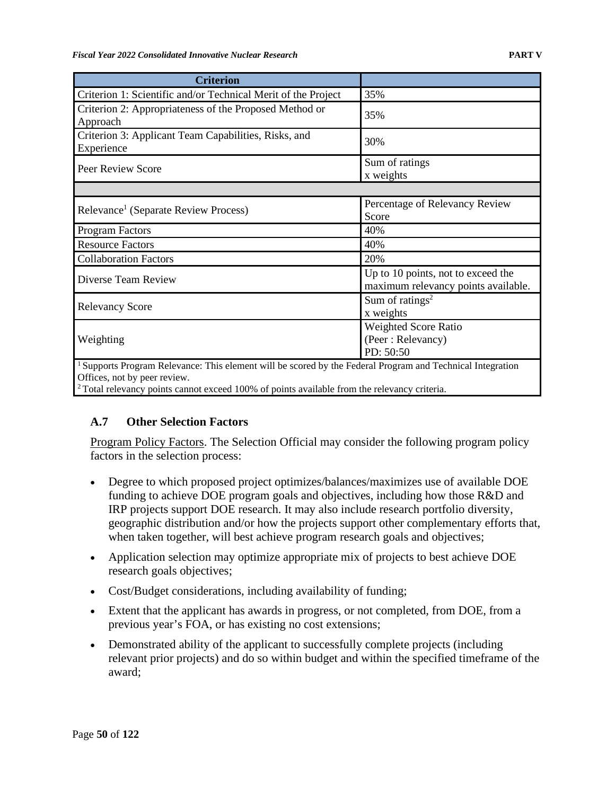| <b>Criterion</b>                                                                                         |                                                                           |
|----------------------------------------------------------------------------------------------------------|---------------------------------------------------------------------------|
| Criterion 1: Scientific and/or Technical Merit of the Project                                            | 35%                                                                       |
| Criterion 2: Appropriateness of the Proposed Method or<br>Approach                                       | 35%                                                                       |
| Criterion 3: Applicant Team Capabilities, Risks, and<br>Experience                                       | 30%                                                                       |
| Peer Review Score                                                                                        | Sum of ratings<br>x weights                                               |
|                                                                                                          |                                                                           |
| Relevance <sup>1</sup> (Separate Review Process)                                                         | Percentage of Relevancy Review<br>Score                                   |
| Program Factors                                                                                          | 40%                                                                       |
| <b>Resource Factors</b>                                                                                  | 40%                                                                       |
| <b>Collaboration Factors</b>                                                                             | 20%                                                                       |
| Diverse Team Review                                                                                      | Up to 10 points, not to exceed the<br>maximum relevancy points available. |
| <b>Relevancy Score</b>                                                                                   | Sum of ratings <sup>2</sup><br>x weights                                  |
|                                                                                                          | Weighted Score Ratio                                                      |
| Weighting                                                                                                | (Peer: Relevancy)                                                         |
|                                                                                                          | PD: 50:50                                                                 |
| Supports Program Relevance: This element will be scored by the Federal Program and Technical Integration |                                                                           |

Offices, not by peer review.

 $2$  Total relevancy points cannot exceed 100% of points available from the relevancy criteria.

### **A.7 Other Selection Factors**

Program Policy Factors. The Selection Official may consider the following program policy factors in the selection process:

- Degree to which proposed project optimizes/balances/maximizes use of available DOE funding to achieve DOE program goals and objectives, including how those R&D and IRP projects support DOE research. It may also include research portfolio diversity, geographic distribution and/or how the projects support other complementary efforts that, when taken together, will best achieve program research goals and objectives;
- Application selection may optimize appropriate mix of projects to best achieve DOE research goals objectives;
- Cost/Budget considerations, including availability of funding;
- Extent that the applicant has awards in progress, or not completed, from DOE, from a previous year's FOA, or has existing no cost extensions;
- Demonstrated ability of the applicant to successfully complete projects (including relevant prior projects) and do so within budget and within the specified timeframe of the award;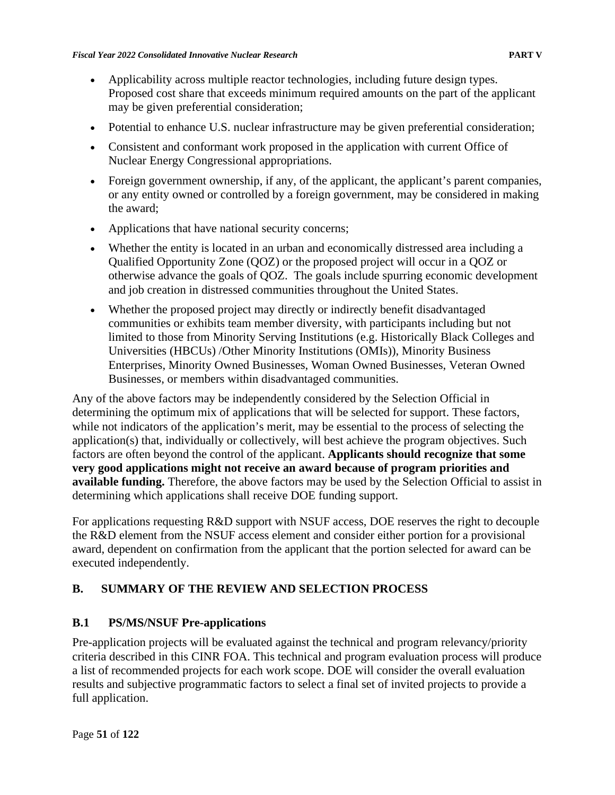- Applicability across multiple reactor technologies, including future design types. Proposed cost share that exceeds minimum required amounts on the part of the applicant may be given preferential consideration;
- Potential to enhance U.S. nuclear infrastructure may be given preferential consideration;
- Consistent and conformant work proposed in the application with current Office of Nuclear Energy Congressional appropriations.
- Foreign government ownership, if any, of the applicant, the applicant's parent companies, or any entity owned or controlled by a foreign government, may be considered in making the award;
- Applications that have national security concerns;
- Whether the entity is located in an urban and economically distressed area including a Qualified Opportunity Zone (QOZ) or the proposed project will occur in a QOZ or otherwise advance the goals of QOZ. The goals include spurring economic development and job creation in distressed communities throughout the United States.
- Whether the proposed project may directly or indirectly benefit disadvantaged communities or exhibits team member diversity, with participants including but not limited to those from Minority Serving Institutions (e.g. Historically Black Colleges and Universities (HBCUs) /Other Minority Institutions (OMIs)), Minority Business Enterprises, Minority Owned Businesses, Woman Owned Businesses, Veteran Owned Businesses, or members within disadvantaged communities.

Any of the above factors may be independently considered by the Selection Official in determining the optimum mix of applications that will be selected for support. These factors, while not indicators of the application's merit, may be essential to the process of selecting the application(s) that, individually or collectively, will best achieve the program objectives. Such factors are often beyond the control of the applicant. **Applicants should recognize that some very good applications might not receive an award because of program priorities and available funding.** Therefore, the above factors may be used by the Selection Official to assist in determining which applications shall receive DOE funding support.

For applications requesting R&D support with NSUF access, DOE reserves the right to decouple the R&D element from the NSUF access element and consider either portion for a provisional award, dependent on confirmation from the applicant that the portion selected for award can be executed independently.

# **B. SUMMARY OF THE REVIEW AND SELECTION PROCESS**

## **B.1 PS/MS/NSUF Pre-applications**

Pre-application projects will be evaluated against the technical and program relevancy/priority criteria described in this CINR FOA. This technical and program evaluation process will produce a list of recommended projects for each work scope. DOE will consider the overall evaluation results and subjective programmatic factors to select a final set of invited projects to provide a full application.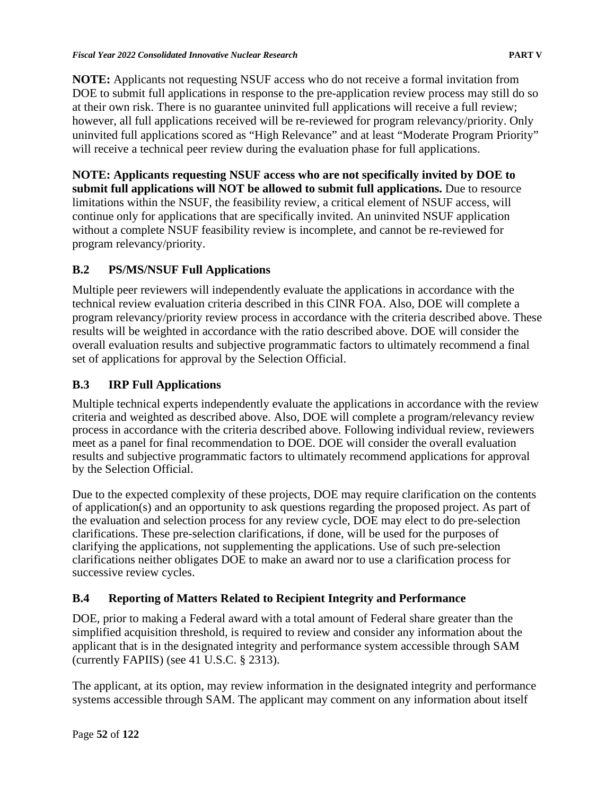**NOTE:** Applicants not requesting NSUF access who do not receive a formal invitation from DOE to submit full applications in response to the pre-application review process may still do so at their own risk. There is no guarantee uninvited full applications will receive a full review; however, all full applications received will be re-reviewed for program relevancy/priority. Only uninvited full applications scored as "High Relevance" and at least "Moderate Program Priority" will receive a technical peer review during the evaluation phase for full applications.

**NOTE: Applicants requesting NSUF access who are not specifically invited by DOE to submit full applications will NOT be allowed to submit full applications.** Due to resource limitations within the NSUF, the feasibility review, a critical element of NSUF access, will continue only for applications that are specifically invited. An uninvited NSUF application without a complete NSUF feasibility review is incomplete, and cannot be re-reviewed for program relevancy/priority.

# **B.2 PS/MS/NSUF Full Applications**

Multiple peer reviewers will independently evaluate the applications in accordance with the technical review evaluation criteria described in this CINR FOA. Also, DOE will complete a program relevancy/priority review process in accordance with the criteria described above. These results will be weighted in accordance with the ratio described above. DOE will consider the overall evaluation results and subjective programmatic factors to ultimately recommend a final set of applications for approval by the Selection Official.

# **B.3 IRP Full Applications**

Multiple technical experts independently evaluate the applications in accordance with the review criteria and weighted as described above. Also, DOE will complete a program/relevancy review process in accordance with the criteria described above. Following individual review, reviewers meet as a panel for final recommendation to DOE. DOE will consider the overall evaluation results and subjective programmatic factors to ultimately recommend applications for approval by the Selection Official.

Due to the expected complexity of these projects, DOE may require clarification on the contents of application(s) and an opportunity to ask questions regarding the proposed project. As part of the evaluation and selection process for any review cycle, DOE may elect to do pre-selection clarifications. These pre-selection clarifications, if done, will be used for the purposes of clarifying the applications, not supplementing the applications. Use of such pre-selection clarifications neither obligates DOE to make an award nor to use a clarification process for successive review cycles.

# **B.4 Reporting of Matters Related to Recipient Integrity and Performance**

DOE, prior to making a Federal award with a total amount of Federal share greater than the simplified acquisition threshold, is required to review and consider any information about the applicant that is in the designated integrity and performance system accessible through SAM (currently FAPIIS) (see 41 U.S.C. § 2313).

The applicant, at its option, may review information in the designated integrity and performance systems accessible through SAM. The applicant may comment on any information about itself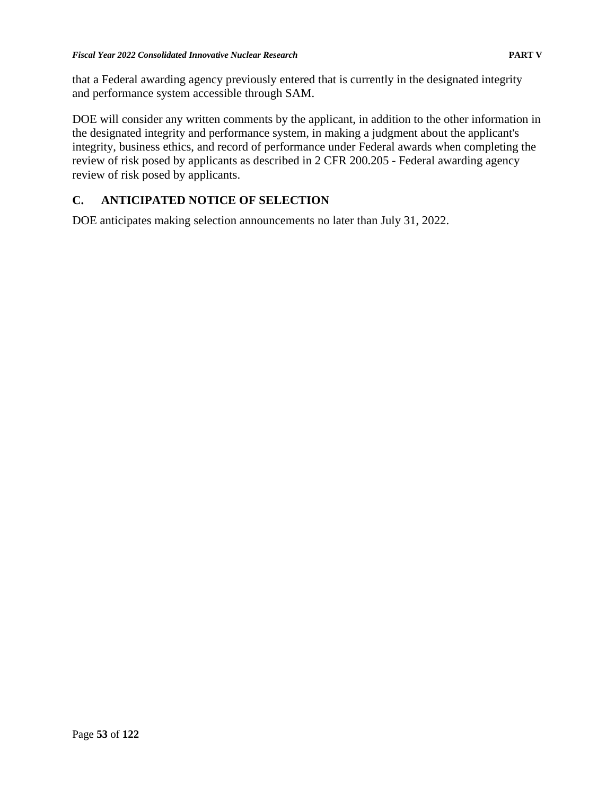that a Federal awarding agency previously entered that is currently in the designated integrity and performance system accessible through SAM.

DOE will consider any written comments by the applicant, in addition to the other information in the designated integrity and performance system, in making a judgment about the applicant's integrity, business ethics, and record of performance under Federal awards when completing the review of risk posed by applicants as described in 2 CFR 200.205 - Federal awarding agency review of risk posed by applicants.

## **C. ANTICIPATED NOTICE OF SELECTION**

DOE anticipates making selection announcements no later than July 31, 2022.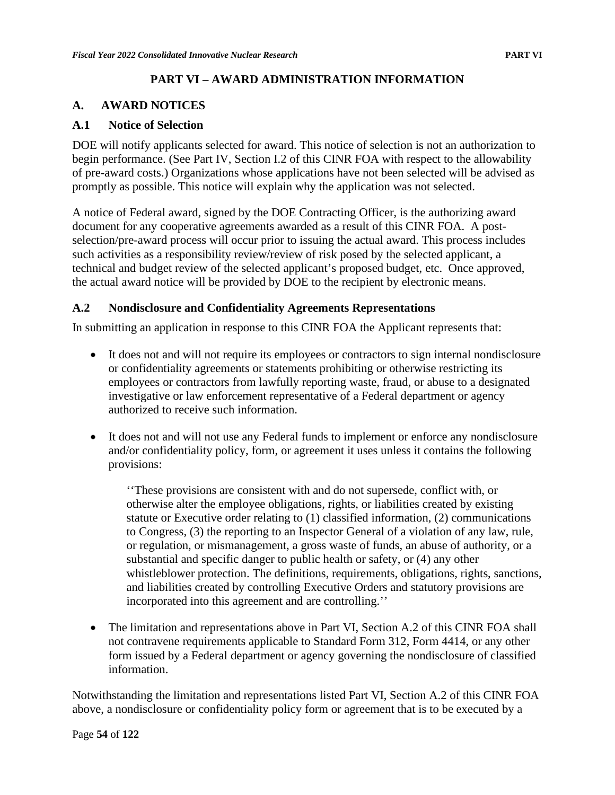### **PART VI – AWARD ADMINISTRATION INFORMATION**

#### **A. AWARD NOTICES**

#### **A.1 Notice of Selection**

DOE will notify applicants selected for award. This notice of selection is not an authorization to begin performance. (See Part IV, Section I.2 of this CINR FOA with respect to the allowability of pre-award costs.) Organizations whose applications have not been selected will be advised as promptly as possible. This notice will explain why the application was not selected.

A notice of Federal award, signed by the DOE Contracting Officer, is the authorizing award document for any cooperative agreements awarded as a result of this CINR FOA. A postselection/pre-award process will occur prior to issuing the actual award. This process includes such activities as a responsibility review/review of risk posed by the selected applicant, a technical and budget review of the selected applicant's proposed budget, etc. Once approved, the actual award notice will be provided by DOE to the recipient by electronic means.

#### **A.2 Nondisclosure and Confidentiality Agreements Representations**

In submitting an application in response to this CINR FOA the Applicant represents that:

- It does not and will not require its employees or contractors to sign internal nondisclosure or confidentiality agreements or statements prohibiting or otherwise restricting its employees or contractors from lawfully reporting waste, fraud, or abuse to a designated investigative or law enforcement representative of a Federal department or agency authorized to receive such information.
- It does not and will not use any Federal funds to implement or enforce any nondisclosure and/or confidentiality policy, form, or agreement it uses unless it contains the following provisions:

''These provisions are consistent with and do not supersede, conflict with, or otherwise alter the employee obligations, rights, or liabilities created by existing statute or Executive order relating to (1) classified information, (2) communications to Congress, (3) the reporting to an Inspector General of a violation of any law, rule, or regulation, or mismanagement, a gross waste of funds, an abuse of authority, or a substantial and specific danger to public health or safety, or (4) any other whistleblower protection. The definitions, requirements, obligations, rights, sanctions, and liabilities created by controlling Executive Orders and statutory provisions are incorporated into this agreement and are controlling.''

• The limitation and representations above in Part VI, Section A.2 of this CINR FOA shall not contravene requirements applicable to Standard Form 312, Form 4414, or any other form issued by a Federal department or agency governing the nondisclosure of classified information.

Notwithstanding the limitation and representations listed Part VI, Section A.2 of this CINR FOA above, a nondisclosure or confidentiality policy form or agreement that is to be executed by a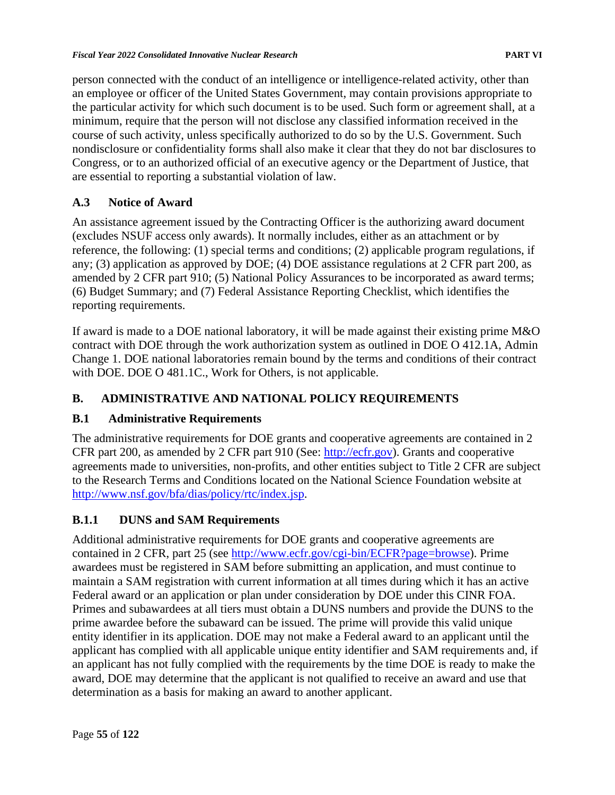person connected with the conduct of an intelligence or intelligence-related activity, other than an employee or officer of the United States Government, may contain provisions appropriate to the particular activity for which such document is to be used. Such form or agreement shall, at a minimum, require that the person will not disclose any classified information received in the course of such activity, unless specifically authorized to do so by the U.S. Government. Such nondisclosure or confidentiality forms shall also make it clear that they do not bar disclosures to Congress, or to an authorized official of an executive agency or the Department of Justice, that are essential to reporting a substantial violation of law.

### **A.3 Notice of Award**

An assistance agreement issued by the Contracting Officer is the authorizing award document (excludes NSUF access only awards). It normally includes, either as an attachment or by reference, the following: (1) special terms and conditions; (2) applicable program regulations, if any; (3) application as approved by DOE; (4) DOE assistance regulations at 2 CFR part 200, as amended by 2 CFR part 910; (5) National Policy Assurances to be incorporated as award terms; (6) Budget Summary; and (7) Federal Assistance Reporting Checklist, which identifies the reporting requirements.

If award is made to a DOE national laboratory, it will be made against their existing prime M&O contract with DOE through the work authorization system as outlined in DOE O 412.1A, Admin Change 1. DOE national laboratories remain bound by the terms and conditions of their contract with DOE. DOE O 481.1C., Work for Others, is not applicable.

### **B. ADMINISTRATIVE AND NATIONAL POLICY REQUIREMENTS**

### **B.1 Administrative Requirements**

The administrative requirements for DOE grants and cooperative agreements are contained in 2 CFR part 200, as amended by 2 CFR part 910 (See: [http://ecfr.gov\)](http://www.ecfr.gov/cgi-bin/text-idx?node=pt2.1.910&rgn=div5). Grants and cooperative agreements made to universities, non-profits, and other entities subject to Title 2 CFR are subject to the Research Terms and Conditions located on the National Science Foundation website at [http://www.nsf.gov/bfa/dias/policy/rtc/index.jsp.](http://www.nsf.gov/bfa/dias/policy/rtc/index.jsp)

### **B.1.1 DUNS and SAM Requirements**

Additional administrative requirements for DOE grants and cooperative agreements are contained in 2 CFR, part 25 (see [http://www.ecfr.gov/cgi-bin/ECFR?page=browse\)](http://www.ecfr.gov/cgi-bin/ECFR?page=browse). Prime awardees must be registered in SAM before submitting an application, and must continue to maintain a SAM registration with current information at all times during which it has an active Federal award or an application or plan under consideration by DOE under this CINR FOA. Primes and subawardees at all tiers must obtain a DUNS numbers and provide the DUNS to the prime awardee before the subaward can be issued. The prime will provide this valid unique entity identifier in its application. DOE may not make a Federal award to an applicant until the applicant has complied with all applicable unique entity identifier and SAM requirements and, if an applicant has not fully complied with the requirements by the time DOE is ready to make the award, DOE may determine that the applicant is not qualified to receive an award and use that determination as a basis for making an award to another applicant.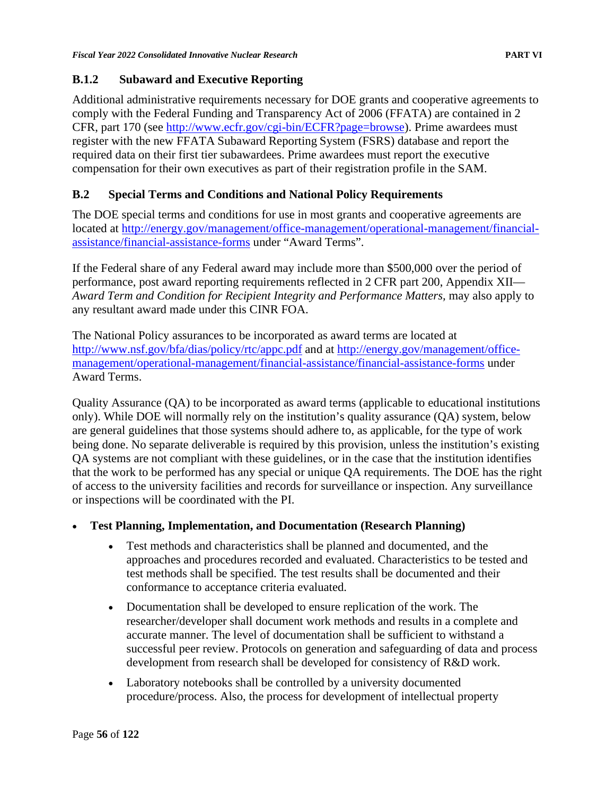### **B.1.2 Subaward and Executive Reporting**

Additional administrative requirements necessary for DOE grants and cooperative agreements to comply with the Federal Funding and Transparency Act of 2006 (FFATA) are contained in 2 CFR, part 170 (see [http://www.ecfr.gov/cgi-bin/ECFR?page=browse\)](http://www.ecfr.gov/cgi-bin/ECFR?page=browse). Prime awardees must register with the new FFATA Subaward Reporting System (FSRS) database and report the required data on their first tier subawardees. Prime awardees must report the executive compensation for their own executives as part of their registration profile in the SAM.

### **B.2 Special Terms and Conditions and National Policy Requirements**

The DOE special terms and conditions for use in most grants and cooperative agreements are located at [http://energy.gov/management/office-management/operational-management/financial](http://energy.gov/management/office-management/operational-management/financial-assistance/financial-assistance-forms)[assistance/financial-assistance-forms](http://energy.gov/management/office-management/operational-management/financial-assistance/financial-assistance-forms) under "Award Terms".

If the Federal share of any Federal award may include more than \$500,000 over the period of performance, post award reporting requirements reflected in 2 CFR part 200, Appendix XII— Award Term and Condition for Recipient Integrity and Performance Matters, may also apply to any resultant award made under this CINR FOA.

The National Policy assurances to be incorporated as award terms are located at <http://www.nsf.gov/bfa/dias/policy/rtc/appc.pdf> and at [http://energy.gov/management/office](http://energy.gov/management/office-management/operational-management/financial-assistance/financial-assistance-forms)[management/operational-management/financial-assistance/financial-assistance-forms](http://energy.gov/management/office-management/operational-management/financial-assistance/financial-assistance-forms) under Award Terms.

Quality Assurance (QA) to be incorporated as award terms (applicable to educational institutions only). While DOE will normally rely on the institution's quality assurance (QA) system, below are general guidelines that those systems should adhere to, as applicable, for the type of work being done. No separate deliverable is required by this provision, unless the institution's existing QA systems are not compliant with these guidelines, or in the case that the institution identifies that the work to be performed has any special or unique QA requirements. The DOE has the right of access to the university facilities and records for surveillance or inspection. Any surveillance or inspections will be coordinated with the PI.

#### • **Test Planning, Implementation, and Documentation (Research Planning)**

- Test methods and characteristics shall be planned and documented, and the approaches and procedures recorded and evaluated. Characteristics to be tested and test methods shall be specified. The test results shall be documented and their conformance to acceptance criteria evaluated.
- Documentation shall be developed to ensure replication of the work. The researcher/developer shall document work methods and results in a complete and accurate manner. The level of documentation shall be sufficient to withstand a successful peer review. Protocols on generation and safeguarding of data and process development from research shall be developed for consistency of R&D work.
- Laboratory notebooks shall be controlled by a university documented procedure/process. Also, the process for development of intellectual property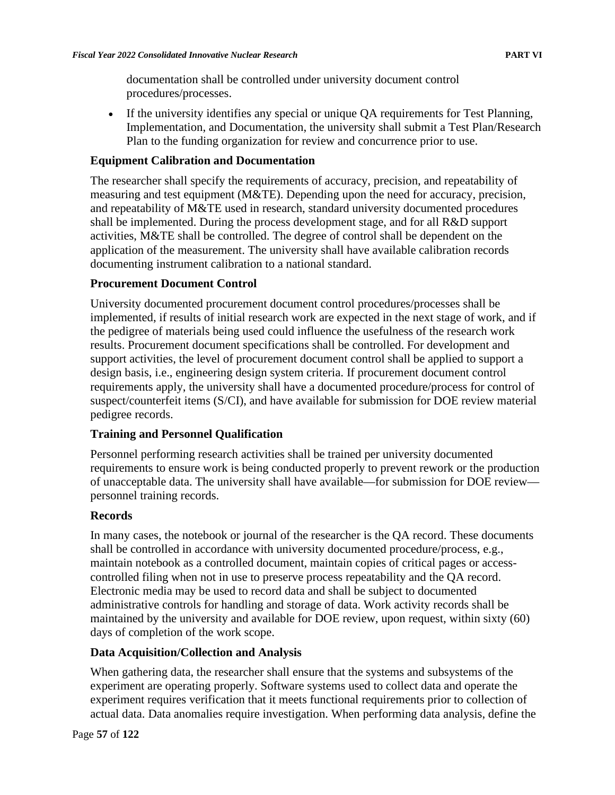documentation shall be controlled under university document control procedures/processes.

• If the university identifies any special or unique QA requirements for Test Planning, Implementation, and Documentation, the university shall submit a Test Plan/Research Plan to the funding organization for review and concurrence prior to use.

#### **Equipment Calibration and Documentation**

The researcher shall specify the requirements of accuracy, precision, and repeatability of measuring and test equipment (M&TE). Depending upon the need for accuracy, precision, and repeatability of M&TE used in research, standard university documented procedures shall be implemented. During the process development stage, and for all R&D support activities, M&TE shall be controlled. The degree of control shall be dependent on the application of the measurement. The university shall have available calibration records documenting instrument calibration to a national standard.

#### **Procurement Document Control**

University documented procurement document control procedures/processes shall be implemented, if results of initial research work are expected in the next stage of work, and if the pedigree of materials being used could influence the usefulness of the research work results. Procurement document specifications shall be controlled. For development and support activities, the level of procurement document control shall be applied to support a design basis, i.e., engineering design system criteria. If procurement document control requirements apply, the university shall have a documented procedure/process for control of suspect/counterfeit items (S/CI), and have available for submission for DOE review material pedigree records.

### **Training and Personnel Qualification**

Personnel performing research activities shall be trained per university documented requirements to ensure work is being conducted properly to prevent rework or the production of unacceptable data. The university shall have available—for submission for DOE review personnel training records.

#### **Records**

In many cases, the notebook or journal of the researcher is the QA record. These documents shall be controlled in accordance with university documented procedure/process, e.g., maintain notebook as a controlled document, maintain copies of critical pages or accesscontrolled filing when not in use to preserve process repeatability and the QA record. Electronic media may be used to record data and shall be subject to documented administrative controls for handling and storage of data. Work activity records shall be maintained by the university and available for DOE review, upon request, within sixty (60) days of completion of the work scope.

### **Data Acquisition/Collection and Analysis**

When gathering data, the researcher shall ensure that the systems and subsystems of the experiment are operating properly. Software systems used to collect data and operate the experiment requires verification that it meets functional requirements prior to collection of actual data. Data anomalies require investigation. When performing data analysis, define the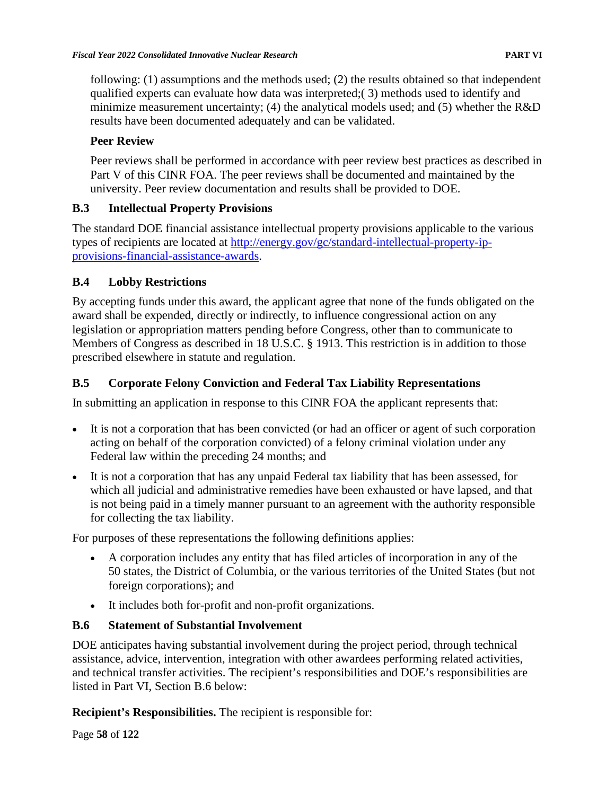following: (1) assumptions and the methods used; (2) the results obtained so that independent qualified experts can evaluate how data was interpreted;( 3) methods used to identify and minimize measurement uncertainty; (4) the analytical models used; and (5) whether the R&D results have been documented adequately and can be validated.

# **Peer Review**

Peer reviews shall be performed in accordance with peer review best practices as described in Part V of this CINR FOA. The peer reviews shall be documented and maintained by the university. Peer review documentation and results shall be provided to DOE.

# **B.3 Intellectual Property Provisions**

The standard DOE financial assistance intellectual property provisions applicable to the various types of recipients are located at [http://energy.gov/gc/standard-intellectual-property-ip](http://energy.gov/gc/standard-intellectual-property-ip-provisions-financial-assistance-awards)[provisions-financial-assistance-awards.](http://energy.gov/gc/standard-intellectual-property-ip-provisions-financial-assistance-awards)

## **B.4 Lobby Restrictions**

By accepting funds under this award, the applicant agree that none of the funds obligated on the award shall be expended, directly or indirectly, to influence congressional action on any legislation or appropriation matters pending before Congress, other than to communicate to Members of Congress as described in 18 U.S.C. § 1913. This restriction is in addition to those prescribed elsewhere in statute and regulation.

# **B.5 Corporate Felony Conviction and Federal Tax Liability Representations**

In submitting an application in response to this CINR FOA the applicant represents that:

- It is not a corporation that has been convicted (or had an officer or agent of such corporation acting on behalf of the corporation convicted) of a felony criminal violation under any Federal law within the preceding 24 months; and
- It is not a corporation that has any unpaid Federal tax liability that has been assessed, for which all judicial and administrative remedies have been exhausted or have lapsed, and that is not being paid in a timely manner pursuant to an agreement with the authority responsible for collecting the tax liability.

For purposes of these representations the following definitions applies:

- A corporation includes any entity that has filed articles of incorporation in any of the 50 states, the District of Columbia, or the various territories of the United States (but not foreign corporations); and
- It includes both for-profit and non-profit organizations.

# **B.6 Statement of Substantial Involvement**

DOE anticipates having substantial involvement during the project period, through technical assistance, advice, intervention, integration with other awardees performing related activities, and technical transfer activities. The recipient's responsibilities and DOE's responsibilities are listed in Part VI, Section B.6 below:

**Recipient's Responsibilities.** The recipient is responsible for:

Page **58** of **122**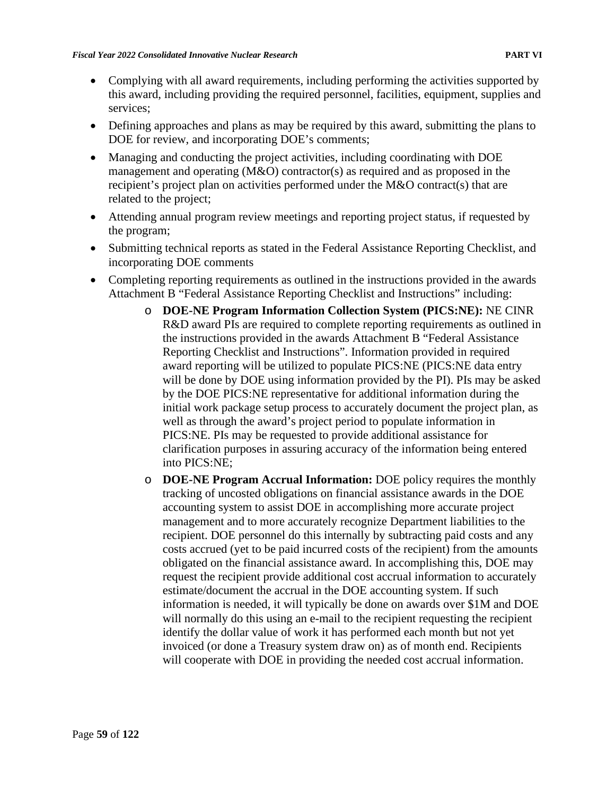- Complying with all award requirements, including performing the activities supported by this award, including providing the required personnel, facilities, equipment, supplies and services;
- Defining approaches and plans as may be required by this award, submitting the plans to DOE for review, and incorporating DOE's comments;
- Managing and conducting the project activities, including coordinating with DOE management and operating (M&O) contractor(s) as required and as proposed in the recipient's project plan on activities performed under the M&O contract(s) that are related to the project;
- Attending annual program review meetings and reporting project status, if requested by the program;
- Submitting technical reports as stated in the Federal Assistance Reporting Checklist, and incorporating DOE comments
- Completing reporting requirements as outlined in the instructions provided in the awards Attachment B "Federal Assistance Reporting Checklist and Instructions" including:
	- o **DOE-NE Program Information Collection System (PICS:NE):** NE CINR R&D award PIs are required to complete reporting requirements as outlined in the instructions provided in the awards Attachment B "Federal Assistance Reporting Checklist and Instructions". Information provided in required award reporting will be utilized to populate PICS:NE (PICS:NE data entry will be done by DOE using information provided by the PI). PIs may be asked by the DOE PICS:NE representative for additional information during the initial work package setup process to accurately document the project plan, as well as through the award's project period to populate information in PICS:NE. PIs may be requested to provide additional assistance for clarification purposes in assuring accuracy of the information being entered into PICS:NE;
	- o **DOE-NE Program Accrual Information:** DOE policy requires the monthly tracking of uncosted obligations on financial assistance awards in the DOE accounting system to assist DOE in accomplishing more accurate project management and to more accurately recognize Department liabilities to the recipient. DOE personnel do this internally by subtracting paid costs and any costs accrued (yet to be paid incurred costs of the recipient) from the amounts obligated on the financial assistance award. In accomplishing this, DOE may request the recipient provide additional cost accrual information to accurately estimate/document the accrual in the DOE accounting system. If such information is needed, it will typically be done on awards over \$1M and DOE will normally do this using an e-mail to the recipient requesting the recipient identify the dollar value of work it has performed each month but not yet invoiced (or done a Treasury system draw on) as of month end. Recipients will cooperate with DOE in providing the needed cost accrual information.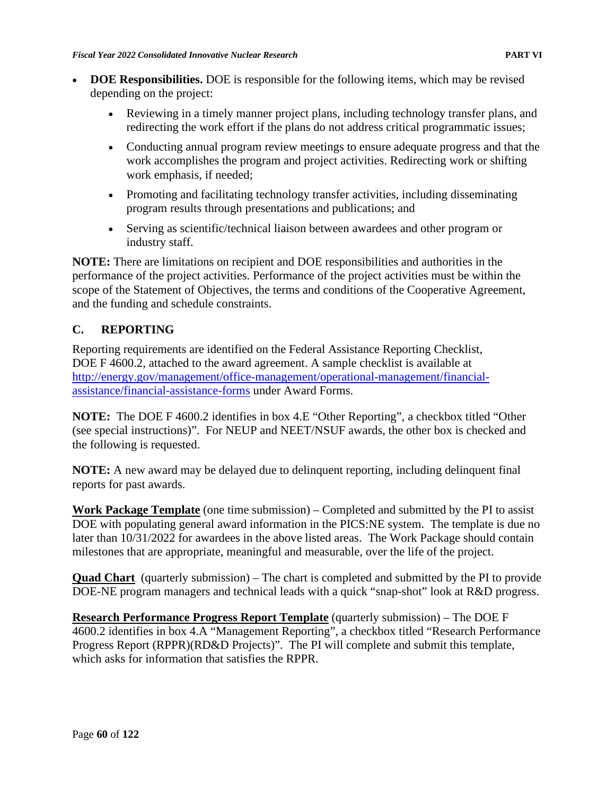- **DOE Responsibilities.** DOE is responsible for the following items, which may be revised depending on the project:
	- Reviewing in a timely manner project plans, including technology transfer plans, and redirecting the work effort if the plans do not address critical programmatic issues;
	- Conducting annual program review meetings to ensure adequate progress and that the work accomplishes the program and project activities. Redirecting work or shifting work emphasis, if needed;
	- Promoting and facilitating technology transfer activities, including disseminating program results through presentations and publications; and
	- Serving as scientific/technical liaison between awardees and other program or industry staff.

**NOTE:** There are limitations on recipient and DOE responsibilities and authorities in the performance of the project activities. Performance of the project activities must be within the scope of the Statement of Objectives, the terms and conditions of the Cooperative Agreement, and the funding and schedule constraints.

## **C. REPORTING**

Reporting requirements are identified on the Federal Assistance Reporting Checklist, DOE F 4600.2, attached to the award agreement. A sample checklist is available at [http://energy.gov/management/office-management/operational-management/financial](http://energy.gov/management/office-management/operational-management/financial-assistance/financial-assistance-forms)[assistance/financial-assistance-forms](http://energy.gov/management/office-management/operational-management/financial-assistance/financial-assistance-forms) under Award Forms.

**NOTE:** The DOE F 4600.2 identifies in box 4.E "Other Reporting", a checkbox titled "Other (see special instructions)". For NEUP and NEET/NSUF awards, the other box is checked and the following is requested.

**NOTE:** A new award may be delayed due to delinquent reporting, including delinquent final reports for past awards.

**Work Package Template** (one time submission) – Completed and submitted by the PI to assist DOE with populating general award information in the PICS:NE system. The template is due no later than 10/31/2022 for awardees in the above listed areas. The Work Package should contain milestones that are appropriate, meaningful and measurable, over the life of the project.

**Quad Chart** (quarterly submission) – The chart is completed and submitted by the PI to provide DOE-NE program managers and technical leads with a quick "snap-shot" look at R&D progress.

**Research Performance Progress Report Template** (quarterly submission) – The DOE F 4600.2 identifies in box 4.A "Management Reporting", a checkbox titled "Research Performance Progress Report (RPPR)(RD&D Projects)". The PI will complete and submit this template, which asks for information that satisfies the RPPR.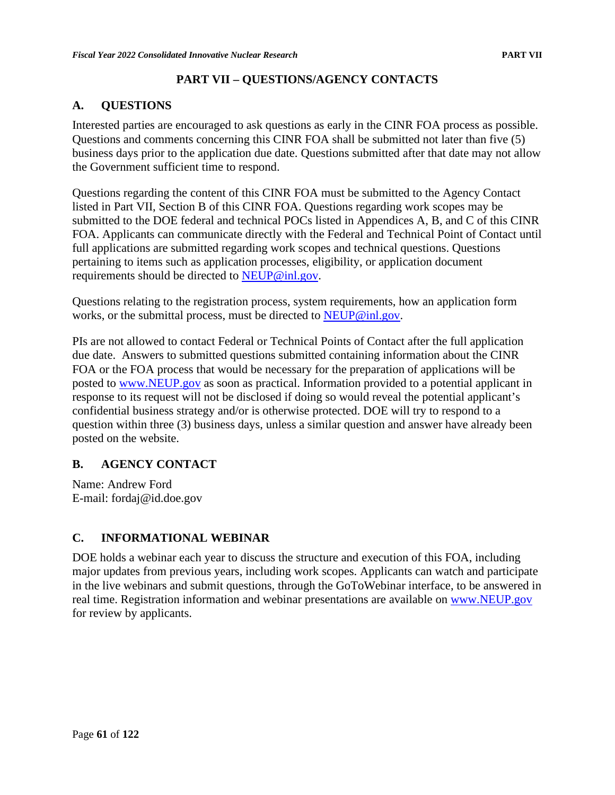## **PART VII – QUESTIONS/AGENCY CONTACTS**

## **A. QUESTIONS**

Interested parties are encouraged to ask questions as early in the CINR FOA process as possible. Questions and comments concerning this CINR FOA shall be submitted not later than five (5) business days prior to the application due date. Questions submitted after that date may not allow the Government sufficient time to respond.

Questions regarding the content of this CINR FOA must be submitted to the Agency Contact listed in Part VII, Section B of this CINR FOA. Questions regarding work scopes may be submitted to the DOE federal and technical POCs listed in Appendices A, B, and C of this CINR FOA. Applicants can communicate directly with the Federal and Technical Point of Contact until full applications are submitted regarding work scopes and technical questions. Questions pertaining to items such as application processes, eligibility, or application document requirements should be directed to [NEUP@inl.gov.](mailto:NEUP@inl.gov)

Questions relating to the registration process, system requirements, how an application form works, or the submittal process, must be directed to [NEUP@inl.gov.](mailto:NEUP@inl.gov)

PIs are not allowed to contact Federal or Technical Points of Contact after the full application due date. Answers to submitted questions submitted containing information about the CINR FOA or the FOA process that would be necessary for the preparation of applications will be posted to [www.NEUP.gov](http://www.neup.gov/) as soon as practical. Information provided to a potential applicant in response to its request will not be disclosed if doing so would reveal the potential applicant's confidential business strategy and/or is otherwise protected. DOE will try to respond to a question within three (3) business days, unless a similar question and answer have already been posted on the website.

## **B. AGENCY CONTACT**

Name: Andrew Ford E-mail: fordaj@id.doe.gov

## **C. INFORMATIONAL WEBINAR**

DOE holds a webinar each year to discuss the structure and execution of this FOA, including major updates from previous years, including work scopes. Applicants can watch and participate in the live webinars and submit questions, through the GoToWebinar interface, to be answered in real time. Registration information and webinar presentations are available on [www.NEUP.gov](http://www.neup.gov/) for review by applicants.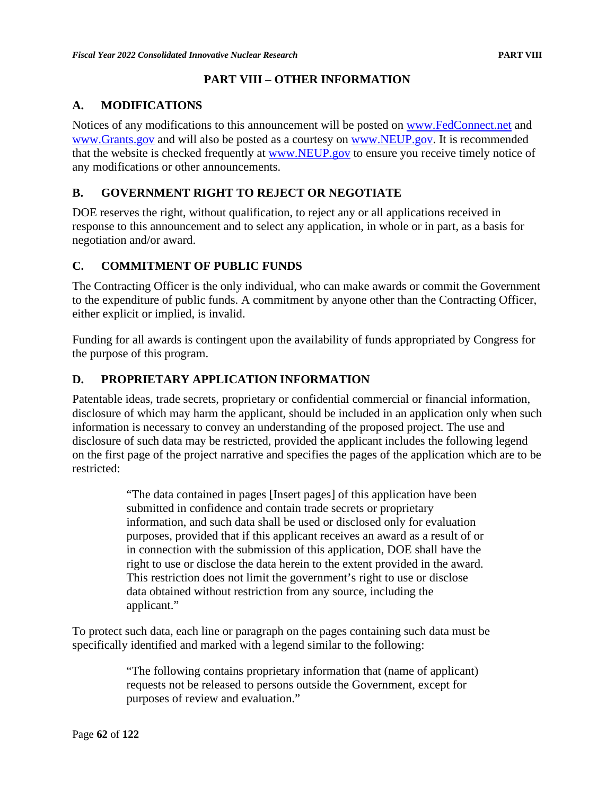## **PART VIII – OTHER INFORMATION**

## **A. MODIFICATIONS**

Notices of any modifications to this announcement will be posted on [www.FedConnect.net](http://www.fedconnect.net/) and [www.Grants.gov](http://www.grants.gov/) and will also be posted as a courtesy on [www.NEUP.gov.](http://www.neup.gov/) It is recommended that the website is checked frequently at [www.NEUP.gov](http://www.neup.gov/) to ensure you receive timely notice of any modifications or other announcements.

## **B. GOVERNMENT RIGHT TO REJECT OR NEGOTIATE**

DOE reserves the right, without qualification, to reject any or all applications received in response to this announcement and to select any application, in whole or in part, as a basis for negotiation and/or award.

## **C. COMMITMENT OF PUBLIC FUNDS**

The Contracting Officer is the only individual, who can make awards or commit the Government to the expenditure of public funds. A commitment by anyone other than the Contracting Officer, either explicit or implied, is invalid.

Funding for all awards is contingent upon the availability of funds appropriated by Congress for the purpose of this program.

## **D. PROPRIETARY APPLICATION INFORMATION**

Patentable ideas, trade secrets, proprietary or confidential commercial or financial information, disclosure of which may harm the applicant, should be included in an application only when such information is necessary to convey an understanding of the proposed project. The use and disclosure of such data may be restricted, provided the applicant includes the following legend on the first page of the project narrative and specifies the pages of the application which are to be restricted:

> "The data contained in pages [Insert pages] of this application have been submitted in confidence and contain trade secrets or proprietary information, and such data shall be used or disclosed only for evaluation purposes, provided that if this applicant receives an award as a result of or in connection with the submission of this application, DOE shall have the right to use or disclose the data herein to the extent provided in the award. This restriction does not limit the government's right to use or disclose data obtained without restriction from any source, including the applicant."

To protect such data, each line or paragraph on the pages containing such data must be specifically identified and marked with a legend similar to the following:

> "The following contains proprietary information that (name of applicant) requests not be released to persons outside the Government, except for purposes of review and evaluation."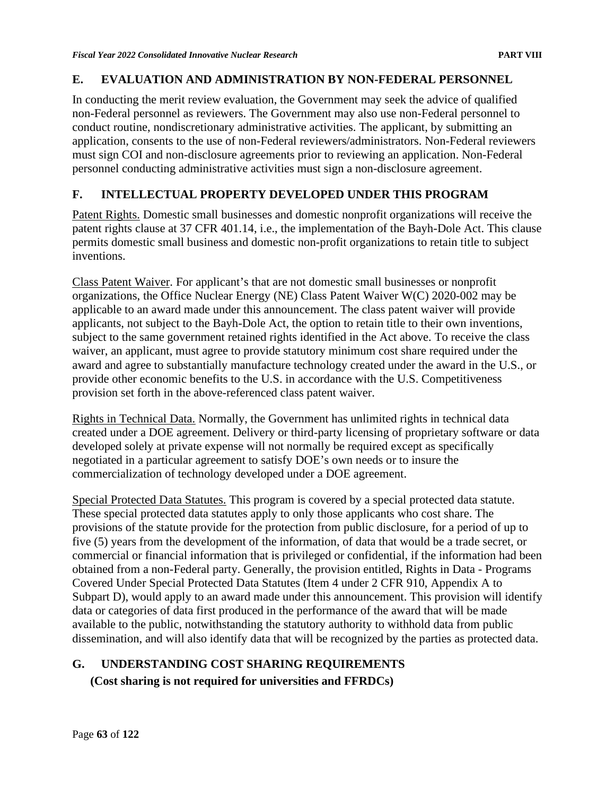## **E. EVALUATION AND ADMINISTRATION BY NON-FEDERAL PERSONNEL**

In conducting the merit review evaluation, the Government may seek the advice of qualified non-Federal personnel as reviewers. The Government may also use non-Federal personnel to conduct routine, nondiscretionary administrative activities. The applicant, by submitting an application, consents to the use of non-Federal reviewers/administrators. Non-Federal reviewers must sign COI and non-disclosure agreements prior to reviewing an application. Non-Federal personnel conducting administrative activities must sign a non-disclosure agreement.

## **F. INTELLECTUAL PROPERTY DEVELOPED UNDER THIS PROGRAM**

Patent Rights. Domestic small businesses and domestic nonprofit organizations will receive the patent rights clause at 37 CFR 401.14, i.e., the implementation of the Bayh-Dole Act. This clause permits domestic small business and domestic non-profit organizations to retain title to subject inventions.

Class Patent Waiver. For applicant's that are not domestic small businesses or nonprofit organizations, the Office Nuclear Energy (NE) Class Patent Waiver W(C) 2020-002 may be applicable to an award made under this announcement. The class patent waiver will provide applicants, not subject to the Bayh-Dole Act, the option to retain title to their own inventions, subject to the same government retained rights identified in the Act above. To receive the class waiver, an applicant, must agree to provide statutory minimum cost share required under the award and agree to substantially manufacture technology created under the award in the U.S., or provide other economic benefits to the U.S. in accordance with the U.S. Competitiveness provision set forth in the above-referenced class patent waiver.

Rights in Technical Data. Normally, the Government has unlimited rights in technical data created under a DOE agreement. Delivery or third-party licensing of proprietary software or data developed solely at private expense will not normally be required except as specifically negotiated in a particular agreement to satisfy DOE's own needs or to insure the commercialization of technology developed under a DOE agreement.

Special Protected Data Statutes. This program is covered by a special protected data statute. These special protected data statutes apply to only those applicants who cost share. The provisions of the statute provide for the protection from public disclosure, for a period of up to five (5) years from the development of the information, of data that would be a trade secret, or commercial or financial information that is privileged or confidential, if the information had been obtained from a non-Federal party. Generally, the provision entitled, Rights in Data - Programs Covered Under Special Protected Data Statutes (Item 4 under 2 CFR 910, Appendix A to Subpart D), would apply to an award made under this announcement. This provision will identify data or categories of data first produced in the performance of the award that will be made available to the public, notwithstanding the statutory authority to withhold data from public dissemination, and will also identify data that will be recognized by the parties as protected data.

# **G. UNDERSTANDING COST SHARING REQUIREMENTS**

**(Cost sharing is not required for universities and FFRDCs)**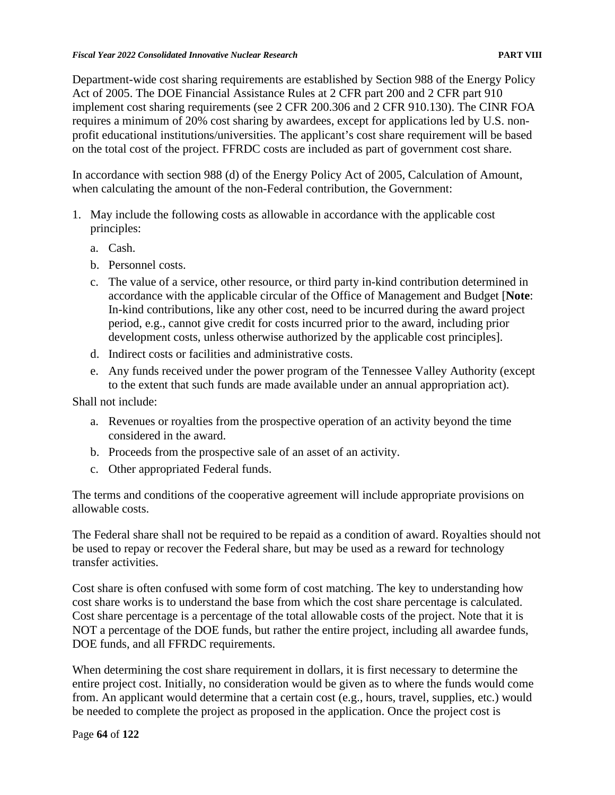Department-wide cost sharing requirements are established by Section 988 of the Energy Policy Act of 2005. The DOE Financial Assistance Rules at 2 CFR part 200 and 2 CFR part 910 implement cost sharing requirements (see 2 CFR 200.306 and 2 CFR 910.130). The CINR FOA requires a minimum of 20% cost sharing by awardees, except for applications led by U.S. nonprofit educational institutions/universities. The applicant's cost share requirement will be based on the total cost of the project. FFRDC costs are included as part of government cost share.

In accordance with section 988 (d) of the Energy Policy Act of 2005, Calculation of Amount, when calculating the amount of the non-Federal contribution, the Government:

- 1. May include the following costs as allowable in accordance with the applicable cost principles:
	- a. Cash.
	- b. Personnel costs.
	- c. The value of a service, other resource, or third party in-kind contribution determined in accordance with the applicable circular of the Office of Management and Budget [**Note**: In-kind contributions, like any other cost, need to be incurred during the award project period, e.g., cannot give credit for costs incurred prior to the award, including prior development costs, unless otherwise authorized by the applicable cost principles].
	- d. Indirect costs or facilities and administrative costs.
	- e. Any funds received under the power program of the Tennessee Valley Authority (except to the extent that such funds are made available under an annual appropriation act).

Shall not include:

- a. Revenues or royalties from the prospective operation of an activity beyond the time considered in the award.
- b. Proceeds from the prospective sale of an asset of an activity.
- c. Other appropriated Federal funds.

The terms and conditions of the cooperative agreement will include appropriate provisions on allowable costs.

The Federal share shall not be required to be repaid as a condition of award. Royalties should not be used to repay or recover the Federal share, but may be used as a reward for technology transfer activities.

Cost share is often confused with some form of cost matching. The key to understanding how cost share works is to understand the base from which the cost share percentage is calculated. Cost share percentage is a percentage of the total allowable costs of the project. Note that it is NOT a percentage of the DOE funds, but rather the entire project, including all awardee funds, DOE funds, and all FFRDC requirements.

When determining the cost share requirement in dollars, it is first necessary to determine the entire project cost. Initially, no consideration would be given as to where the funds would come from. An applicant would determine that a certain cost (e.g., hours, travel, supplies, etc.) would be needed to complete the project as proposed in the application. Once the project cost is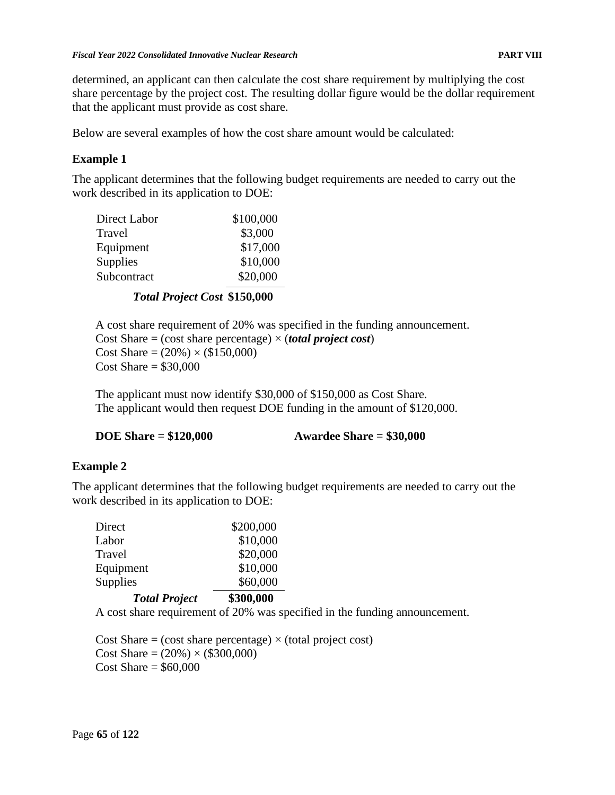determined, an applicant can then calculate the cost share requirement by multiplying the cost share percentage by the project cost. The resulting dollar figure would be the dollar requirement that the applicant must provide as cost share.

Below are several examples of how the cost share amount would be calculated:

## **Example 1**

The applicant determines that the following budget requirements are needed to carry out the work described in its application to DOE:

| Direct Labor    | \$100,000 |
|-----------------|-----------|
| Travel          | \$3,000   |
| Equipment       | \$17,000  |
| <b>Supplies</b> | \$10,000  |
| Subcontract     | \$20,000  |
|                 |           |

## *Total Project Cost* **\$150,000**

A cost share requirement of 20% was specified in the funding announcement. Cost Share  $=$  (cost share percentage)  $\times$  (*total project cost*) Cost Share =  $(20\%) \times (\$150,000)$  $Cost$  Share  $=$  \$30,000

The applicant must now identify \$30,000 of \$150,000 as Cost Share. The applicant would then request DOE funding in the amount of \$120,000.

| <b>DOE Share = \$120,000</b> | Awardee Share $= $30,000$ |  |
|------------------------------|---------------------------|--|
|------------------------------|---------------------------|--|

## **Example 2**

The applicant determines that the following budget requirements are needed to carry out the work described in its application to DOE:

| <b>Total Project</b> | \$300,000 |
|----------------------|-----------|
| Supplies             | \$60,000  |
| Equipment            | \$10,000  |
| Travel               | \$20,000  |
| Labor                | \$10,000  |
| Direct               | \$200,000 |

A cost share requirement of 20% was specified in the funding announcement.

Cost Share = (cost share percentage)  $\times$  (total project cost) Cost Share =  $(20\%) \times (\$300,000)$ Cost Share  $=$  \$60,000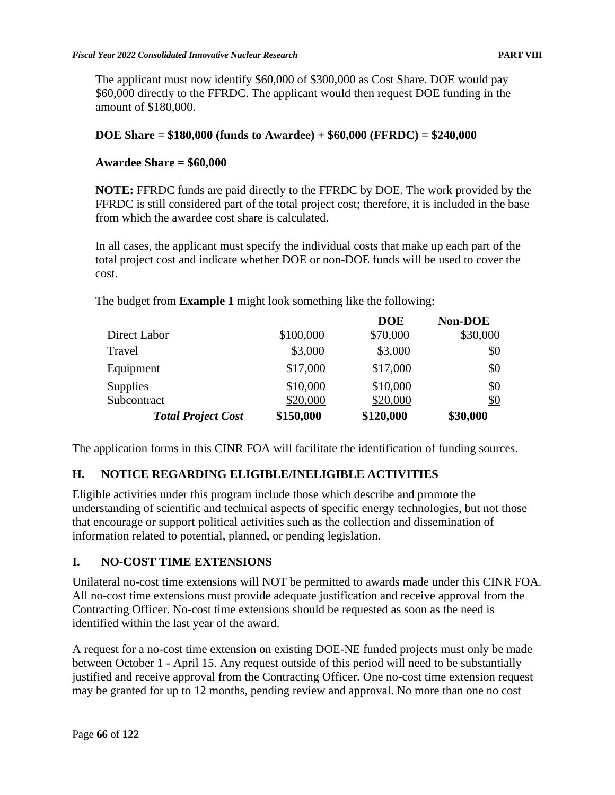The applicant must now identify \$60,000 of \$300,000 as Cost Share. DOE would pay \$60,000 directly to the FFRDC. The applicant would then request DOE funding in the amount of \$180,000.

## **DOE Share = \$180,000 (funds to Awardee) + \$60,000 (FFRDC) = \$240,000**

## **Awardee Share = \$60,000**

**NOTE:** FFRDC funds are paid directly to the FFRDC by DOE. The work provided by the FFRDC is still considered part of the total project cost; therefore, it is included in the base from which the awardee cost share is calculated.

In all cases, the applicant must specify the individual costs that make up each part of the total project cost and indicate whether DOE or non-DOE funds will be used to cover the cost.

**DOE**

**Non-DOE**

The budget from **Example 1** might look something like the following:

|           |           | Non-DOE  |
|-----------|-----------|----------|
| \$100,000 | \$70,000  | \$30,000 |
| \$3,000   | \$3,000   | \$0      |
| \$17,000  | \$17,000  | \$0      |
| \$10,000  | \$10,000  | \$0      |
| \$20,000  | \$20,000  | \$0      |
| \$150,000 | \$120,000 | \$30,000 |
|           |           | DOE      |

The application forms in this CINR FOA will facilitate the identification of funding sources.

## **H. NOTICE REGARDING ELIGIBLE/INELIGIBLE ACTIVITIES**

Eligible activities under this program include those which describe and promote the understanding of scientific and technical aspects of specific energy technologies, but not those that encourage or support political activities such as the collection and dissemination of information related to potential, planned, or pending legislation.

## **I. NO-COST TIME EXTENSIONS**

Unilateral no-cost time extensions will NOT be permitted to awards made under this CINR FOA. All no-cost time extensions must provide adequate justification and receive approval from the Contracting Officer. No-cost time extensions should be requested as soon as the need is identified within the last year of the award.

A request for a no-cost time extension on existing DOE-NE funded projects must only be made between October 1 - April 15. Any request outside of this period will need to be substantially justified and receive approval from the Contracting Officer. One no-cost time extension request may be granted for up to 12 months, pending review and approval. No more than one no cost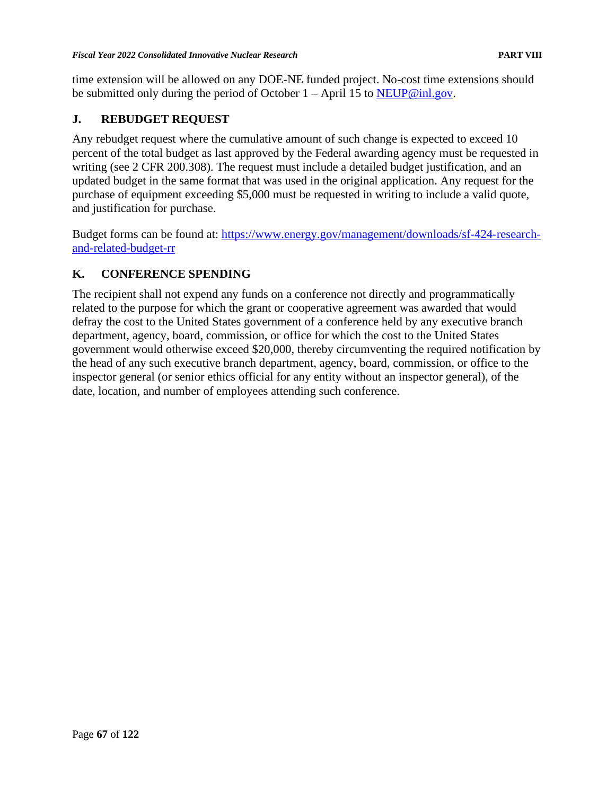time extension will be allowed on any DOE-NE funded project. No-cost time extensions should be submitted only during the period of October  $1 -$ April 15 to [NEUP@inl.gov.](mailto:NEUP@inl.gov)

## **J. REBUDGET REQUEST**

Any rebudget request where the cumulative amount of such change is expected to exceed 10 percent of the total budget as last approved by the Federal awarding agency must be requested in writing (see 2 CFR 200.308). The request must include a detailed budget justification, and an updated budget in the same format that was used in the original application. Any request for the purchase of equipment exceeding \$5,000 must be requested in writing to include a valid quote, and justification for purchase.

Budget forms can be found at: [https://www.energy.gov/management/downloads/sf-424-research](https://www.energy.gov/management/downloads/sf-424-research-and-related-budget-rr)[and-related-budget-rr](https://www.energy.gov/management/downloads/sf-424-research-and-related-budget-rr)

# **K. CONFERENCE SPENDING**

The recipient shall not expend any funds on a conference not directly and programmatically related to the purpose for which the grant or cooperative agreement was awarded that would defray the cost to the United States government of a conference held by any executive branch department, agency, board, commission, or office for which the cost to the United States government would otherwise exceed \$20,000, thereby circumventing the required notification by the head of any such executive branch department, agency, board, commission, or office to the inspector general (or senior ethics official for any entity without an inspector general), of the date, location, and number of employees attending such conference.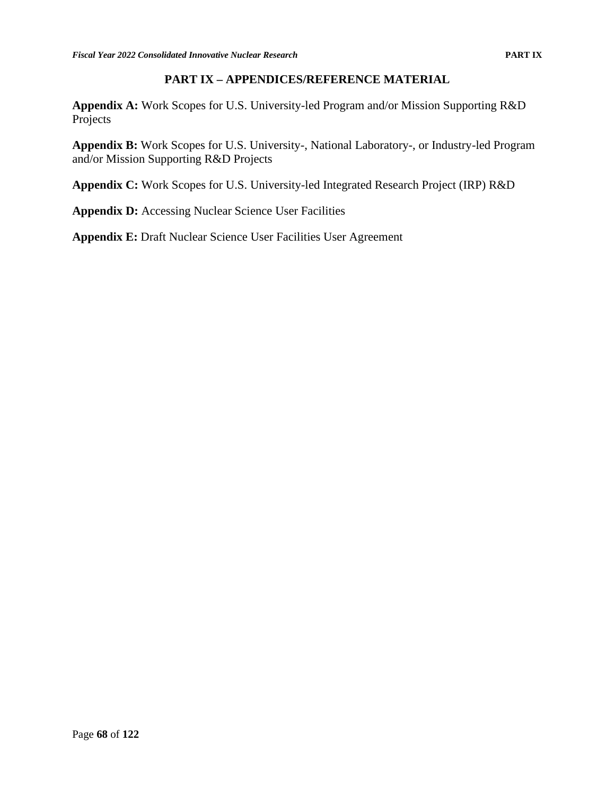## **PART IX – APPENDICES/REFERENCE MATERIAL**

**Appendix A:** Work Scopes for U.S. University-led Program and/or Mission Supporting R&D Projects

**Appendix B:** Work Scopes for U.S. University-, National Laboratory-, or Industry-led Program and/or Mission Supporting R&D Projects

**Appendix C:** Work Scopes for U.S. University-led Integrated Research Project (IRP) R&D

**Appendix D:** Accessing Nuclear Science User Facilities

**Appendix E:** Draft Nuclear Science User Facilities User Agreement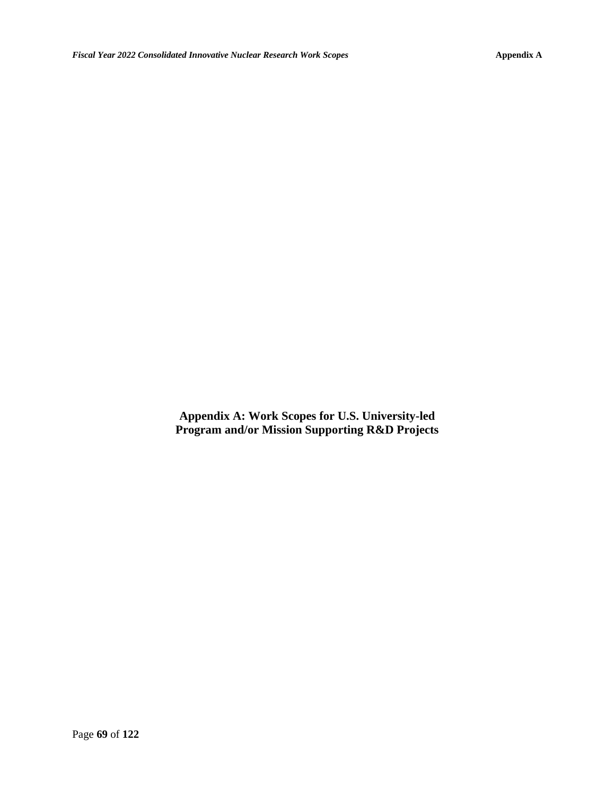**Appendix A: Work Scopes for U.S. University-led Program and/or Mission Supporting R&D Projects**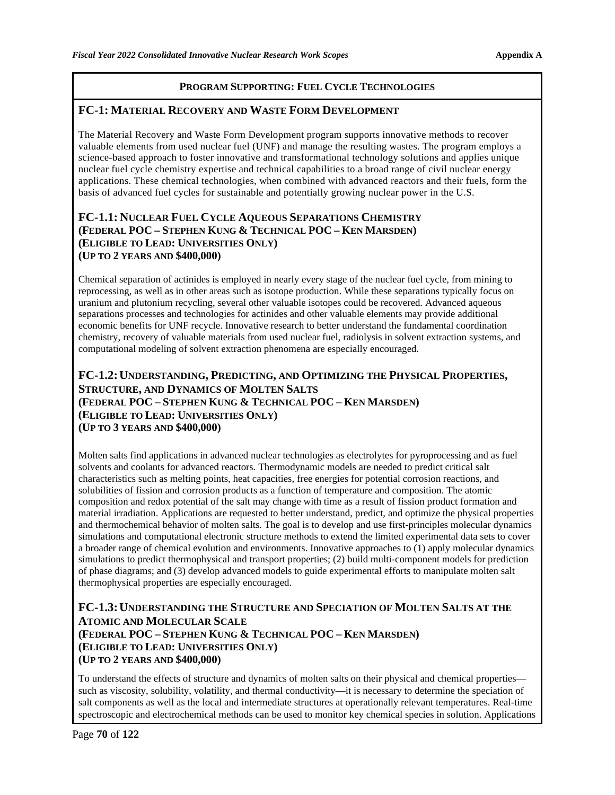#### **FC-1: MATERIAL RECOVERY AND WASTE FORM DEVELOPMENT**

The Material Recovery and Waste Form Development program supports innovative methods to recover valuable elements from used nuclear fuel (UNF) and manage the resulting wastes. The program employs a science-based approach to foster innovative and transformational technology solutions and applies unique nuclear fuel cycle chemistry expertise and technical capabilities to a broad range of civil nuclear energy applications. These chemical technologies, when combined with advanced reactors and their fuels, form the basis of advanced fuel cycles for sustainable and potentially growing nuclear power in the U.S.

#### **FC-1.1: NUCLEAR FUEL CYCLE AQUEOUS SEPARATIONS CHEMISTRY (FEDERAL POC – STEPHEN KUNG & TECHNICAL POC – KEN MARSDEN) (ELIGIBLE TO LEAD: UNIVERSITIES ONLY) (UP TO 2 YEARS AND \$400,000)**

Chemical separation of actinides is employed in nearly every stage of the nuclear fuel cycle, from mining to reprocessing, as well as in other areas such as isotope production. While these separations typically focus on uranium and plutonium recycling, several other valuable isotopes could be recovered. Advanced aqueous separations processes and technologies for actinides and other valuable elements may provide additional economic benefits for UNF recycle. Innovative research to better understand the fundamental coordination chemistry, recovery of valuable materials from used nuclear fuel, radiolysis in solvent extraction systems, and computational modeling of solvent extraction phenomena are especially encouraged.

## **FC-1.2:UNDERSTANDING, PREDICTING, AND OPTIMIZING THE PHYSICAL PROPERTIES, STRUCTURE, AND DYNAMICS OF MOLTEN SALTS (FEDERAL POC – STEPHEN KUNG & TECHNICAL POC – KEN MARSDEN) (ELIGIBLE TO LEAD: UNIVERSITIES ONLY) (UP TO 3 YEARS AND \$400,000)**

Molten salts find applications in advanced nuclear technologies as electrolytes for pyroprocessing and as fuel solvents and coolants for advanced reactors. Thermodynamic models are needed to predict critical salt characteristics such as melting points, heat capacities, free energies for potential corrosion reactions, and solubilities of fission and corrosion products as a function of temperature and composition. The atomic composition and redox potential of the salt may change with time as a result of fission product formation and material irradiation. Applications are requested to better understand, predict, and optimize the physical properties and thermochemical behavior of molten salts. The goal is to develop and use first-principles molecular dynamics simulations and computational electronic structure methods to extend the limited experimental data sets to cover a broader range of chemical evolution and environments. Innovative approaches to (1) apply molecular dynamics simulations to predict thermophysical and transport properties; (2) build multi-component models for prediction of phase diagrams; and (3) develop advanced models to guide experimental efforts to manipulate molten salt thermophysical properties are especially encouraged.

## **FC-1.3:UNDERSTANDING THE STRUCTURE AND SPECIATION OF MOLTEN SALTS AT THE ATOMIC AND MOLECULAR SCALE (FEDERAL POC – STEPHEN KUNG & TECHNICAL POC – KEN MARSDEN) (ELIGIBLE TO LEAD: UNIVERSITIES ONLY) (UP TO 2 YEARS AND \$400,000)**

To understand the effects of structure and dynamics of molten salts on their physical and chemical properties such as viscosity, solubility, volatility, and thermal conductivity—it is necessary to determine the speciation of salt components as well as the local and intermediate structures at operationally relevant temperatures. Real-time spectroscopic and electrochemical methods can be used to monitor key chemical species in solution. Applications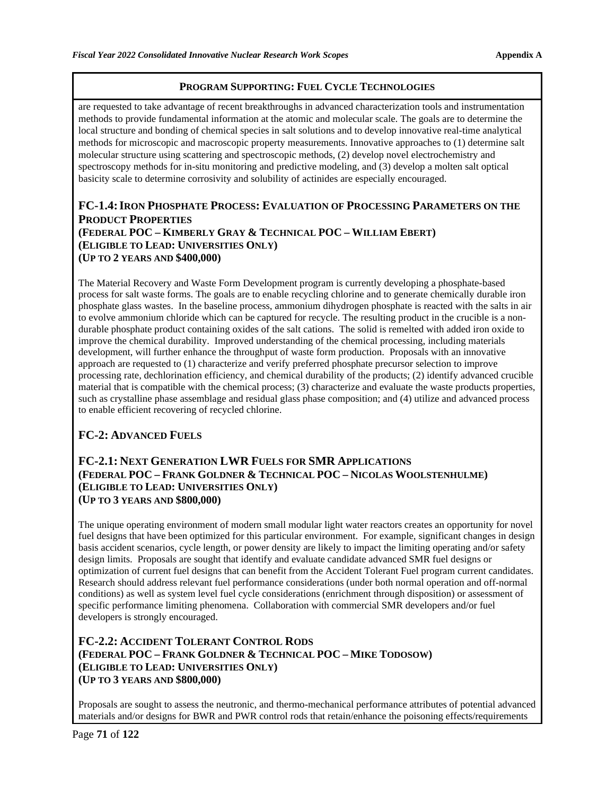are requested to take advantage of recent breakthroughs in advanced characterization tools and instrumentation methods to provide fundamental information at the atomic and molecular scale. The goals are to determine the local structure and bonding of chemical species in salt solutions and to develop innovative real-time analytical methods for microscopic and macroscopic property measurements. Innovative approaches to (1) determine salt molecular structure using scattering and spectroscopic methods, (2) develop novel electrochemistry and spectroscopy methods for in-situ monitoring and predictive modeling, and (3) develop a molten salt optical basicity scale to determine corrosivity and solubility of actinides are especially encouraged.

### **FC-1.4:IRON PHOSPHATE PROCESS: EVALUATION OF PROCESSING PARAMETERS ON THE PRODUCT PROPERTIES (FEDERAL POC – KIMBERLY GRAY & TECHNICAL POC – WILLIAM EBERT) (ELIGIBLE TO LEAD: UNIVERSITIES ONLY) (UP TO 2 YEARS AND \$400,000)**

The Material Recovery and Waste Form Development program is currently developing a phosphate-based process for salt waste forms. The goals are to enable recycling chlorine and to generate chemically durable iron phosphate glass wastes. In the baseline process, ammonium dihydrogen phosphate is reacted with the salts in air to evolve ammonium chloride which can be captured for recycle. The resulting product in the crucible is a nondurable phosphate product containing oxides of the salt cations. The solid is remelted with added iron oxide to improve the chemical durability. Improved understanding of the chemical processing, including materials development, will further enhance the throughput of waste form production. Proposals with an innovative approach are requested to (1) characterize and verify preferred phosphate precursor selection to improve processing rate, dechlorination efficiency, and chemical durability of the products; (2) identify advanced crucible material that is compatible with the chemical process; (3) characterize and evaluate the waste products properties, such as crystalline phase assemblage and residual glass phase composition; and (4) utilize and advanced process to enable efficient recovering of recycled chlorine.

## **FC-2: ADVANCED FUELS**

### **FC-2.1: NEXT GENERATION LWR FUELS FOR SMR APPLICATIONS (FEDERAL POC – FRANK GOLDNER & TECHNICAL POC – NICOLAS WOOLSTENHULME) (ELIGIBLE TO LEAD: UNIVERSITIES ONLY) (UP TO 3 YEARS AND \$800,000)**

The unique operating environment of modern small modular light water reactors creates an opportunity for novel fuel designs that have been optimized for this particular environment. For example, significant changes in design basis accident scenarios, cycle length, or power density are likely to impact the limiting operating and/or safety design limits. Proposals are sought that identify and evaluate candidate advanced SMR fuel designs or optimization of current fuel designs that can benefit from the Accident Tolerant Fuel program current candidates. Research should address relevant fuel performance considerations (under both normal operation and off-normal conditions) as well as system level fuel cycle considerations (enrichment through disposition) or assessment of specific performance limiting phenomena. Collaboration with commercial SMR developers and/or fuel developers is strongly encouraged.

## **FC-2.2: ACCIDENT TOLERANT CONTROL RODS (FEDERAL POC – FRANK GOLDNER & TECHNICAL POC – MIKE TODOSOW) (ELIGIBLE TO LEAD: UNIVERSITIES ONLY) (UP TO 3 YEARS AND \$800,000)**

Proposals are sought to assess the neutronic, and thermo-mechanical performance attributes of potential advanced materials and/or designs for BWR and PWR control rods that retain/enhance the poisoning effects/requirements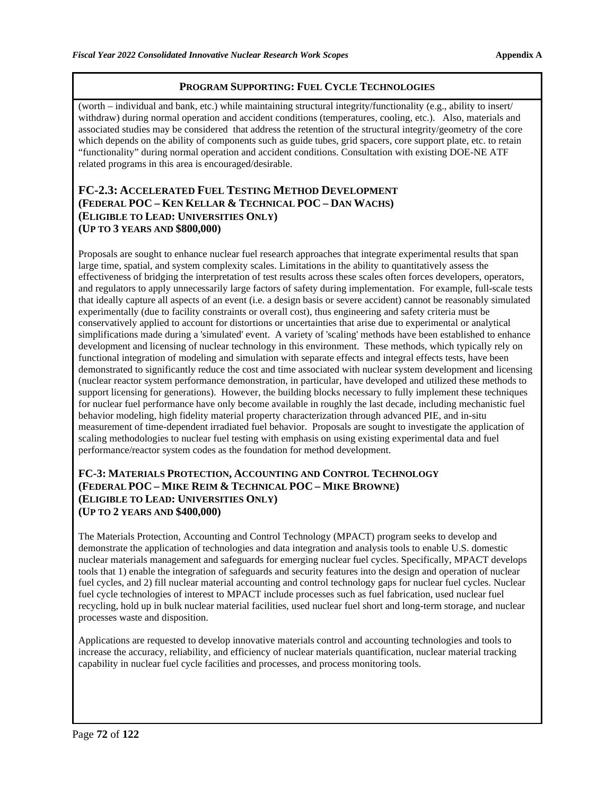(worth – individual and bank, etc.) while maintaining structural integrity/functionality (e.g., ability to insert/ withdraw) during normal operation and accident conditions (temperatures, cooling, etc.). Also, materials and associated studies may be considered that address the retention of the structural integrity/geometry of the core which depends on the ability of components such as guide tubes, grid spacers, core support plate, etc. to retain "functionality" during normal operation and accident conditions. Consultation with existing DOE-NE ATF related programs in this area is encouraged/desirable.

### **FC-2.3: ACCELERATED FUEL TESTING METHOD DEVELOPMENT (FEDERAL POC – KEN KELLAR & TECHNICAL POC – DAN WACHS) (ELIGIBLE TO LEAD: UNIVERSITIES ONLY) (UP TO 3 YEARS AND \$800,000)**

Proposals are sought to enhance nuclear fuel research approaches that integrate experimental results that span large time, spatial, and system complexity scales. Limitations in the ability to quantitatively assess the effectiveness of bridging the interpretation of test results across these scales often forces developers, operators, and regulators to apply unnecessarily large factors of safety during implementation. For example, full-scale tests that ideally capture all aspects of an event (i.e. a design basis or severe accident) cannot be reasonably simulated experimentally (due to facility constraints or overall cost), thus engineering and safety criteria must be conservatively applied to account for distortions or uncertainties that arise due to experimental or analytical simplifications made during a 'simulated' event. A variety of 'scaling' methods have been established to enhance development and licensing of nuclear technology in this environment. These methods, which typically rely on functional integration of modeling and simulation with separate effects and integral effects tests, have been demonstrated to significantly reduce the cost and time associated with nuclear system development and licensing (nuclear reactor system performance demonstration, in particular, have developed and utilized these methods to support licensing for generations). However, the building blocks necessary to fully implement these techniques for nuclear fuel performance have only become available in roughly the last decade, including mechanistic fuel behavior modeling, high fidelity material property characterization through advanced PIE, and in-situ measurement of time-dependent irradiated fuel behavior. Proposals are sought to investigate the application of scaling methodologies to nuclear fuel testing with emphasis on using existing experimental data and fuel performance/reactor system codes as the foundation for method development.

#### **FC-3: MATERIALS PROTECTION, ACCOUNTING AND CONTROL TECHNOLOGY (FEDERAL POC – MIKE REIM & TECHNICAL POC – MIKE BROWNE) (ELIGIBLE TO LEAD: UNIVERSITIES ONLY) (UP TO 2 YEARS AND \$400,000)**

The Materials Protection, Accounting and Control Technology (MPACT) program seeks to develop and demonstrate the application of technologies and data integration and analysis tools to enable U.S. domestic nuclear materials management and safeguards for emerging nuclear fuel cycles. Specifically, MPACT develops tools that 1) enable the integration of safeguards and security features into the design and operation of nuclear fuel cycles, and 2) fill nuclear material accounting and control technology gaps for nuclear fuel cycles. Nuclear fuel cycle technologies of interest to MPACT include processes such as fuel fabrication, used nuclear fuel recycling, hold up in bulk nuclear material facilities, used nuclear fuel short and long-term storage, and nuclear processes waste and disposition.

Applications are requested to develop innovative materials control and accounting technologies and tools to increase the accuracy, reliability, and efficiency of nuclear materials quantification, nuclear material tracking capability in nuclear fuel cycle facilities and processes, and process monitoring tools.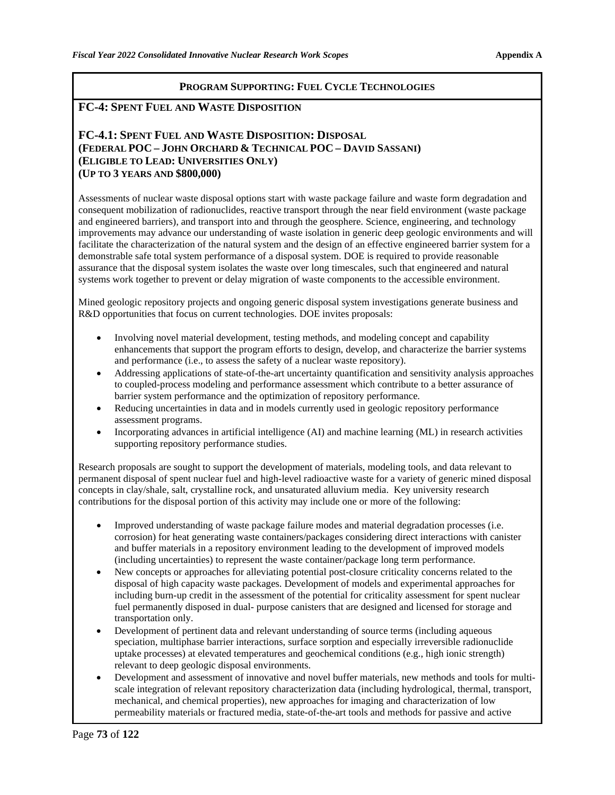### **FC-4: SPENT FUEL AND WASTE DISPOSITION**

### **FC-4.1: SPENT FUEL AND WASTE DISPOSITION: DISPOSAL (FEDERAL POC – JOHN ORCHARD & TECHNICAL POC – DAVID SASSANI) (ELIGIBLE TO LEAD: UNIVERSITIES ONLY) (UP TO 3 YEARS AND \$800,000)**

Assessments of nuclear waste disposal options start with waste package failure and waste form degradation and consequent mobilization of radionuclides, reactive transport through the near field environment (waste package and engineered barriers), and transport into and through the geosphere. Science, engineering, and technology improvements may advance our understanding of waste isolation in generic deep geologic environments and will facilitate the characterization of the natural system and the design of an effective engineered barrier system for a demonstrable safe total system performance of a disposal system. DOE is required to provide reasonable assurance that the disposal system isolates the waste over long timescales, such that engineered and natural systems work together to prevent or delay migration of waste components to the accessible environment.

Mined geologic repository projects and ongoing generic disposal system investigations generate business and R&D opportunities that focus on current technologies. DOE invites proposals:

- Involving novel material development, testing methods, and modeling concept and capability enhancements that support the program efforts to design, develop, and characterize the barrier systems and performance (i.e., to assess the safety of a nuclear waste repository).
- Addressing applications of state-of-the-art uncertainty quantification and sensitivity analysis approaches to coupled-process modeling and performance assessment which contribute to a better assurance of barrier system performance and the optimization of repository performance.
- Reducing uncertainties in data and in models currently used in geologic repository performance assessment programs.
- Incorporating advances in artificial intelligence (AI) and machine learning (ML) in research activities supporting repository performance studies.

Research proposals are sought to support the development of materials, modeling tools, and data relevant to permanent disposal of spent nuclear fuel and high-level radioactive waste for a variety of generic mined disposal concepts in clay/shale, salt, crystalline rock, and unsaturated alluvium media. Key university research contributions for the disposal portion of this activity may include one or more of the following:

- Improved understanding of waste package failure modes and material degradation processes (i.e. corrosion) for heat generating waste containers/packages considering direct interactions with canister and buffer materials in a repository environment leading to the development of improved models (including uncertainties) to represent the waste container/package long term performance.
- New concepts or approaches for alleviating potential post-closure criticality concerns related to the disposal of high capacity waste packages. Development of models and experimental approaches for including burn-up credit in the assessment of the potential for criticality assessment for spent nuclear fuel permanently disposed in dual- purpose canisters that are designed and licensed for storage and transportation only.
- Development of pertinent data and relevant understanding of source terms (including aqueous speciation, multiphase barrier interactions, surface sorption and especially irreversible radionuclide uptake processes) at elevated temperatures and geochemical conditions (e.g., high ionic strength) relevant to deep geologic disposal environments.
- Development and assessment of innovative and novel buffer materials, new methods and tools for multiscale integration of relevant repository characterization data (including hydrological, thermal, transport, mechanical, and chemical properties), new approaches for imaging and characterization of low permeability materials or fractured media, state-of-the-art tools and methods for passive and active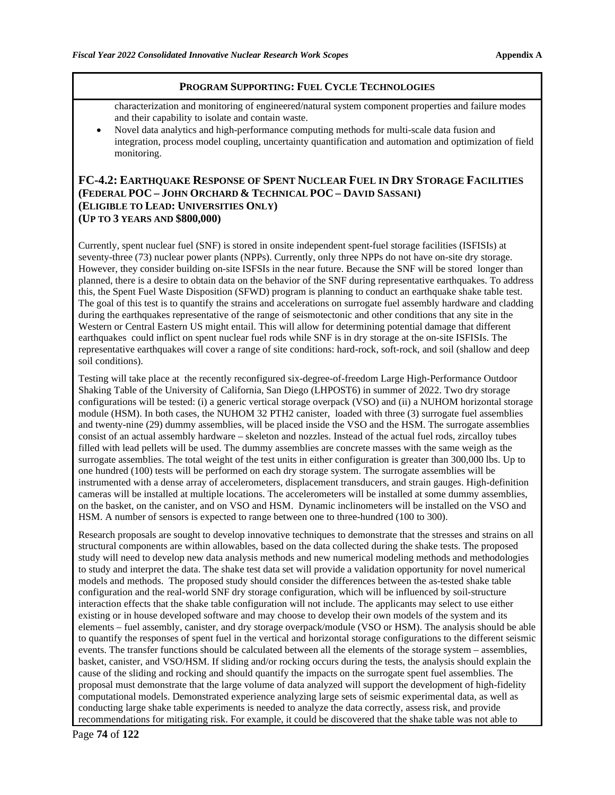characterization and monitoring of engineered/natural system component properties and failure modes and their capability to isolate and contain waste.

• Novel data analytics and high-performance computing methods for multi-scale data fusion and integration, process model coupling, uncertainty quantification and automation and optimization of field monitoring.

### **FC-4.2: EARTHQUAKE RESPONSE OF SPENT NUCLEAR FUEL IN DRY STORAGE FACILITIES (FEDERAL POC – JOHN ORCHARD & TECHNICAL POC – DAVID SASSANI) (ELIGIBLE TO LEAD: UNIVERSITIES ONLY) (UP TO 3 YEARS AND \$800,000)**

Currently, spent nuclear fuel (SNF) is stored in onsite independent spent-fuel storage facilities (ISFISIs) at seventy-three (73) nuclear power plants (NPPs). Currently, only three NPPs do not have on-site dry storage. However, they consider building on-site ISFSIs in the near future. Because the SNF will be stored longer than planned, there is a desire to obtain data on the behavior of the SNF during representative earthquakes. To address this, the Spent Fuel Waste Disposition (SFWD) program is planning to conduct an earthquake shake table test. The goal of this test is to quantify the strains and accelerations on surrogate fuel assembly hardware and cladding during the earthquakes representative of the range of seismotectonic and other conditions that any site in the Western or Central Eastern US might entail. This will allow for determining potential damage that different earthquakes could inflict on spent nuclear fuel rods while SNF is in dry storage at the on-site ISFISIs. The representative earthquakes will cover a range of site conditions: hard-rock, soft-rock, and soil (shallow and deep soil conditions).

Testing will take place at the recently reconfigured six-degree-of-freedom Large High-Performance Outdoor Shaking Table of the University of California, San Diego (LHPOST6) in summer of 2022. Two dry storage configurations will be tested: (i) a generic vertical storage overpack (VSO) and (ii) a NUHOM horizontal storage module (HSM). In both cases, the NUHOM 32 PTH2 canister, loaded with three (3) surrogate fuel assemblies and twenty-nine (29) dummy assemblies, will be placed inside the VSO and the HSM. The surrogate assemblies consist of an actual assembly hardware – skeleton and nozzles. Instead of the actual fuel rods, zircalloy tubes filled with lead pellets will be used. The dummy assemblies are concrete masses with the same weigh as the surrogate assemblies. The total weight of the test units in either configuration is greater than 300,000 lbs. Up to one hundred (100) tests will be performed on each dry storage system. The surrogate assemblies will be instrumented with a dense array of accelerometers, displacement transducers, and strain gauges. High-definition cameras will be installed at multiple locations. The accelerometers will be installed at some dummy assemblies, on the basket, on the canister, and on VSO and HSM. Dynamic inclinometers will be installed on the VSO and HSM. A number of sensors is expected to range between one to three-hundred (100 to 300).

Research proposals are sought to develop innovative techniques to demonstrate that the stresses and strains on all structural components are within allowables, based on the data collected during the shake tests. The proposed study will need to develop new data analysis methods and new numerical modeling methods and methodologies to study and interpret the data. The shake test data set will provide a validation opportunity for novel numerical models and methods. The proposed study should consider the differences between the as-tested shake table configuration and the real-world SNF dry storage configuration, which will be influenced by soil-structure interaction effects that the shake table configuration will not include. The applicants may select to use either existing or in house developed software and may choose to develop their own models of the system and its elements – fuel assembly, canister, and dry storage overpack/module (VSO or HSM). The analysis should be able to quantify the responses of spent fuel in the vertical and horizontal storage configurations to the different seismic events. The transfer functions should be calculated between all the elements of the storage system – assemblies, basket, canister, and VSO/HSM. If sliding and/or rocking occurs during the tests, the analysis should explain the cause of the sliding and rocking and should quantify the impacts on the surrogate spent fuel assemblies. The proposal must demonstrate that the large volume of data analyzed will support the development of high-fidelity computational models. Demonstrated experience analyzing large sets of seismic experimental data, as well as conducting large shake table experiments is needed to analyze the data correctly, assess risk, and provide recommendations for mitigating risk. For example, it could be discovered that the shake table was not able to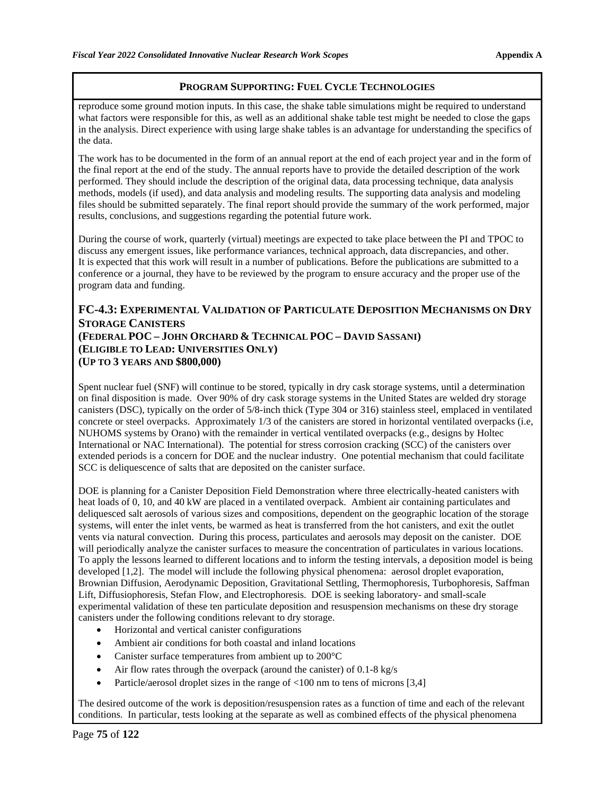reproduce some ground motion inputs. In this case, the shake table simulations might be required to understand what factors were responsible for this, as well as an additional shake table test might be needed to close the gaps in the analysis. Direct experience with using large shake tables is an advantage for understanding the specifics of the data.

The work has to be documented in the form of an annual report at the end of each project year and in the form of the final report at the end of the study. The annual reports have to provide the detailed description of the work performed. They should include the description of the original data, data processing technique, data analysis methods, models (if used), and data analysis and modeling results. The supporting data analysis and modeling files should be submitted separately. The final report should provide the summary of the work performed, major results, conclusions, and suggestions regarding the potential future work.

During the course of work, quarterly (virtual) meetings are expected to take place between the PI and TPOC to discuss any emergent issues, like performance variances, technical approach, data discrepancies, and other. It is expected that this work will result in a number of publications. Before the publications are submitted to a conference or a journal, they have to be reviewed by the program to ensure accuracy and the proper use of the program data and funding.

## **FC-4.3: EXPERIMENTAL VALIDATION OF PARTICULATE DEPOSITION MECHANISMS ON DRY STORAGE CANISTERS (FEDERAL POC – JOHN ORCHARD & TECHNICAL POC – DAVID SASSANI) (ELIGIBLE TO LEAD: UNIVERSITIES ONLY) (UP TO 3 YEARS AND \$800,000)**

Spent nuclear fuel (SNF) will continue to be stored, typically in dry cask storage systems, until a determination on final disposition is made. Over 90% of dry cask storage systems in the United States are welded dry storage canisters (DSC), typically on the order of 5/8-inch thick (Type 304 or 316) stainless steel, emplaced in ventilated concrete or steel overpacks. Approximately 1/3 of the canisters are stored in horizontal ventilated overpacks (i.e, NUHOMS systems by Orano) with the remainder in vertical ventilated overpacks (e.g., designs by Holtec International or NAC International). The potential for stress corrosion cracking (SCC) of the canisters over extended periods is a concern for DOE and the nuclear industry. One potential mechanism that could facilitate SCC is deliquescence of salts that are deposited on the canister surface.

DOE is planning for a Canister Deposition Field Demonstration where three electrically-heated canisters with heat loads of 0, 10, and 40 kW are placed in a ventilated overpack. Ambient air containing particulates and deliquesced salt aerosols of various sizes and compositions, dependent on the geographic location of the storage systems, will enter the inlet vents, be warmed as heat is transferred from the hot canisters, and exit the outlet vents via natural convection. During this process, particulates and aerosols may deposit on the canister. DOE will periodically analyze the canister surfaces to measure the concentration of particulates in various locations. To apply the lessons learned to different locations and to inform the testing intervals, a deposition model is being developed [1,2]. The model will include the following physical phenomena: aerosol droplet evaporation, Brownian Diffusion, Aerodynamic Deposition, Gravitational Settling, Thermophoresis, Turbophoresis, Saffman Lift, Diffusiophoresis, Stefan Flow, and Electrophoresis. DOE is seeking laboratory- and small-scale experimental validation of these ten particulate deposition and resuspension mechanisms on these dry storage canisters under the following conditions relevant to dry storage.

- Horizontal and vertical canister configurations
- Ambient air conditions for both coastal and inland locations
- Canister surface temperatures from ambient up to 200°C
- Air flow rates through the overpack (around the canister) of 0.1-8 kg/s
- Particle/aerosol droplet sizes in the range of  $\langle 100 \text{ nm}$  to tens of microns [3,4]

The desired outcome of the work is deposition/resuspension rates as a function of time and each of the relevant conditions. In particular, tests looking at the separate as well as combined effects of the physical phenomena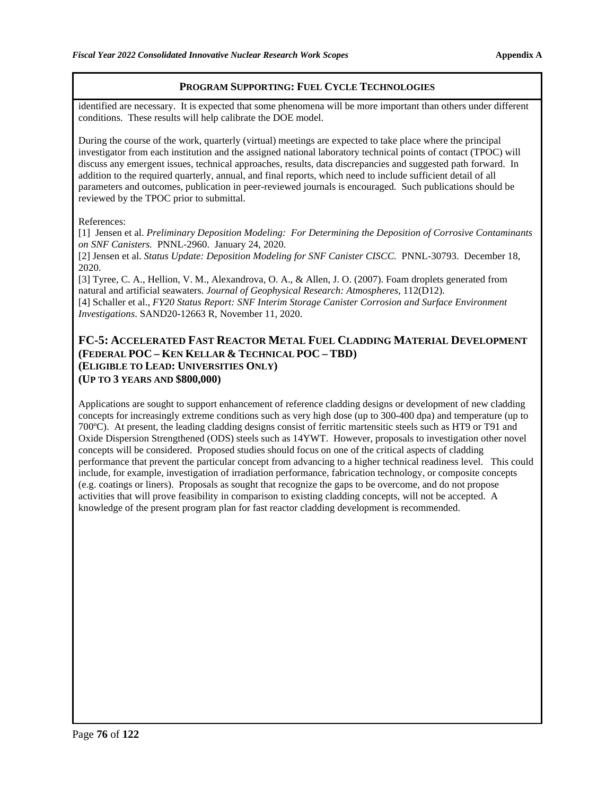identified are necessary. It is expected that some phenomena will be more important than others under different conditions. These results will help calibrate the DOE model.

During the course of the work, quarterly (virtual) meetings are expected to take place where the principal investigator from each institution and the assigned national laboratory technical points of contact (TPOC) will discuss any emergent issues, technical approaches, results, data discrepancies and suggested path forward. In addition to the required quarterly, annual, and final reports, which need to include sufficient detail of all parameters and outcomes, publication in peer-reviewed journals is encouraged. Such publications should be reviewed by the TPOC prior to submittal.

#### References:

[1] Jensen et al. *Preliminary Deposition Modeling: For Determining the Deposition of Corrosive Contaminants on SNF Canisters.* PNNL-2960. January 24, 2020.

[2] Jensen et al. *Status Update: Deposition Modeling for SNF Canister CISCC.* PNNL-30793. December 18, 2020.

[3] Tyree, C. A., Hellion, V. M., Alexandrova, O. A., & Allen, J. O. (2007). Foam droplets generated from natural and artificial seawaters. *Journal of Geophysical Research: Atmospheres*, 112(D12). [4] Schaller et al., *FY20 Status Report: SNF Interim Storage Canister Corrosion and Surface Environment Investigations*. SAND20-12663 R, November 11, 2020.

### **FC-5: ACCELERATED FAST REACTOR METAL FUEL CLADDING MATERIAL DEVELOPMENT (FEDERAL POC – KEN KELLAR & TECHNICAL POC – TBD) (ELIGIBLE TO LEAD: UNIVERSITIES ONLY) (UP TO 3 YEARS AND \$800,000)**

Applications are sought to support enhancement of reference cladding designs or development of new cladding concepts for increasingly extreme conditions such as very high dose (up to 300-400 dpa) and temperature (up to 700ºC). At present, the leading cladding designs consist of ferritic martensitic steels such as HT9 or T91 and Oxide Dispersion Strengthened (ODS) steels such as 14YWT. However, proposals to investigation other novel concepts will be considered. Proposed studies should focus on one of the critical aspects of cladding performance that prevent the particular concept from advancing to a higher technical readiness level. This could include, for example, investigation of irradiation performance, fabrication technology, or composite concepts (e.g. coatings or liners). Proposals as sought that recognize the gaps to be overcome, and do not propose activities that will prove feasibility in comparison to existing cladding concepts, will not be accepted. A knowledge of the present program plan for fast reactor cladding development is recommended.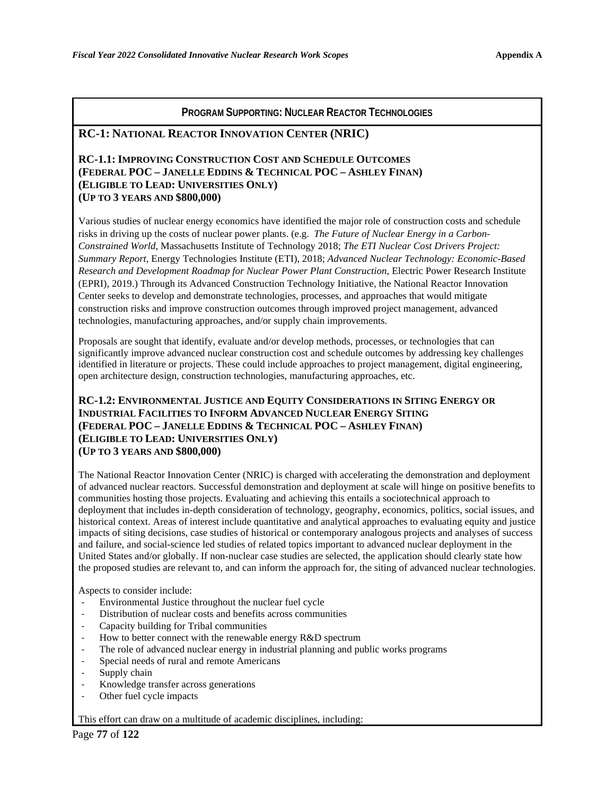#### **RC-1: NATIONAL REACTOR INNOVATION CENTER (NRIC)**

#### **RC-1.1: IMPROVING CONSTRUCTION COST AND SCHEDULE OUTCOMES (FEDERAL POC – JANELLE EDDINS & TECHNICAL POC – ASHLEY FINAN) (ELIGIBLE TO LEAD: UNIVERSITIES ONLY) (UP TO 3 YEARS AND \$800,000)**

Various studies of nuclear energy economics have identified the major role of construction costs and schedule risks in driving up the costs of nuclear power plants. (e.g. *The Future of Nuclear Energy in a Carbon-Constrained World*, Massachusetts Institute of Technology 2018; *The ETI Nuclear Cost Drivers Project: Summary Report*, Energy Technologies Institute (ETI), 2018; *Advanced Nuclear Technology: Economic-Based Research and Development Roadmap for Nuclear Power Plant Construction*, Electric Power Research Institute (EPRI), 2019.) Through its Advanced Construction Technology Initiative, the National Reactor Innovation Center seeks to develop and demonstrate technologies, processes, and approaches that would mitigate construction risks and improve construction outcomes through improved project management, advanced technologies, manufacturing approaches, and/or supply chain improvements.

Proposals are sought that identify, evaluate and/or develop methods, processes, or technologies that can significantly improve advanced nuclear construction cost and schedule outcomes by addressing key challenges identified in literature or projects. These could include approaches to project management, digital engineering, open architecture design, construction technologies, manufacturing approaches, etc.

#### **RC-1.2: ENVIRONMENTAL JUSTICE AND EQUITY CONSIDERATIONS IN SITING ENERGY OR INDUSTRIAL FACILITIES TO INFORM ADVANCED NUCLEAR ENERGY SITING (FEDERAL POC – JANELLE EDDINS & TECHNICAL POC – ASHLEY FINAN) (ELIGIBLE TO LEAD: UNIVERSITIES ONLY) (UP TO 3 YEARS AND \$800,000)**

The National Reactor Innovation Center (NRIC) is charged with accelerating the demonstration and deployment of advanced nuclear reactors. Successful demonstration and deployment at scale will hinge on positive benefits to communities hosting those projects. Evaluating and achieving this entails a sociotechnical approach to deployment that includes in-depth consideration of technology, geography, economics, politics, social issues, and historical context. Areas of interest include quantitative and analytical approaches to evaluating equity and justice impacts of siting decisions, case studies of historical or contemporary analogous projects and analyses of success and failure, and social-science led studies of related topics important to advanced nuclear deployment in the United States and/or globally. If non-nuclear case studies are selected, the application should clearly state how the proposed studies are relevant to, and can inform the approach for, the siting of advanced nuclear technologies.

Aspects to consider include:

- Environmental Justice throughout the nuclear fuel cycle
- Distribution of nuclear costs and benefits across communities
- Capacity building for Tribal communities<br>- How to better connect with the renewable
- How to better connect with the renewable energy R&D spectrum
- The role of advanced nuclear energy in industrial planning and public works programs
- Special needs of rural and remote Americans
- Supply chain
- Knowledge transfer across generations
- Other fuel cycle impacts

This effort can draw on a multitude of academic disciplines, including: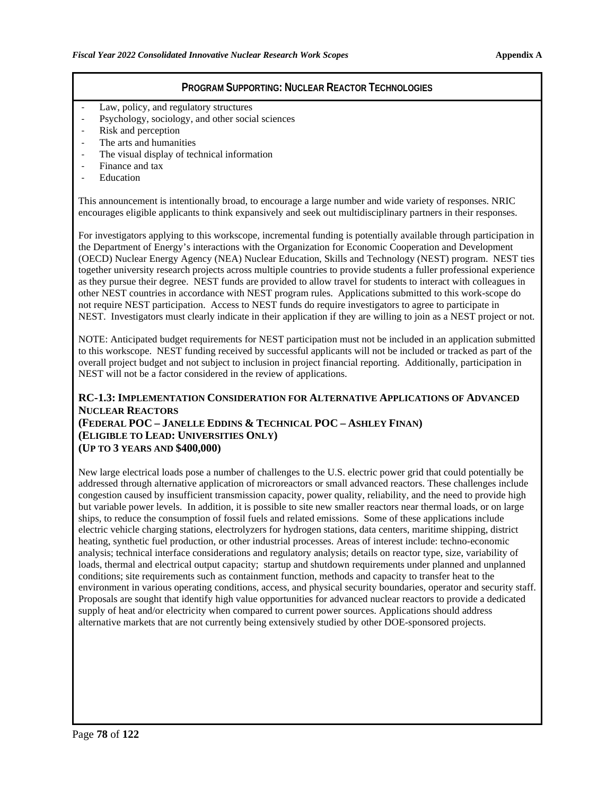- Law, policy, and regulatory structures
- Psychology, sociology, and other social sciences
- Risk and perception
- The arts and humanities
- The visual display of technical information
- Finance and tax
- **Education**

This announcement is intentionally broad, to encourage a large number and wide variety of responses. NRIC encourages eligible applicants to think expansively and seek out multidisciplinary partners in their responses.

For investigators applying to this workscope, incremental funding is potentially available through participation in the Department of Energy's interactions with the Organization for Economic Cooperation and Development (OECD) Nuclear Energy Agency (NEA) Nuclear Education, Skills and Technology (NEST) program. NEST ties together university research projects across multiple countries to provide students a fuller professional experience as they pursue their degree. NEST funds are provided to allow travel for students to interact with colleagues in other NEST countries in accordance with NEST program rules. Applications submitted to this work-scope do not require NEST participation. Access to NEST funds do require investigators to agree to participate in NEST. Investigators must clearly indicate in their application if they are willing to join as a NEST project or not.

NOTE: Anticipated budget requirements for NEST participation must not be included in an application submitted to this workscope. NEST funding received by successful applicants will not be included or tracked as part of the overall project budget and not subject to inclusion in project financial reporting. Additionally, participation in NEST will not be a factor considered in the review of applications.

#### **RC-1.3: IMPLEMENTATION CONSIDERATION FOR ALTERNATIVE APPLICATIONS OF ADVANCED NUCLEAR REACTORS (FEDERAL POC – JANELLE EDDINS & TECHNICAL POC – ASHLEY FINAN) (ELIGIBLE TO LEAD: UNIVERSITIES ONLY) (UP TO 3 YEARS AND \$400,000)**

New large electrical loads pose a number of challenges to the U.S. electric power grid that could potentially be addressed through alternative application of microreactors or small advanced reactors. These challenges include congestion caused by insufficient transmission capacity, power quality, reliability, and the need to provide high but variable power levels. In addition, it is possible to site new smaller reactors near thermal loads, or on large ships, to reduce the consumption of fossil fuels and related emissions. Some of these applications include electric vehicle charging stations, electrolyzers for hydrogen stations, data centers, maritime shipping, district heating, synthetic fuel production, or other industrial processes. Areas of interest include: techno-economic analysis; technical interface considerations and regulatory analysis; details on reactor type, size, variability of loads, thermal and electrical output capacity; startup and shutdown requirements under planned and unplanned conditions; site requirements such as containment function, methods and capacity to transfer heat to the environment in various operating conditions, access, and physical security boundaries, operator and security staff. Proposals are sought that identify high value opportunities for advanced nuclear reactors to provide a dedicated supply of heat and/or electricity when compared to current power sources. Applications should address alternative markets that are not currently being extensively studied by other DOE-sponsored projects.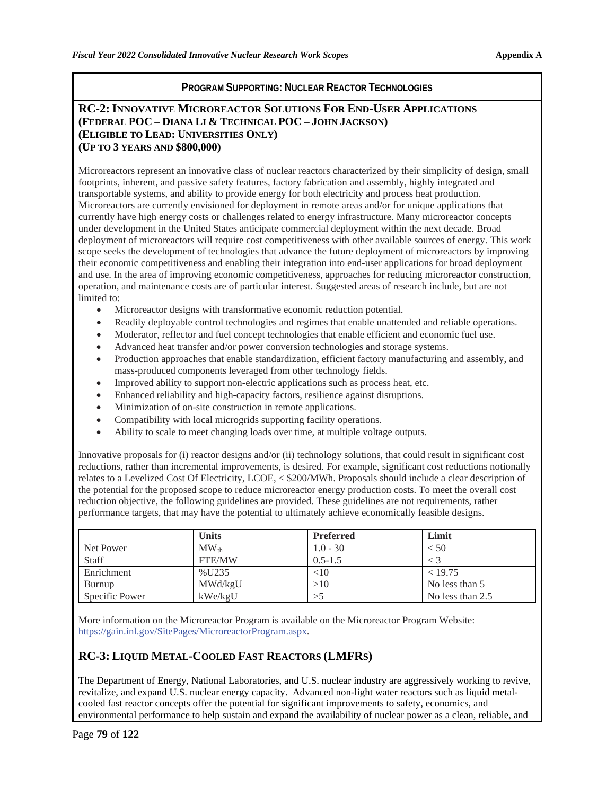#### **RC-2: INNOVATIVE MICROREACTOR SOLUTIONS FOR END-USER APPLICATIONS (FEDERAL POC – DIANA LI & TECHNICAL POC – JOHN JACKSON) (ELIGIBLE TO LEAD: UNIVERSITIES ONLY) (UP TO 3 YEARS AND \$800,000)**

Microreactors represent an innovative class of nuclear reactors characterized by their simplicity of design, small footprints, inherent, and passive safety features, factory fabrication and assembly, highly integrated and transportable systems, and ability to provide energy for both electricity and process heat production. Microreactors are currently envisioned for deployment in remote areas and/or for unique applications that currently have high energy costs or challenges related to energy infrastructure. Many microreactor concepts under development in the United States anticipate commercial deployment within the next decade. Broad deployment of microreactors will require cost competitiveness with other available sources of energy. This work scope seeks the development of technologies that advance the future deployment of microreactors by improving their economic competitiveness and enabling their integration into end-user applications for broad deployment and use. In the area of improving economic competitiveness, approaches for reducing microreactor construction, operation, and maintenance costs are of particular interest. Suggested areas of research include, but are not limited to:

- Microreactor designs with transformative economic reduction potential.
- Readily deployable control technologies and regimes that enable unattended and reliable operations.
- Moderator, reflector and fuel concept technologies that enable efficient and economic fuel use.
- Advanced heat transfer and/or power conversion technologies and storage systems.
- Production approaches that enable standardization, efficient factory manufacturing and assembly, and mass-produced components leveraged from other technology fields.
- Improved ability to support non-electric applications such as process heat, etc.
- Enhanced reliability and high-capacity factors, resilience against disruptions.
- Minimization of on-site construction in remote applications.
- Compatibility with local microgrids supporting facility operations.
- Ability to scale to meet changing loads over time, at multiple voltage outputs.

Innovative proposals for (i) reactor designs and/or (ii) technology solutions, that could result in significant cost reductions, rather than incremental improvements, is desired. For example, significant cost reductions notionally relates to a Levelized Cost Of Electricity, LCOE, < \$200/MWh. Proposals should include a clear description of the potential for the proposed scope to reduce microreactor energy production costs. To meet the overall cost reduction objective, the following guidelines are provided. These guidelines are not requirements, rather performance targets, that may have the potential to ultimately achieve economically feasible designs.

|                | <b>Units</b>            | <b>Preferred</b> | Limit            |
|----------------|-------------------------|------------------|------------------|
| Net Power      | $\text{MW}_{\text{th}}$ | $1.0 - 30$       | < 50             |
| Staff          | <b>FTE/MW</b>           | $0.5 - 1.5$      |                  |
| Enrichment     | %U235                   | $< \!\! 10$      | < 19.75          |
| Burnup         | MWd/kgU                 | >10              | No less than 5   |
| Specific Power | kWe/kgU                 |                  | No less than 2.5 |

More information on the Microreactor Program is available on the Microreactor Program Website: https://gain.inl.gov/SitePages/MicroreactorProgram.aspx.

## **RC-3: LIQUID METAL-COOLED FAST REACTORS (LMFRS)**

The Department of Energy, National Laboratories, and U.S. nuclear industry are aggressively working to revive, revitalize, and expand U.S. nuclear energy capacity. Advanced non-light water reactors such as liquid metalcooled fast reactor concepts offer the potential for significant improvements to safety, economics, and environmental performance to help sustain and expand the availability of nuclear power as a clean, reliable, and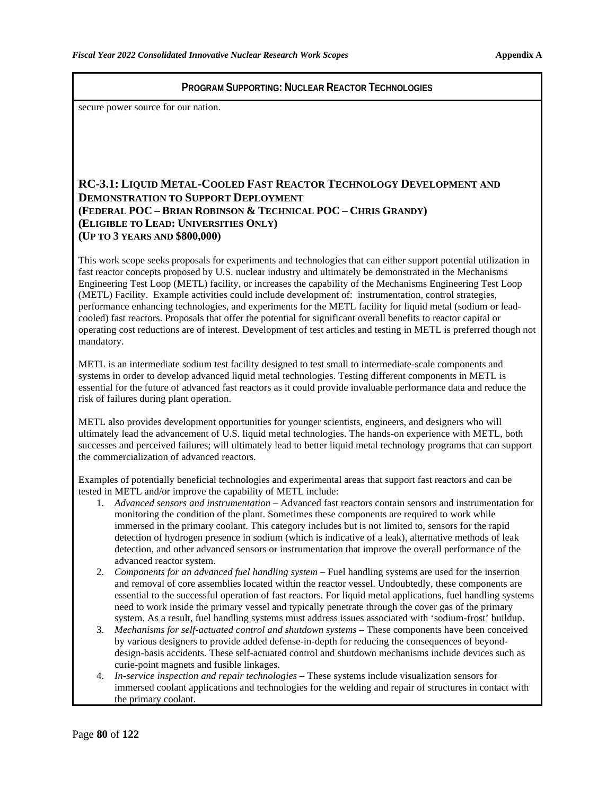secure power source for our nation.

### **RC-3.1: LIQUID METAL-COOLED FAST REACTOR TECHNOLOGY DEVELOPMENT AND DEMONSTRATION TO SUPPORT DEPLOYMENT (FEDERAL POC – BRIAN ROBINSON & TECHNICAL POC – CHRIS GRANDY) (ELIGIBLE TO LEAD: UNIVERSITIES ONLY) (UP TO 3 YEARS AND \$800,000)**

This work scope seeks proposals for experiments and technologies that can either support potential utilization in fast reactor concepts proposed by U.S. nuclear industry and ultimately be demonstrated in the Mechanisms Engineering Test Loop (METL) facility, or increases the capability of the Mechanisms Engineering Test Loop (METL) Facility. Example activities could include development of: instrumentation, control strategies, performance enhancing technologies, and experiments for the METL facility for liquid metal (sodium or leadcooled) fast reactors. Proposals that offer the potential for significant overall benefits to reactor capital or operating cost reductions are of interest. Development of test articles and testing in METL is preferred though not mandatory.

METL is an intermediate sodium test facility designed to test small to intermediate-scale components and systems in order to develop advanced liquid metal technologies. Testing different components in METL is essential for the future of advanced fast reactors as it could provide invaluable performance data and reduce the risk of failures during plant operation.

METL also provides development opportunities for younger scientists, engineers, and designers who will ultimately lead the advancement of U.S. liquid metal technologies. The hands-on experience with METL, both successes and perceived failures; will ultimately lead to better liquid metal technology programs that can support the commercialization of advanced reactors.

Examples of potentially beneficial technologies and experimental areas that support fast reactors and can be tested in METL and/or improve the capability of METL include:

- 1. *Advanced sensors and instrumentation* Advanced fast reactors contain sensors and instrumentation for monitoring the condition of the plant. Sometimes these components are required to work while immersed in the primary coolant. This category includes but is not limited to, sensors for the rapid detection of hydrogen presence in sodium (which is indicative of a leak), alternative methods of leak detection, and other advanced sensors or instrumentation that improve the overall performance of the advanced reactor system.
- 2. *Components for an advanced fuel handling system* Fuel handling systems are used for the insertion and removal of core assemblies located within the reactor vessel. Undoubtedly, these components are essential to the successful operation of fast reactors. For liquid metal applications, fuel handling systems need to work inside the primary vessel and typically penetrate through the cover gas of the primary system. As a result, fuel handling systems must address issues associated with 'sodium-frost' buildup.
- 3. *Mechanisms for self-actuated control and shutdown systems* These components have been conceived by various designers to provide added defense-in-depth for reducing the consequences of beyonddesign-basis accidents. These self-actuated control and shutdown mechanisms include devices such as curie-point magnets and fusible linkages.
- 4. *In-service inspection and repair technologies* These systems include visualization sensors for immersed coolant applications and technologies for the welding and repair of structures in contact with the primary coolant.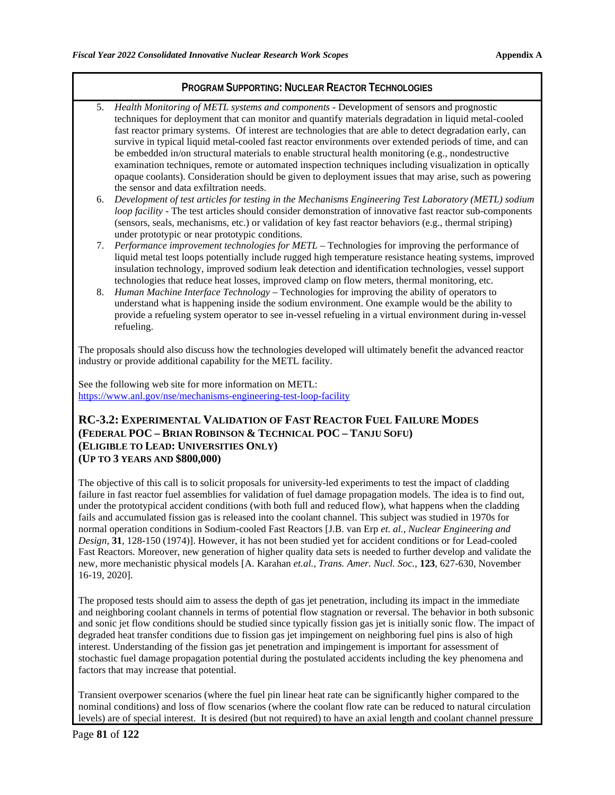- 5. *Health Monitoring of METL systems and components* Development of sensors and prognostic techniques for deployment that can monitor and quantify materials degradation in liquid metal-cooled fast reactor primary systems. Of interest are technologies that are able to detect degradation early, can survive in typical liquid metal-cooled fast reactor environments over extended periods of time, and can be embedded in/on structural materials to enable structural health monitoring (e.g., nondestructive examination techniques, remote or automated inspection techniques including visualization in optically opaque coolants). Consideration should be given to deployment issues that may arise, such as powering the sensor and data exfiltration needs.
- 6. *Development of test articles for testing in the Mechanisms Engineering Test Laboratory (METL) sodium loop facility* - The test articles should consider demonstration of innovative fast reactor sub-components (sensors, seals, mechanisms, etc.) or validation of key fast reactor behaviors (e.g., thermal striping) under prototypic or near prototypic conditions.
- 7. *Performance improvement technologies for METL –* Technologies for improving the performance of liquid metal test loops potentially include rugged high temperature resistance heating systems, improved insulation technology, improved sodium leak detection and identification technologies, vessel support technologies that reduce heat losses, improved clamp on flow meters, thermal monitoring, etc.
- 8. *Human Machine Interface Technology –* Technologies for improving the ability of operators to understand what is happening inside the sodium environment. One example would be the ability to provide a refueling system operator to see in-vessel refueling in a virtual environment during in-vessel refueling.

The proposals should also discuss how the technologies developed will ultimately benefit the advanced reactor industry or provide additional capability for the METL facility.

See the following web site for more information on METL: <https://www.anl.gov/nse/mechanisms-engineering-test-loop-facility>

#### **RC-3.2: EXPERIMENTAL VALIDATION OF FAST REACTOR FUEL FAILURE MODES (FEDERAL POC – BRIAN ROBINSON & TECHNICAL POC – TANJU SOFU) (ELIGIBLE TO LEAD: UNIVERSITIES ONLY) (UP TO 3 YEARS AND \$800,000)**

The objective of this call is to solicit proposals for university-led experiments to test the impact of cladding failure in fast reactor fuel assemblies for validation of fuel damage propagation models. The idea is to find out, under the prototypical accident conditions (with both full and reduced flow), what happens when the cladding fails and accumulated fission gas is released into the coolant channel. This subject was studied in 1970s for normal operation conditions in Sodium-cooled Fast Reactors [J.B. van Erp *et. al.*, *Nuclear Engineering and Design*, **31**, 128-150 (1974)]. However, it has not been studied yet for accident conditions or for Lead-cooled Fast Reactors. Moreover, new generation of higher quality data sets is needed to further develop and validate the new, more mechanistic physical models [A. Karahan *et.al.*, *Trans. Amer. Nucl. Soc.*, **123**, 627-630, November 16-19, 2020].

The proposed tests should aim to assess the depth of gas jet penetration, including its impact in the immediate and neighboring coolant channels in terms of potential flow stagnation or reversal. The behavior in both subsonic and sonic jet flow conditions should be studied since typically fission gas jet is initially sonic flow. The impact of degraded heat transfer conditions due to fission gas jet impingement on neighboring fuel pins is also of high interest. Understanding of the fission gas jet penetration and impingement is important for assessment of stochastic fuel damage propagation potential during the postulated accidents including the key phenomena and factors that may increase that potential.

Transient overpower scenarios (where the fuel pin linear heat rate can be significantly higher compared to the nominal conditions) and loss of flow scenarios (where the coolant flow rate can be reduced to natural circulation levels) are of special interest. It is desired (but not required) to have an axial length and coolant channel pressure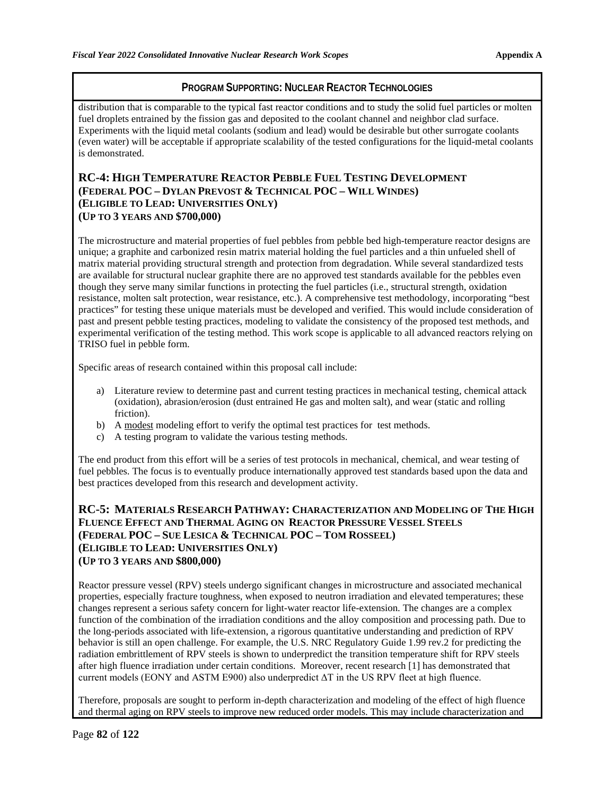distribution that is comparable to the typical fast reactor conditions and to study the solid fuel particles or molten fuel droplets entrained by the fission gas and deposited to the coolant channel and neighbor clad surface. Experiments with the liquid metal coolants (sodium and lead) would be desirable but other surrogate coolants (even water) will be acceptable if appropriate scalability of the tested configurations for the liquid-metal coolants is demonstrated.

### **RC-4: HIGH TEMPERATURE REACTOR PEBBLE FUEL TESTING DEVELOPMENT (FEDERAL POC – DYLAN PREVOST & TECHNICAL POC – WILL WINDES) (ELIGIBLE TO LEAD: UNIVERSITIES ONLY) (UP TO 3 YEARS AND \$700,000)**

The microstructure and material properties of fuel pebbles from pebble bed high-temperature reactor designs are unique; a graphite and carbonized resin matrix material holding the fuel particles and a thin unfueled shell of matrix material providing structural strength and protection from degradation. While several standardized tests are available for structural nuclear graphite there are no approved test standards available for the pebbles even though they serve many similar functions in protecting the fuel particles (i.e., structural strength, oxidation resistance, molten salt protection, wear resistance, etc.). A comprehensive test methodology, incorporating "best practices" for testing these unique materials must be developed and verified. This would include consideration of past and present pebble testing practices, modeling to validate the consistency of the proposed test methods, and experimental verification of the testing method. This work scope is applicable to all advanced reactors relying on TRISO fuel in pebble form.

Specific areas of research contained within this proposal call include:

- a) Literature review to determine past and current testing practices in mechanical testing, chemical attack (oxidation), abrasion/erosion (dust entrained He gas and molten salt), and wear (static and rolling friction).
- b) A modest modeling effort to verify the optimal test practices for test methods.
- c) A testing program to validate the various testing methods.

The end product from this effort will be a series of test protocols in mechanical, chemical, and wear testing of fuel pebbles. The focus is to eventually produce internationally approved test standards based upon the data and best practices developed from this research and development activity.

### **RC-5: MATERIALS RESEARCH PATHWAY: CHARACTERIZATION AND MODELING OF THE HIGH FLUENCE EFFECT AND THERMAL AGING ON REACTOR PRESSURE VESSEL STEELS (FEDERAL POC – SUE LESICA & TECHNICAL POC – TOM ROSSEEL) (ELIGIBLE TO LEAD: UNIVERSITIES ONLY) (UP TO 3 YEARS AND \$800,000)**

Reactor pressure vessel (RPV) steels undergo significant changes in microstructure and associated mechanical properties, especially fracture toughness, when exposed to neutron irradiation and elevated temperatures; these changes represent a serious safety concern for light-water reactor life-extension. The changes are a complex function of the combination of the irradiation conditions and the alloy composition and processing path. Due to the long-periods associated with life-extension, a rigorous quantitative understanding and prediction of RPV behavior is still an open challenge. For example, the U.S. NRC Regulatory Guide 1.99 rev.2 for predicting the radiation embrittlement of RPV steels is shown to underpredict the transition temperature shift for RPV steels after high fluence irradiation under certain conditions. Moreover, recent research [1] has demonstrated that current models (EONY and ASTM E900) also underpredict ΔT in the US RPV fleet at high fluence.

Therefore, proposals are sought to perform in-depth characterization and modeling of the effect of high fluence and thermal aging on RPV steels to improve new reduced order models. This may include characterization and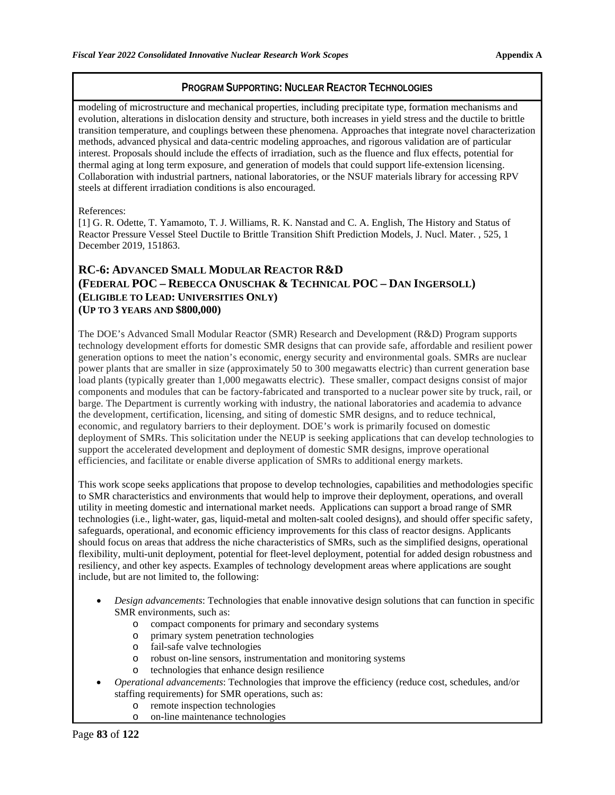modeling of microstructure and mechanical properties, including precipitate type, formation mechanisms and evolution, alterations in dislocation density and structure, both increases in yield stress and the ductile to brittle transition temperature, and couplings between these phenomena. Approaches that integrate novel characterization methods, advanced physical and data-centric modeling approaches, and rigorous validation are of particular interest. Proposals should include the effects of irradiation, such as the fluence and flux effects, potential for thermal aging at long term exposure, and generation of models that could support life-extension licensing. Collaboration with industrial partners, national laboratories, or the NSUF materials library for accessing RPV steels at different irradiation conditions is also encouraged.

#### References:

[1] G. R. Odette, T. Yamamoto, T. J. Williams, R. K. Nanstad and C. A. English, The History and Status of Reactor Pressure Vessel Steel Ductile to Brittle Transition Shift Prediction Models, J. Nucl. Mater. , 525, 1 December 2019, 151863.

## **RC-6: ADVANCED SMALL MODULAR REACTOR R&D (FEDERAL POC – REBECCA ONUSCHAK & TECHNICAL POC – DAN INGERSOLL) (ELIGIBLE TO LEAD: UNIVERSITIES ONLY) (UP TO 3 YEARS AND \$800,000)**

The DOE's Advanced Small Modular Reactor (SMR) Research and Development (R&D) Program supports technology development efforts for domestic SMR designs that can provide safe, affordable and resilient power generation options to meet the nation's economic, energy security and environmental goals. SMRs are nuclear power plants that are smaller in size (approximately 50 to 300 megawatts electric) than current generation base load plants (typically greater than 1,000 megawatts electric). These smaller, compact designs consist of major components and modules that can be factory-fabricated and transported to a nuclear power site by truck, rail, or barge. The Department is currently working with industry, the national laboratories and academia to advance the development, certification, licensing, and siting of domestic SMR designs, and to reduce technical, economic, and regulatory barriers to their deployment. DOE's work is primarily focused on domestic deployment of SMRs. This solicitation under the NEUP is seeking applications that can develop technologies to support the accelerated development and deployment of domestic SMR designs, improve operational efficiencies, and facilitate or enable diverse application of SMRs to additional energy markets.

This work scope seeks applications that propose to develop technologies, capabilities and methodologies specific to SMR characteristics and environments that would help to improve their deployment, operations, and overall utility in meeting domestic and international market needs. Applications can support a broad range of SMR technologies (i.e., light-water, gas, liquid-metal and molten-salt cooled designs), and should offer specific safety, safeguards, operational, and economic efficiency improvements for this class of reactor designs. Applicants should focus on areas that address the niche characteristics of SMRs, such as the simplified designs, operational flexibility, multi-unit deployment, potential for fleet-level deployment, potential for added design robustness and resiliency, and other key aspects. Examples of technology development areas where applications are sought include, but are not limited to, the following:

- *Design advancements*: Technologies that enable innovative design solutions that can function in specific SMR environments, such as:
	- o compact components for primary and secondary systems
	- o primary system penetration technologies
	- o fail-safe valve technologies
	- o robust on-line sensors, instrumentation and monitoring systems
	- technologies that enhance design resilience
- *Operational advancements*: Technologies that improve the efficiency (reduce cost, schedules, and/or staffing requirements) for SMR operations, such as:
	- o remote inspection technologies
	- o on-line maintenance technologies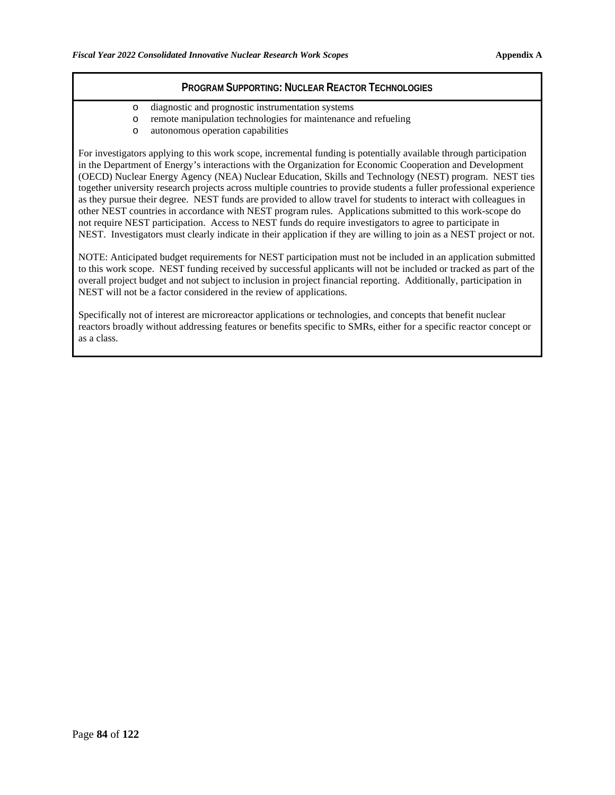- o diagnostic and prognostic instrumentation systems
- o remote manipulation technologies for maintenance and refueling
- autonomous operation capabilities

For investigators applying to this work scope, incremental funding is potentially available through participation in the Department of Energy's interactions with the Organization for Economic Cooperation and Development (OECD) Nuclear Energy Agency (NEA) Nuclear Education, Skills and Technology (NEST) program. NEST ties together university research projects across multiple countries to provide students a fuller professional experience as they pursue their degree. NEST funds are provided to allow travel for students to interact with colleagues in other NEST countries in accordance with NEST program rules. Applications submitted to this work-scope do not require NEST participation. Access to NEST funds do require investigators to agree to participate in NEST. Investigators must clearly indicate in their application if they are willing to join as a NEST project or not.

NOTE: Anticipated budget requirements for NEST participation must not be included in an application submitted to this work scope. NEST funding received by successful applicants will not be included or tracked as part of the overall project budget and not subject to inclusion in project financial reporting. Additionally, participation in NEST will not be a factor considered in the review of applications.

Specifically not of interest are microreactor applications or technologies, and concepts that benefit nuclear reactors broadly without addressing features or benefits specific to SMRs, either for a specific reactor concept or as a class.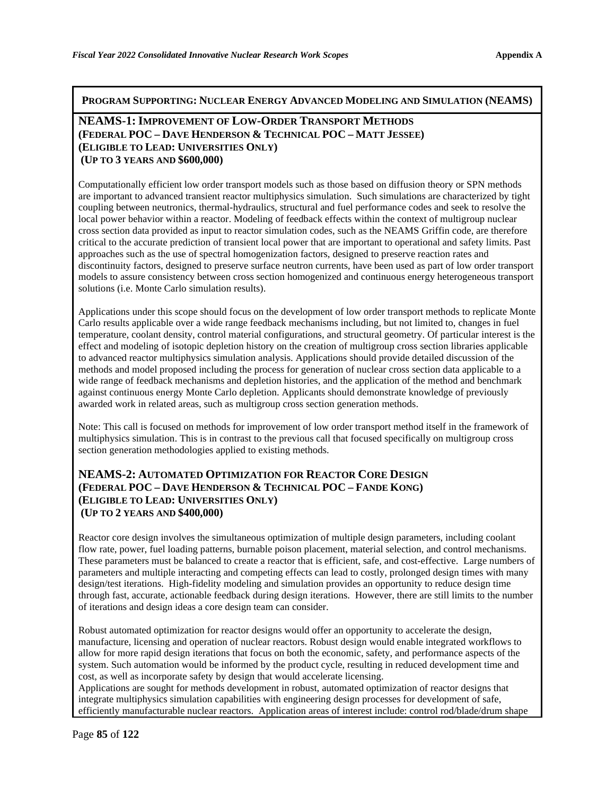**PROGRAM SUPPORTING: NUCLEAR ENERGY ADVANCED MODELING AND SIMULATION (NEAMS)**

#### **NEAMS-1: IMPROVEMENT OF LOW-ORDER TRANSPORT METHODS (FEDERAL POC – DAVE HENDERSON & TECHNICAL POC – MATT JESSEE) (ELIGIBLE TO LEAD: UNIVERSITIES ONLY) (UP TO 3 YEARS AND \$600,000)**

Computationally efficient low order transport models such as those based on diffusion theory or SPN methods are important to advanced transient reactor multiphysics simulation. Such simulations are characterized by tight coupling between neutronics, thermal-hydraulics, structural and fuel performance codes and seek to resolve the local power behavior within a reactor. Modeling of feedback effects within the context of multigroup nuclear cross section data provided as input to reactor simulation codes, such as the NEAMS Griffin code, are therefore critical to the accurate prediction of transient local power that are important to operational and safety limits. Past approaches such as the use of spectral homogenization factors, designed to preserve reaction rates and discontinuity factors, designed to preserve surface neutron currents, have been used as part of low order transport models to assure consistency between cross section homogenized and continuous energy heterogeneous transport solutions (i.e. Monte Carlo simulation results).

Applications under this scope should focus on the development of low order transport methods to replicate Monte Carlo results applicable over a wide range feedback mechanisms including, but not limited to, changes in fuel temperature, coolant density, control material configurations, and structural geometry. Of particular interest is the effect and modeling of isotopic depletion history on the creation of multigroup cross section libraries applicable to advanced reactor multiphysics simulation analysis. Applications should provide detailed discussion of the methods and model proposed including the process for generation of nuclear cross section data applicable to a wide range of feedback mechanisms and depletion histories, and the application of the method and benchmark against continuous energy Monte Carlo depletion. Applicants should demonstrate knowledge of previously awarded work in related areas, such as multigroup cross section generation methods.

Note: This call is focused on methods for improvement of low order transport method itself in the framework of multiphysics simulation. This is in contrast to the previous call that focused specifically on multigroup cross section generation methodologies applied to existing methods.

### **NEAMS-2: AUTOMATED OPTIMIZATION FOR REACTOR CORE DESIGN (FEDERAL POC – DAVE HENDERSON & TECHNICAL POC – FANDE KONG) (ELIGIBLE TO LEAD: UNIVERSITIES ONLY) (UP TO 2 YEARS AND \$400,000)**

Reactor core design involves the simultaneous optimization of multiple design parameters, including coolant flow rate, power, fuel loading patterns, burnable poison placement, material selection, and control mechanisms. These parameters must be balanced to create a reactor that is efficient, safe, and cost-effective. Large numbers of parameters and multiple interacting and competing effects can lead to costly, prolonged design times with many design/test iterations. High-fidelity modeling and simulation provides an opportunity to reduce design time through fast, accurate, actionable feedback during design iterations. However, there are still limits to the number of iterations and design ideas a core design team can consider.

Robust automated optimization for reactor designs would offer an opportunity to accelerate the design, manufacture, licensing and operation of nuclear reactors. Robust design would enable integrated workflows to allow for more rapid design iterations that focus on both the economic, safety, and performance aspects of the system. Such automation would be informed by the product cycle, resulting in reduced development time and cost, as well as incorporate safety by design that would accelerate licensing.

Applications are sought for methods development in robust, automated optimization of reactor designs that integrate multiphysics simulation capabilities with engineering design processes for development of safe, efficiently manufacturable nuclear reactors. Application areas of interest include: control rod/blade/drum shape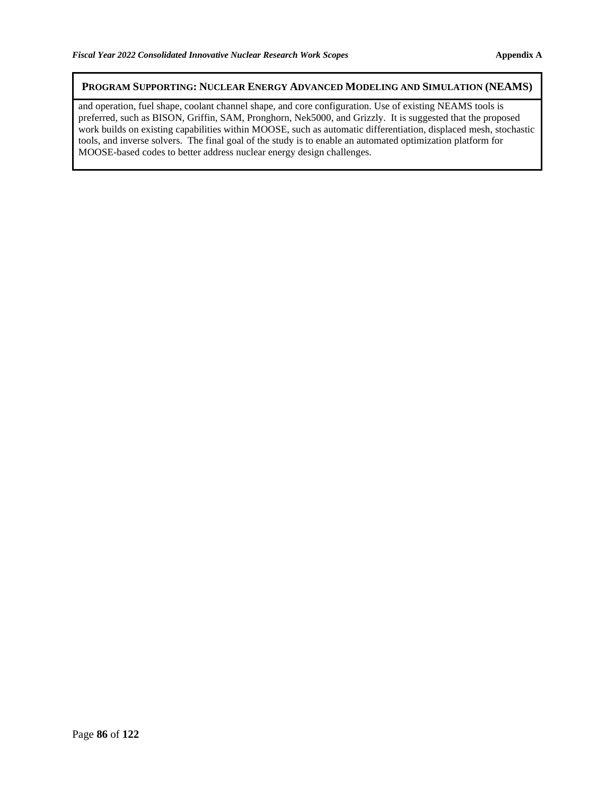#### **PROGRAM SUPPORTING: NUCLEAR ENERGY ADVANCED MODELING AND SIMULATION (NEAMS)**

and operation, fuel shape, coolant channel shape, and core configuration. Use of existing NEAMS tools is preferred, such as BISON, Griffin, SAM, Pronghorn, Nek5000, and Grizzly. It is suggested that the proposed work builds on existing capabilities within MOOSE, such as automatic differentiation, displaced mesh, stochastic tools, and inverse solvers. The final goal of the study is to enable an automated optimization platform for MOOSE-based codes to better address nuclear energy design challenges.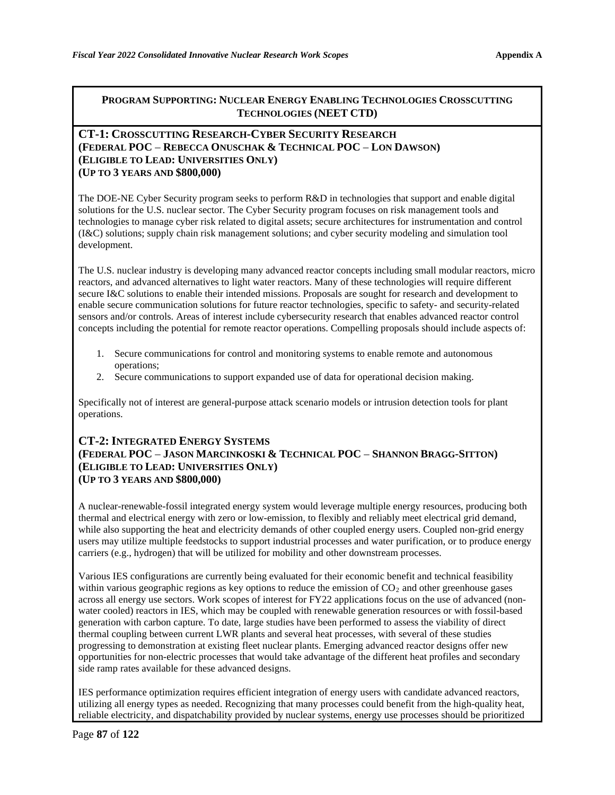#### **CT-1: CROSSCUTTING RESEARCH-CYBER SECURITY RESEARCH (FEDERAL POC** – **REBECCA ONUSCHAK & TECHNICAL POC** – **LON DAWSON) (ELIGIBLE TO LEAD: UNIVERSITIES ONLY) (UP TO 3 YEARS AND \$800,000)**

The DOE-NE Cyber Security program seeks to perform R&D in technologies that support and enable digital solutions for the U.S. nuclear sector. The Cyber Security program focuses on risk management tools and technologies to manage cyber risk related to digital assets; secure architectures for instrumentation and control (I&C) solutions; supply chain risk management solutions; and cyber security modeling and simulation tool development.

The U.S. nuclear industry is developing many advanced reactor concepts including small modular reactors, micro reactors, and advanced alternatives to light water reactors. Many of these technologies will require different secure I&C solutions to enable their intended missions. Proposals are sought for research and development to enable secure communication solutions for future reactor technologies, specific to safety- and security-related sensors and/or controls. Areas of interest include cybersecurity research that enables advanced reactor control concepts including the potential for remote reactor operations. Compelling proposals should include aspects of:

- 1. Secure communications for control and monitoring systems to enable remote and autonomous operations;
- 2. Secure communications to support expanded use of data for operational decision making.

Specifically not of interest are general-purpose attack scenario models or intrusion detection tools for plant operations.

### **CT-2: INTEGRATED ENERGY SYSTEMS (FEDERAL POC** – **JASON MARCINKOSKI & TECHNICAL POC** – **SHANNON BRAGG-SITTON) (ELIGIBLE TO LEAD: UNIVERSITIES ONLY) (UP TO 3 YEARS AND \$800,000)**

A nuclear-renewable-fossil integrated energy system would leverage multiple energy resources, producing both thermal and electrical energy with zero or low-emission, to flexibly and reliably meet electrical grid demand, while also supporting the heat and electricity demands of other coupled energy users. Coupled non-grid energy users may utilize multiple feedstocks to support industrial processes and water purification, or to produce energy carriers (e.g., hydrogen) that will be utilized for mobility and other downstream processes.

Various IES configurations are currently being evaluated for their economic benefit and technical feasibility within various geographic regions as key options to reduce the emission of  $CO<sub>2</sub>$  and other greenhouse gases across all energy use sectors. Work scopes of interest for FY22 applications focus on the use of advanced (nonwater cooled) reactors in IES, which may be coupled with renewable generation resources or with fossil-based generation with carbon capture. To date, large studies have been performed to assess the viability of direct thermal coupling between current LWR plants and several heat processes, with several of these studies progressing to demonstration at existing fleet nuclear plants. Emerging advanced reactor designs offer new opportunities for non-electric processes that would take advantage of the different heat profiles and secondary side ramp rates available for these advanced designs.

IES performance optimization requires efficient integration of energy users with candidate advanced reactors, utilizing all energy types as needed. Recognizing that many processes could benefit from the high-quality heat, reliable electricity, and dispatchability provided by nuclear systems, energy use processes should be prioritized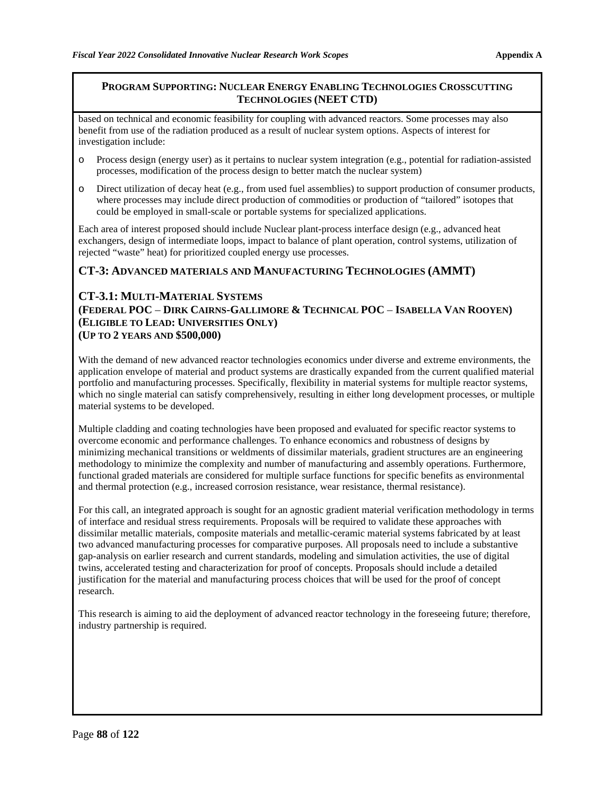based on technical and economic feasibility for coupling with advanced reactors. Some processes may also benefit from use of the radiation produced as a result of nuclear system options. Aspects of interest for investigation include:

- o Process design (energy user) as it pertains to nuclear system integration (e.g., potential for radiation-assisted processes, modification of the process design to better match the nuclear system)
- o Direct utilization of decay heat (e.g., from used fuel assemblies) to support production of consumer products, where processes may include direct production of commodities or production of "tailored" isotopes that could be employed in small-scale or portable systems for specialized applications.

Each area of interest proposed should include Nuclear plant-process interface design (e.g., advanced heat exchangers, design of intermediate loops, impact to balance of plant operation, control systems, utilization of rejected "waste" heat) for prioritized coupled energy use processes.

#### **CT-3: ADVANCED MATERIALS AND MANUFACTURING TECHNOLOGIES (AMMT)**

## **CT-3.1: MULTI-MATERIAL SYSTEMS (FEDERAL POC** – **DIRK CAIRNS-GALLIMORE & TECHNICAL POC** – **ISABELLA VAN ROOYEN) (ELIGIBLE TO LEAD: UNIVERSITIES ONLY) (UP TO 2 YEARS AND \$500,000)**

With the demand of new advanced reactor technologies economics under diverse and extreme environments, the application envelope of material and product systems are drastically expanded from the current qualified material portfolio and manufacturing processes. Specifically, flexibility in material systems for multiple reactor systems, which no single material can satisfy comprehensively, resulting in either long development processes, or multiple material systems to be developed.

Multiple cladding and coating technologies have been proposed and evaluated for specific reactor systems to overcome economic and performance challenges. To enhance economics and robustness of designs by minimizing mechanical transitions or weldments of dissimilar materials, gradient structures are an engineering methodology to minimize the complexity and number of manufacturing and assembly operations. Furthermore, functional graded materials are considered for multiple surface functions for specific benefits as environmental and thermal protection (e.g., increased corrosion resistance, wear resistance, thermal resistance).

For this call, an integrated approach is sought for an agnostic gradient material verification methodology in terms of interface and residual stress requirements. Proposals will be required to validate these approaches with dissimilar metallic materials, composite materials and metallic-ceramic material systems fabricated by at least two advanced manufacturing processes for comparative purposes. All proposals need to include a substantive gap-analysis on earlier research and current standards, modeling and simulation activities, the use of digital twins, accelerated testing and characterization for proof of concepts. Proposals should include a detailed justification for the material and manufacturing process choices that will be used for the proof of concept research.

This research is aiming to aid the deployment of advanced reactor technology in the foreseeing future; therefore, industry partnership is required.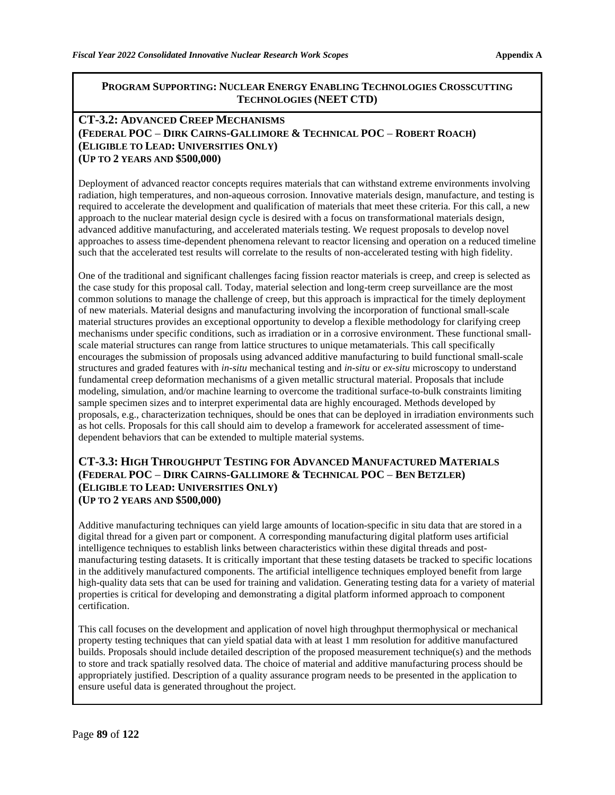#### **CT-3.2: ADVANCED CREEP MECHANISMS (FEDERAL POC** – **DIRK CAIRNS-GALLIMORE & TECHNICAL POC** – **ROBERT ROACH) (ELIGIBLE TO LEAD: UNIVERSITIES ONLY) (UP TO 2 YEARS AND \$500,000)**

Deployment of advanced reactor concepts requires materials that can withstand extreme environments involving radiation, high temperatures, and non-aqueous corrosion. Innovative materials design, manufacture, and testing is required to accelerate the development and qualification of materials that meet these criteria. For this call, a new approach to the nuclear material design cycle is desired with a focus on transformational materials design, advanced additive manufacturing, and accelerated materials testing. We request proposals to develop novel approaches to assess time-dependent phenomena relevant to reactor licensing and operation on a reduced timeline such that the accelerated test results will correlate to the results of non-accelerated testing with high fidelity.

One of the traditional and significant challenges facing fission reactor materials is creep, and creep is selected as the case study for this proposal call. Today, material selection and long-term creep surveillance are the most common solutions to manage the challenge of creep, but this approach is impractical for the timely deployment of new materials. Material designs and manufacturing involving the incorporation of functional small-scale material structures provides an exceptional opportunity to develop a flexible methodology for clarifying creep mechanisms under specific conditions, such as irradiation or in a corrosive environment. These functional smallscale material structures can range from lattice structures to unique metamaterials. This call specifically encourages the submission of proposals using advanced additive manufacturing to build functional small-scale structures and graded features with *in-situ* mechanical testing and *in-situ* or *ex-situ* microscopy to understand fundamental creep deformation mechanisms of a given metallic structural material. Proposals that include modeling, simulation, and/or machine learning to overcome the traditional surface-to-bulk constraints limiting sample specimen sizes and to interpret experimental data are highly encouraged. Methods developed by proposals, e.g., characterization techniques, should be ones that can be deployed in irradiation environments such as hot cells. Proposals for this call should aim to develop a framework for accelerated assessment of timedependent behaviors that can be extended to multiple material systems.

#### **CT-3.3: HIGH THROUGHPUT TESTING FOR ADVANCED MANUFACTURED MATERIALS (FEDERAL POC** – **DIRK CAIRNS-GALLIMORE & TECHNICAL POC** – **BEN BETZLER) (ELIGIBLE TO LEAD: UNIVERSITIES ONLY) (UP TO 2 YEARS AND \$500,000)**

Additive manufacturing techniques can yield large amounts of location-specific in situ data that are stored in a digital thread for a given part or component. A corresponding manufacturing digital platform uses artificial intelligence techniques to establish links between characteristics within these digital threads and postmanufacturing testing datasets. It is critically important that these testing datasets be tracked to specific locations in the additively manufactured components. The artificial intelligence techniques employed benefit from large high-quality data sets that can be used for training and validation. Generating testing data for a variety of material properties is critical for developing and demonstrating a digital platform informed approach to component certification.

This call focuses on the development and application of novel high throughput thermophysical or mechanical property testing techniques that can yield spatial data with at least 1 mm resolution for additive manufactured builds. Proposals should include detailed description of the proposed measurement technique(s) and the methods to store and track spatially resolved data. The choice of material and additive manufacturing process should be appropriately justified. Description of a quality assurance program needs to be presented in the application to ensure useful data is generated throughout the project.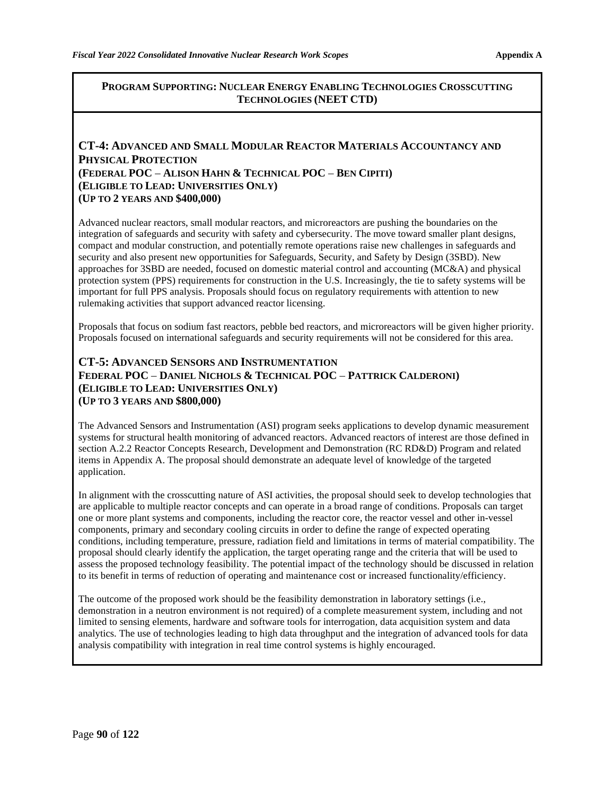## **CT-4: ADVANCED AND SMALL MODULAR REACTOR MATERIALS ACCOUNTANCY AND PHYSICAL PROTECTION (FEDERAL POC** – **ALISON HAHN & TECHNICAL POC** – **BEN CIPITI) (ELIGIBLE TO LEAD: UNIVERSITIES ONLY) (UP TO 2 YEARS AND \$400,000)**

Advanced nuclear reactors, small modular reactors, and microreactors are pushing the boundaries on the integration of safeguards and security with safety and cybersecurity. The move toward smaller plant designs, compact and modular construction, and potentially remote operations raise new challenges in safeguards and security and also present new opportunities for Safeguards, Security, and Safety by Design (3SBD). New approaches for 3SBD are needed, focused on domestic material control and accounting (MC&A) and physical protection system (PPS) requirements for construction in the U.S. Increasingly, the tie to safety systems will be important for full PPS analysis. Proposals should focus on regulatory requirements with attention to new rulemaking activities that support advanced reactor licensing.

Proposals that focus on sodium fast reactors, pebble bed reactors, and microreactors will be given higher priority. Proposals focused on international safeguards and security requirements will not be considered for this area.

### **CT-5: ADVANCED SENSORS AND INSTRUMENTATION FEDERAL POC** – **DANIEL NICHOLS & TECHNICAL POC** – **PATTRICK CALDERONI) (ELIGIBLE TO LEAD: UNIVERSITIES ONLY) (UP TO 3 YEARS AND \$800,000)**

The Advanced Sensors and Instrumentation (ASI) program seeks applications to develop dynamic measurement systems for structural health monitoring of advanced reactors. Advanced reactors of interest are those defined in section A.2.2 Reactor Concepts Research, Development and Demonstration (RC RD&D) Program and related items in Appendix A. The proposal should demonstrate an adequate level of knowledge of the targeted application.

In alignment with the crosscutting nature of ASI activities, the proposal should seek to develop technologies that are applicable to multiple reactor concepts and can operate in a broad range of conditions. Proposals can target one or more plant systems and components, including the reactor core, the reactor vessel and other in-vessel components, primary and secondary cooling circuits in order to define the range of expected operating conditions, including temperature, pressure, radiation field and limitations in terms of material compatibility. The proposal should clearly identify the application, the target operating range and the criteria that will be used to assess the proposed technology feasibility. The potential impact of the technology should be discussed in relation to its benefit in terms of reduction of operating and maintenance cost or increased functionality/efficiency.

The outcome of the proposed work should be the feasibility demonstration in laboratory settings (i.e., demonstration in a neutron environment is not required) of a complete measurement system, including and not limited to sensing elements, hardware and software tools for interrogation, data acquisition system and data analytics. The use of technologies leading to high data throughput and the integration of advanced tools for data analysis compatibility with integration in real time control systems is highly encouraged.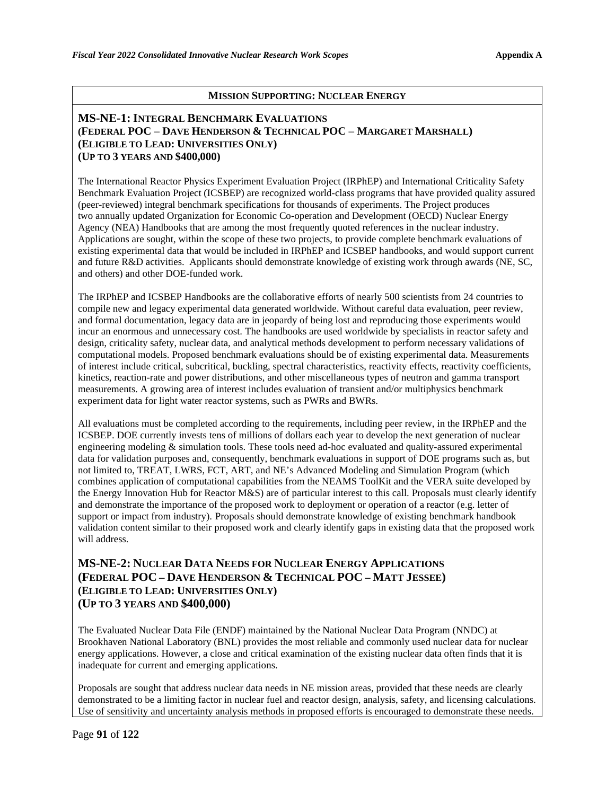#### **MISSION SUPPORTING: NUCLEAR ENERGY**

### **MS-NE-1: INTEGRAL BENCHMARK EVALUATIONS (FEDERAL POC** – **DAVE HENDERSON & TECHNICAL POC** – **MARGARET MARSHALL) (ELIGIBLE TO LEAD: UNIVERSITIES ONLY) (UP TO 3 YEARS AND \$400,000)**

The International Reactor Physics Experiment Evaluation Project (IRPhEP) and International Criticality Safety Benchmark Evaluation Project (ICSBEP) are recognized world-class programs that have provided quality assured (peer-reviewed) integral benchmark specifications for thousands of experiments. The Project produces two annually updated Organization for Economic Co-operation and Development (OECD) Nuclear Energy Agency (NEA) Handbooks that are among the most frequently quoted references in the nuclear industry. Applications are sought, within the scope of these two projects, to provide complete benchmark evaluations of existing experimental data that would be included in IRPhEP and ICSBEP handbooks, and would support current and future R&D activities. Applicants should demonstrate knowledge of existing work through awards (NE, SC, and others) and other DOE-funded work.

The IRPhEP and ICSBEP Handbooks are the collaborative efforts of nearly 500 scientists from 24 countries to compile new and legacy experimental data generated worldwide. Without careful data evaluation, peer review, and formal documentation, legacy data are in jeopardy of being lost and reproducing those experiments would incur an enormous and unnecessary cost. The handbooks are used worldwide by specialists in reactor safety and design, criticality safety, nuclear data, and analytical methods development to perform necessary validations of computational models. Proposed benchmark evaluations should be of existing experimental data. Measurements of interest include critical, subcritical, buckling, spectral characteristics, reactivity effects, reactivity coefficients, kinetics, reaction-rate and power distributions, and other miscellaneous types of neutron and gamma transport measurements. A growing area of interest includes evaluation of transient and/or multiphysics benchmark experiment data for light water reactor systems, such as PWRs and BWRs.

All evaluations must be completed according to the requirements, including peer review, in the IRPhEP and the ICSBEP. DOE currently invests tens of millions of dollars each year to develop the next generation of nuclear engineering modeling & simulation tools. These tools need ad-hoc evaluated and quality-assured experimental data for validation purposes and, consequently, benchmark evaluations in support of DOE programs such as, but not limited to, TREAT, LWRS, FCT, ART, and NE's Advanced Modeling and Simulation Program (which combines application of computational capabilities from the NEAMS ToolKit and the VERA suite developed by the Energy Innovation Hub for Reactor M&S) are of particular interest to this call. Proposals must clearly identify and demonstrate the importance of the proposed work to deployment or operation of a reactor (e.g. letter of support or impact from industry). Proposals should demonstrate knowledge of existing benchmark handbook validation content similar to their proposed work and clearly identify gaps in existing data that the proposed work will address.

### **MS-NE-2: NUCLEAR DATA NEEDS FOR NUCLEAR ENERGY APPLICATIONS (FEDERAL POC – DAVE HENDERSON & TECHNICAL POC – MATT JESSEE) (ELIGIBLE TO LEAD: UNIVERSITIES ONLY) (UP TO 3 YEARS AND \$400,000)**

The Evaluated Nuclear Data File (ENDF) maintained by the National Nuclear Data Program (NNDC) at Brookhaven National Laboratory (BNL) provides the most reliable and commonly used nuclear data for nuclear energy applications. However, a close and critical examination of the existing nuclear data often finds that it is inadequate for current and emerging applications.

Proposals are sought that address nuclear data needs in NE mission areas, provided that these needs are clearly demonstrated to be a limiting factor in nuclear fuel and reactor design, analysis, safety, and licensing calculations. Use of sensitivity and uncertainty analysis methods in proposed efforts is encouraged to demonstrate these needs.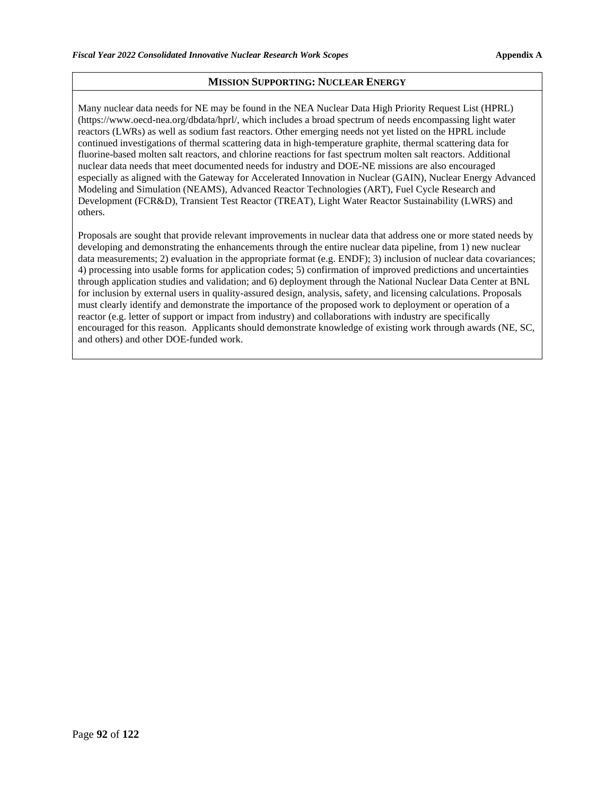#### **MISSION SUPPORTING: NUCLEAR ENERGY**

Many nuclear data needs for NE may be found in the NEA Nuclear Data High Priority Request List (HPRL) (https://www.oecd-nea.org/dbdata/hprl/, which includes a broad spectrum of needs encompassing light water reactors (LWRs) as well as sodium fast reactors. Other emerging needs not yet listed on the HPRL include continued investigations of thermal scattering data in high-temperature graphite, thermal scattering data for fluorine-based molten salt reactors, and chlorine reactions for fast spectrum molten salt reactors. Additional nuclear data needs that meet documented needs for industry and DOE-NE missions are also encouraged especially as aligned with the Gateway for Accelerated Innovation in Nuclear (GAIN), Nuclear Energy Advanced Modeling and Simulation (NEAMS), Advanced Reactor Technologies (ART), Fuel Cycle Research and Development (FCR&D), Transient Test Reactor (TREAT), Light Water Reactor Sustainability (LWRS) and others.

Proposals are sought that provide relevant improvements in nuclear data that address one or more stated needs by developing and demonstrating the enhancements through the entire nuclear data pipeline, from 1) new nuclear data measurements; 2) evaluation in the appropriate format (e.g. ENDF); 3) inclusion of nuclear data covariances; 4) processing into usable forms for application codes; 5) confirmation of improved predictions and uncertainties through application studies and validation; and 6) deployment through the National Nuclear Data Center at BNL for inclusion by external users in quality-assured design, analysis, safety, and licensing calculations. Proposals must clearly identify and demonstrate the importance of the proposed work to deployment or operation of a reactor (e.g. letter of support or impact from industry) and collaborations with industry are specifically encouraged for this reason. Applicants should demonstrate knowledge of existing work through awards (NE, SC, and others) and other DOE-funded work.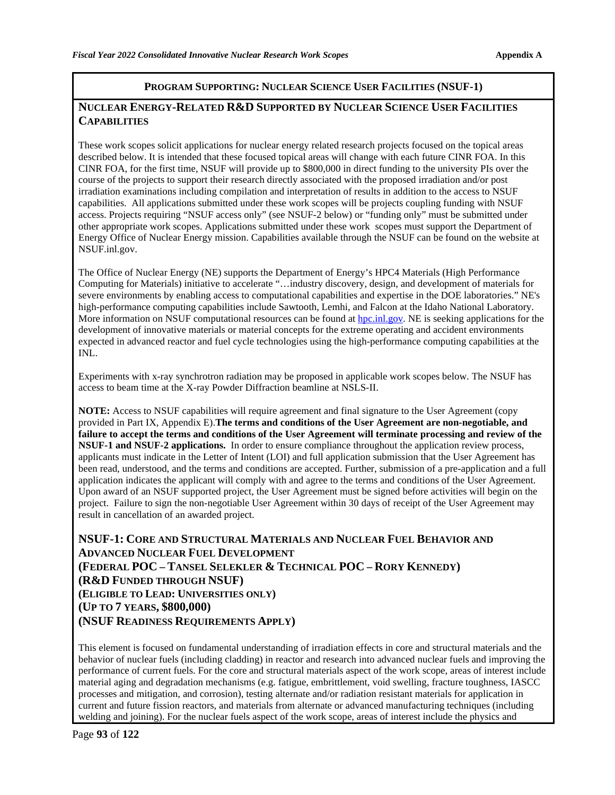#### **PROGRAM SUPPORTING: NUCLEAR SCIENCE USER FACILITIES (NSUF-1)**

### **NUCLEAR ENERGY-RELATED R&D SUPPORTED BY NUCLEAR SCIENCE USER FACILITIES CAPABILITIES**

These work scopes solicit applications for nuclear energy related research projects focused on the topical areas described below. It is intended that these focused topical areas will change with each future CINR FOA. In this CINR FOA, for the first time, NSUF will provide up to \$800,000 in direct funding to the university PIs over the course of the projects to support their research directly associated with the proposed irradiation and/or post irradiation examinations including compilation and interpretation of results in addition to the access to NSUF capabilities. All applications submitted under these work scopes will be projects coupling funding with NSUF access. Projects requiring "NSUF access only" (see NSUF-2 below) or "funding only" must be submitted under other appropriate work scopes. Applications submitted under these work scopes must support the Department of Energy Office of Nuclear Energy mission. Capabilities available through the NSUF can be found on the website at NSUF.inl.gov.

The Office of Nuclear Energy (NE) supports the Department of Energy's HPC4 Materials (High Performance Computing for Materials) initiative to accelerate "…industry discovery, design, and development of materials for severe environments by enabling access to computational capabilities and expertise in the DOE laboratories." NE's high-performance computing capabilities include Sawtooth, Lemhi, and Falcon at the Idaho National Laboratory. More information on NSUF computational resources can be found a[t hpc.inl.gov.](https://hpc.inl.gov/) NE is seeking applications for the development of innovative materials or material concepts for the extreme operating and accident environments expected in advanced reactor and fuel cycle technologies using the high-performance computing capabilities at the INL.

Experiments with x-ray synchrotron radiation may be proposed in applicable work scopes below. The NSUF has access to beam time at the X-ray Powder Diffraction beamline at NSLS-II.

**NOTE:** Access to NSUF capabilities will require agreement and final signature to the User Agreement (copy provided in Part IX, Appendix E).**The terms and conditions of the User Agreement are non-negotiable, and failure to accept the terms and conditions of the User Agreement will terminate processing and review of the NSUF-1 and NSUF-2 applications.** In order to ensure compliance throughout the application review process, applicants must indicate in the Letter of Intent (LOI) and full application submission that the User Agreement has been read, understood, and the terms and conditions are accepted. Further, submission of a pre-application and a full application indicates the applicant will comply with and agree to the terms and conditions of the User Agreement. Upon award of an NSUF supported project, the User Agreement must be signed before activities will begin on the project. Failure to sign the non-negotiable User Agreement within 30 days of receipt of the User Agreement may result in cancellation of an awarded project.

**NSUF-1: CORE AND STRUCTURAL MATERIALS AND NUCLEAR FUEL BEHAVIOR AND ADVANCED NUCLEAR FUEL DEVELOPMENT (FEDERAL POC – TANSEL SELEKLER & TECHNICAL POC – RORY KENNEDY) (R&D FUNDED THROUGH NSUF) (ELIGIBLE TO LEAD: UNIVERSITIES ONLY) (UP TO 7 YEARS, \$800,000) (NSUF READINESS REQUIREMENTS APPLY)**

This element is focused on fundamental understanding of irradiation effects in core and structural materials and the behavior of nuclear fuels (including cladding) in reactor and research into advanced nuclear fuels and improving the performance of current fuels. For the core and structural materials aspect of the work scope, areas of interest include material aging and degradation mechanisms (e.g. fatigue, embrittlement, void swelling, fracture toughness, IASCC processes and mitigation, and corrosion), testing alternate and/or radiation resistant materials for application in current and future fission reactors, and materials from alternate or advanced manufacturing techniques (including welding and joining). For the nuclear fuels aspect of the work scope, areas of interest include the physics and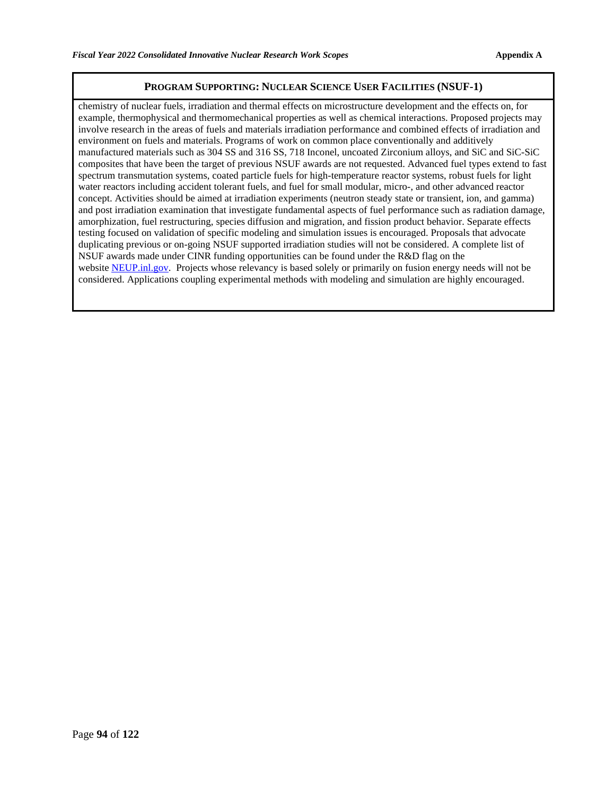#### **PROGRAM SUPPORTING: NUCLEAR SCIENCE USER FACILITIES (NSUF-1)**

chemistry of nuclear fuels, irradiation and thermal effects on microstructure development and the effects on, for example, thermophysical and thermomechanical properties as well as chemical interactions. Proposed projects may involve research in the areas of fuels and materials irradiation performance and combined effects of irradiation and environment on fuels and materials. Programs of work on common place conventionally and additively manufactured materials such as 304 SS and 316 SS, 718 Inconel, uncoated Zirconium alloys, and SiC and SiC-SiC composites that have been the target of previous NSUF awards are not requested. Advanced fuel types extend to fast spectrum transmutation systems, coated particle fuels for high-temperature reactor systems, robust fuels for light water reactors including accident tolerant fuels, and fuel for small modular, micro-, and other advanced reactor concept. Activities should be aimed at irradiation experiments (neutron steady state or transient, ion, and gamma) and post irradiation examination that investigate fundamental aspects of fuel performance such as radiation damage, amorphization, fuel restructuring, species diffusion and migration, and fission product behavior. Separate effects testing focused on validation of specific modeling and simulation issues is encouraged. Proposals that advocate duplicating previous or on-going NSUF supported irradiation studies will not be considered. A complete list of NSUF awards made under CINR funding opportunities can be found under the R&D flag on the website [NEUP.inl.gov.](https://gcc01.safelinks.protection.outlook.com/?url=https%3A%2F%2Fneup.inl.gov%2FSitePages%2FHome.aspx&data=02%7C01%7Clindy.bean%40inl.gov%7C596ee49b5d1440f91ff608d82cf1de8d%7C4cf464b7869a42368da2a98566485554%7C0%7C0%7C637308764611552664&sdata=qVNH6wvzlvPanBfmfQfQ1QxW1rjKC3Zi4yFP4iHDQhI%3D&reserved=0) Projects whose relevancy is based solely or primarily on fusion energy needs will not be considered. Applications coupling experimental methods with modeling and simulation are highly encouraged.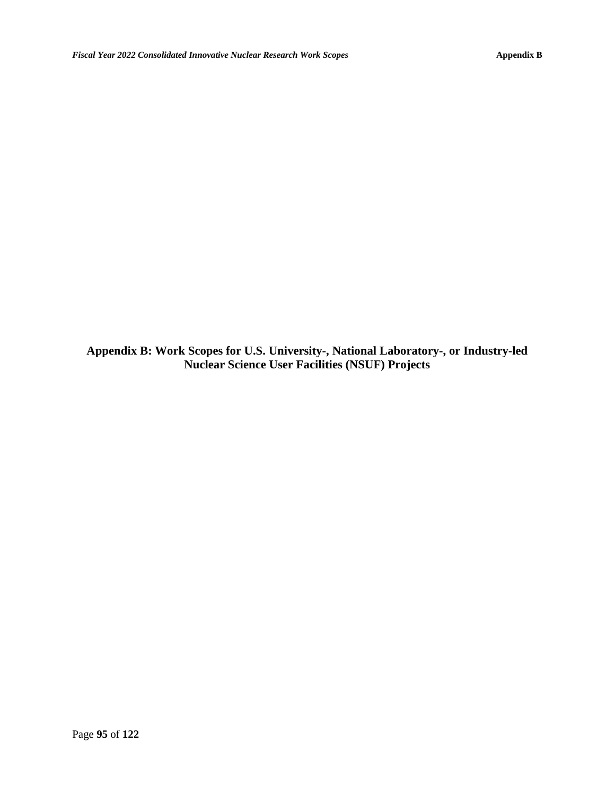**Appendix B: Work Scopes for U.S. University-, National Laboratory-, or Industry-led Nuclear Science User Facilities (NSUF) Projects**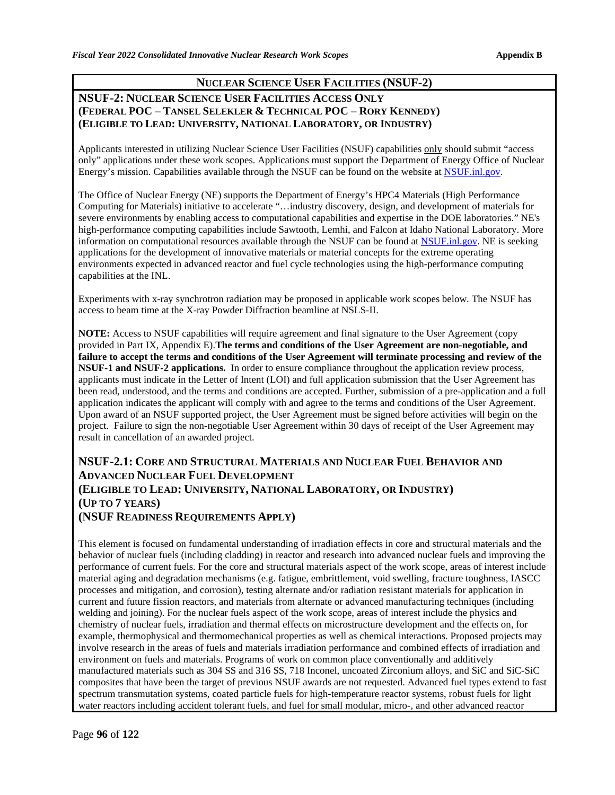## **NUCLEAR SCIENCE USER FACILITIES (NSUF-2)**

## **NSUF-2: NUCLEAR SCIENCE USER FACILITIES ACCESS ONLY (FEDERAL POC** – **TANSEL SELEKLER & TECHNICAL POC** – **RORY KENNEDY) (ELIGIBLE TO LEAD: UNIVERSITY, NATIONAL LABORATORY, OR INDUSTRY)**

Applicants interested in utilizing Nuclear Science User Facilities (NSUF) capabilities only should submit "access only" applications under these work scopes. Applications must support the Department of Energy Office of Nuclear Energy's mission. Capabilities available through the NSUF can be found on the website at [NSUF.inl.gov.](https://nsuf.inl.gov/)

The Office of Nuclear Energy (NE) supports the Department of Energy's HPC4 Materials (High Performance Computing for Materials) initiative to accelerate "…industry discovery, design, and development of materials for severe environments by enabling access to computational capabilities and expertise in the DOE laboratories." NE's high-performance computing capabilities include Sawtooth, Lemhi, and Falcon at Idaho National Laboratory. More information on computational resources available through the NSUF can be found at [NSUF.inl.gov.](https://nsuf.inl.gov/) NE is seeking applications for the development of innovative materials or material concepts for the extreme operating environments expected in advanced reactor and fuel cycle technologies using the high-performance computing capabilities at the INL.

Experiments with x-ray synchrotron radiation may be proposed in applicable work scopes below. The NSUF has access to beam time at the X-ray Powder Diffraction beamline at NSLS-II.

**NOTE:** Access to NSUF capabilities will require agreement and final signature to the User Agreement (copy provided in Part IX, Appendix E).**The terms and conditions of the User Agreement are non-negotiable, and failure to accept the terms and conditions of the User Agreement will terminate processing and review of the NSUF-1 and NSUF-2 applications.** In order to ensure compliance throughout the application review process, applicants must indicate in the Letter of Intent (LOI) and full application submission that the User Agreement has been read, understood, and the terms and conditions are accepted. Further, submission of a pre-application and a full application indicates the applicant will comply with and agree to the terms and conditions of the User Agreement. Upon award of an NSUF supported project, the User Agreement must be signed before activities will begin on the project. Failure to sign the non-negotiable User Agreement within 30 days of receipt of the User Agreement may result in cancellation of an awarded project.

## **NSUF-2.1: CORE AND STRUCTURAL MATERIALS AND NUCLEAR FUEL BEHAVIOR AND ADVANCED NUCLEAR FUEL DEVELOPMENT (ELIGIBLE TO LEAD: UNIVERSITY, NATIONAL LABORATORY, OR INDUSTRY) (UP TO 7 YEARS) (NSUF READINESS REQUIREMENTS APPLY)**

This element is focused on fundamental understanding of irradiation effects in core and structural materials and the behavior of nuclear fuels (including cladding) in reactor and research into advanced nuclear fuels and improving the performance of current fuels. For the core and structural materials aspect of the work scope, areas of interest include material aging and degradation mechanisms (e.g. fatigue, embrittlement, void swelling, fracture toughness, IASCC processes and mitigation, and corrosion), testing alternate and/or radiation resistant materials for application in current and future fission reactors, and materials from alternate or advanced manufacturing techniques (including welding and joining). For the nuclear fuels aspect of the work scope, areas of interest include the physics and chemistry of nuclear fuels, irradiation and thermal effects on microstructure development and the effects on, for example, thermophysical and thermomechanical properties as well as chemical interactions. Proposed projects may involve research in the areas of fuels and materials irradiation performance and combined effects of irradiation and environment on fuels and materials. Programs of work on common place conventionally and additively manufactured materials such as 304 SS and 316 SS, 718 Inconel, uncoated Zirconium alloys, and SiC and SiC-SiC composites that have been the target of previous NSUF awards are not requested. Advanced fuel types extend to fast spectrum transmutation systems, coated particle fuels for high-temperature reactor systems, robust fuels for light water reactors including accident tolerant fuels, and fuel for small modular, micro-, and other advanced reactor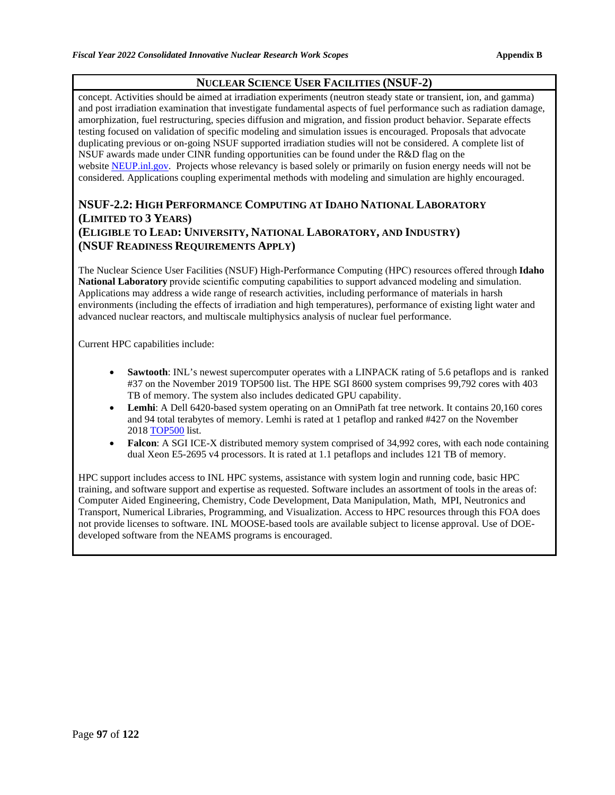## **NUCLEAR SCIENCE USER FACILITIES (NSUF-2)**

concept. Activities should be aimed at irradiation experiments (neutron steady state or transient, ion, and gamma) and post irradiation examination that investigate fundamental aspects of fuel performance such as radiation damage, amorphization, fuel restructuring, species diffusion and migration, and fission product behavior. Separate effects testing focused on validation of specific modeling and simulation issues is encouraged. Proposals that advocate duplicating previous or on-going NSUF supported irradiation studies will not be considered. A complete list of NSUF awards made under CINR funding opportunities can be found under the R&D flag on the website [NEUP.inl.gov.](https://gcc01.safelinks.protection.outlook.com/?url=https%3A%2F%2Fneup.inl.gov%2FSitePages%2FHome.aspx&data=02%7C01%7Clindy.bean%40inl.gov%7C596ee49b5d1440f91ff608d82cf1de8d%7C4cf464b7869a42368da2a98566485554%7C0%7C0%7C637308764611552664&sdata=qVNH6wvzlvPanBfmfQfQ1QxW1rjKC3Zi4yFP4iHDQhI%3D&reserved=0) Projects whose relevancy is based solely or primarily on fusion energy needs will not be considered. Applications coupling experimental methods with modeling and simulation are highly encouraged.

## **NSUF-2.2: HIGH PERFORMANCE COMPUTING AT IDAHO NATIONAL LABORATORY (LIMITED TO 3 YEARS) (ELIGIBLE TO LEAD: UNIVERSITY, NATIONAL LABORATORY, AND INDUSTRY) (NSUF READINESS REQUIREMENTS APPLY)**

The Nuclear Science User Facilities (NSUF) High-Performance Computing (HPC) resources offered through **Idaho National Laboratory** provide scientific computing capabilities to support advanced modeling and simulation. Applications may address a wide range of research activities, including performance of materials in harsh environments (including the effects of irradiation and high temperatures), performance of existing light water and advanced nuclear reactors, and multiscale multiphysics analysis of nuclear fuel performance.

Current HPC capabilities include:

- **Sawtooth**: INL's newest supercomputer operates with a LINPACK rating of 5.6 petaflops and is ranked #37 on the November 2019 TOP500 list. The HPE SGI 8600 system comprises 99,792 cores with 403 TB of memory. The system also includes dedicated GPU capability.
- Lemhi: A Dell 6420-based system operating on an OmniPath fat tree network. It contains 20,160 cores and 94 total terabytes of memory. Lemhi is rated at 1 petaflop and ranked #427 on the November 2018 [TOP500](https://www.top500.org/site/47650) list.
- **Falcon:** A SGI ICE-X distributed memory system comprised of 34,992 cores, with each node containing dual Xeon E5-2695 v4 processors. It is rated at 1.1 petaflops and includes 121 TB of memory.

HPC support includes access to INL HPC systems, assistance with system login and running code, basic HPC training, and software support and expertise as requested. Software includes an assortment of tools in the areas of: Computer Aided Engineering, Chemistry, Code Development, Data Manipulation, Math, MPI, Neutronics and Transport, Numerical Libraries, Programming, and Visualization. Access to HPC resources through this FOA does not provide licenses to software. INL MOOSE-based tools are available subject to license approval. Use of DOEdeveloped software from the NEAMS programs is encouraged.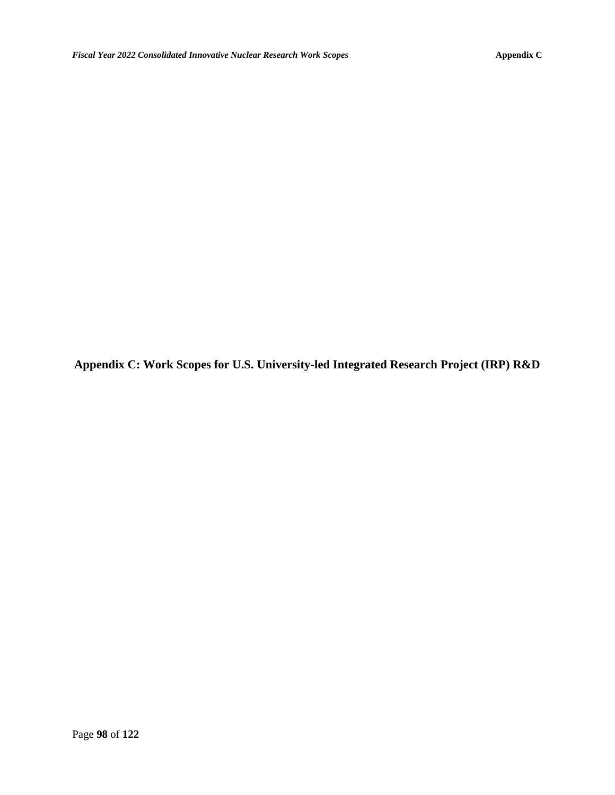**Appendix C: Work Scopes for U.S. University-led Integrated Research Project (IRP) R&D**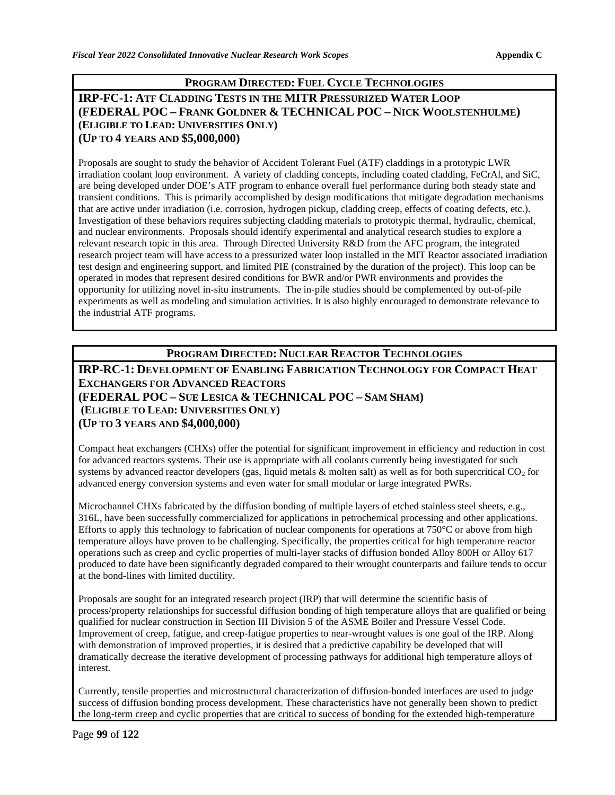### **PROGRAM DIRECTED: FUEL CYCLE TECHNOLOGIES**

### **IRP-FC-1: ATF CLADDING TESTS IN THE MITR PRESSURIZED WATER LOOP (FEDERAL POC – FRANK GOLDNER & TECHNICAL POC – NICK WOOLSTENHULME) (ELIGIBLE TO LEAD: UNIVERSITIES ONLY) (UP TO 4 YEARS AND \$5,000,000)**

Proposals are sought to study the behavior of Accident Tolerant Fuel (ATF) claddings in a prototypic LWR irradiation coolant loop environment. A variety of cladding concepts, including coated cladding, FeCrAl, and SiC, are being developed under DOE's ATF program to enhance overall fuel performance during both steady state and transient conditions. This is primarily accomplished by design modifications that mitigate degradation mechanisms that are active under irradiation (i.e. corrosion, hydrogen pickup, cladding creep, effects of coating defects, etc.). Investigation of these behaviors requires subjecting cladding materials to prototypic thermal, hydraulic, chemical, and nuclear environments. Proposals should identify experimental and analytical research studies to explore a relevant research topic in this area. Through Directed University R&D from the AFC program, the integrated research project team will have access to a pressurized water loop installed in the MIT Reactor associated irradiation test design and engineering support, and limited PIE (constrained by the duration of the project). This loop can be operated in modes that represent desired conditions for BWR and/or PWR environments and provides the opportunity for utilizing novel in-situ instruments. The in-pile studies should be complemented by out-of-pile experiments as well as modeling and simulation activities. It is also highly encouraged to demonstrate relevance to the industrial ATF programs.

### **PROGRAM DIRECTED: NUCLEAR REACTOR TECHNOLOGIES**

**IRP-RC-1: DEVELOPMENT OF ENABLING FABRICATION TECHNOLOGY FOR COMPACT HEAT EXCHANGERS FOR ADVANCED REACTORS (FEDERAL POC – SUE LESICA & TECHNICAL POC – SAM SHAM) (ELIGIBLE TO LEAD: UNIVERSITIES ONLY) (UP TO 3 YEARS AND \$4,000,000)**

Compact heat exchangers (CHXs) offer the potential for significant improvement in efficiency and reduction in cost for advanced reactors systems. Their use is appropriate with all coolants currently being investigated for such systems by advanced reactor developers (gas, liquid metals  $\&$  molten salt) as well as for both supercritical  $CO<sub>2</sub>$  for advanced energy conversion systems and even water for small modular or large integrated PWRs.

Microchannel CHXs fabricated by the diffusion bonding of multiple layers of etched stainless steel sheets, e.g., 316L, have been successfully commercialized for applications in petrochemical processing and other applications. Efforts to apply this technology to fabrication of nuclear components for operations at 750°C or above from high temperature alloys have proven to be challenging. Specifically, the properties critical for high temperature reactor operations such as creep and cyclic properties of multi-layer stacks of diffusion bonded Alloy 800H or Alloy 617 produced to date have been significantly degraded compared to their wrought counterparts and failure tends to occur at the bond-lines with limited ductility.

Proposals are sought for an integrated research project (IRP) that will determine the scientific basis of process/property relationships for successful diffusion bonding of high temperature alloys that are qualified or being qualified for nuclear construction in Section III Division 5 of the ASME Boiler and Pressure Vessel Code. Improvement of creep, fatigue, and creep-fatigue properties to near-wrought values is one goal of the IRP. Along with demonstration of improved properties, it is desired that a predictive capability be developed that will dramatically decrease the iterative development of processing pathways for additional high temperature alloys of interest.

Currently, tensile properties and microstructural characterization of diffusion-bonded interfaces are used to judge success of diffusion bonding process development. These characteristics have not generally been shown to predict the long-term creep and cyclic properties that are critical to success of bonding for the extended high-temperature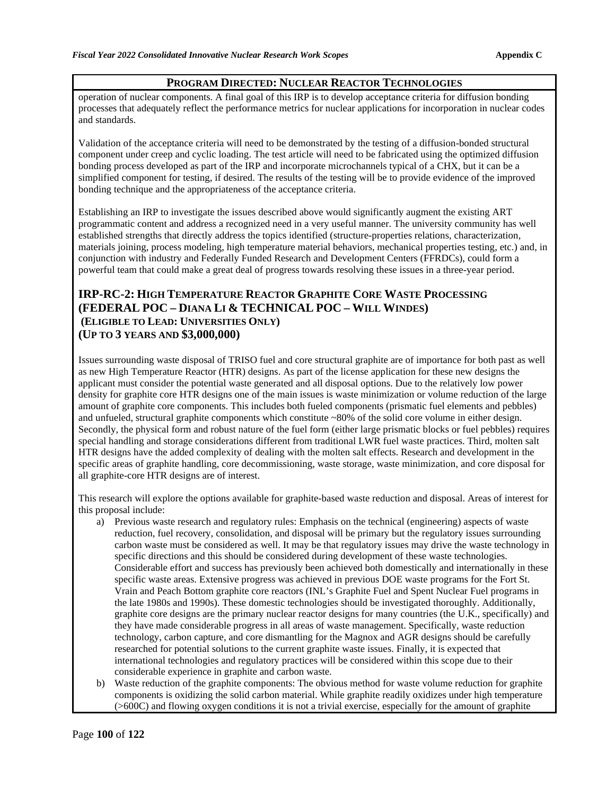#### **PROGRAM DIRECTED: NUCLEAR REACTOR TECHNOLOGIES**

operation of nuclear components. A final goal of this IRP is to develop acceptance criteria for diffusion bonding processes that adequately reflect the performance metrics for nuclear applications for incorporation in nuclear codes and standards.

Validation of the acceptance criteria will need to be demonstrated by the testing of a diffusion-bonded structural component under creep and cyclic loading. The test article will need to be fabricated using the optimized diffusion bonding process developed as part of the IRP and incorporate microchannels typical of a CHX, but it can be a simplified component for testing, if desired. The results of the testing will be to provide evidence of the improved bonding technique and the appropriateness of the acceptance criteria.

Establishing an IRP to investigate the issues described above would significantly augment the existing ART programmatic content and address a recognized need in a very useful manner. The university community has well established strengths that directly address the topics identified (structure-properties relations, characterization, materials joining, process modeling, high temperature material behaviors, mechanical properties testing, etc.) and, in conjunction with industry and Federally Funded Research and Development Centers (FFRDCs), could form a powerful team that could make a great deal of progress towards resolving these issues in a three-year period.

### **IRP-RC-2: HIGH TEMPERATURE REACTOR GRAPHITE CORE WASTE PROCESSING (FEDERAL POC – DIANA LI & TECHNICAL POC – WILL WINDES) (ELIGIBLE TO LEAD: UNIVERSITIES ONLY) (UP TO 3 YEARS AND \$3,000,000)**

Issues surrounding waste disposal of TRISO fuel and core structural graphite are of importance for both past as well as new High Temperature Reactor (HTR) designs. As part of the license application for these new designs the applicant must consider the potential waste generated and all disposal options. Due to the relatively low power density for graphite core HTR designs one of the main issues is waste minimization or volume reduction of the large amount of graphite core components. This includes both fueled components (prismatic fuel elements and pebbles) and unfueled, structural graphite components which constitute ~80% of the solid core volume in either design. Secondly, the physical form and robust nature of the fuel form (either large prismatic blocks or fuel pebbles) requires special handling and storage considerations different from traditional LWR fuel waste practices. Third, molten salt HTR designs have the added complexity of dealing with the molten salt effects. Research and development in the specific areas of graphite handling, core decommissioning, waste storage, waste minimization, and core disposal for all graphite-core HTR designs are of interest.

This research will explore the options available for graphite-based waste reduction and disposal. Areas of interest for this proposal include:

- a) Previous waste research and regulatory rules: Emphasis on the technical (engineering) aspects of waste reduction, fuel recovery, consolidation, and disposal will be primary but the regulatory issues surrounding carbon waste must be considered as well. It may be that regulatory issues may drive the waste technology in specific directions and this should be considered during development of these waste technologies. Considerable effort and success has previously been achieved both domestically and internationally in these specific waste areas. Extensive progress was achieved in previous DOE waste programs for the Fort St. Vrain and Peach Bottom graphite core reactors (INL's Graphite Fuel and Spent Nuclear Fuel programs in the late 1980s and 1990s). These domestic technologies should be investigated thoroughly. Additionally, graphite core designs are the primary nuclear reactor designs for many countries (the U.K., specifically) and they have made considerable progress in all areas of waste management. Specifically, waste reduction technology, carbon capture, and core dismantling for the Magnox and AGR designs should be carefully researched for potential solutions to the current graphite waste issues. Finally, it is expected that international technologies and regulatory practices will be considered within this scope due to their considerable experience in graphite and carbon waste.
- b) Waste reduction of the graphite components: The obvious method for waste volume reduction for graphite components is oxidizing the solid carbon material. While graphite readily oxidizes under high temperature (>600C) and flowing oxygen conditions it is not a trivial exercise, especially for the amount of graphite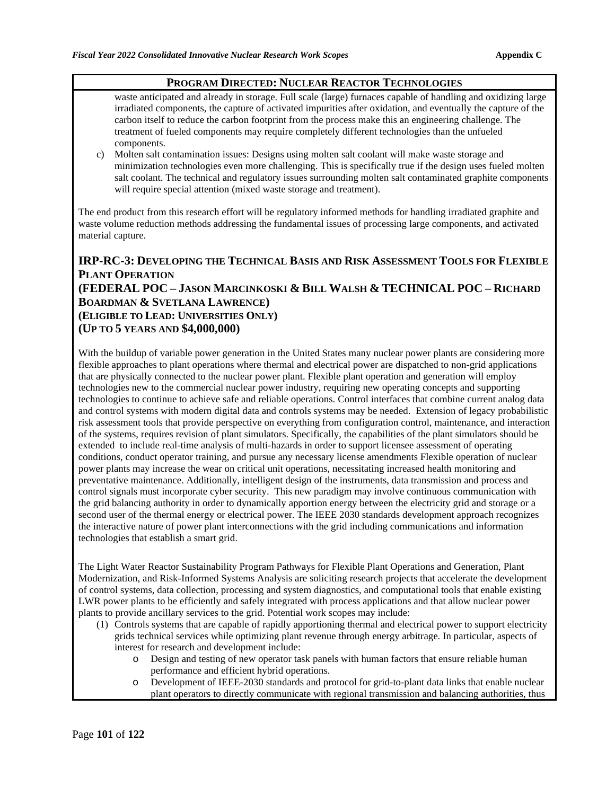#### **PROGRAM DIRECTED: NUCLEAR REACTOR TECHNOLOGIES**

waste anticipated and already in storage. Full scale (large) furnaces capable of handling and oxidizing large irradiated components, the capture of activated impurities after oxidation, and eventually the capture of the carbon itself to reduce the carbon footprint from the process make this an engineering challenge. The treatment of fueled components may require completely different technologies than the unfueled components.

c) Molten salt contamination issues: Designs using molten salt coolant will make waste storage and minimization technologies even more challenging. This is specifically true if the design uses fueled molten salt coolant. The technical and regulatory issues surrounding molten salt contaminated graphite components will require special attention (mixed waste storage and treatment).

The end product from this research effort will be regulatory informed methods for handling irradiated graphite and waste volume reduction methods addressing the fundamental issues of processing large components, and activated material capture.

## **IRP-RC-3: DEVELOPING THE TECHNICAL BASIS AND RISK ASSESSMENT TOOLS FOR FLEXIBLE PLANT OPERATION (FEDERAL POC – JASON MARCINKOSKI & BILL WALSH & TECHNICAL POC – RICHARD BOARDMAN & SVETLANA LAWRENCE) (ELIGIBLE TO LEAD: UNIVERSITIES ONLY) (UP TO 5 YEARS AND \$4,000,000)**

With the buildup of variable power generation in the United States many nuclear power plants are considering more flexible approaches to plant operations where thermal and electrical power are dispatched to non-grid applications that are physically connected to the nuclear power plant. Flexible plant operation and generation will employ technologies new to the commercial nuclear power industry, requiring new operating concepts and supporting technologies to continue to achieve safe and reliable operations. Control interfaces that combine current analog data and control systems with modern digital data and controls systems may be needed. Extension of legacy probabilistic risk assessment tools that provide perspective on everything from configuration control, maintenance, and interaction of the systems, requires revision of plant simulators. Specifically, the capabilities of the plant simulators should be extended to include real-time analysis of multi-hazards in order to support licensee assessment of operating conditions, conduct operator training, and pursue any necessary license amendments Flexible operation of nuclear power plants may increase the wear on critical unit operations, necessitating increased health monitoring and preventative maintenance. Additionally, intelligent design of the instruments, data transmission and process and control signals must incorporate cyber security. This new paradigm may involve continuous communication with the grid balancing authority in order to dynamically apportion energy between the electricity grid and storage or a second user of the thermal energy or electrical power. The IEEE 2030 standards development approach recognizes the interactive nature of power plant interconnections with the grid including communications and information technologies that establish a smart grid.

The Light Water Reactor Sustainability Program Pathways for Flexible Plant Operations and Generation, Plant Modernization, and Risk-Informed Systems Analysis are soliciting research projects that accelerate the development of control systems, data collection, processing and system diagnostics, and computational tools that enable existing LWR power plants to be efficiently and safely integrated with process applications and that allow nuclear power plants to provide ancillary services to the grid. Potential work scopes may include:

- (1) Controls systems that are capable of rapidly apportioning thermal and electrical power to support electricity grids technical services while optimizing plant revenue through energy arbitrage. In particular, aspects of interest for research and development include:
	- o Design and testing of new operator task panels with human factors that ensure reliable human performance and efficient hybrid operations.
	- o Development of IEEE-2030 standards and protocol for grid-to-plant data links that enable nuclear plant operators to directly communicate with regional transmission and balancing authorities, thus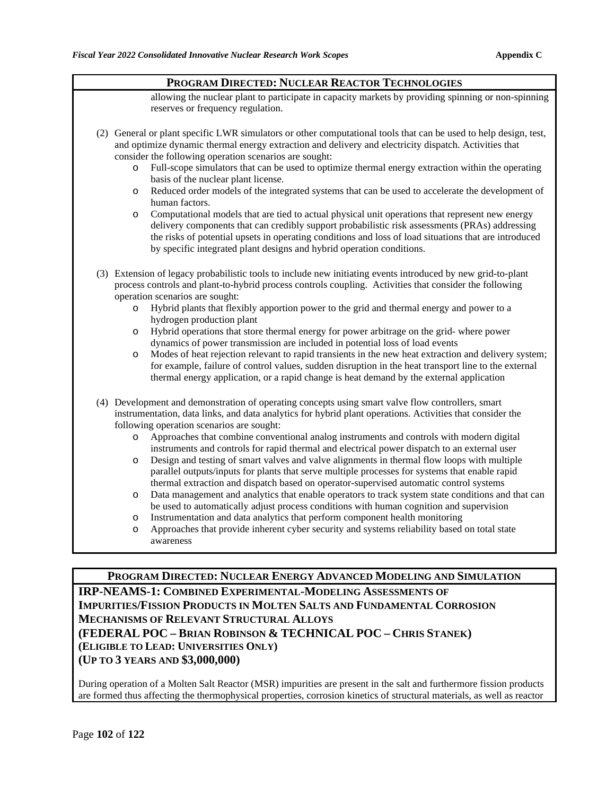| PROGRAM DIRECTED: NUCLEAR REACTOR TECHNOLOGIES |                                                                                                                                                                                                                                                                                                                                                                                                                                                                                                                                                                                                                                                                                                                                                                                                                                                                                                                                                                                                                                                                                                                                                                                           |  |  |
|------------------------------------------------|-------------------------------------------------------------------------------------------------------------------------------------------------------------------------------------------------------------------------------------------------------------------------------------------------------------------------------------------------------------------------------------------------------------------------------------------------------------------------------------------------------------------------------------------------------------------------------------------------------------------------------------------------------------------------------------------------------------------------------------------------------------------------------------------------------------------------------------------------------------------------------------------------------------------------------------------------------------------------------------------------------------------------------------------------------------------------------------------------------------------------------------------------------------------------------------------|--|--|
|                                                | allowing the nuclear plant to participate in capacity markets by providing spinning or non-spinning<br>reserves or frequency regulation.                                                                                                                                                                                                                                                                                                                                                                                                                                                                                                                                                                                                                                                                                                                                                                                                                                                                                                                                                                                                                                                  |  |  |
|                                                | (2) General or plant specific LWR simulators or other computational tools that can be used to help design, test,<br>and optimize dynamic thermal energy extraction and delivery and electricity dispatch. Activities that<br>consider the following operation scenarios are sought:<br>Full-scope simulators that can be used to optimize thermal energy extraction within the operating<br>$\circ$<br>basis of the nuclear plant license.<br>Reduced order models of the integrated systems that can be used to accelerate the development of<br>O<br>human factors.<br>Computational models that are tied to actual physical unit operations that represent new energy<br>$\circ$<br>delivery components that can credibly support probabilistic risk assessments (PRAs) addressing<br>the risks of potential upsets in operating conditions and loss of load situations that are introduced<br>by specific integrated plant designs and hybrid operation conditions.                                                                                                                                                                                                                   |  |  |
|                                                | (3) Extension of legacy probabilistic tools to include new initiating events introduced by new grid-to-plant<br>process controls and plant-to-hybrid process controls coupling. Activities that consider the following<br>operation scenarios are sought:<br>Hybrid plants that flexibly apportion power to the grid and thermal energy and power to a<br>$\circ$<br>hydrogen production plant<br>Hybrid operations that store thermal energy for power arbitrage on the grid-where power<br>O<br>dynamics of power transmission are included in potential loss of load events<br>Modes of heat rejection relevant to rapid transients in the new heat extraction and delivery system;<br>$\circ$<br>for example, failure of control values, sudden disruption in the heat transport line to the external<br>thermal energy application, or a rapid change is heat demand by the external application                                                                                                                                                                                                                                                                                     |  |  |
|                                                | (4) Development and demonstration of operating concepts using smart valve flow controllers, smart<br>instrumentation, data links, and data analytics for hybrid plant operations. Activities that consider the<br>following operation scenarios are sought:<br>Approaches that combine conventional analog instruments and controls with modern digital<br>$\circ$<br>instruments and controls for rapid thermal and electrical power dispatch to an external user<br>Design and testing of smart valves and valve alignments in thermal flow loops with multiple<br>$\circ$<br>parallel outputs/inputs for plants that serve multiple processes for systems that enable rapid<br>thermal extraction and dispatch based on operator-supervised automatic control systems<br>Data management and analytics that enable operators to track system state conditions and that can<br>O<br>be used to automatically adjust process conditions with human cognition and supervision<br>Instrumentation and data analytics that perform component health monitoring<br>$\circ$<br>Approaches that provide inherent cyber security and systems reliability based on total state<br>O<br>awareness |  |  |

## **PROGRAM DIRECTED: NUCLEAR ENERGY ADVANCED MODELING AND SIMULATION IRP-NEAMS-1: COMBINED EXPERIMENTAL-MODELING ASSESSMENTS OF IMPURITIES/FISSION PRODUCTS IN MOLTEN SALTS AND FUNDAMENTAL CORROSION MECHANISMS OF RELEVANT STRUCTURAL ALLOYS (FEDERAL POC – BRIAN ROBINSON & TECHNICAL POC – CHRIS STANEK) (ELIGIBLE TO LEAD: UNIVERSITIES ONLY) (UP TO 3 YEARS AND \$3,000,000)**

During operation of a Molten Salt Reactor (MSR) impurities are present in the salt and furthermore fission products are formed thus affecting the thermophysical properties, corrosion kinetics of structural materials, as well as reactor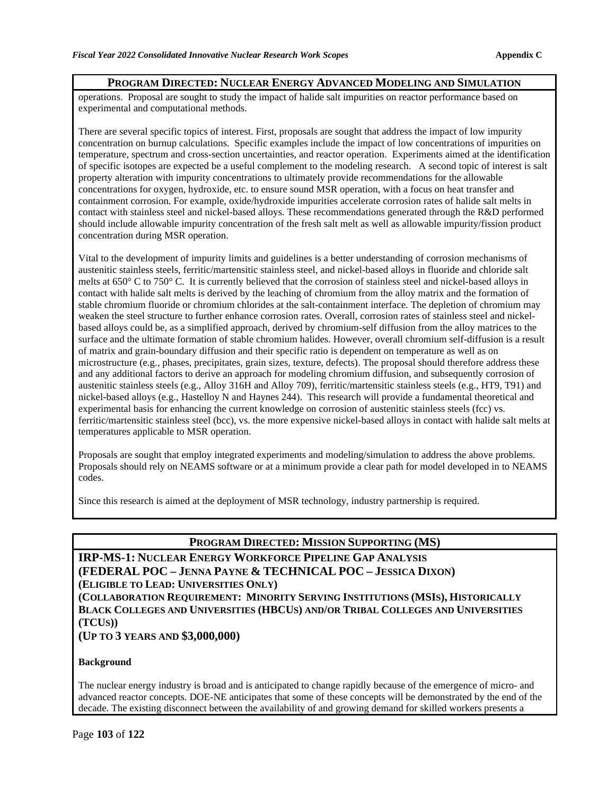#### **PROGRAM DIRECTED: NUCLEAR ENERGY ADVANCED MODELING AND SIMULATION**

operations. Proposal are sought to study the impact of halide salt impurities on reactor performance based on experimental and computational methods.

There are several specific topics of interest. First, proposals are sought that address the impact of low impurity concentration on burnup calculations. Specific examples include the impact of low concentrations of impurities on temperature, spectrum and cross-section uncertainties, and reactor operation. Experiments aimed at the identification of specific isotopes are expected be a useful complement to the modeling research. A second topic of interest is salt property alteration with impurity concentrations to ultimately provide recommendations for the allowable concentrations for oxygen, hydroxide, etc. to ensure sound MSR operation, with a focus on heat transfer and containment corrosion. For example, oxide/hydroxide impurities accelerate corrosion rates of halide salt melts in contact with stainless steel and nickel-based alloys. These recommendations generated through the R&D performed should include allowable impurity concentration of the fresh salt melt as well as allowable impurity/fission product concentration during MSR operation.

Vital to the development of impurity limits and guidelines is a better understanding of corrosion mechanisms of austenitic stainless steels, ferritic/martensitic stainless steel, and nickel-based alloys in fluoride and chloride salt melts at 650° C to 750° C. It is currently believed that the corrosion of stainless steel and nickel-based alloys in contact with halide salt melts is derived by the leaching of chromium from the alloy matrix and the formation of stable chromium fluoride or chromium chlorides at the salt-containment interface. The depletion of chromium may weaken the steel structure to further enhance corrosion rates. Overall, corrosion rates of stainless steel and nickelbased alloys could be, as a simplified approach, derived by chromium-self diffusion from the alloy matrices to the surface and the ultimate formation of stable chromium halides. However, overall chromium self-diffusion is a result of matrix and grain-boundary diffusion and their specific ratio is dependent on temperature as well as on microstructure (e.g., phases, precipitates, grain sizes, texture, defects). The proposal should therefore address these and any additional factors to derive an approach for modeling chromium diffusion, and subsequently corrosion of austenitic stainless steels (e.g., Alloy 316H and Alloy 709), ferritic/martensitic stainless steels (e.g., HT9, T91) and nickel-based alloys (e.g., Hastelloy N and Haynes 244). This research will provide a fundamental theoretical and experimental basis for enhancing the current knowledge on corrosion of austenitic stainless steels (fcc) vs. ferritic/martensitic stainless steel (bcc), vs. the more expensive nickel-based alloys in contact with halide salt melts at temperatures applicable to MSR operation.

Proposals are sought that employ integrated experiments and modeling/simulation to address the above problems. Proposals should rely on NEAMS software or at a minimum provide a clear path for model developed in to NEAMS codes.

Since this research is aimed at the deployment of MSR technology, industry partnership is required.

### **PROGRAM DIRECTED: MISSION SUPPORTING (MS)**

**IRP-MS-1: NUCLEAR ENERGY WORKFORCE PIPELINE GAP ANALYSIS (FEDERAL POC – JENNA PAYNE & TECHNICAL POC – JESSICA DIXON) (ELIGIBLE TO LEAD: UNIVERSITIES ONLY)**

**(COLLABORATION REQUIREMENT: MINORITY SERVING INSTITUTIONS (MSIS), HISTORICALLY BLACK COLLEGES AND UNIVERSITIES (HBCUS) AND/OR TRIBAL COLLEGES AND UNIVERSITIES (TCUS))**

#### **(UP TO 3 YEARS AND \$3,000,000)**

#### **Background**

The nuclear energy industry is broad and is anticipated to change rapidly because of the emergence of micro- and advanced reactor concepts. DOE-NE anticipates that some of these concepts will be demonstrated by the end of the decade. The existing disconnect between the availability of and growing demand for skilled workers presents a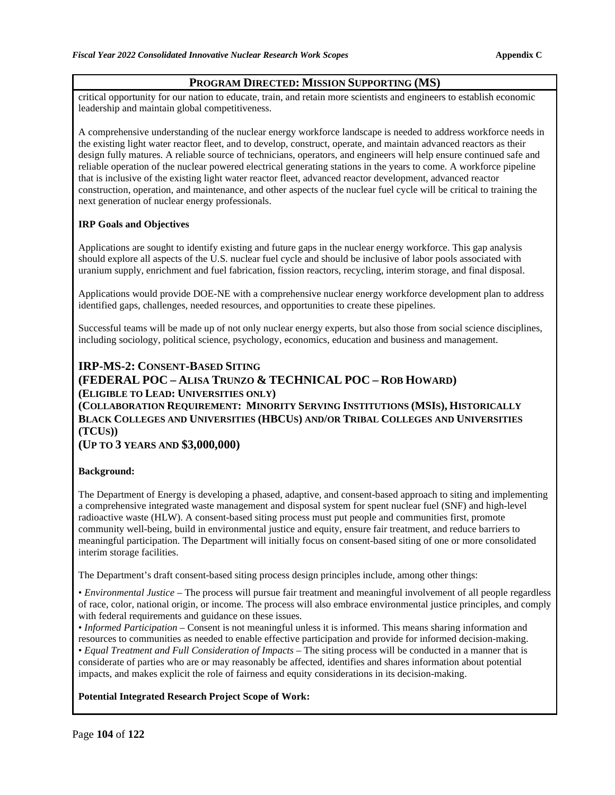#### **PROGRAM DIRECTED: MISSION SUPPORTING (MS)**

critical opportunity for our nation to educate, train, and retain more scientists and engineers to establish economic leadership and maintain global competitiveness.

A comprehensive understanding of the nuclear energy workforce landscape is needed to address workforce needs in the existing light water reactor fleet, and to develop, construct, operate, and maintain advanced reactors as their design fully matures. A reliable source of technicians, operators, and engineers will help ensure continued safe and reliable operation of the nuclear powered electrical generating stations in the years to come. A workforce pipeline that is inclusive of the existing light water reactor fleet, advanced reactor development, advanced reactor construction, operation, and maintenance, and other aspects of the nuclear fuel cycle will be critical to training the next generation of nuclear energy professionals.

#### **IRP Goals and Objectives**

Applications are sought to identify existing and future gaps in the nuclear energy workforce. This gap analysis should explore all aspects of the U.S. nuclear fuel cycle and should be inclusive of labor pools associated with uranium supply, enrichment and fuel fabrication, fission reactors, recycling, interim storage, and final disposal.

Applications would provide DOE-NE with a comprehensive nuclear energy workforce development plan to address identified gaps, challenges, needed resources, and opportunities to create these pipelines.

Successful teams will be made up of not only nuclear energy experts, but also those from social science disciplines, including sociology, political science, psychology, economics, education and business and management.

#### **IRP-MS-2: CONSENT-BASED SITING**

### **(FEDERAL POC – ALISA TRUNZO & TECHNICAL POC – ROB HOWARD) (ELIGIBLE TO LEAD: UNIVERSITIES ONLY)**

**(COLLABORATION REQUIREMENT: MINORITY SERVING INSTITUTIONS (MSIS), HISTORICALLY BLACK COLLEGES AND UNIVERSITIES (HBCUS) AND/OR TRIBAL COLLEGES AND UNIVERSITIES (TCUS))**

**(UP TO 3 YEARS AND \$3,000,000)**

#### **Background:**

The Department of Energy is developing a phased, adaptive, and consent-based approach to siting and implementing a comprehensive integrated waste management and disposal system for spent nuclear fuel (SNF) and high-level radioactive waste (HLW). A consent-based siting process must put people and communities first, promote community well-being, build in environmental justice and equity, ensure fair treatment, and reduce barriers to meaningful participation. The Department will initially focus on consent-based siting of one or more consolidated interim storage facilities.

The Department's draft consent-based siting process design principles include, among other things:

• *Environmental Justice –* The process will pursue fair treatment and meaningful involvement of all people regardless of race, color, national origin, or income. The process will also embrace environmental justice principles, and comply with federal requirements and guidance on these issues.

• *Informed Participation* – Consent is not meaningful unless it is informed. This means sharing information and resources to communities as needed to enable effective participation and provide for informed decision-making.

• *Equal Treatment and Full Consideration of Impacts* – The siting process will be conducted in a manner that is considerate of parties who are or may reasonably be affected, identifies and shares information about potential impacts, and makes explicit the role of fairness and equity considerations in its decision-making.

#### **Potential Integrated Research Project Scope of Work:**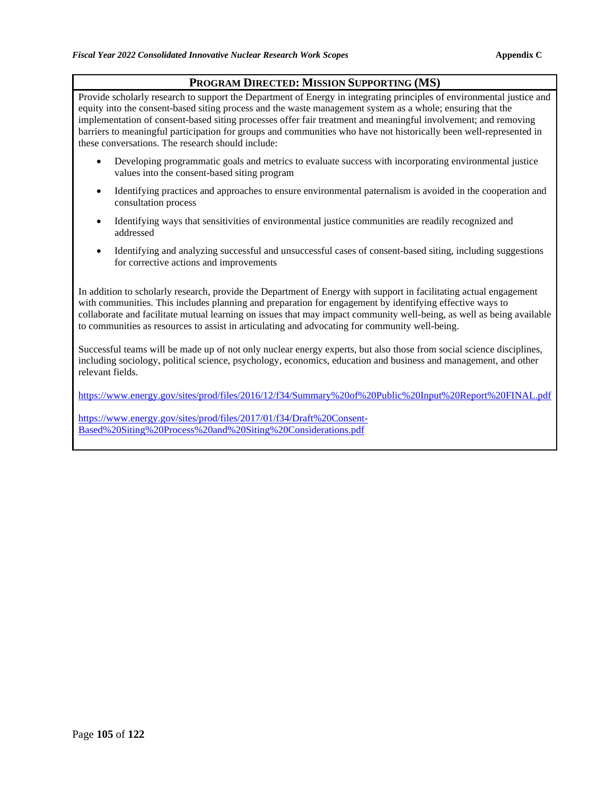### **PROGRAM DIRECTED: MISSION SUPPORTING (MS)**

Provide scholarly research to support the Department of Energy in integrating principles of environmental justice and equity into the consent-based siting process and the waste management system as a whole; ensuring that the implementation of consent-based siting processes offer fair treatment and meaningful involvement; and removing barriers to meaningful participation for groups and communities who have not historically been well-represented in these conversations. The research should include:

- Developing programmatic goals and metrics to evaluate success with incorporating environmental justice values into the consent-based siting program
- Identifying practices and approaches to ensure environmental paternalism is avoided in the cooperation and consultation process
- Identifying ways that sensitivities of environmental justice communities are readily recognized and addressed
- Identifying and analyzing successful and unsuccessful cases of consent-based siting, including suggestions for corrective actions and improvements

In addition to scholarly research, provide the Department of Energy with support in facilitating actual engagement with communities. This includes planning and preparation for engagement by identifying effective ways to collaborate and facilitate mutual learning on issues that may impact community well-being, as well as being available to communities as resources to assist in articulating and advocating for community well-being.

Successful teams will be made up of not only nuclear energy experts, but also those from social science disciplines, including sociology, political science, psychology, economics, education and business and management, and other relevant fields.

<https://www.energy.gov/sites/prod/files/2016/12/f34/Summary%20of%20Public%20Input%20Report%20FINAL.pdf>

[https://www.energy.gov/sites/prod/files/2017/01/f34/Draft%20Consent-](https://www.energy.gov/sites/prod/files/2017/01/f34/Draft%20Consent-Based%20Siting%20Process%20and%20Siting%20Considerations.pdf)[Based%20Siting%20Process%20and%20Siting%20Considerations.pdf](https://www.energy.gov/sites/prod/files/2017/01/f34/Draft%20Consent-Based%20Siting%20Process%20and%20Siting%20Considerations.pdf)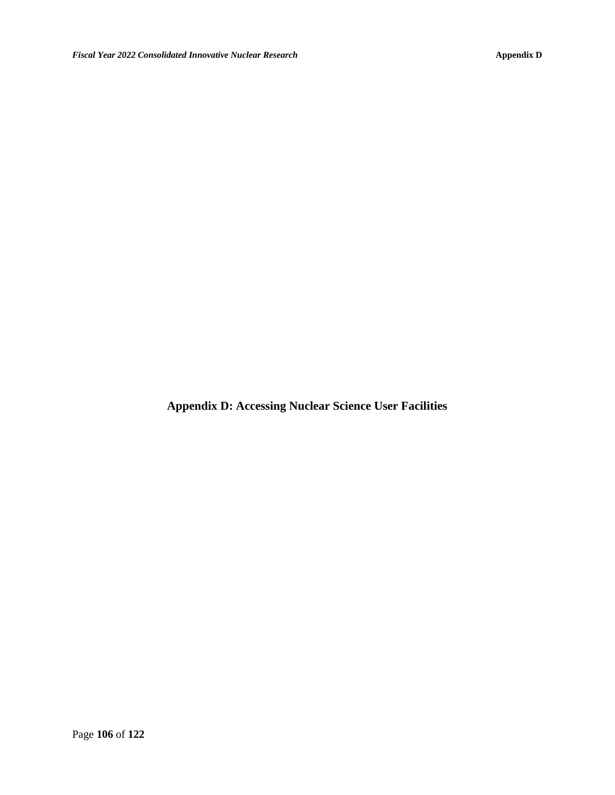**Appendix D: Accessing Nuclear Science User Facilities**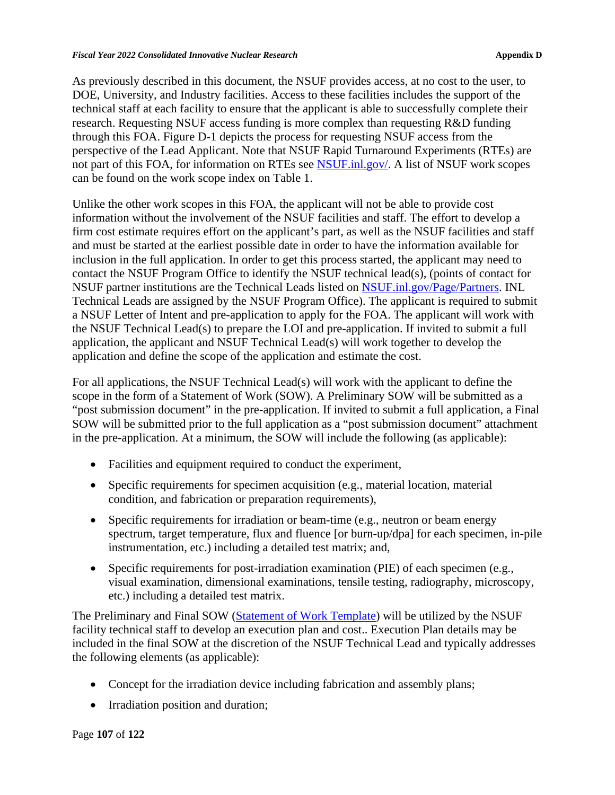As previously described in this document, the NSUF provides access, at no cost to the user, to DOE, University, and Industry facilities. Access to these facilities includes the support of the technical staff at each facility to ensure that the applicant is able to successfully complete their research. Requesting NSUF access funding is more complex than requesting R&D funding through this FOA. Figure D-1 depicts the process for requesting NSUF access from the perspective of the Lead Applicant. Note that NSUF Rapid Turnaround Experiments (RTEs) are not part of this FOA, for information on RTEs see [NSUF.inl.gov/.](https://nsuf.inl.gov/) A list of NSUF work scopes can be found on the work scope index on Table 1.

Unlike the other work scopes in this FOA, the applicant will not be able to provide cost information without the involvement of the NSUF facilities and staff. The effort to develop a firm cost estimate requires effort on the applicant's part, as well as the NSUF facilities and staff and must be started at the earliest possible date in order to have the information available for inclusion in the full application. In order to get this process started, the applicant may need to contact the NSUF Program Office to identify the NSUF technical lead(s), (points of contact for NSUF partner institutions are the Technical Leads listed on [NSUF.inl.gov/](http://nsuf.inl.gov/)Page/Partners. INL Technical Leads are assigned by the NSUF Program Office). The applicant is required to submit a NSUF Letter of Intent and pre-application to apply for the FOA. The applicant will work with the NSUF Technical Lead(s) to prepare the LOI and pre-application. If invited to submit a full application, the applicant and NSUF Technical Lead(s) will work together to develop the application and define the scope of the application and estimate the cost.

For all applications, the NSUF Technical Lead(s) will work with the applicant to define the scope in the form of a Statement of Work (SOW). A Preliminary SOW will be submitted as a "post submission document" in the pre-application. If invited to submit a full application, a Final SOW will be submitted prior to the full application as a "post submission document" attachment in the pre-application. At a minimum, the SOW will include the following (as applicable):

- Facilities and equipment required to conduct the experiment,
- Specific requirements for specimen acquisition (e.g., material location, material condition, and fabrication or preparation requirements),
- Specific requirements for irradiation or beam-time (e.g., neutron or beam energy spectrum, target temperature, flux and fluence [or burn-up/dpa] for each specimen, in-pile instrumentation, etc.) including a detailed test matrix; and,
- Specific requirements for post-irradiation examination (PIE) of each specimen (e.g., visual examination, dimensional examinations, tensile testing, radiography, microscopy, etc.) including a detailed test matrix.

The Preliminary and Final SOW [\(Statement of Work Template\)](https://neup.inl.gov/SiteAssets/General%20Documents/Full_App_Documents/SOW%20Template%20FY22%20R8.docx) will be utilized by the NSUF facility technical staff to develop an execution plan and cost.. Execution Plan details may be included in the final SOW at the discretion of the NSUF Technical Lead and typically addresses the following elements (as applicable):

- Concept for the irradiation device including fabrication and assembly plans;
- Irradiation position and duration;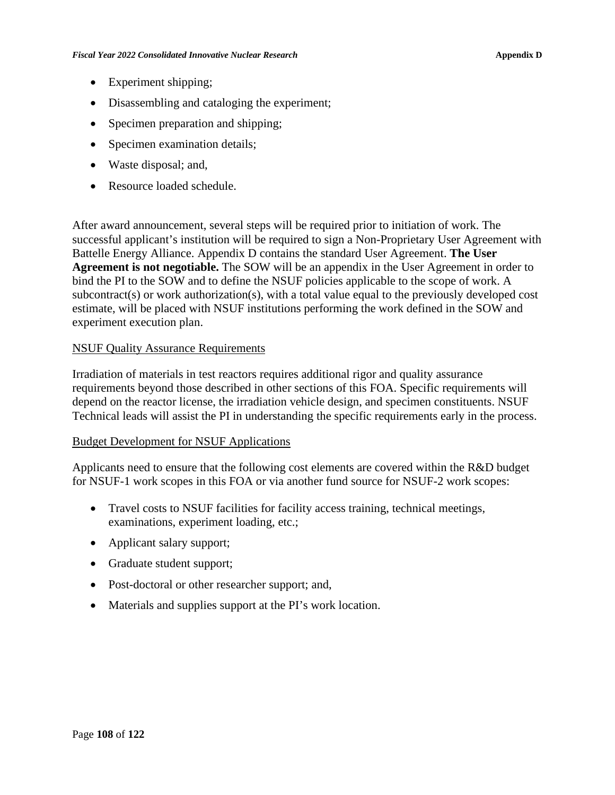- Experiment shipping;
- Disassembling and cataloging the experiment;
- Specimen preparation and shipping;
- Specimen examination details;
- Waste disposal; and,
- Resource loaded schedule.

After award announcement, several steps will be required prior to initiation of work. The successful applicant's institution will be required to sign a Non-Proprietary User Agreement with Battelle Energy Alliance. Appendix D contains the standard User Agreement. **The User Agreement is not negotiable.** The SOW will be an appendix in the User Agreement in order to bind the PI to the SOW and to define the NSUF policies applicable to the scope of work. A subcontract(s) or work authorization(s), with a total value equal to the previously developed cost estimate, will be placed with NSUF institutions performing the work defined in the SOW and experiment execution plan.

#### NSUF Quality Assurance Requirements

Irradiation of materials in test reactors requires additional rigor and quality assurance requirements beyond those described in other sections of this FOA. Specific requirements will depend on the reactor license, the irradiation vehicle design, and specimen constituents. NSUF Technical leads will assist the PI in understanding the specific requirements early in the process.

### Budget Development for NSUF Applications

Applicants need to ensure that the following cost elements are covered within the R&D budget for NSUF-1 work scopes in this FOA or via another fund source for NSUF-2 work scopes:

- Travel costs to NSUF facilities for facility access training, technical meetings, examinations, experiment loading, etc.;
- Applicant salary support;
- Graduate student support;
- Post-doctoral or other researcher support; and,
- Materials and supplies support at the PI's work location.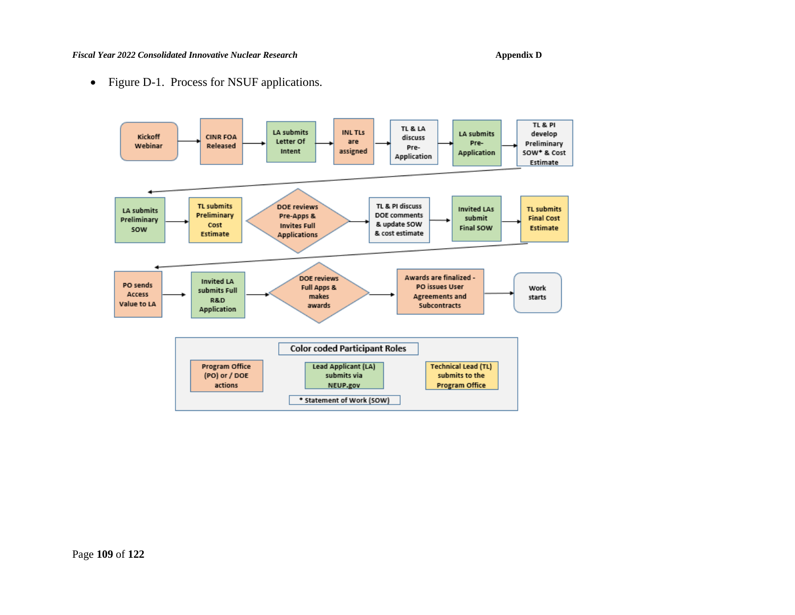#### *Fiscal Year 2022 Consolidated Innovative Nuclear Research* **Appendix D**

• Figure D-1. Process for NSUF applications.

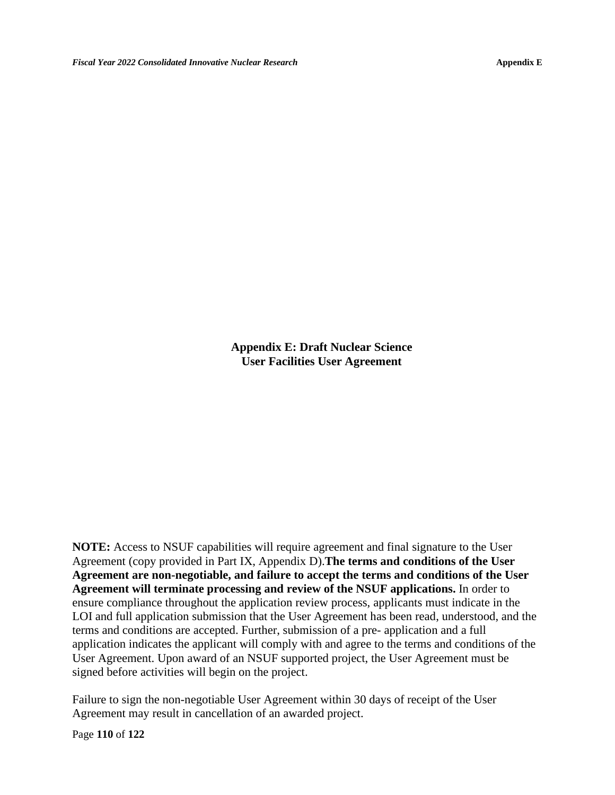**Appendix E: Draft Nuclear Science User Facilities User Agreement**

**NOTE:** Access to NSUF capabilities will require agreement and final signature to the User Agreement (copy provided in Part IX, Appendix D).**The terms and conditions of the User Agreement are non-negotiable, and failure to accept the terms and conditions of the User Agreement will terminate processing and review of the NSUF applications.** In order to ensure compliance throughout the application review process, applicants must indicate in the LOI and full application submission that the User Agreement has been read, understood, and the terms and conditions are accepted. Further, submission of a pre- application and a full application indicates the applicant will comply with and agree to the terms and conditions of the User Agreement. Upon award of an NSUF supported project, the User Agreement must be signed before activities will begin on the project.

Failure to sign the non-negotiable User Agreement within 30 days of receipt of the User Agreement may result in cancellation of an awarded project.

Page **110** of **122**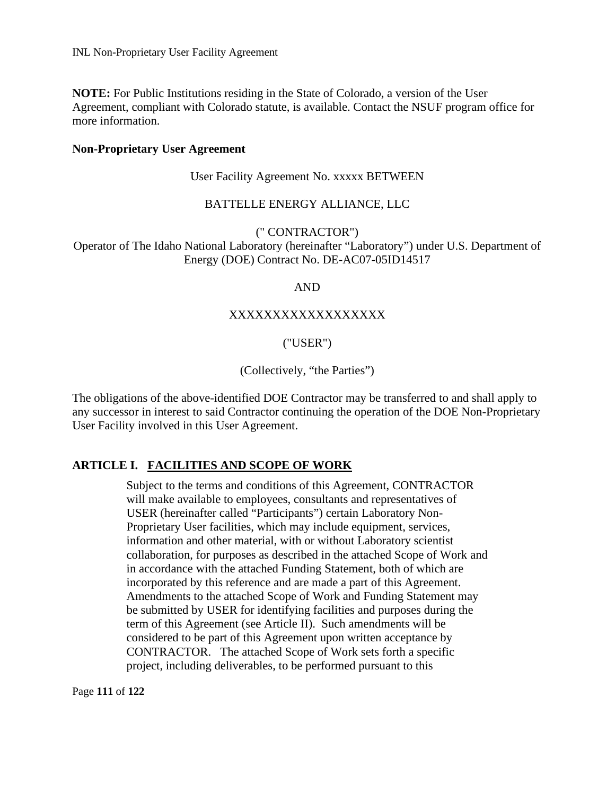**NOTE:** For Public Institutions residing in the State of Colorado, a version of the User Agreement, compliant with Colorado statute, is available. Contact the NSUF program office for more information.

#### **Non-Proprietary User Agreement**

User Facility Agreement No. xxxxx BETWEEN

### BATTELLE ENERGY ALLIANCE, LLC

(" CONTRACTOR")

Operator of The Idaho National Laboratory (hereinafter "Laboratory") under U.S. Department of Energy (DOE) Contract No. DE-AC07-05ID14517

#### AND

### XXXXXXXXXXXXXXXXXX

### ("USER")

### (Collectively, "the Parties")

The obligations of the above-identified DOE Contractor may be transferred to and shall apply to any successor in interest to said Contractor continuing the operation of the DOE Non-Proprietary User Facility involved in this User Agreement.

### **ARTICLE I. FACILITIES AND SCOPE OF WORK**

Subject to the terms and conditions of this Agreement, CONTRACTOR will make available to employees, consultants and representatives of USER (hereinafter called "Participants") certain Laboratory Non-Proprietary User facilities, which may include equipment, services, information and other material, with or without Laboratory scientist collaboration, for purposes as described in the attached Scope of Work and in accordance with the attached Funding Statement, both of which are incorporated by this reference and are made a part of this Agreement. Amendments to the attached Scope of Work and Funding Statement may be submitted by USER for identifying facilities and purposes during the term of this Agreement (see Article II). Such amendments will be considered to be part of this Agreement upon written acceptance by CONTRACTOR. The attached Scope of Work sets forth a specific project, including deliverables, to be performed pursuant to this

Page **111** of **122**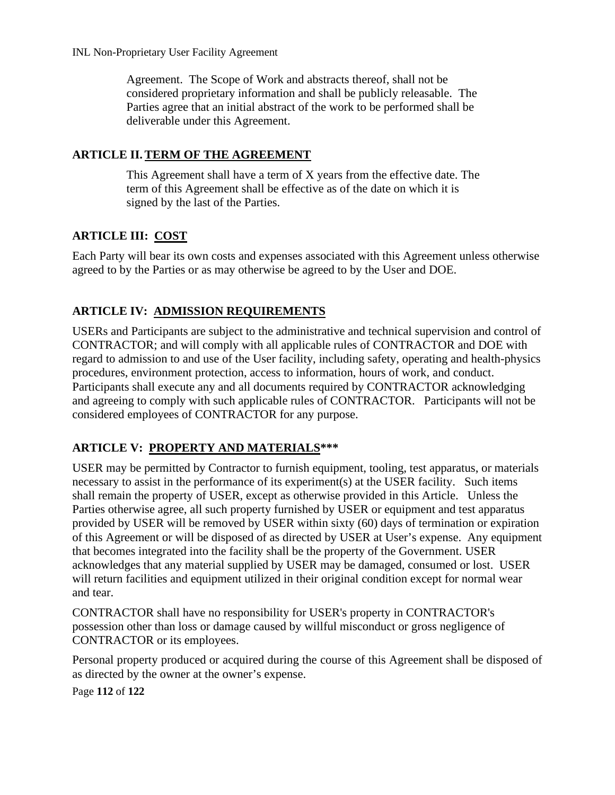Agreement. The Scope of Work and abstracts thereof, shall not be considered proprietary information and shall be publicly releasable. The Parties agree that an initial abstract of the work to be performed shall be deliverable under this Agreement.

# **ARTICLE II.TERM OF THE AGREEMENT**

This Agreement shall have a term of X years from the effective date. The term of this Agreement shall be effective as of the date on which it is signed by the last of the Parties.

# **ARTICLE III: COST**

Each Party will bear its own costs and expenses associated with this Agreement unless otherwise agreed to by the Parties or as may otherwise be agreed to by the User and DOE.

# **ARTICLE IV: ADMISSION REQUIREMENTS**

USERs and Participants are subject to the administrative and technical supervision and control of CONTRACTOR; and will comply with all applicable rules of CONTRACTOR and DOE with regard to admission to and use of the User facility, including safety, operating and health-physics procedures, environment protection, access to information, hours of work, and conduct. Participants shall execute any and all documents required by CONTRACTOR acknowledging and agreeing to comply with such applicable rules of CONTRACTOR. Participants will not be considered employees of CONTRACTOR for any purpose.

# **ARTICLE V: PROPERTY AND MATERIALS\*\*\***

USER may be permitted by Contractor to furnish equipment, tooling, test apparatus, or materials necessary to assist in the performance of its experiment(s) at the USER facility. Such items shall remain the property of USER, except as otherwise provided in this Article. Unless the Parties otherwise agree, all such property furnished by USER or equipment and test apparatus provided by USER will be removed by USER within sixty (60) days of termination or expiration of this Agreement or will be disposed of as directed by USER at User's expense. Any equipment that becomes integrated into the facility shall be the property of the Government. USER acknowledges that any material supplied by USER may be damaged, consumed or lost. USER will return facilities and equipment utilized in their original condition except for normal wear and tear.

CONTRACTOR shall have no responsibility for USER's property in CONTRACTOR's possession other than loss or damage caused by willful misconduct or gross negligence of CONTRACTOR or its employees.

Personal property produced or acquired during the course of this Agreement shall be disposed of as directed by the owner at the owner's expense.

Page **112** of **122**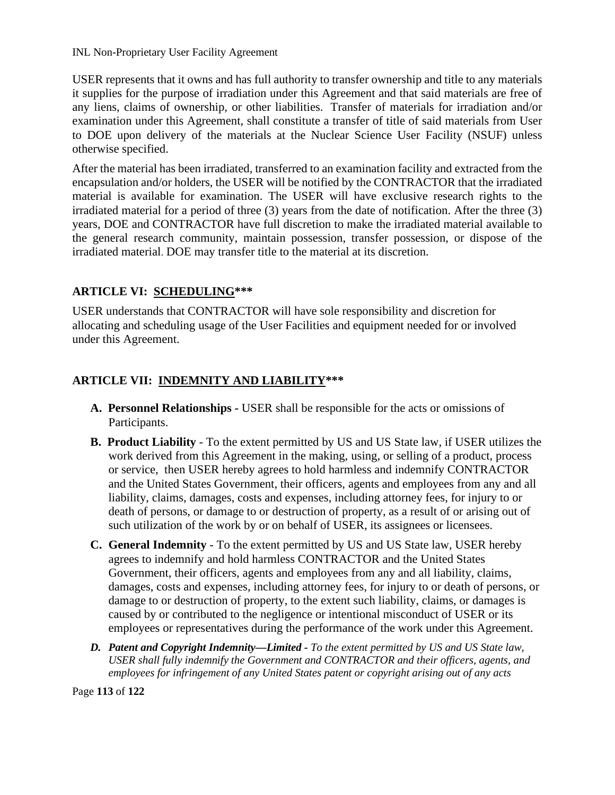USER represents that it owns and has full authority to transfer ownership and title to any materials it supplies for the purpose of irradiation under this Agreement and that said materials are free of any liens, claims of ownership, or other liabilities. Transfer of materials for irradiation and/or examination under this Agreement, shall constitute a transfer of title of said materials from User to DOE upon delivery of the materials at the Nuclear Science User Facility (NSUF) unless otherwise specified.

After the material has been irradiated, transferred to an examination facility and extracted from the encapsulation and/or holders, the USER will be notified by the CONTRACTOR that the irradiated material is available for examination. The USER will have exclusive research rights to the irradiated material for a period of three (3) years from the date of notification. After the three (3) years, DOE and CONTRACTOR have full discretion to make the irradiated material available to the general research community, maintain possession, transfer possession, or dispose of the irradiated material. DOE may transfer title to the material at its discretion.

# **ARTICLE VI: SCHEDULING\*\*\***

USER understands that CONTRACTOR will have sole responsibility and discretion for allocating and scheduling usage of the User Facilities and equipment needed for or involved under this Agreement.

# **ARTICLE VII: INDEMNITY AND LIABILITY\*\*\***

- **A. Personnel Relationships -** USER shall be responsible for the acts or omissions of Participants.
- **B. Product Liability** To the extent permitted by US and US State law, if USER utilizes the work derived from this Agreement in the making, using, or selling of a product, process or service, then USER hereby agrees to hold harmless and indemnify CONTRACTOR and the United States Government, their officers, agents and employees from any and all liability, claims, damages, costs and expenses, including attorney fees, for injury to or death of persons, or damage to or destruction of property, as a result of or arising out of such utilization of the work by or on behalf of USER, its assignees or licensees.
- **C. General Indemnity**  To the extent permitted by US and US State law, USER hereby agrees to indemnify and hold harmless CONTRACTOR and the United States Government, their officers, agents and employees from any and all liability, claims, damages, costs and expenses, including attorney fees, for injury to or death of persons, or damage to or destruction of property, to the extent such liability, claims, or damages is caused by or contributed to the negligence or intentional misconduct of USER or its employees or representatives during the performance of the work under this Agreement.
- *D. Patent and Copyright Indemnity—Limited - To the extent permitted by US and US State law, USER shall fully indemnify the Government and CONTRACTOR and their officers, agents, and employees for infringement of any United States patent or copyright arising out of any acts*

Page **113** of **122**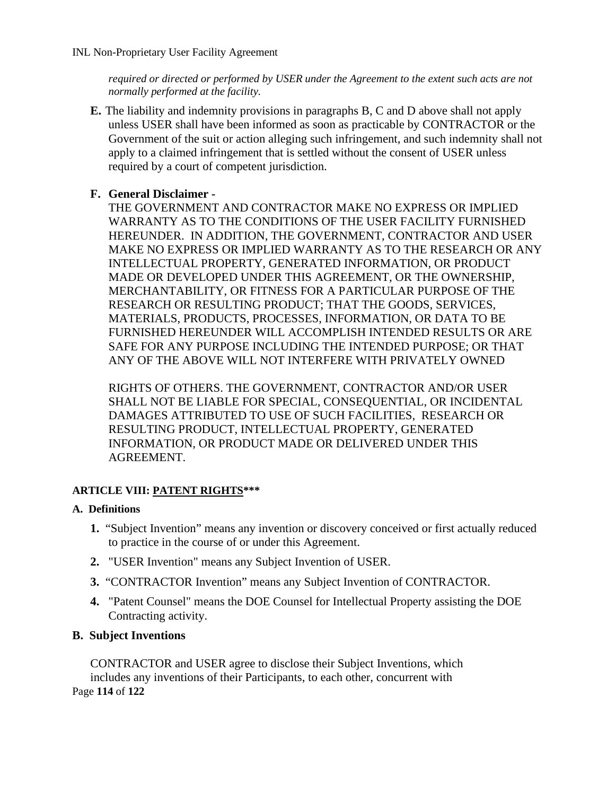*required or directed or performed by USER under the Agreement to the extent such acts are not normally performed at the facility.* 

**E.** The liability and indemnity provisions in paragraphs B, C and D above shall not apply unless USER shall have been informed as soon as practicable by CONTRACTOR or the Government of the suit or action alleging such infringement, and such indemnity shall not apply to a claimed infringement that is settled without the consent of USER unless required by a court of competent jurisdiction.

# **F. General Disclaimer -**

THE GOVERNMENT AND CONTRACTOR MAKE NO EXPRESS OR IMPLIED WARRANTY AS TO THE CONDITIONS OF THE USER FACILITY FURNISHED HEREUNDER. IN ADDITION, THE GOVERNMENT, CONTRACTOR AND USER MAKE NO EXPRESS OR IMPLIED WARRANTY AS TO THE RESEARCH OR ANY INTELLECTUAL PROPERTY, GENERATED INFORMATION, OR PRODUCT MADE OR DEVELOPED UNDER THIS AGREEMENT, OR THE OWNERSHIP, MERCHANTABILITY, OR FITNESS FOR A PARTICULAR PURPOSE OF THE RESEARCH OR RESULTING PRODUCT; THAT THE GOODS, SERVICES, MATERIALS, PRODUCTS, PROCESSES, INFORMATION, OR DATA TO BE FURNISHED HEREUNDER WILL ACCOMPLISH INTENDED RESULTS OR ARE SAFE FOR ANY PURPOSE INCLUDING THE INTENDED PURPOSE; OR THAT ANY OF THE ABOVE WILL NOT INTERFERE WITH PRIVATELY OWNED

RIGHTS OF OTHERS. THE GOVERNMENT, CONTRACTOR AND/OR USER SHALL NOT BE LIABLE FOR SPECIAL, CONSEQUENTIAL, OR INCIDENTAL DAMAGES ATTRIBUTED TO USE OF SUCH FACILITIES, RESEARCH OR RESULTING PRODUCT, INTELLECTUAL PROPERTY, GENERATED INFORMATION, OR PRODUCT MADE OR DELIVERED UNDER THIS AGREEMENT.

### **ARTICLE VIII: PATENT RIGHTS\*\*\***

### **A. Definitions**

- **1.** "Subject Invention" means any invention or discovery conceived or first actually reduced to practice in the course of or under this Agreement.
- **2.** "USER Invention" means any Subject Invention of USER.
- **3.** "CONTRACTOR Invention" means any Subject Invention of CONTRACTOR.
- **4.** "Patent Counsel" means the DOE Counsel for Intellectual Property assisting the DOE Contracting activity.

## **B. Subject Inventions**

Page **114** of **122** CONTRACTOR and USER agree to disclose their Subject Inventions, which includes any inventions of their Participants, to each other, concurrent with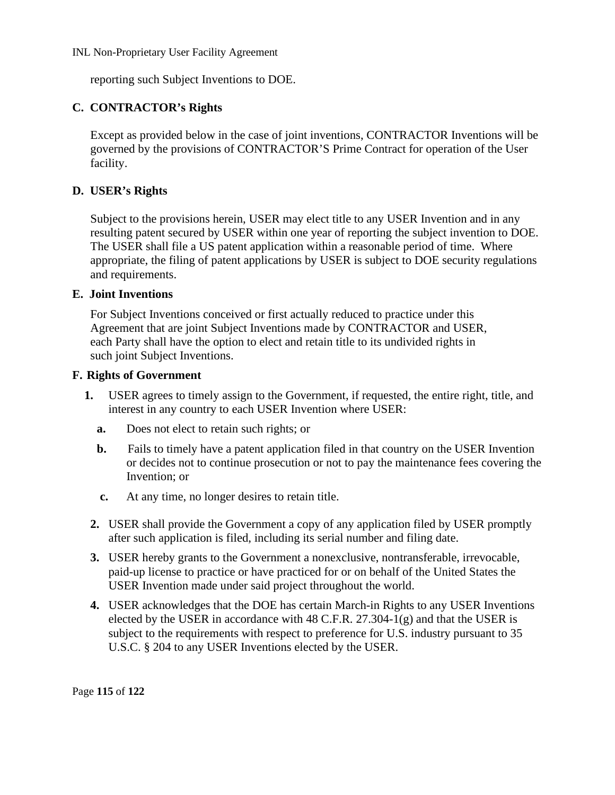reporting such Subject Inventions to DOE.

# **C. CONTRACTOR's Rights**

Except as provided below in the case of joint inventions, CONTRACTOR Inventions will be governed by the provisions of CONTRACTOR'S Prime Contract for operation of the User facility.

# **D. USER's Rights**

Subject to the provisions herein, USER may elect title to any USER Invention and in any resulting patent secured by USER within one year of reporting the subject invention to DOE. The USER shall file a US patent application within a reasonable period of time. Where appropriate, the filing of patent applications by USER is subject to DOE security regulations and requirements.

### **E. Joint Inventions**

For Subject Inventions conceived or first actually reduced to practice under this Agreement that are joint Subject Inventions made by CONTRACTOR and USER, each Party shall have the option to elect and retain title to its undivided rights in such joint Subject Inventions.

### **F. Rights of Government**

- **1.** USER agrees to timely assign to the Government, if requested, the entire right, title, and interest in any country to each USER Invention where USER:
	- **a.** Does not elect to retain such rights; or
	- **b.** Fails to timely have a patent application filed in that country on the USER Invention or decides not to continue prosecution or not to pay the maintenance fees covering the Invention; or
	- **c.** At any time, no longer desires to retain title.
	- **2.** USER shall provide the Government a copy of any application filed by USER promptly after such application is filed, including its serial number and filing date.
	- **3.** USER hereby grants to the Government a nonexclusive, nontransferable, irrevocable, paid-up license to practice or have practiced for or on behalf of the United States the USER Invention made under said project throughout the world.
	- **4.** USER acknowledges that the DOE has certain March-in Rights to any USER Inventions elected by the USER in accordance with  $48$  C.F.R. 27.304-1(g) and that the USER is subject to the requirements with respect to preference for U.S. industry pursuant to 35 U.S.C. § 204 to any USER Inventions elected by the USER.

Page **115** of **122**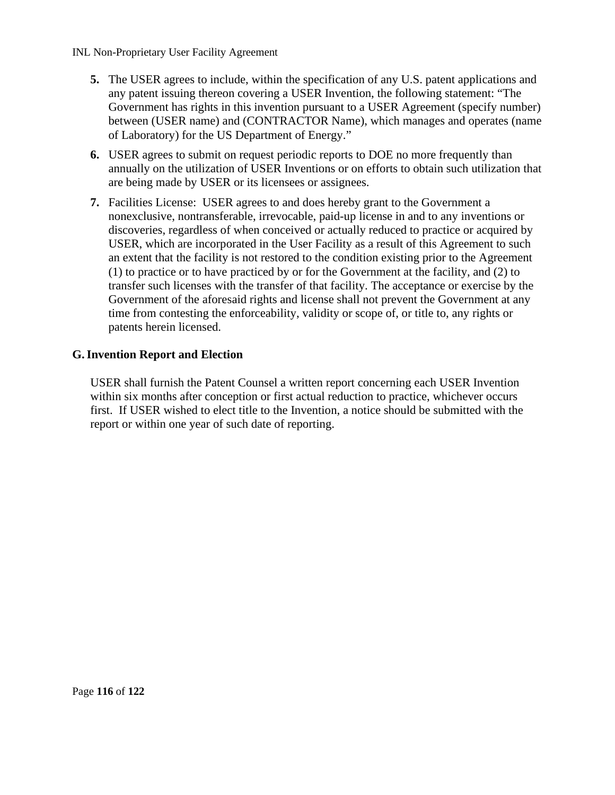- **5.** The USER agrees to include, within the specification of any U.S. patent applications and any patent issuing thereon covering a USER Invention, the following statement: "The Government has rights in this invention pursuant to a USER Agreement (specify number) between (USER name) and (CONTRACTOR Name), which manages and operates (name of Laboratory) for the US Department of Energy."
- **6.** USER agrees to submit on request periodic reports to DOE no more frequently than annually on the utilization of USER Inventions or on efforts to obtain such utilization that are being made by USER or its licensees or assignees.
- **7.** Facilities License: USER agrees to and does hereby grant to the Government a nonexclusive, nontransferable, irrevocable, paid-up license in and to any inventions or discoveries, regardless of when conceived or actually reduced to practice or acquired by USER, which are incorporated in the User Facility as a result of this Agreement to such an extent that the facility is not restored to the condition existing prior to the Agreement (1) to practice or to have practiced by or for the Government at the facility, and (2) to transfer such licenses with the transfer of that facility. The acceptance or exercise by the Government of the aforesaid rights and license shall not prevent the Government at any time from contesting the enforceability, validity or scope of, or title to, any rights or patents herein licensed.

### **G.Invention Report and Election**

USER shall furnish the Patent Counsel a written report concerning each USER Invention within six months after conception or first actual reduction to practice, whichever occurs first. If USER wished to elect title to the Invention, a notice should be submitted with the report or within one year of such date of reporting.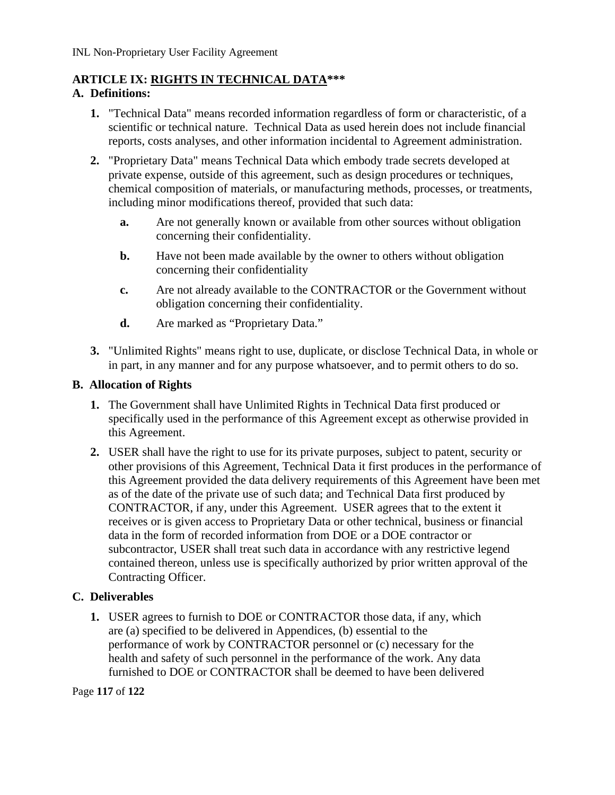# **ARTICLE IX: RIGHTS IN TECHNICAL DATA\*\*\***

## **A. Definitions:**

- **1.** "Technical Data" means recorded information regardless of form or characteristic, of a scientific or technical nature. Technical Data as used herein does not include financial reports, costs analyses, and other information incidental to Agreement administration.
- **2.** "Proprietary Data" means Technical Data which embody trade secrets developed at private expense, outside of this agreement, such as design procedures or techniques, chemical composition of materials, or manufacturing methods, processes, or treatments, including minor modifications thereof, provided that such data:
	- **a.** Are not generally known or available from other sources without obligation concerning their confidentiality.
	- **b.** Have not been made available by the owner to others without obligation concerning their confidentiality
	- **c.** Are not already available to the CONTRACTOR or the Government without obligation concerning their confidentiality.
	- **d.** Are marked as "Proprietary Data."
- **3.** "Unlimited Rights" means right to use, duplicate, or disclose Technical Data, in whole or in part, in any manner and for any purpose whatsoever, and to permit others to do so.

## **B. Allocation of Rights**

- **1.** The Government shall have Unlimited Rights in Technical Data first produced or specifically used in the performance of this Agreement except as otherwise provided in this Agreement.
- **2.** USER shall have the right to use for its private purposes, subject to patent, security or other provisions of this Agreement, Technical Data it first produces in the performance of this Agreement provided the data delivery requirements of this Agreement have been met as of the date of the private use of such data; and Technical Data first produced by CONTRACTOR, if any, under this Agreement. USER agrees that to the extent it receives or is given access to Proprietary Data or other technical, business or financial data in the form of recorded information from DOE or a DOE contractor or subcontractor, USER shall treat such data in accordance with any restrictive legend contained thereon, unless use is specifically authorized by prior written approval of the Contracting Officer.

# **C. Deliverables**

**1.** USER agrees to furnish to DOE or CONTRACTOR those data, if any, which are (a) specified to be delivered in Appendices, (b) essential to the performance of work by CONTRACTOR personnel or (c) necessary for the health and safety of such personnel in the performance of the work. Any data furnished to DOE or CONTRACTOR shall be deemed to have been delivered

Page **117** of **122**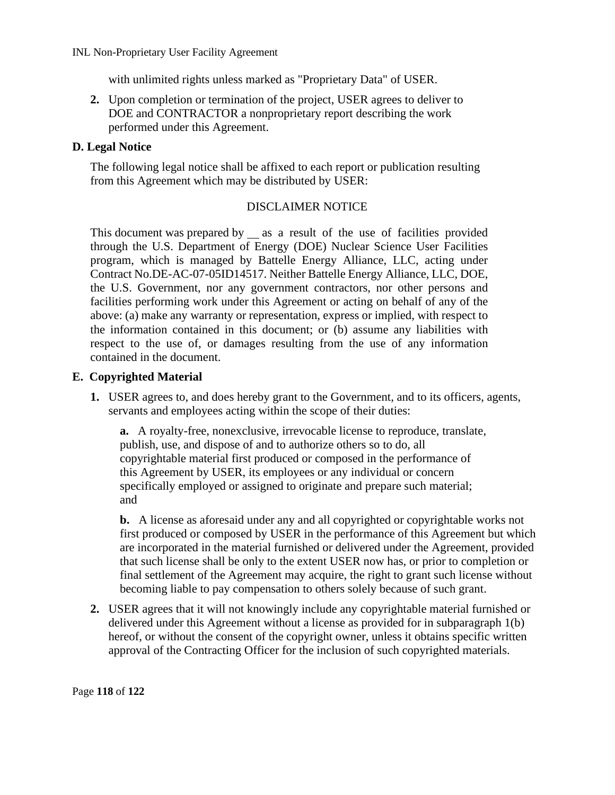with unlimited rights unless marked as "Proprietary Data" of USER.

**2.** Upon completion or termination of the project, USER agrees to deliver to DOE and CONTRACTOR a nonproprietary report describing the work performed under this Agreement.

### **D. Legal Notice**

The following legal notice shall be affixed to each report or publication resulting from this Agreement which may be distributed by USER:

### DISCLAIMER NOTICE

This document was prepared by as a result of the use of facilities provided through the U.S. Department of Energy (DOE) Nuclear Science User Facilities program, which is managed by Battelle Energy Alliance, LLC, acting under Contract No.DE-AC-07-05ID14517. Neither Battelle Energy Alliance, LLC, DOE, the U.S. Government, nor any government contractors, nor other persons and facilities performing work under this Agreement or acting on behalf of any of the above: (a) make any warranty or representation, express or implied, with respect to the information contained in this document; or (b) assume any liabilities with respect to the use of, or damages resulting from the use of any information contained in the document.

### **E. Copyrighted Material**

**1.** USER agrees to, and does hereby grant to the Government, and to its officers, agents, servants and employees acting within the scope of their duties:

**a.** A royalty-free, nonexclusive, irrevocable license to reproduce, translate, publish, use, and dispose of and to authorize others so to do, all copyrightable material first produced or composed in the performance of this Agreement by USER, its employees or any individual or concern specifically employed or assigned to originate and prepare such material; and

**b.** A license as aforesaid under any and all copyrighted or copyrightable works not first produced or composed by USER in the performance of this Agreement but which are incorporated in the material furnished or delivered under the Agreement, provided that such license shall be only to the extent USER now has, or prior to completion or final settlement of the Agreement may acquire, the right to grant such license without becoming liable to pay compensation to others solely because of such grant.

**2.** USER agrees that it will not knowingly include any copyrightable material furnished or delivered under this Agreement without a license as provided for in subparagraph 1(b) hereof, or without the consent of the copyright owner, unless it obtains specific written approval of the Contracting Officer for the inclusion of such copyrighted materials.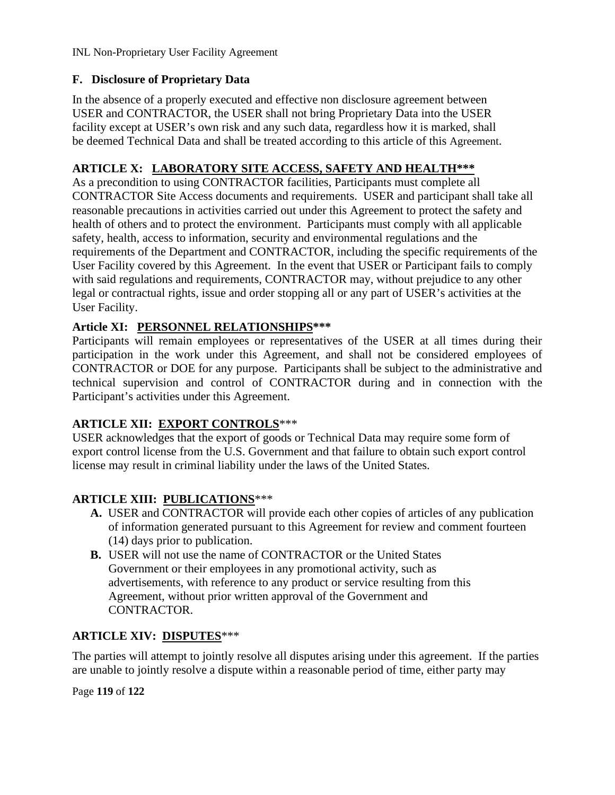# **F. Disclosure of Proprietary Data**

In the absence of a properly executed and effective non disclosure agreement between USER and CONTRACTOR, the USER shall not bring Proprietary Data into the USER facility except at USER's own risk and any such data, regardless how it is marked, shall be deemed Technical Data and shall be treated according to this article of this Agreement.

# **ARTICLE X: LABORATORY SITE ACCESS, SAFETY AND HEALTH\*\*\***

As a precondition to using CONTRACTOR facilities, Participants must complete all CONTRACTOR Site Access documents and requirements. USER and participant shall take all reasonable precautions in activities carried out under this Agreement to protect the safety and health of others and to protect the environment. Participants must comply with all applicable safety, health, access to information, security and environmental regulations and the requirements of the Department and CONTRACTOR, including the specific requirements of the User Facility covered by this Agreement. In the event that USER or Participant fails to comply with said regulations and requirements, CONTRACTOR may, without prejudice to any other legal or contractual rights, issue and order stopping all or any part of USER's activities at the User Facility.

# **Article XI: PERSONNEL RELATIONSHIPS\*\*\***

Participants will remain employees or representatives of the USER at all times during their participation in the work under this Agreement, and shall not be considered employees of CONTRACTOR or DOE for any purpose. Participants shall be subject to the administrative and technical supervision and control of CONTRACTOR during and in connection with the Participant's activities under this Agreement.

## **ARTICLE XII: EXPORT CONTROLS**\*\*\*

USER acknowledges that the export of goods or Technical Data may require some form of export control license from the U.S. Government and that failure to obtain such export control license may result in criminal liability under the laws of the United States.

# **ARTICLE XIII: PUBLICATIONS**\*\*\*

- **A.** USER and CONTRACTOR will provide each other copies of articles of any publication of information generated pursuant to this Agreement for review and comment fourteen (14) days prior to publication.
- **B.** USER will not use the name of CONTRACTOR or the United States Government or their employees in any promotional activity, such as advertisements, with reference to any product or service resulting from this Agreement, without prior written approval of the Government and CONTRACTOR.

## **ARTICLE XIV: DISPUTES**\*\*\*

The parties will attempt to jointly resolve all disputes arising under this agreement. If the parties are unable to jointly resolve a dispute within a reasonable period of time, either party may

Page **119** of **122**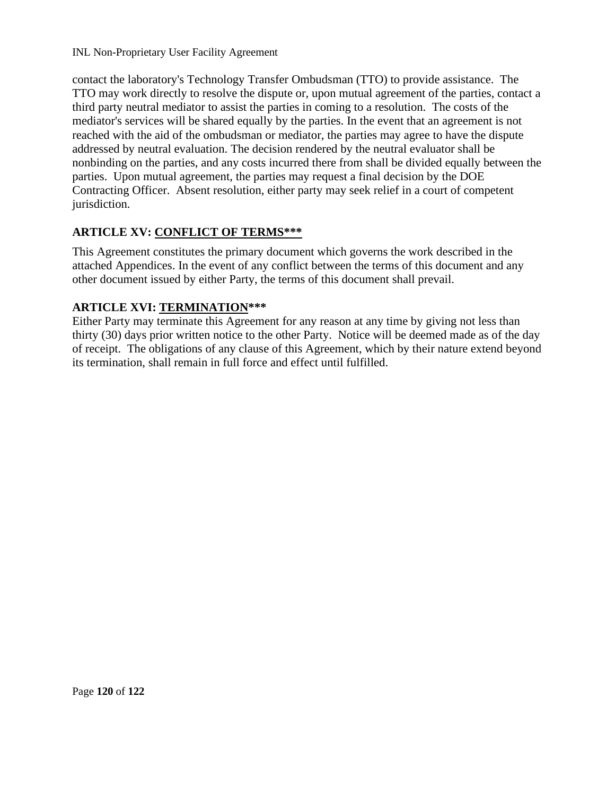contact the laboratory's Technology Transfer Ombudsman (TTO) to provide assistance. The TTO may work directly to resolve the dispute or, upon mutual agreement of the parties, contact a third party neutral mediator to assist the parties in coming to a resolution. The costs of the mediator's services will be shared equally by the parties. In the event that an agreement is not reached with the aid of the ombudsman or mediator, the parties may agree to have the dispute addressed by neutral evaluation. The decision rendered by the neutral evaluator shall be nonbinding on the parties, and any costs incurred there from shall be divided equally between the parties. Upon mutual agreement, the parties may request a final decision by the DOE Contracting Officer. Absent resolution, either party may seek relief in a court of competent jurisdiction.

# **ARTICLE XV: CONFLICT OF TERMS\*\*\***

This Agreement constitutes the primary document which governs the work described in the attached Appendices. In the event of any conflict between the terms of this document and any other document issued by either Party, the terms of this document shall prevail.

# **ARTICLE XVI: TERMINATION\*\*\***

Either Party may terminate this Agreement for any reason at any time by giving not less than thirty (30) days prior written notice to the other Party. Notice will be deemed made as of the day of receipt. The obligations of any clause of this Agreement, which by their nature extend beyond its termination, shall remain in full force and effect until fulfilled.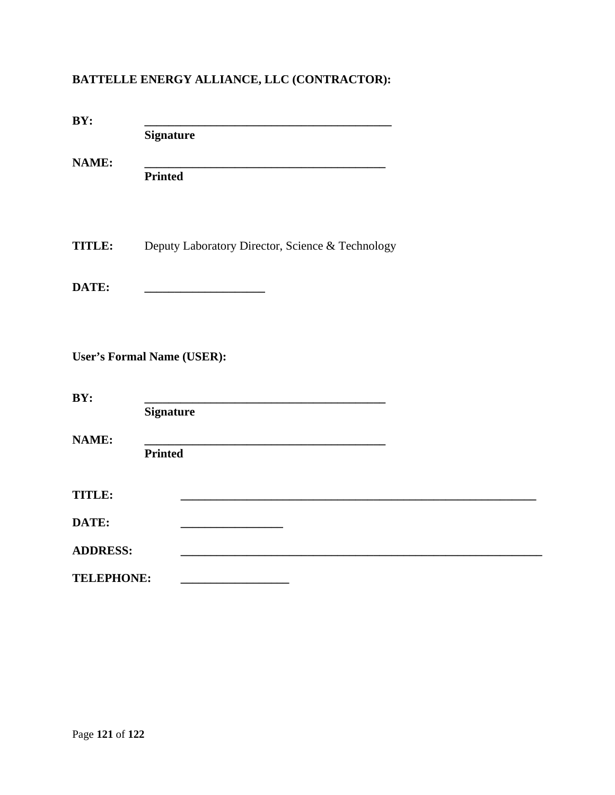# **BATTELLE ENERGY ALLIANCE, LLC (CONTRACTOR):**

| BY:               |                                                  |
|-------------------|--------------------------------------------------|
|                   | <b>Signature</b>                                 |
| <b>NAME:</b>      |                                                  |
|                   | <b>Printed</b>                                   |
|                   |                                                  |
| <b>TITLE:</b>     | Deputy Laboratory Director, Science & Technology |
| DATE:             |                                                  |
|                   |                                                  |
|                   |                                                  |
|                   | <b>User's Formal Name (USER):</b>                |
| BY:               |                                                  |
|                   | <b>Signature</b>                                 |
| <b>NAME:</b>      |                                                  |
|                   | <b>Printed</b>                                   |
| <b>TITLE:</b>     |                                                  |
| DATE:             |                                                  |
| <b>ADDRESS:</b>   |                                                  |
| <b>TELEPHONE:</b> |                                                  |